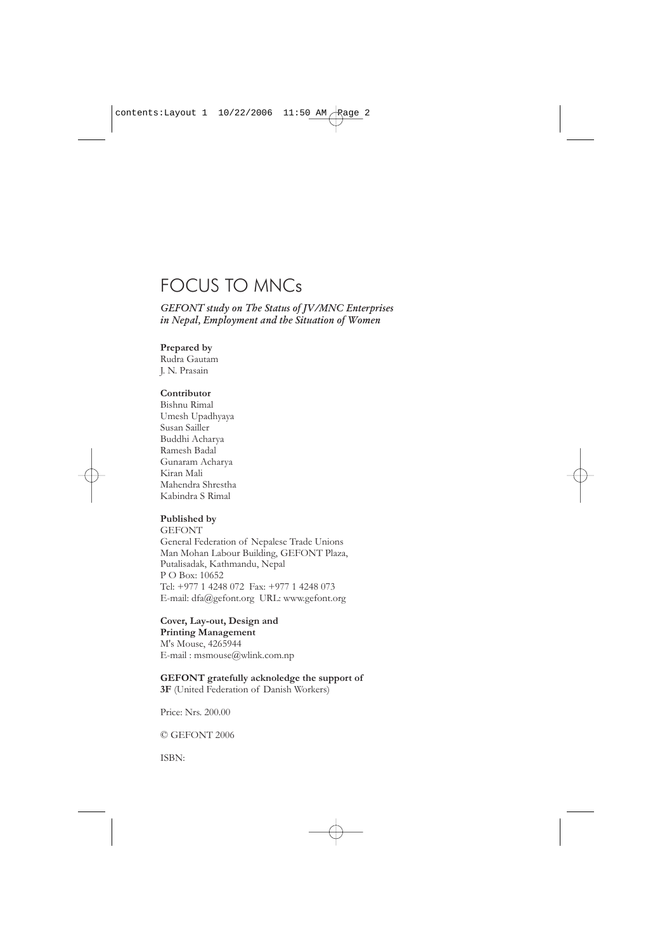# FOCUS TO MNCs

*GEFONT study on The Status of JV/MNC Enterprises in Nepal, Employment and the Situation of Women*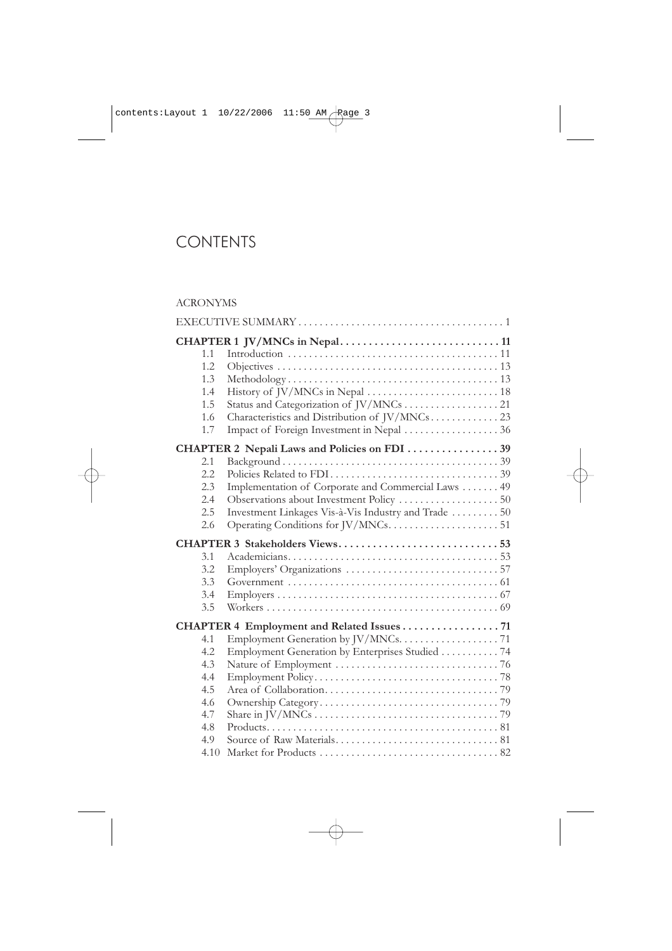# FOCUS TO MNCs

*GEFONT study on The Status of JV/MNC Enterprises in Nepal, Employment and the Situation of Women*

#### **Prepared by**

Rudra Gautam J. N. Prasain

#### **Contributor**

Bishnu Rimal Umesh Upadhyaya Susan Sailler Buddhi Acharya Ramesh Badal Gunaram Acharya Kiran Mali Mahendra Shrestha Kabindra S Rimal

#### **Published by**

**GEFONT** General Federation of Nepalese Trade Unions Man Mohan Labour Building, GEFONT Plaza, Putalisadak, Kathmandu, Nepal P O Box: 10652 Tel: +977 1 4248 072 Fax: +977 1 4248 073 E-mail: dfa@gefont.org URL: www.gefont.org

#### **Cover, Lay-out, Design and Printing Management**

M's Mouse, 4265944 E-mail : msmouse@wlink.com.np

#### **GEFONT gratefully acknoledge the support of**

**3F** (United Federation of Danish Workers)

Price: Nrs. 200.00

© GEFONT 2006

ISBN: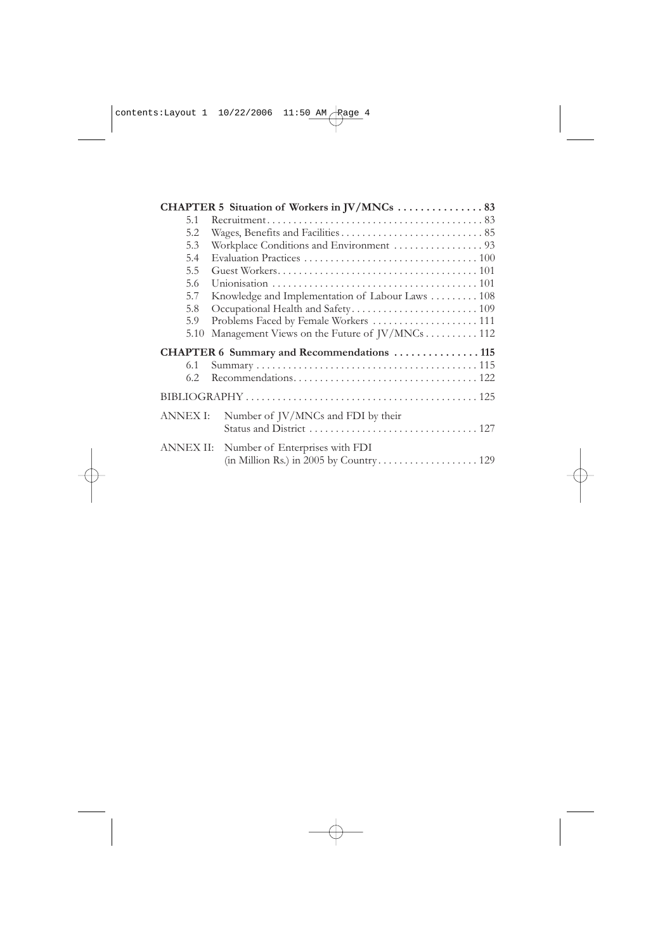# CONTENTS

# ACRONYMS

|      | CHAPTER 1 JV/MNCs in Nepal11                         |  |
|------|------------------------------------------------------|--|
| 1.1  |                                                      |  |
| 1.2. |                                                      |  |
| 1.3  |                                                      |  |
| 1.4  |                                                      |  |
| 1.5  |                                                      |  |
| 1.6  | Characteristics and Distribution of JV/MNCs 23       |  |
| 1.7  | Impact of Foreign Investment in Nepal  36            |  |
|      | CHAPTER 2 Nepali Laws and Policies on FDI 39         |  |
| 2.1  |                                                      |  |
| 2.2  |                                                      |  |
| 2.3  | Implementation of Corporate and Commercial Laws  49  |  |
| 2.4  |                                                      |  |
| 2.5  | Investment Linkages Vis-à-Vis Industry and Trade  50 |  |
| 2.6  |                                                      |  |
|      | CHAPTER 3 Stakeholders Views53                       |  |
| 3.1  |                                                      |  |
| 3.2  |                                                      |  |
| 3.3  |                                                      |  |
| 3.4  |                                                      |  |
| 3.5  |                                                      |  |
|      | CHAPTER 4 Employment and Related Issues71            |  |
| 4.1  |                                                      |  |
| 4.2  | Employment Generation by Enterprises Studied 74      |  |
| 4.3  |                                                      |  |
| 4.4  |                                                      |  |
| 4.5  |                                                      |  |
| 4.6  |                                                      |  |
| 4.7  |                                                      |  |
| 4.8  |                                                      |  |
| 4.9  |                                                      |  |
| 4.10 |                                                      |  |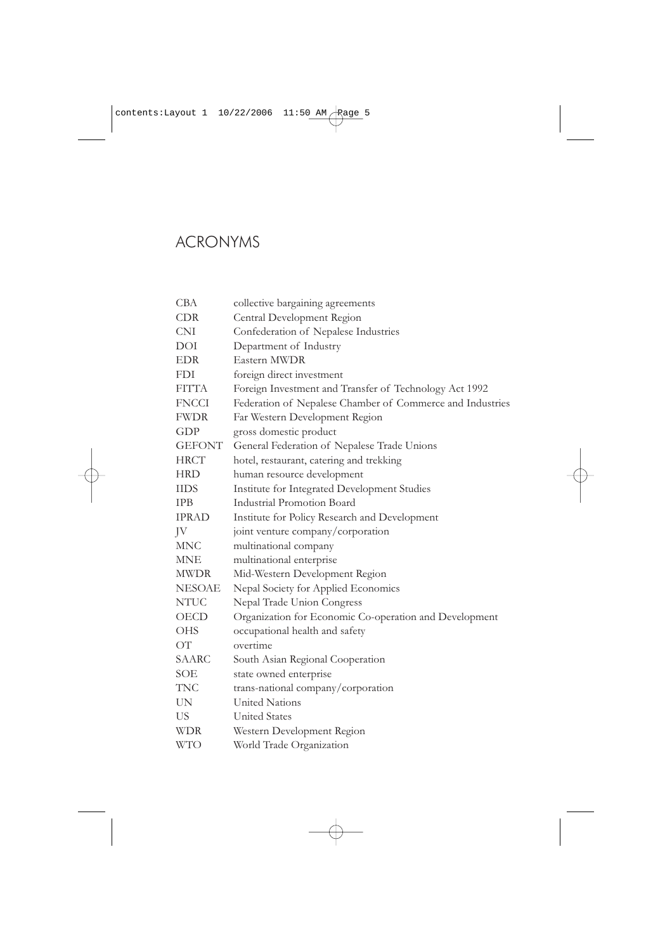|                 | CHAPTER 5 Situation of Workers in JV/MNCs  83     |  |  |  |  |  |  |  |
|-----------------|---------------------------------------------------|--|--|--|--|--|--|--|
| 5.1             |                                                   |  |  |  |  |  |  |  |
| 5.2             |                                                   |  |  |  |  |  |  |  |
| 5.3             |                                                   |  |  |  |  |  |  |  |
| 5.4             |                                                   |  |  |  |  |  |  |  |
| 5.5             |                                                   |  |  |  |  |  |  |  |
| 5.6             |                                                   |  |  |  |  |  |  |  |
| 5.7             | Knowledge and Implementation of Labour Laws  108  |  |  |  |  |  |  |  |
| 5.8             |                                                   |  |  |  |  |  |  |  |
| 5.9             | Problems Faced by Female Workers  111             |  |  |  |  |  |  |  |
| 5.10            | Management Views on the Future of JV/MNCs 112     |  |  |  |  |  |  |  |
|                 | <b>CHAPTER 6 Summary and Recommendations  115</b> |  |  |  |  |  |  |  |
| 6.1             |                                                   |  |  |  |  |  |  |  |
| 6.2             |                                                   |  |  |  |  |  |  |  |
|                 |                                                   |  |  |  |  |  |  |  |
| <b>ANNEX I:</b> | Number of JV/MNCs and FDI by their                |  |  |  |  |  |  |  |
|                 |                                                   |  |  |  |  |  |  |  |
| ANNEX II:       | Number of Enterprises with FDI                    |  |  |  |  |  |  |  |
|                 | (in Million Rs.) in 2005 by Country 129           |  |  |  |  |  |  |  |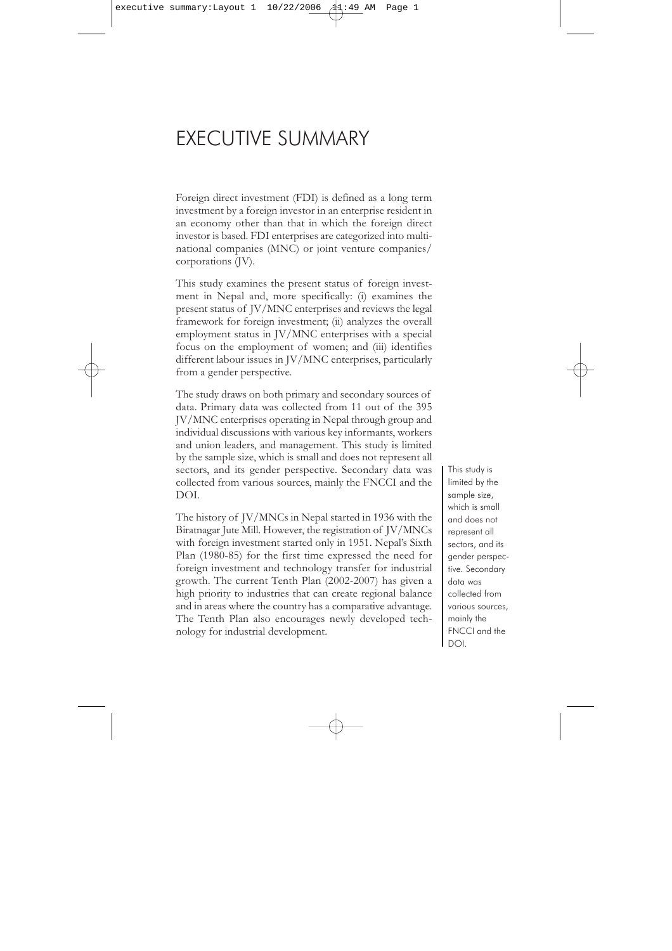# ACRONYMS

| CBA           | collective bargaining agreements                          |
|---------------|-----------------------------------------------------------|
| <b>CDR</b>    | Central Development Region                                |
| <b>CNI</b>    | Confederation of Nepalese Industries                      |
| DOI           | Department of Industry                                    |
| <b>EDR</b>    | Eastern MWDR                                              |
| <b>FDI</b>    | foreign direct investment                                 |
| <b>FITTA</b>  | Foreign Investment and Transfer of Technology Act 1992    |
| <b>FNCCI</b>  | Federation of Nepalese Chamber of Commerce and Industries |
| <b>FWDR</b>   | Far Western Development Region                            |
| GDP           | gross domestic product                                    |
| <b>GEFONT</b> | General Federation of Nepalese Trade Unions               |
| <b>HRCT</b>   | hotel, restaurant, catering and trekking                  |
| <b>HRD</b>    | human resource development                                |
| <b>IIDS</b>   | Institute for Integrated Development Studies              |
| <b>IPB</b>    | <b>Industrial Promotion Board</b>                         |
| <b>IPRAD</b>  | Institute for Policy Research and Development             |
| JV            | joint venture company/corporation                         |
| <b>MNC</b>    | multinational company                                     |
| <b>MNE</b>    | multinational enterprise                                  |
| <b>MWDR</b>   | Mid-Western Development Region                            |
| <b>NESOAE</b> | Nepal Society for Applied Economics                       |
| <b>NTUC</b>   | Nepal Trade Union Congress                                |
| OECD          | Organization for Economic Co-operation and Development    |
| <b>OHS</b>    | occupational health and safety                            |
| ОT            | overtime                                                  |
| <b>SAARC</b>  | South Asian Regional Cooperation                          |
| SOE           | state owned enterprise                                    |
| <b>TNC</b>    | trans-national company/corporation                        |
| UN            | <b>United Nations</b>                                     |
| US            | <b>United States</b>                                      |
| <b>WDR</b>    | Western Development Region                                |
| <b>WTO</b>    | World Trade Organization                                  |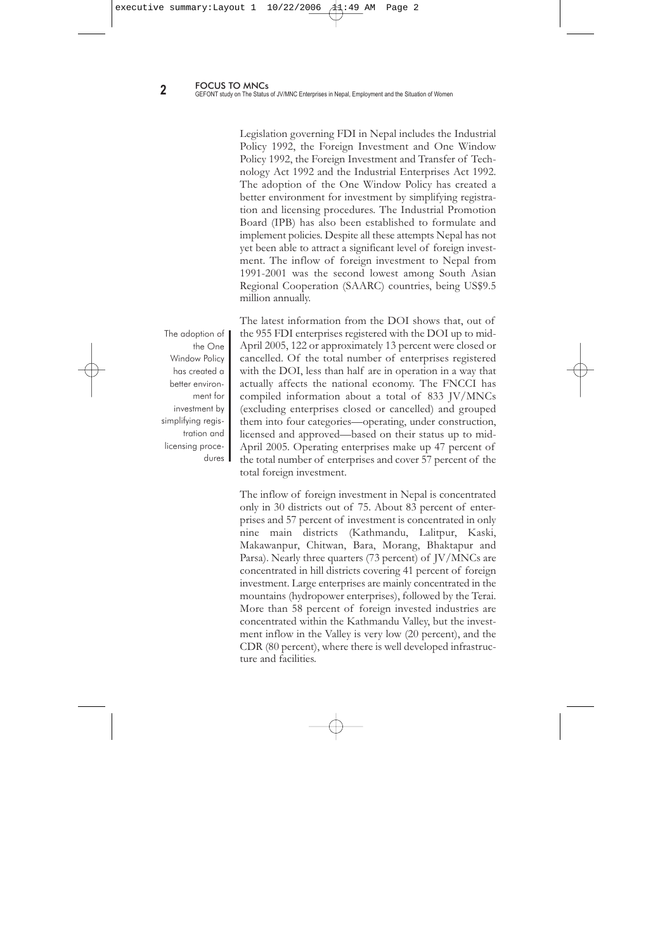# EXECUTIVE SUMMARY

Foreign direct investment (FDI) is defined as a long term investment by a foreign investor in an enterprise resident in an economy other than that in which the foreign direct investor is based. FDI enterprises are categorized into multinational companies (MNC) or joint venture companies/ corporations (JV).

This study examines the present status of foreign investment in Nepal and, more specifically: (i) examines the present status of JV/MNC enterprises and reviews the legal framework for foreign investment; (ii) analyzes the overall employment status in JV/MNC enterprises with a special focus on the employment of women; and (iii) identifies different labour issues in JV/MNC enterprises, particularly from a gender perspective.

The study draws on both primary and secondary sources of data. Primary data was collected from 11 out of the 395 JV/MNC enterprises operating in Nepal through group and individual discussions with various key informants, workers and union leaders, and management. This study is limited by the sample size, which is small and does not represent all sectors, and its gender perspective. Secondary data was collected from various sources, mainly the FNCCI and the DOI.

The history of JV/MNCs in Nepal started in 1936 with the Biratnagar Jute Mill. However, the registration of JV/MNCs with foreign investment started only in 1951. Nepal's Sixth Plan (1980-85) for the first time expressed the need for foreign investment and technology transfer for industrial growth. The current Tenth Plan (2002-2007) has given a high priority to industries that can create regional balance and in areas where the country has a comparative advantage. The Tenth Plan also encourages newly developed technology for industrial development.

This study is limited by the sample size, which is small and does not represent all sectors, and its gender perspective. Secondary data was collected from various sources, mainly the FNCCI and the DOI.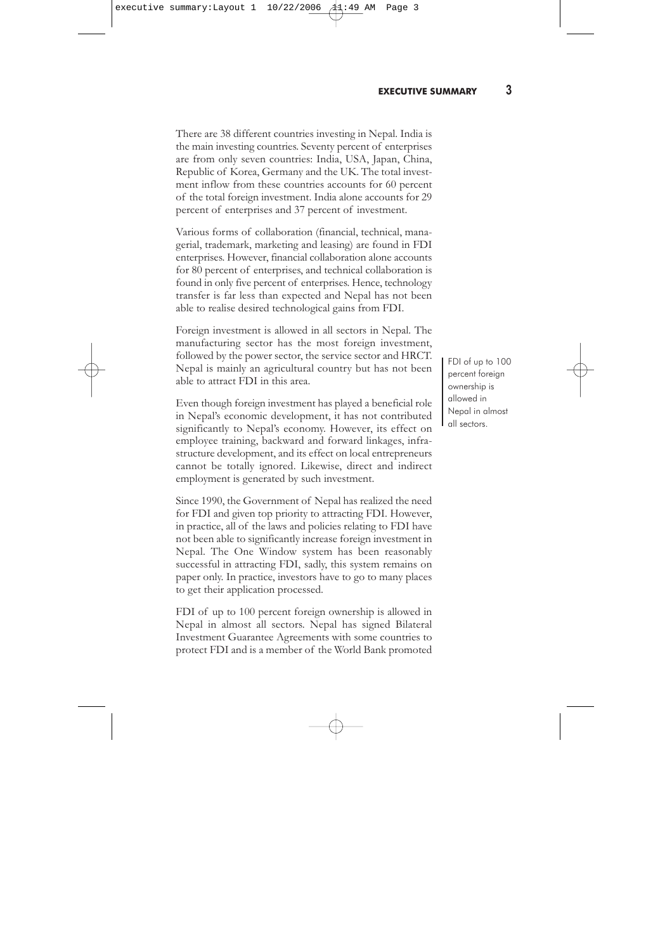Legislation governing FDI in Nepal includes the Industrial Policy 1992, the Foreign Investment and One Window Policy 1992, the Foreign Investment and Transfer of Technology Act 1992 and the Industrial Enterprises Act 1992. The adoption of the One Window Policy has created a better environment for investment by simplifying registration and licensing procedures. The Industrial Promotion Board (IPB) has also been established to formulate and implement policies. Despite all these attempts Nepal has not yet been able to attract a significant level of foreign investment. The inflow of foreign investment to Nepal from 1991-2001 was the second lowest among South Asian Regional Cooperation (SAARC) countries, being US\$9.5 million annually.

The adoption of the One Window Policy has created a better environment for investment by simplifying registration and licensing procedures | The latest information from the DOI shows that, out of the 955 FDI enterprises registered with the DOI up to mid-April 2005, 122 or approximately 13 percent were closed or cancelled. Of the total number of enterprises registered with the DOI, less than half are in operation in a way that actually affects the national economy. The FNCCI has compiled information about a total of 833 JV/MNCs (excluding enterprises closed or cancelled) and grouped them into four categories—operating, under construction, licensed and approved—based on their status up to mid-April 2005. Operating enterprises make up 47 percent of the total number of enterprises and cover 57 percent of the total foreign investment.

The inflow of foreign investment in Nepal is concentrated only in 30 districts out of 75. About 83 percent of enterprises and 57 percent of investment is concentrated in only nine main districts (Kathmandu, Lalitpur, Kaski, Makawanpur, Chitwan, Bara, Morang, Bhaktapur and Parsa). Nearly three quarters (73 percent) of JV/MNCs are concentrated in hill districts covering 41 percent of foreign investment. Large enterprises are mainly concentrated in the mountains (hydropower enterprises), followed by the Terai. More than 58 percent of foreign invested industries are concentrated within the Kathmandu Valley, but the investment inflow in the Valley is very low (20 percent), and the CDR (80 percent), where there is well developed infrastructure and facilities.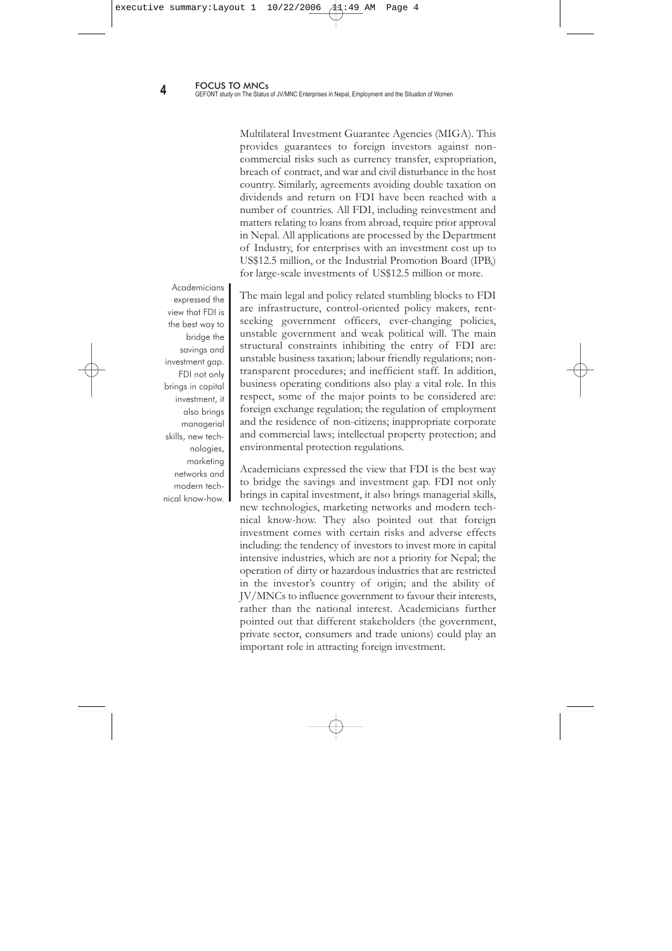There are 38 different countries investing in Nepal. India is the main investing countries. Seventy percent of enterprises are from only seven countries: India, USA, Japan, China, Republic of Korea, Germany and the UK. The total investment inflow from these countries accounts for 60 percent of the total foreign investment. India alone accounts for 29 percent of enterprises and 37 percent of investment.

Various forms of collaboration (financial, technical, managerial, trademark, marketing and leasing) are found in FDI enterprises. However, financial collaboration alone accounts for 80 percent of enterprises, and technical collaboration is found in only five percent of enterprises. Hence, technology transfer is far less than expected and Nepal has not been able to realise desired technological gains from FDI.

Foreign investment is allowed in all sectors in Nepal. The manufacturing sector has the most foreign investment, followed by the power sector, the service sector and HRCT. Nepal is mainly an agricultural country but has not been able to attract FDI in this area.

Even though foreign investment has played a beneficial role in Nepal's economic development, it has not contributed significantly to Nepal's economy. However, its effect on employee training, backward and forward linkages, infrastructure development, and its effect on local entrepreneurs cannot be totally ignored. Likewise, direct and indirect employment is generated by such investment.

Since 1990, the Government of Nepal has realized the need for FDI and given top priority to attracting FDI. However, in practice, all of the laws and policies relating to FDI have not been able to significantly increase foreign investment in Nepal. The One Window system has been reasonably successful in attracting FDI, sadly, this system remains on paper only. In practice, investors have to go to many places to get their application processed.

FDI of up to 100 percent foreign ownership is allowed in Nepal in almost all sectors. Nepal has signed Bilateral Investment Guarantee Agreements with some countries to protect FDI and is a member of the World Bank promoted FDI of up to 100 percent foreign ownership is allowed in Nepal in almost all sectors.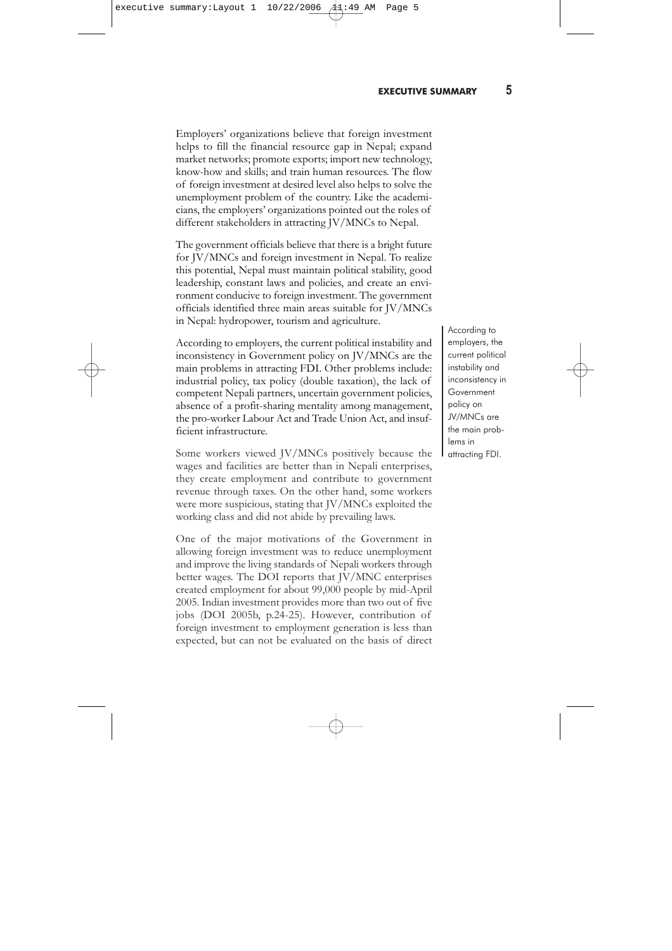Multilateral Investment Guarantee Agencies (MIGA). This provides guarantees to foreign investors against noncommercial risks such as currency transfer, expropriation, breach of contract, and war and civil disturbance in the host country. Similarly, agreements avoiding double taxation on dividends and return on FDI have been reached with a number of countries. All FDI, including reinvestment and matters relating to loans from abroad, require prior approval in Nepal. All applications are processed by the Department of Industry, for enterprises with an investment cost up to US\$12.5 million, or the Industrial Promotion Board (IPB,) for large-scale investments of US\$12.5 million or more.

**Academicians** expressed the view that FDI is the best way to bridge the savings and investment gap. FDI not only brings in capital investment, it also brings managerial skills, new technologies, marketing networks and modern technical know-how.

The main legal and policy related stumbling blocks to FDI are infrastructure, control-oriented policy makers, rentseeking government officers, ever-changing policies, unstable government and weak political will. The main structural constraints inhibiting the entry of FDI are: unstable business taxation; labour friendly regulations; nontransparent procedures; and inefficient staff. In addition, business operating conditions also play a vital role. In this respect, some of the major points to be considered are: foreign exchange regulation; the regulation of employment and the residence of non-citizens; inappropriate corporate and commercial laws; intellectual property protection; and environmental protection regulations.

Academicians expressed the view that FDI is the best way to bridge the savings and investment gap. FDI not only brings in capital investment, it also brings managerial skills, new technologies, marketing networks and modern technical know-how. They also pointed out that foreign investment comes with certain risks and adverse effects including: the tendency of investors to invest more in capital intensive industries, which are not a priority for Nepal; the operation of dirty or hazardous industries that are restricted in the investor's country of origin; and the ability of JV/MNCs to influence government to favour their interests, rather than the national interest. Academicians further pointed out that different stakeholders (the government, private sector, consumers and trade unions) could play an important role in attracting foreign investment.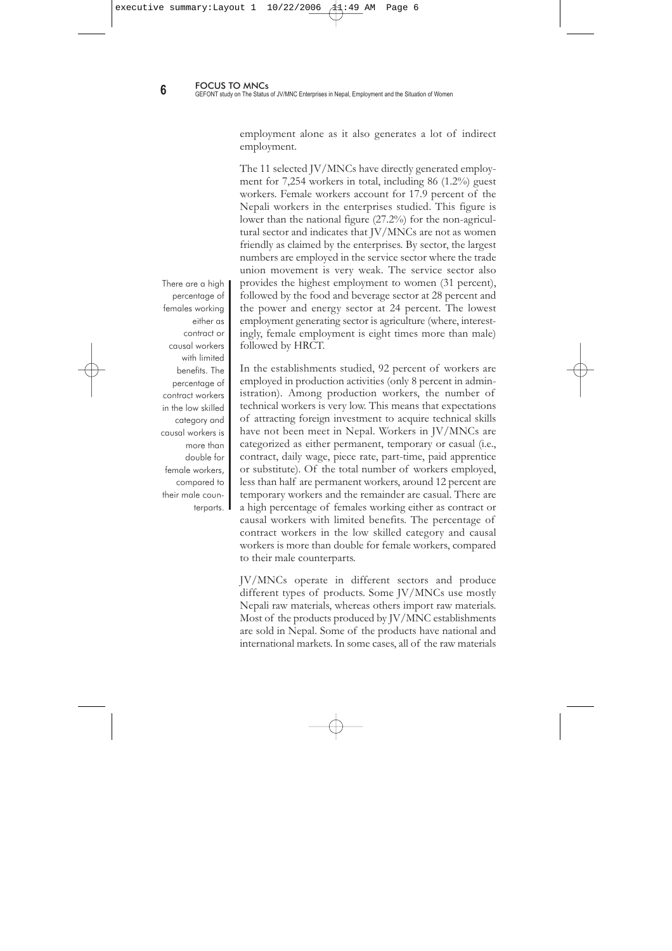Employers' organizations believe that foreign investment helps to fill the financial resource gap in Nepal; expand market networks; promote exports; import new technology, know-how and skills; and train human resources. The flow of foreign investment at desired level also helps to solve the unemployment problem of the country. Like the academicians, the employers' organizations pointed out the roles of different stakeholders in attracting JV/MNCs to Nepal.

The government officials believe that there is a bright future for JV/MNCs and foreign investment in Nepal. To realize this potential, Nepal must maintain political stability, good leadership, constant laws and policies, and create an environment conducive to foreign investment. The government officials identified three main areas suitable for JV/MNCs in Nepal: hydropower, tourism and agriculture.

According to employers, the current political instability and inconsistency in Government policy on JV/MNCs are the main problems in attracting FDI. Other problems include: industrial policy, tax policy (double taxation), the lack of competent Nepali partners, uncertain government policies, absence of a profit-sharing mentality among management, the pro-worker Labour Act and Trade Union Act, and insufficient infrastructure.

Some workers viewed JV/MNCs positively because the wages and facilities are better than in Nepali enterprises, they create employment and contribute to government revenue through taxes. On the other hand, some workers were more suspicious, stating that JV/MNCs exploited the working class and did not abide by prevailing laws.

One of the major motivations of the Government in allowing foreign investment was to reduce unemployment and improve the living standards of Nepali workers through better wages. The DOI reports that JV/MNC enterprises created employment for about 99,000 people by mid-April 2005. Indian investment provides more than two out of five jobs (DOI 2005b, p.24-25). However, contribution of foreign investment to employment generation is less than expected, but can not be evaluated on the basis of direct According to employers, the current political instability and inconsistency in Government policy on JV/MNCs are the main problems in attracting FDI.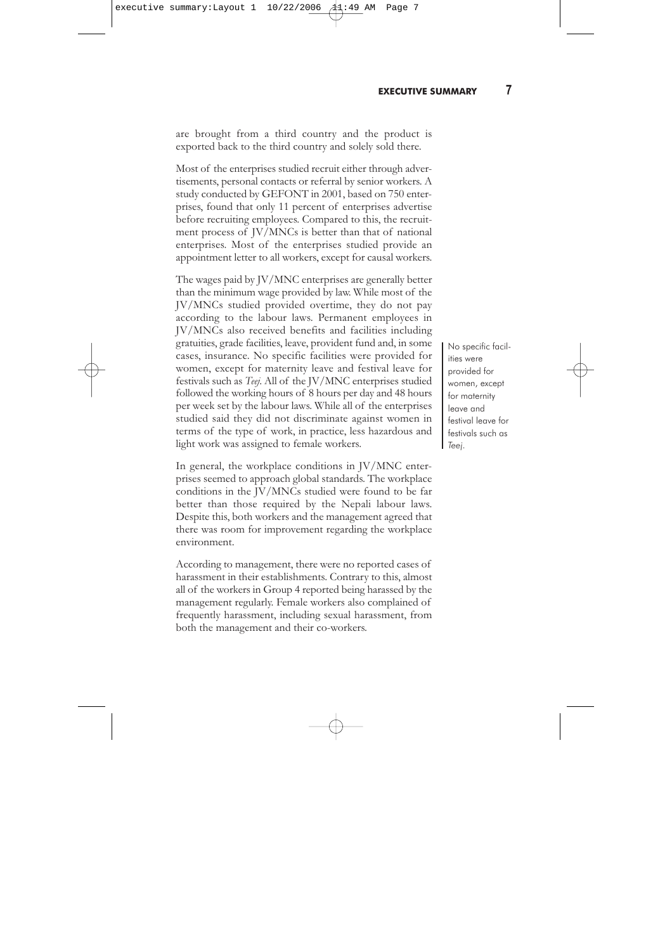employment alone as it also generates a lot of indirect employment.

The 11 selected JV/MNCs have directly generated employment for 7,254 workers in total, including 86 (1.2%) guest workers. Female workers account for 17.9 percent of the Nepali workers in the enterprises studied. This figure is lower than the national figure (27.2%) for the non-agricultural sector and indicates that JV/MNCs are not as women friendly as claimed by the enterprises. By sector, the largest numbers are employed in the service sector where the trade union movement is very weak. The service sector also provides the highest employment to women (31 percent), followed by the food and beverage sector at 28 percent and the power and energy sector at 24 percent. The lowest employment generating sector is agriculture (where, interestingly, female employment is eight times more than male) followed by HRCT.

In the establishments studied, 92 percent of workers are employed in production activities (only 8 percent in administration). Among production workers, the number of technical workers is very low. This means that expectations of attracting foreign investment to acquire technical skills have not been meet in Nepal. Workers in JV/MNCs are categorized as either permanent, temporary or casual (i.e., contract, daily wage, piece rate, part-time, paid apprentice or substitute). Of the total number of workers employed, less than half are permanent workers, around 12 percent are temporary workers and the remainder are casual. There are a high percentage of females working either as contract or causal workers with limited benefits. The percentage of contract workers in the low skilled category and causal workers is more than double for female workers, compared to their male counterparts.

JV/MNCs operate in different sectors and produce different types of products. Some JV/MNCs use mostly Nepali raw materials, whereas others import raw materials. Most of the products produced by JV/MNC establishments are sold in Nepal. Some of the products have national and international markets. In some cases, all of the raw materials

There are a high percentage of females working either as contract or causal workers with limited benefits. The percentage of contract workers in the low skilled category and causal workers is more than double for female workers, compared to their male counterparts.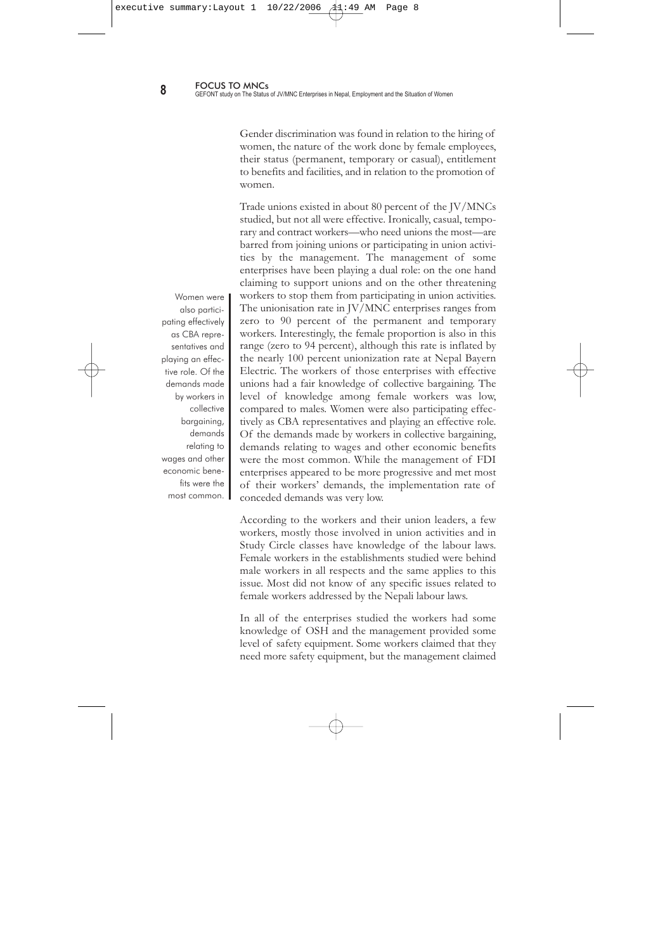are brought from a third country and the product is exported back to the third country and solely sold there.

Most of the enterprises studied recruit either through advertisements, personal contacts or referral by senior workers. A study conducted by GEFONT in 2001, based on 750 enterprises, found that only 11 percent of enterprises advertise before recruiting employees. Compared to this, the recruitment process of JV/MNCs is better than that of national enterprises. Most of the enterprises studied provide an appointment letter to all workers, except for causal workers.

The wages paid by JV/MNC enterprises are generally better than the minimum wage provided by law. While most of the JV/MNCs studied provided overtime, they do not pay according to the labour laws. Permanent employees in JV/MNCs also received benefits and facilities including gratuities, grade facilities, leave, provident fund and, in some cases, insurance. No specific facilities were provided for women, except for maternity leave and festival leave for festivals such as *Teej*. All of the JV/MNC enterprises studied followed the working hours of 8 hours per day and 48 hours per week set by the labour laws. While all of the enterprises studied said they did not discriminate against women in terms of the type of work, in practice, less hazardous and light work was assigned to female workers.

In general, the workplace conditions in JV/MNC enterprises seemed to approach global standards. The workplace conditions in the JV/MNCs studied were found to be far better than those required by the Nepali labour laws. Despite this, both workers and the management agreed that there was room for improvement regarding the workplace environment.

According to management, there were no reported cases of harassment in their establishments. Contrary to this, almost all of the workers in Group 4 reported being harassed by the management regularly. Female workers also complained of frequently harassment, including sexual harassment, from both the management and their co-workers.

No specific facilities were provided for women, except for maternity leave and festival leave for festivals such as *Teej*.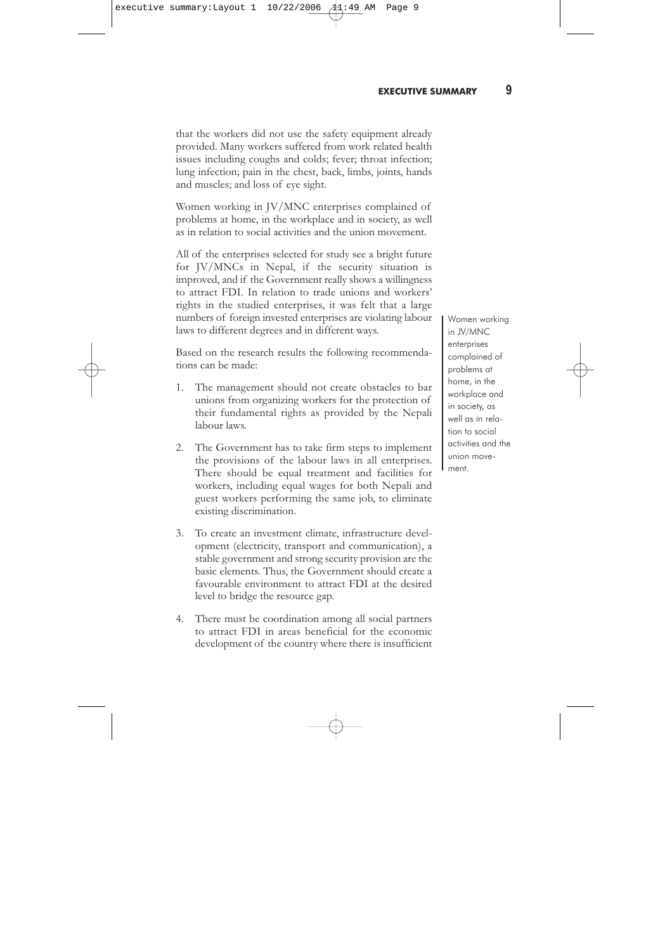Gender discrimination was found in relation to the hiring of women, the nature of the work done by female employees, their status (permanent, temporary or casual), entitlement to benefits and facilities, and in relation to the promotion of women.

Trade unions existed in about 80 percent of the JV/MNCs studied, but not all were effective. Ironically, casual, temporary and contract workers—who need unions the most—are barred from joining unions or participating in union activities by the management. The management of some enterprises have been playing a dual role: on the one hand claiming to support unions and on the other threatening workers to stop them from participating in union activities. The unionisation rate in JV/MNC enterprises ranges from zero to 90 percent of the permanent and temporary workers. Interestingly, the female proportion is also in this range (zero to 94 percent), although this rate is inflated by the nearly 100 percent unionization rate at Nepal Bayern Electric. The workers of those enterprises with effective unions had a fair knowledge of collective bargaining. The level of knowledge among female workers was low, compared to males. Women were also participating effectively as CBA representatives and playing an effective role. Of the demands made by workers in collective bargaining, demands relating to wages and other economic benefits were the most common. While the management of FDI enterprises appeared to be more progressive and met most of their workers' demands, the implementation rate of conceded demands was very low.

According to the workers and their union leaders, a few workers, mostly those involved in union activities and in Study Circle classes have knowledge of the labour laws. Female workers in the establishments studied were behind male workers in all respects and the same applies to this issue. Most did not know of any specific issues related to female workers addressed by the Nepali labour laws.

In all of the enterprises studied the workers had some knowledge of OSH and the management provided some level of safety equipment. Some workers claimed that they need more safety equipment, but the management claimed

Women were also participating effectively as CBA representatives and playing an effective role. Of the demands made by workers in collective bargaining, demands relating to wages and other economic benefits were the most common.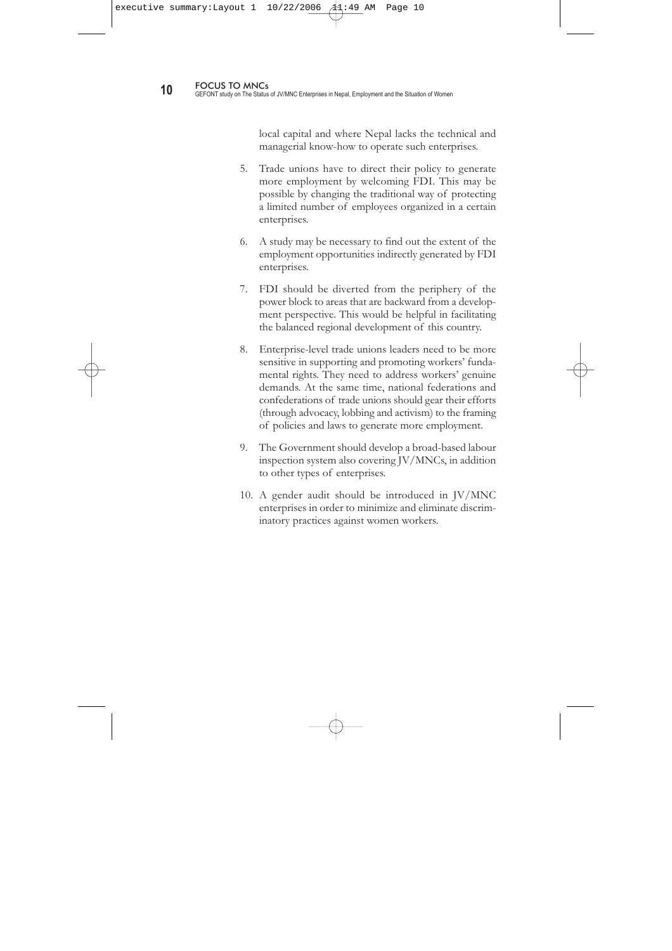that the workers did not use the safety equipment already provided. Many workers suffered from work related health issues including coughs and colds; fever; throat infection; lung infection; pain in the chest, back, limbs, joints, hands and muscles; and loss of eye sight.

Women working in JV/MNC enterprises complained of problems at home, in the workplace and in society, as well as in relation to social activities and the union movement.

All of the enterprises selected for study see a bright future for JV/MNCs in Nepal, if the security situation is improved, and if the Government really shows a willingness to attract FDI. In relation to trade unions and workers' rights in the studied enterprises, it was felt that a large numbers of foreign invested enterprises are violating labour laws to different degrees and in different ways.

Based on the research results the following recommendations can be made:

- 1. The management should not create obstacles to bar unions from organizing workers for the protection of their fundamental rights as provided by the Nepali labour laws.
- 2. The Government has to take firm steps to implement the provisions of the labour laws in all enterprises. There should be equal treatment and facilities for workers, including equal wages for both Nepali and guest workers performing the same job, to eliminate existing discrimination.
- 3. To create an investment climate, infrastructure development (electricity, transport and communication), a stable government and strong security provision are the basic elements. Thus, the Government should create a favourable environment to attract FDI at the desired level to bridge the resource gap.
- 4. There must be coordination among all social partners to attract FDI in areas beneficial for the economic development of the country where there is insufficient

Women working in JV/MNC enterprises complained of problems at home, in the workplace and in society, as well as in relation to social activities and the union movement.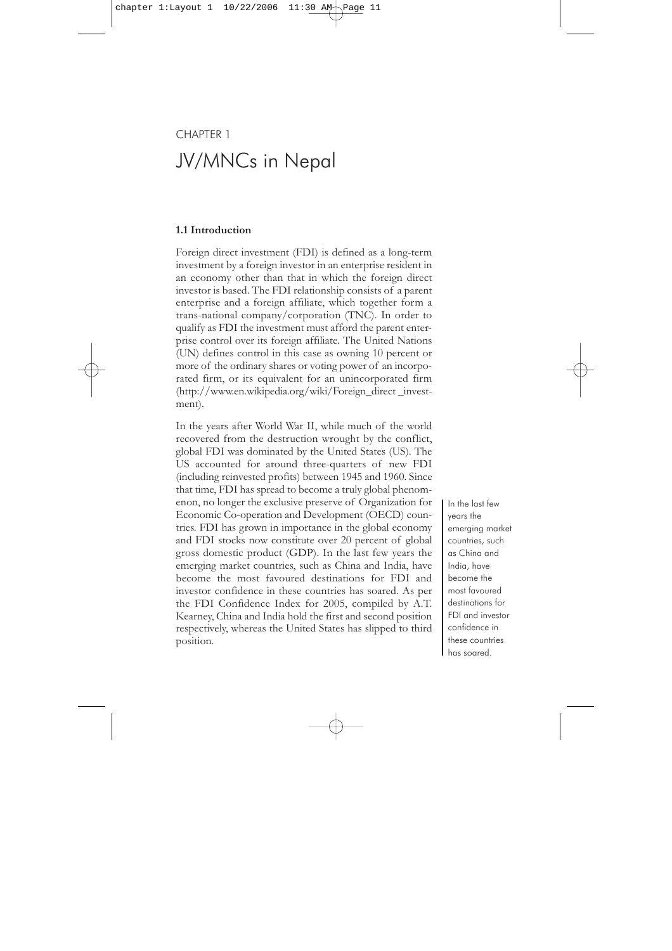local capital and where Nepal lacks the technical and managerial know-how to operate such enterprises.

- 5. Trade unions have to direct their policy to generate more employment by welcoming FDI. This may be possible by changing the traditional way of protecting a limited number of employees organized in a certain enterprises.
- 6. A study may be necessary to find out the extent of the employment opportunities indirectly generated by FDI enterprises.
- 7. FDI should be diverted from the periphery of the power block to areas that are backward from a development perspective. This would be helpful in facilitating the balanced regional development of this country.
- 8. Enterprise-level trade unions leaders need to be more sensitive in supporting and promoting workers' fundamental rights. They need to address workers' genuine demands. At the same time, national federations and confederations of trade unions should gear their efforts (through advocacy, lobbing and activism) to the framing of policies and laws to generate more employment.
- 9. The Government should develop a broad-based labour inspection system also covering JV/MNCs, in addition to other types of enterprises.
- 10. A gender audit should be introduced in JV/MNC enterprises in order to minimize and eliminate discriminatory practices against women workers.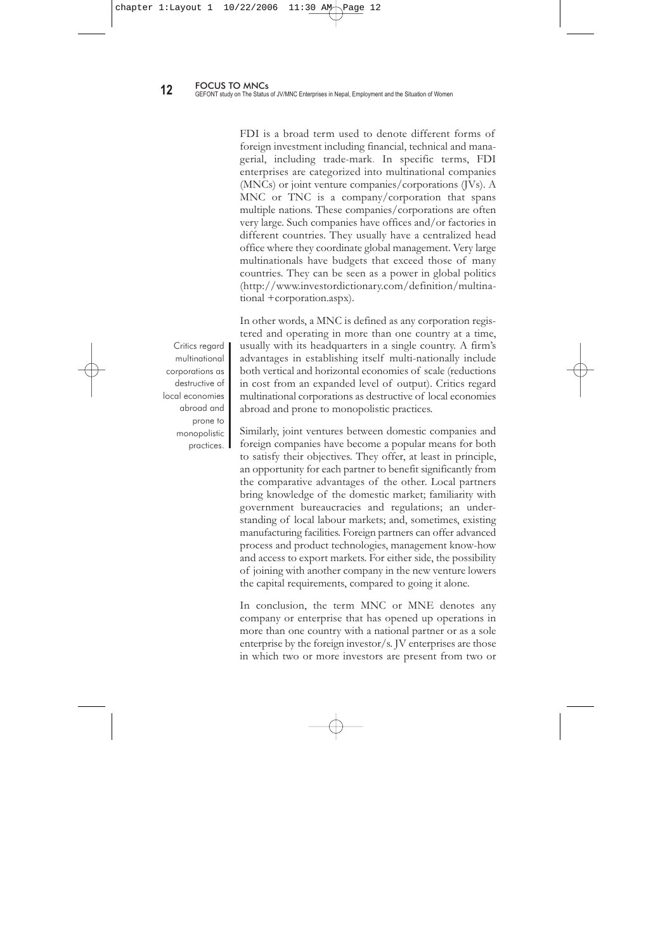# CHAPTER 1 JV/MNCs in Nepal

#### **1.1 Introduction**

Foreign direct investment (FDI) is defined as a long-term investment by a foreign investor in an enterprise resident in an economy other than that in which the foreign direct investor is based. The FDI relationship consists of a parent enterprise and a foreign affiliate, which together form a trans-national company/corporation (TNC). In order to qualify as FDI the investment must afford the parent enterprise control over its foreign affiliate. The United Nations (UN) defines control in this case as owning 10 percent or more of the ordinary shares or voting power of an incorporated firm, or its equivalent for an unincorporated firm (http://www.en.wikipedia.org/wiki/Foreign\_direct \_investment).

In the years after World War II, while much of the world recovered from the destruction wrought by the conflict, global FDI was dominated by the United States (US). The US accounted for around three-quarters of new FDI (including reinvested profits) between 1945 and 1960. Since that time, FDI has spread to become a truly global phenomenon, no longer the exclusive preserve of Organization for Economic Co-operation and Development (OECD) countries. FDI has grown in importance in the global economy and FDI stocks now constitute over 20 percent of global gross domestic product (GDP). In the last few years the emerging market countries, such as China and India, have become the most favoured destinations for FDI and investor confidence in these countries has soared. As per the FDI Confidence Index for 2005, compiled by A.T. Kearney, China and India hold the first and second position respectively, whereas the United States has slipped to third position.

In the last few years the emerging market countries, such as China and India, have become the most favoured destinations for FDI and investor confidence in these countries has soared.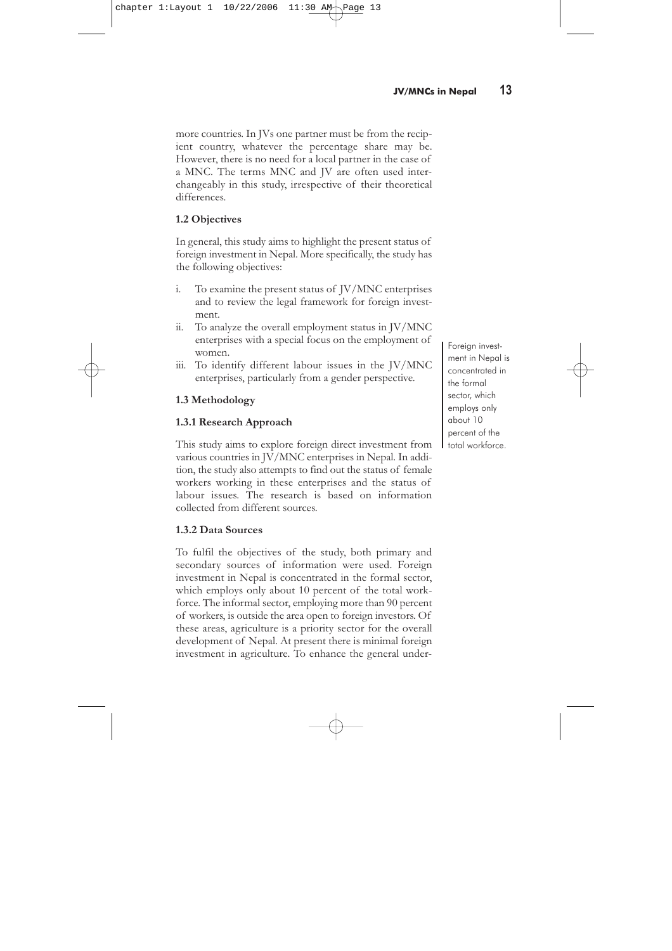FDI is a broad term used to denote different forms of foreign investment including financial, technical and managerial, including trade-mark. In specific terms, FDI enterprises are categorized into multinational companies (MNCs) or joint venture companies/corporations (JVs). A MNC or TNC is a company/corporation that spans multiple nations. These companies/corporations are often very large. Such companies have offices and/or factories in different countries. They usually have a centralized head office where they coordinate global management. Very large multinationals have budgets that exceed those of many countries. They can be seen as a power in global politics (http://www.investordictionary.com/definition/multinational +corporation.aspx).

In other words, a MNC is defined as any corporation registered and operating in more than one country at a time, usually with its headquarters in a single country. A firm's advantages in establishing itself multi-nationally include both vertical and horizontal economies of scale (reductions in cost from an expanded level of output). Critics regard multinational corporations as destructive of local economies abroad and prone to monopolistic practices.

Similarly, joint ventures between domestic companies and foreign companies have become a popular means for both to satisfy their objectives. They offer, at least in principle, an opportunity for each partner to benefit significantly from the comparative advantages of the other. Local partners bring knowledge of the domestic market; familiarity with government bureaucracies and regulations; an understanding of local labour markets; and, sometimes, existing manufacturing facilities. Foreign partners can offer advanced process and product technologies, management know-how and access to export markets. For either side, the possibility of joining with another company in the new venture lowers the capital requirements, compared to going it alone.

In conclusion, the term MNC or MNE denotes any company or enterprise that has opened up operations in more than one country with a national partner or as a sole enterprise by the foreign investor/s. JV enterprises are those in which two or more investors are present from two or

Critics regard multinational corporations as destructive of local economies abroad and prone to monopolistic practices. I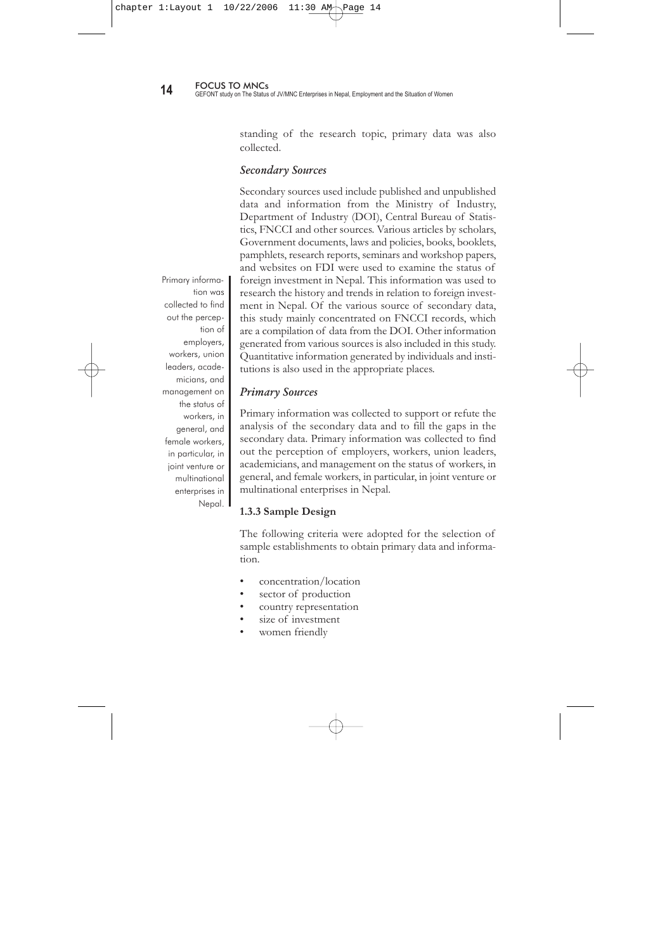more countries. In JVs one partner must be from the recipient country, whatever the percentage share may be. However, there is no need for a local partner in the case of a MNC. The terms MNC and JV are often used interchangeably in this study, irrespective of their theoretical differences.

## **1.2 Objectives**

In general, this study aims to highlight the present status of foreign investment in Nepal. More specifically, the study has the following objectives:

- i. To examine the present status of JV/MNC enterprises and to review the legal framework for foreign investment.
- ii. To analyze the overall employment status in JV/MNC enterprises with a special focus on the employment of women.
- iii. To identify different labour issues in the JV/MNC enterprises, particularly from a gender perspective.

# **1.3 Methodology**

### **1.3.1 Research Approach**

This study aims to explore foreign direct investment from various countries in JV/MNC enterprises in Nepal. In addition, the study also attempts to find out the status of female workers working in these enterprises and the status of labour issues. The research is based on information collected from different sources.

### **1.3.2 Data Sources**

To fulfil the objectives of the study, both primary and secondary sources of information were used. Foreign investment in Nepal is concentrated in the formal sector, which employs only about 10 percent of the total workforce. The informal sector, employing more than 90 percent of workers, is outside the area open to foreign investors. Of these areas, agriculture is a priority sector for the overall development of Nepal. At present there is minimal foreign investment in agriculture. To enhance the general under-

Foreign investment in Nepal is concentrated in the formal sector, which employs only about 10 percent of the total workforce.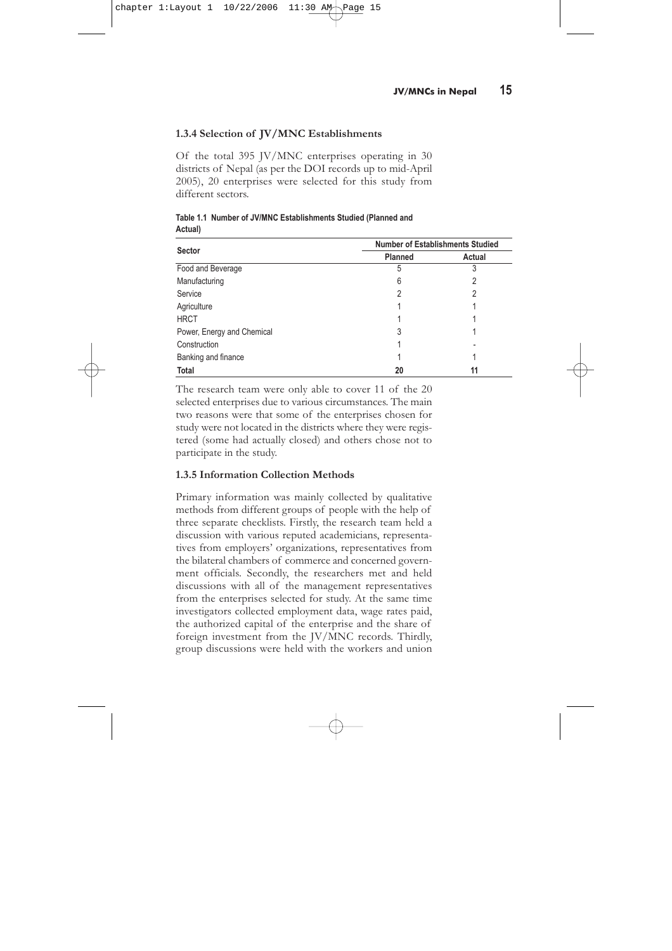standing of the research topic, primary data was also collected.

### Secondary Sources

Secondary sources used include published and unpublished data and information from the Ministry of Industry, Department of Industry (DOI), Central Bureau of Statistics, FNCCI and other sources. Various articles by scholars, Government documents, laws and policies, books, booklets, pamphlets, research reports, seminars and workshop papers, and websites on FDI were used to examine the status of foreign investment in Nepal. This information was used to research the history and trends in relation to foreign investment in Nepal. Of the various source of secondary data, this study mainly concentrated on FNCCI records, which are a compilation of data from the DOI. Other information generated from various sources is also included in this study. Quantitative information generated by individuals and institutions is also used in the appropriate places.

#### Primary Sources

Primary information was collected to support or refute the analysis of the secondary data and to fill the gaps in the secondary data. Primary information was collected to find out the perception of employers, workers, union leaders, academicians, and management on the status of workers, in general, and female workers, in particular, in joint venture or multinational enterprises in Nepal.

#### **1.3.3 Sample Design**

The following criteria were adopted for the selection of sample establishments to obtain primary data and information.

- concentration/location
- sector of production
- country representation
- size of investment
- women friendly

Primary information was collected to find out the perception of employers, workers, union leaders, academicians, and management on the status of workers, in general, and female workers, in particular, in joint venture or multinational enterprises in Nepal. |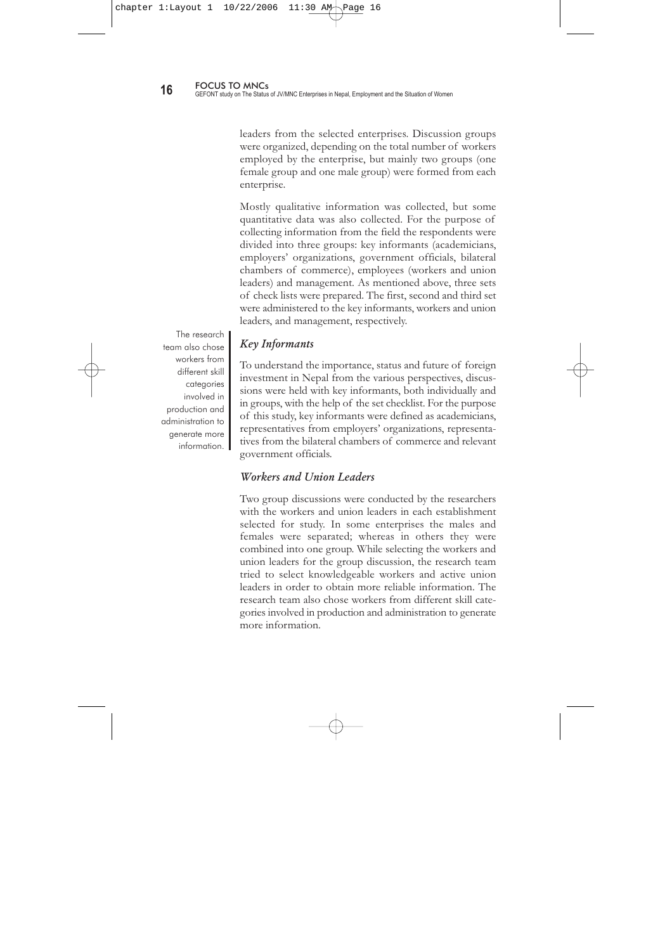## **1.3.4 Selection of JV/MNC Establishments**

Of the total 395 JV/MNC enterprises operating in 30 districts of Nepal (as per the DOI records up to mid-April 2005), 20 enterprises were selected for this study from different sectors.

|                            | <b>Number of Establishments Studied</b> |        |  |  |
|----------------------------|-----------------------------------------|--------|--|--|
| <b>Sector</b>              | <b>Planned</b>                          | Actual |  |  |
| Food and Beverage          | 5                                       | 3      |  |  |
| Manufacturing              | 6                                       | 2      |  |  |
| Service                    | 2                                       | 2      |  |  |
| Agriculture                |                                         |        |  |  |
| <b>HRCT</b>                |                                         |        |  |  |
| Power, Energy and Chemical | 3                                       |        |  |  |
| Construction               |                                         |        |  |  |
| Banking and finance        |                                         |        |  |  |
| Total                      | 20                                      | 11     |  |  |

**Table 1.1 Number of JV/MNC Establishments Studied (Planned and Actual)**

The research team were only able to cover 11 of the 20 selected enterprises due to various circumstances. The main two reasons were that some of the enterprises chosen for study were not located in the districts where they were registered (some had actually closed) and others chose not to participate in the study.

#### **1.3.5 Information Collection Methods**

Primary information was mainly collected by qualitative methods from different groups of people with the help of three separate checklists. Firstly, the research team held a discussion with various reputed academicians, representatives from employers' organizations, representatives from the bilateral chambers of commerce and concerned government officials. Secondly, the researchers met and held discussions with all of the management representatives from the enterprises selected for study. At the same time investigators collected employment data, wage rates paid, the authorized capital of the enterprise and the share of foreign investment from the JV/MNC records. Thirdly, group discussions were held with the workers and union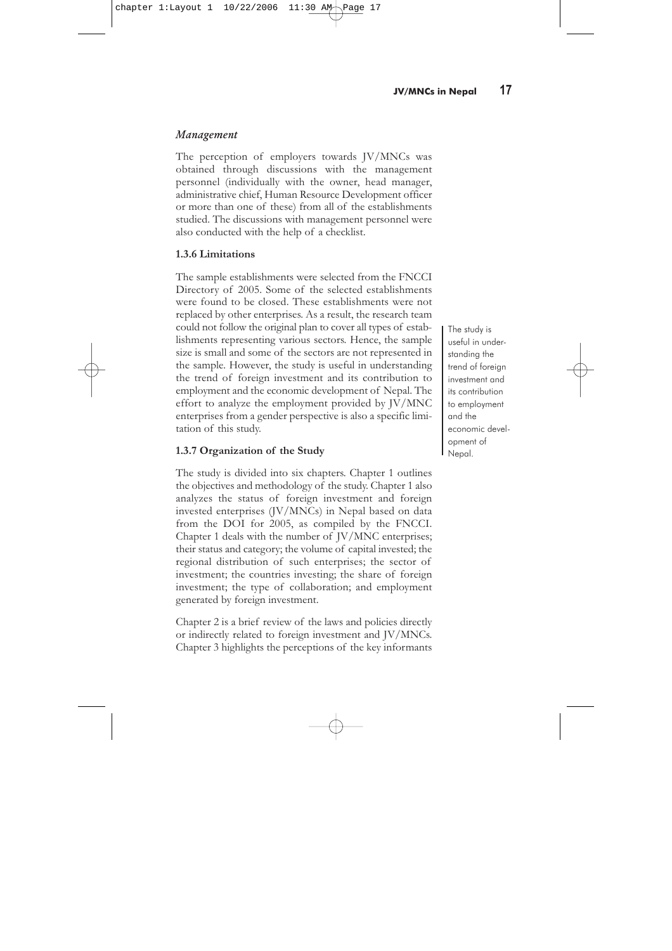leaders from the selected enterprises. Discussion groups were organized, depending on the total number of workers employed by the enterprise, but mainly two groups (one female group and one male group) were formed from each enterprise.

Mostly qualitative information was collected, but some quantitative data was also collected. For the purpose of collecting information from the field the respondents were divided into three groups: key informants (academicians, employers' organizations, government officials, bilateral chambers of commerce), employees (workers and union leaders) and management. As mentioned above, three sets of check lists were prepared. The first, second and third set were administered to the key informants, workers and union leaders, and management, respectively.

The research team also chose workers from different skill categories involved in production and administration to generate more information.

# Key Informants

To understand the importance, status and future of foreign investment in Nepal from the various perspectives, discussions were held with key informants, both individually and in groups, with the help of the set checklist. For the purpose of this study, key informants were defined as academicians, representatives from employers' organizations, representatives from the bilateral chambers of commerce and relevant government officials.

### Workers and Union Leaders

Two group discussions were conducted by the researchers with the workers and union leaders in each establishment selected for study. In some enterprises the males and females were separated; whereas in others they were combined into one group. While selecting the workers and union leaders for the group discussion, the research team tried to select knowledgeable workers and active union leaders in order to obtain more reliable information. The research team also chose workers from different skill categories involved in production and administration to generate more information.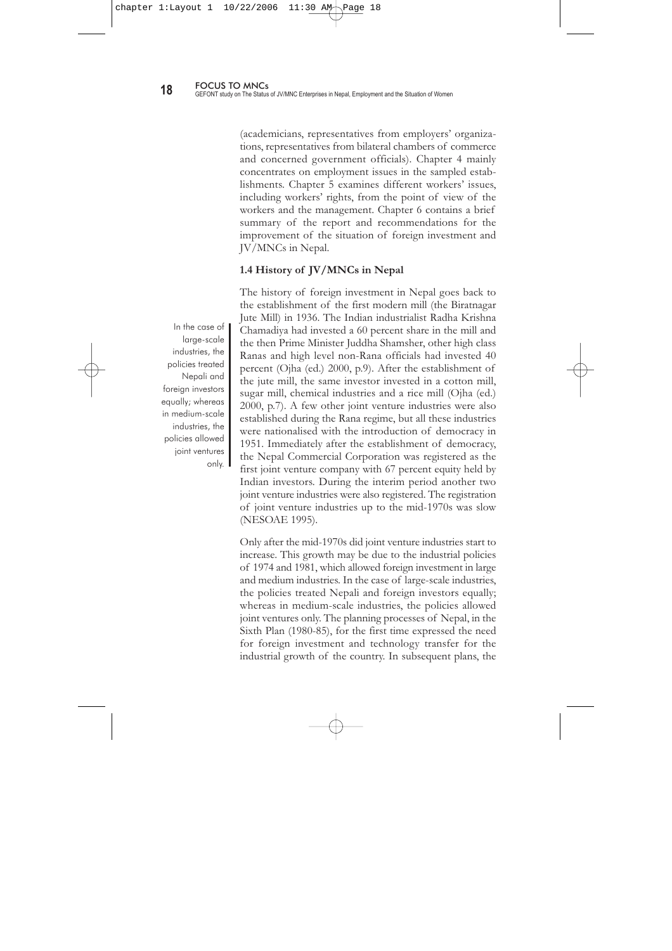### Management

The perception of employers towards JV/MNCs was obtained through discussions with the management personnel (individually with the owner, head manager, administrative chief, Human Resource Development officer or more than one of these) from all of the establishments studied. The discussions with management personnel were also conducted with the help of a checklist.

#### **1.3.6 Limitations**

The sample establishments were selected from the FNCCI Directory of 2005. Some of the selected establishments were found to be closed. These establishments were not replaced by other enterprises. As a result, the research team could not follow the original plan to cover all types of establishments representing various sectors. Hence, the sample size is small and some of the sectors are not represented in the sample. However, the study is useful in understanding the trend of foreign investment and its contribution to employment and the economic development of Nepal. The effort to analyze the employment provided by JV/MNC enterprises from a gender perspective is also a specific limitation of this study.

#### **1.3.7 Organization of the Study**

The study is divided into six chapters. Chapter 1 outlines the objectives and methodology of the study. Chapter 1 also analyzes the status of foreign investment and foreign invested enterprises (JV/MNCs) in Nepal based on data from the DOI for 2005, as compiled by the FNCCI. Chapter 1 deals with the number of JV/MNC enterprises; their status and category; the volume of capital invested; the regional distribution of such enterprises; the sector of investment; the countries investing; the share of foreign investment; the type of collaboration; and employment generated by foreign investment.

Chapter 2 is a brief review of the laws and policies directly or indirectly related to foreign investment and JV/MNCs. Chapter 3 highlights the perceptions of the key informants

The study is useful in understanding the trend of foreign investment and its contribution to employment and the economic development of Nepal.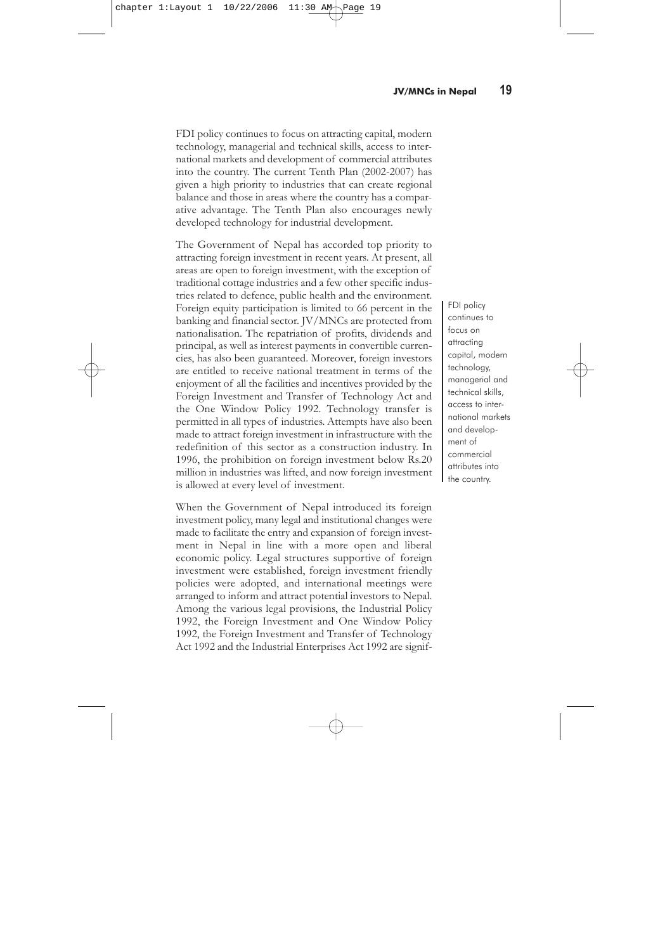(academicians, representatives from employers' organizations, representatives from bilateral chambers of commerce and concerned government officials). Chapter 4 mainly concentrates on employment issues in the sampled establishments. Chapter 5 examines different workers' issues, including workers' rights, from the point of view of the workers and the management. Chapter 6 contains a brief summary of the report and recommendations for the improvement of the situation of foreign investment and JV/MNCs in Nepal.

#### **1.4 History of JV/MNCs in Nepal**

The history of foreign investment in Nepal goes back to the establishment of the first modern mill (the Biratnagar Jute Mill) in 1936. The Indian industrialist Radha Krishna Chamadiya had invested a 60 percent share in the mill and the then Prime Minister Juddha Shamsher, other high class Ranas and high level non-Rana officials had invested 40 percent (Ojha (ed.) 2000, p.9). After the establishment of the jute mill, the same investor invested in a cotton mill, sugar mill, chemical industries and a rice mill (Ojha (ed.) 2000, p.7). A few other joint venture industries were also established during the Rana regime, but all these industries were nationalised with the introduction of democracy in 1951. Immediately after the establishment of democracy, the Nepal Commercial Corporation was registered as the first joint venture company with 67 percent equity held by Indian investors. During the interim period another two joint venture industries were also registered. The registration of joint venture industries up to the mid-1970s was slow (NESOAE 1995).

Only after the mid-1970s did joint venture industries start to increase. This growth may be due to the industrial policies of 1974 and 1981, which allowed foreign investment in large and medium industries. In the case of large-scale industries, the policies treated Nepali and foreign investors equally; whereas in medium-scale industries, the policies allowed joint ventures only. The planning processes of Nepal, in the Sixth Plan (1980-85), for the first time expressed the need for foreign investment and technology transfer for the industrial growth of the country. In subsequent plans, the

In the case of large-scale industries, the policies treated Nepali and foreign investors equally; whereas in medium-scale industries, the policies allowed joint ventures only.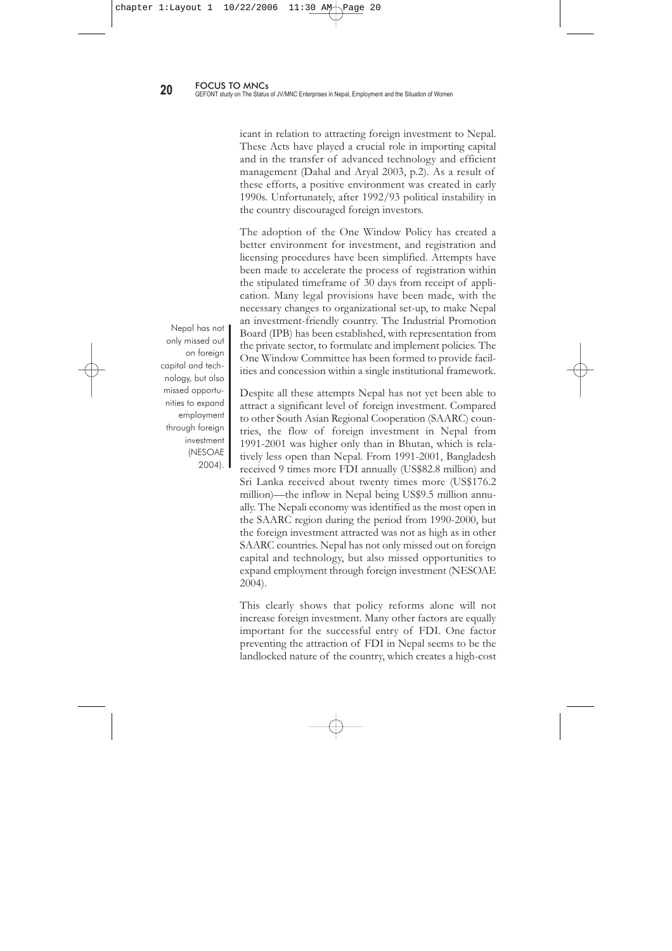FDI policy continues to focus on attracting capital, modern technology, managerial and technical skills, access to international markets and development of commercial attributes into the country. The current Tenth Plan (2002-2007) has given a high priority to industries that can create regional balance and those in areas where the country has a comparative advantage. The Tenth Plan also encourages newly developed technology for industrial development.

The Government of Nepal has accorded top priority to attracting foreign investment in recent years. At present, all areas are open to foreign investment, with the exception of traditional cottage industries and a few other specific industries related to defence, public health and the environment. Foreign equity participation is limited to 66 percent in the banking and financial sector. JV/MNCs are protected from nationalisation. The repatriation of profits, dividends and principal, as well as interest payments in convertible currencies, has also been guaranteed. Moreover, foreign investors are entitled to receive national treatment in terms of the enjoyment of all the facilities and incentives provided by the Foreign Investment and Transfer of Technology Act and the One Window Policy 1992. Technology transfer is permitted in all types of industries. Attempts have also been made to attract foreign investment in infrastructure with the redefinition of this sector as a construction industry. In 1996, the prohibition on foreign investment below Rs.20 million in industries was lifted, and now foreign investment is allowed at every level of investment.

When the Government of Nepal introduced its foreign investment policy, many legal and institutional changes were made to facilitate the entry and expansion of foreign investment in Nepal in line with a more open and liberal economic policy. Legal structures supportive of foreign investment were established, foreign investment friendly policies were adopted, and international meetings were arranged to inform and attract potential investors to Nepal. Among the various legal provisions, the Industrial Policy 1992, the Foreign Investment and One Window Policy 1992, the Foreign Investment and Transfer of Technology Act 1992 and the Industrial Enterprises Act 1992 are signifFDI policy continues to focus on attracting capital, modern technology, managerial and technical skills, access to international markets and development of commercial attributes into the country.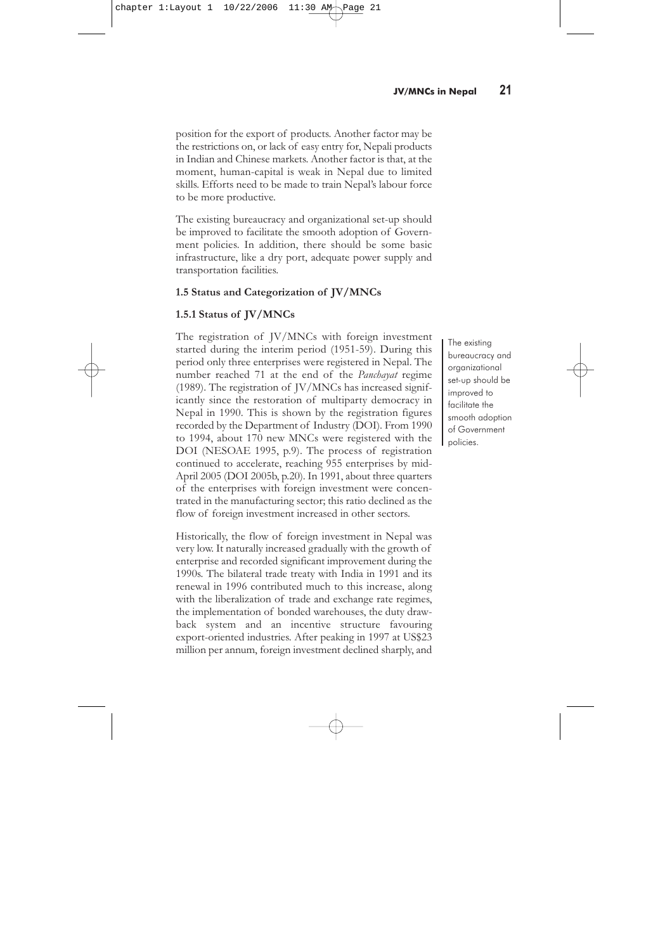icant in relation to attracting foreign investment to Nepal. These Acts have played a crucial role in importing capital and in the transfer of advanced technology and efficient management (Dahal and Aryal 2003, p.2). As a result of these efforts, a positive environment was created in early 1990s. Unfortunately, after 1992/93 political instability in the country discouraged foreign investors.

The adoption of the One Window Policy has created a better environment for investment, and registration and licensing procedures have been simplified. Attempts have been made to accelerate the process of registration within the stipulated timeframe of 30 days from receipt of application. Many legal provisions have been made, with the necessary changes to organizational set-up, to make Nepal an investment-friendly country. The Industrial Promotion Board (IPB) has been established, with representation from the private sector, to formulate and implement policies. The One Window Committee has been formed to provide facilities and concession within a single institutional framework.

Despite all these attempts Nepal has not yet been able to attract a significant level of foreign investment. Compared to other South Asian Regional Cooperation (SAARC) countries, the flow of foreign investment in Nepal from 1991-2001 was higher only than in Bhutan, which is relatively less open than Nepal. From 1991-2001, Bangladesh received 9 times more FDI annually (US\$82.8 million) and Sri Lanka received about twenty times more (US\$176.2 million)—the inflow in Nepal being US\$9.5 million annually. The Nepali economy was identified as the most open in the SAARC region during the period from 1990-2000, but the foreign investment attracted was not as high as in other SAARC countries. Nepal has not only missed out on foreign capital and technology, but also missed opportunities to expand employment through foreign investment (NESOAE 2004).

This clearly shows that policy reforms alone will not increase foreign investment. Many other factors are equally important for the successful entry of FDI. One factor preventing the attraction of FDI in Nepal seems to be the landlocked nature of the country, which creates a high-cost

Nepal has not only missed out on foreign capital and technology, but also missed opportunities to expand employment through foreign investment (NESOAE  $2004$ ).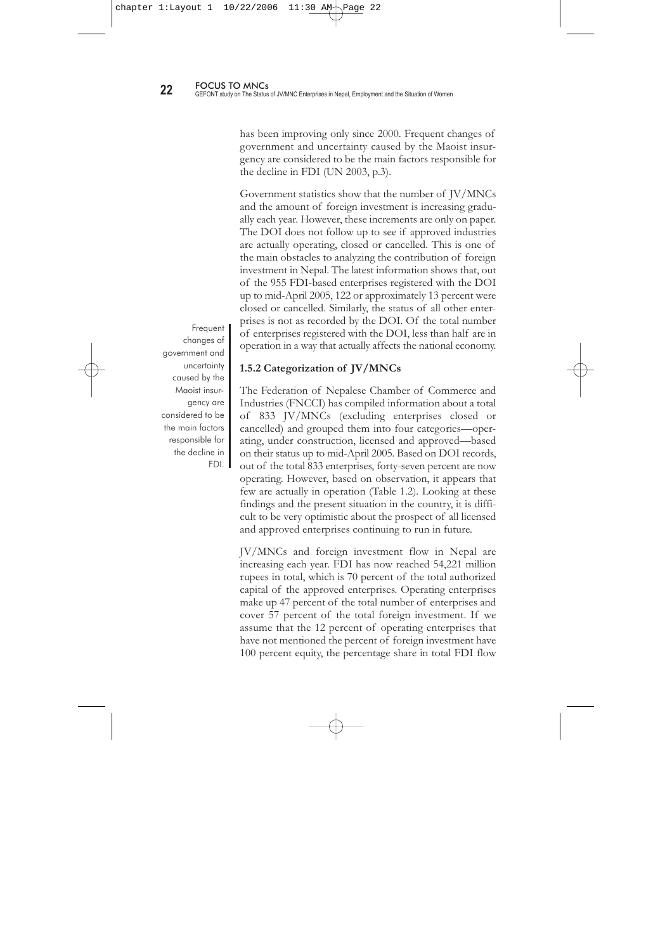position for the export of products. Another factor may be the restrictions on, or lack of easy entry for, Nepali products in Indian and Chinese markets. Another factor is that, at the moment, human-capital is weak in Nepal due to limited skills. Efforts need to be made to train Nepal's labour force to be more productive.

The existing bureaucracy and organizational set-up should be improved to facilitate the smooth adoption of Government policies. In addition, there should be some basic infrastructure, like a dry port, adequate power supply and transportation facilities.

# **1.5 Status and Categorization of JV/MNCs**

# **1.5.1 Status of JV/MNCs**

The registration of JV/MNCs with foreign investment started during the interim period (1951-59). During this period only three enterprises were registered in Nepal. The number reached 71 at the end of the *Panchayat* regime (1989). The registration of JV/MNCs has increased significantly since the restoration of multiparty democracy in Nepal in 1990. This is shown by the registration figures recorded by the Department of Industry (DOI). From 1990 to 1994, about 170 new MNCs were registered with the DOI (NESOAE 1995, p.9). The process of registration continued to accelerate, reaching 955 enterprises by mid-April 2005 (DOI 2005b, p.20). In 1991, about three quarters of the enterprises with foreign investment were concentrated in the manufacturing sector; this ratio declined as the flow of foreign investment increased in other sectors.

Historically, the flow of foreign investment in Nepal was very low. It naturally increased gradually with the growth of enterprise and recorded significant improvement during the 1990s. The bilateral trade treaty with India in 1991 and its renewal in 1996 contributed much to this increase, along with the liberalization of trade and exchange rate regimes, the implementation of bonded warehouses, the duty drawback system and an incentive structure favouring export-oriented industries. After peaking in 1997 at US\$23 million per annum, foreign investment declined sharply, and

The existing bureaucracy and organizational set-up should be improved to facilitate the smooth adoption of Government policies.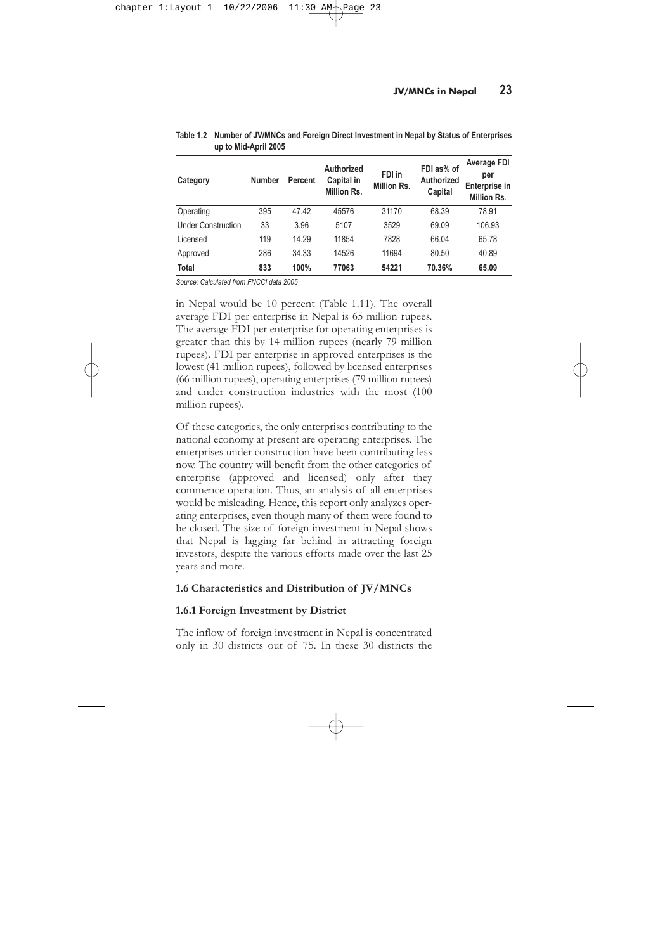has been improving only since 2000. Frequent changes of government and uncertainty caused by the Maoist insurgency are considered to be the main factors responsible for the decline in FDI (UN 2003, p.3).

Government statistics show that the number of JV/MNCs and the amount of foreign investment is increasing gradually each year. However, these increments are only on paper. The DOI does not follow up to see if approved industries are actually operating, closed or cancelled. This is one of the main obstacles to analyzing the contribution of foreign investment in Nepal. The latest information shows that, out of the 955 FDI-based enterprises registered with the DOI up to mid-April 2005, 122 or approximately 13 percent were closed or cancelled. Similarly, the status of all other enterprises is not as recorded by the DOI. Of the total number of enterprises registered with the DOI, less than half are in operation in a way that actually affects the national economy.

**1.5.2 Categorization of JV/MNCs**

The Federation of Nepalese Chamber of Commerce and Industries (FNCCI) has compiled information about a total of 833 JV/MNCs (excluding enterprises closed or cancelled) and grouped them into four categories—operating, under construction, licensed and approved—based on their status up to mid-April 2005. Based on DOI records, out of the total 833 enterprises, forty-seven percent are now operating. However, based on observation, it appears that few are actually in operation (Table 1.2). Looking at these findings and the present situation in the country, it is difficult to be very optimistic about the prospect of all licensed and approved enterprises continuing to run in future.

JV/MNCs and foreign investment flow in Nepal are increasing each year. FDI has now reached 54,221 million rupees in total, which is 70 percent of the total authorized capital of the approved enterprises. Operating enterprises make up 47 percent of the total number of enterprises and cover 57 percent of the total foreign investment. If we assume that the 12 percent of operating enterprises that have not mentioned the percent of foreign investment have 100 percent equity, the percentage share in total FDI flow

Frequent changes of government and uncertainty caused by the Maoist insurgency are considered to be the main factors responsible for the decline in FDI.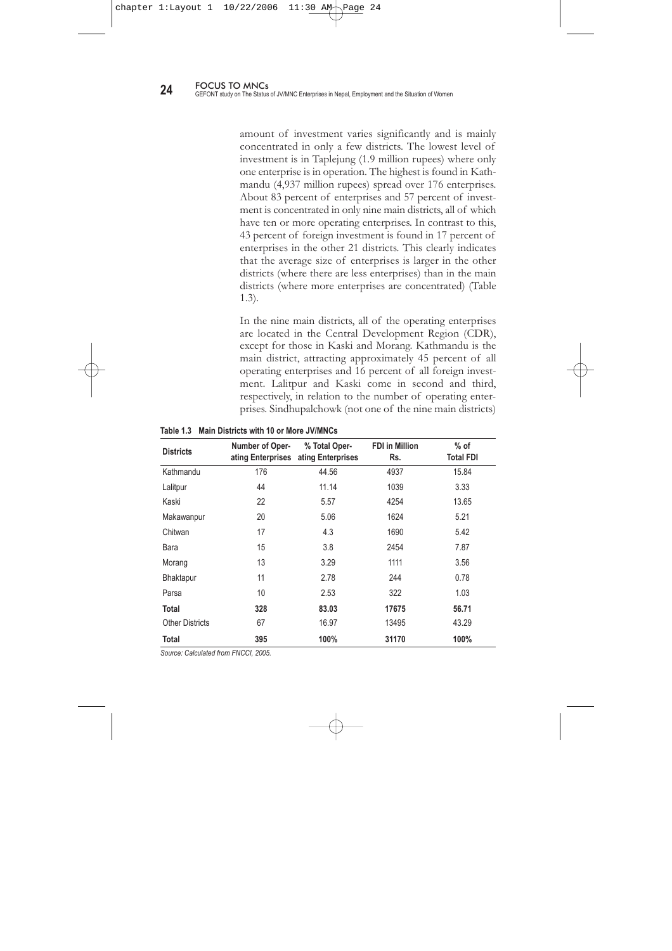| Category                  | <b>Number</b> | Percent | Authorized<br>Capital in<br>Million Rs. | FDI in<br>Million Rs. | FDI as% of<br>Authorized<br>Capital | Average FDI<br>per<br>Enterprise in<br><b>Million Rs.</b> |
|---------------------------|---------------|---------|-----------------------------------------|-----------------------|-------------------------------------|-----------------------------------------------------------|
| Operating                 | 395           | 47.42   | 45576                                   | 31170                 | 68.39                               | 78.91                                                     |
| <b>Under Construction</b> | 33            | 3.96    | 5107                                    | 3529                  | 69.09                               | 106.93                                                    |
| Licensed                  | 119           | 14.29   | 11854                                   | 7828                  | 66.04                               | 65.78                                                     |
| Approved                  | 286           | 34.33   | 14526                                   | 11694                 | 80.50                               | 40.89                                                     |
| <b>Total</b>              | 833           | 100%    | 77063                                   | 54221                 | 70.36%                              | 65.09                                                     |

| Table 1.2 Number of JV/MNCs and Foreign Direct Investment in Nepal by Status of Enterprises |
|---------------------------------------------------------------------------------------------|
| up to Mid-April 2005                                                                        |

*Source: Calculated from FNCCI data 2005*

in Nepal would be 10 percent (Table 1.11). The overall average FDI per enterprise in Nepal is 65 million rupees. The average FDI per enterprise for operating enterprises is greater than this by 14 million rupees (nearly 79 million rupees). FDI per enterprise in approved enterprises is the lowest (41 million rupees), followed by licensed enterprises (66 million rupees), operating enterprises (79 million rupees) and under construction industries with the most (100 million rupees).

Of these categories, the only enterprises contributing to the national economy at present are operating enterprises. The enterprises under construction have been contributing less now. The country will benefit from the other categories of enterprise (approved and licensed) only after they commence operation. Thus, an analysis of all enterprises would be misleading. Hence, this report only analyzes operating enterprises, even though many of them were found to be closed. The size of foreign investment in Nepal shows that Nepal is lagging far behind in attracting foreign investors, despite the various efforts made over the last 25 years and more.

#### **1.6 Characteristics and Distribution of JV/MNCs**

#### **1.6.1 Foreign Investment by District**

The inflow of foreign investment in Nepal is concentrated only in 30 districts out of 75. In these 30 districts the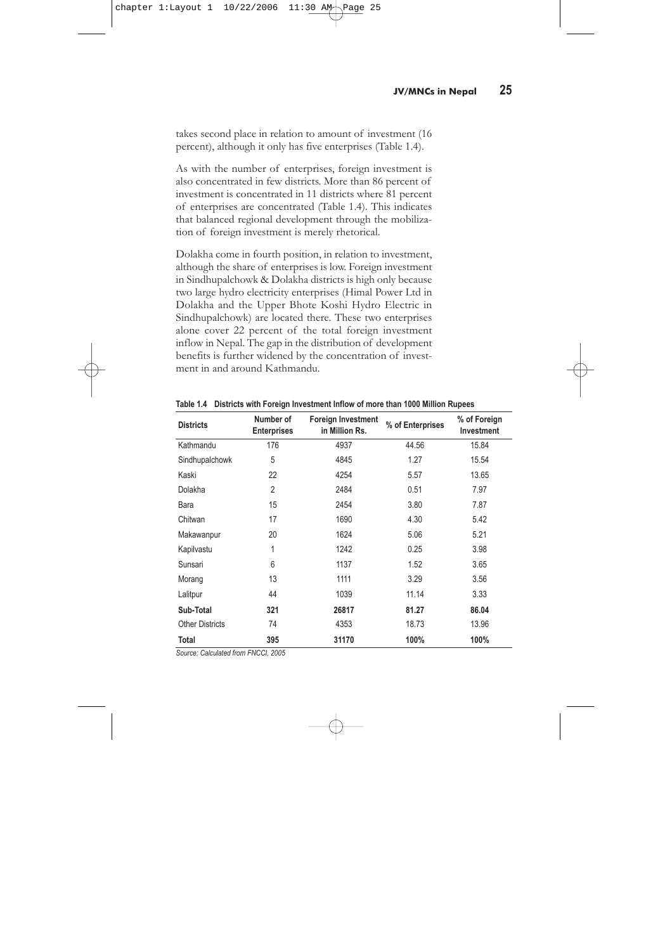amount of investment varies significantly and is mainly concentrated in only a few districts. The lowest level of investment is in Taplejung (1.9 million rupees) where only one enterprise is in operation. The highest is found in Kathmandu (4,937 million rupees) spread over 176 enterprises. About 83 percent of enterprises and 57 percent of investment is concentrated in only nine main districts, all of which have ten or more operating enterprises. In contrast to this, 43 percent of foreign investment is found in 17 percent of enterprises in the other 21 districts. This clearly indicates that the average size of enterprises is larger in the other districts (where there are less enterprises) than in the main districts (where more enterprises are concentrated) (Table 1.3).

In the nine main districts, all of the operating enterprises are located in the Central Development Region (CDR), except for those in Kaski and Morang. Kathmandu is the main district, attracting approximately 45 percent of all operating enterprises and 16 percent of all foreign investment. Lalitpur and Kaski come in second and third, respectively, in relation to the number of operating enterprises. Sindhupalchowk (not one of the nine main districts)

| <b>Districts</b>       | Number of Oper-<br>ating Enterprises | % Total Oper-<br>ating Enterprises | <b>FDI</b> in Million<br>Rs. | $%$ of<br><b>Total FDI</b> |
|------------------------|--------------------------------------|------------------------------------|------------------------------|----------------------------|
| Kathmandu              | 176                                  | 44.56                              | 4937                         | 15.84                      |
| Lalitpur               | 44                                   | 11.14                              | 1039                         | 3.33                       |
| Kaski                  | 22                                   | 5.57                               | 4254                         | 13.65                      |
| Makawanpur             | 20                                   | 5.06                               | 1624                         | 5.21                       |
| Chitwan                | 17                                   | 4.3                                | 1690                         | 5.42                       |
| Bara                   | 15                                   | 3.8                                | 2454                         | 7.87                       |
| Morang                 | 13                                   | 3.29                               | 1111                         | 3.56                       |
| Bhaktapur              | 11                                   | 2.78                               | 244                          | 0.78                       |
| Parsa                  | 10                                   | 2.53                               | 322                          | 1.03                       |
| Total                  | 328                                  | 83.03                              | 17675                        | 56.71                      |
| <b>Other Districts</b> | 67                                   | 16.97                              | 13495                        | 43.29                      |
| Total                  | 395                                  | 100%                               | 31170                        | 100%                       |

**Table 1.3 Main Districts with 10 or More JV/MNCs**

*Source: Calculated from FNCCI, 2005.*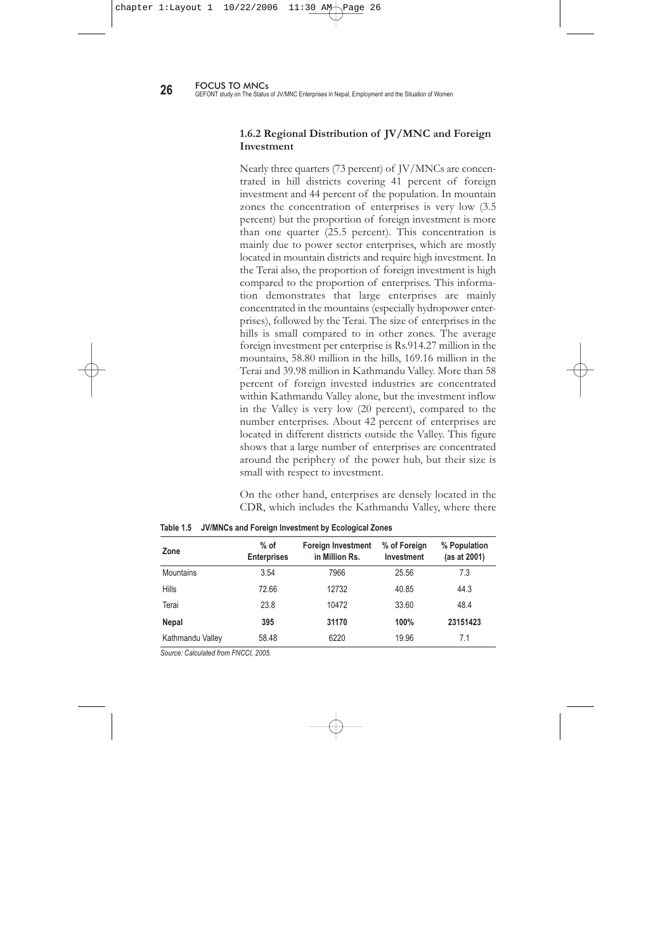takes second place in relation to amount of investment (16 percent), although it only has five enterprises (Table 1.4).

As with the number of enterprises, foreign investment is also concentrated in few districts. More than 86 percent of investment is concentrated in 11 districts where 81 percent of enterprises are concentrated (Table 1.4). This indicates that balanced regional development through the mobilization of foreign investment is merely rhetorical.

Dolakha come in fourth position, in relation to investment, although the share of enterprises is low. Foreign investment in Sindhupalchowk & Dolakha districts is high only because two large hydro electricity enterprises (Himal Power Ltd in Dolakha and the Upper Bhote Koshi Hydro Electric in Sindhupalchowk) are located there. These two enterprises alone cover 22 percent of the total foreign investment inflow in Nepal. The gap in the distribution of development benefits is further widened by the concentration of investment in and around Kathmandu.

| <b>Districts</b>       | Number of<br><b>Enterprises</b> | <b>Foreign Investment</b><br>in Million Rs. | % of Enterprises | % of Foreign<br>Investment |  |
|------------------------|---------------------------------|---------------------------------------------|------------------|----------------------------|--|
| Kathmandu              | 176<br>4937                     |                                             | 44.56            | 15.84                      |  |
| Sindhupalchowk         | 5<br>4845                       |                                             | 1.27             | 15.54                      |  |
| Kaski                  | 22                              | 4254                                        | 5.57             | 13.65                      |  |
| Dolakha                | $\overline{2}$                  | 2484                                        | 0.51             | 7.97                       |  |
| Bara                   | 15                              | 2454                                        | 3.80             | 7.87                       |  |
| Chitwan                | 17                              | 1690                                        | 4.30             | 5.42                       |  |
| Makawanpur             | 20                              | 1624<br>5.06                                |                  | 5.21                       |  |
| Kapilvastu             | 1                               |                                             | 1242<br>0.25     |                            |  |
| Sunsari                | 6                               | 1137                                        | 1.52             | 3.65                       |  |
| Morang                 | 13                              | 1111                                        | 3.29             | 3.56                       |  |
| Lalitpur               | 44                              | 1039                                        | 11.14            | 3.33                       |  |
| Sub-Total              | 321                             | 26817                                       | 81.27            | 86.04                      |  |
| <b>Other Districts</b> | 74                              | 4353                                        | 18.73            | 13.96                      |  |
| Total                  | 395                             | 31170                                       | 100%             | 100%                       |  |

**Table 1.4 Districts with Foreign Investment Inflow of more than 1000 Million Rupees**

*Source: Calculated from FNCCI, 2005*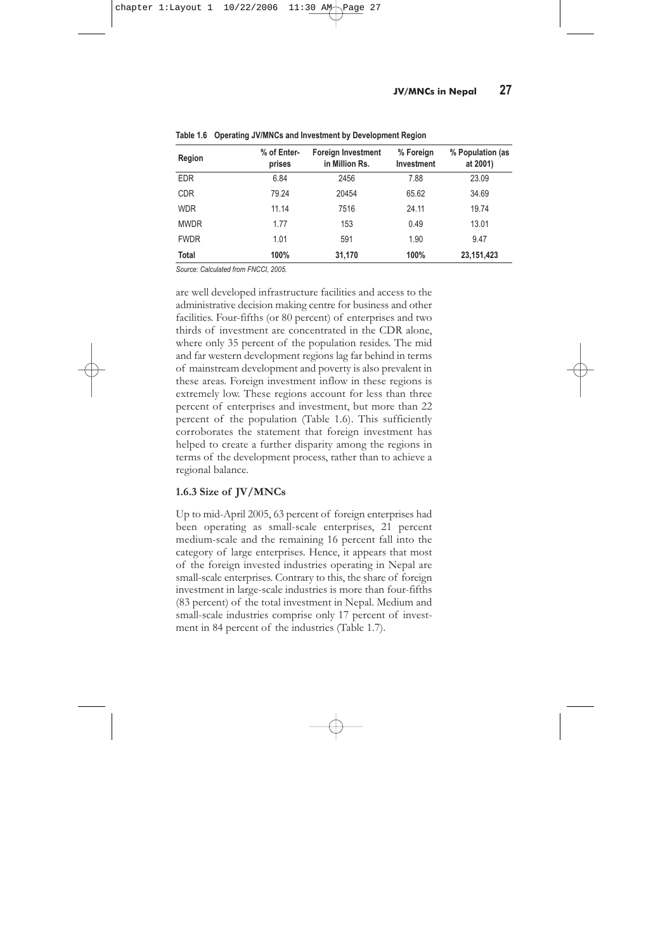### **1.6.2 Regional Distribution of JV/MNC and Foreign Investment**

Nearly three quarters (73 percent) of JV/MNCs are concentrated in hill districts covering 41 percent of foreign investment and 44 percent of the population. In mountain zones the concentration of enterprises is very low (3.5 percent) but the proportion of foreign investment is more than one quarter (25.5 percent). This concentration is mainly due to power sector enterprises, which are mostly located in mountain districts and require high investment. In the Terai also, the proportion of foreign investment is high compared to the proportion of enterprises. This information demonstrates that large enterprises are mainly concentrated in the mountains (especially hydropower enterprises), followed by the Terai. The size of enterprises in the hills is small compared to in other zones. The average foreign investment per enterprise is Rs.914.27 million in the mountains, 58.80 million in the hills, 169.16 million in the Terai and 39.98 million in Kathmandu Valley. More than 58 percent of foreign invested industries are concentrated within Kathmandu Valley alone, but the investment inflow in the Valley is very low (20 percent), compared to the number enterprises. About 42 percent of enterprises are located in different districts outside the Valley. This figure shows that a large number of enterprises are concentrated around the periphery of the power hub, but their size is small with respect to investment.

On the other hand, enterprises are densely located in the CDR, which includes the Kathmandu Valley, where there

| Zone             | $%$ of<br><b>Enterprises</b> | <b>Foreign Investment</b><br>in Million Rs. | % of Foreign<br>Investment | % Population<br>(as at 2001) |
|------------------|------------------------------|---------------------------------------------|----------------------------|------------------------------|
| <b>Mountains</b> | 3.54                         | 7966                                        | 25.56                      | 7.3                          |
| Hills            | 72.66                        | 12732                                       | 40.85                      | 44.3                         |
| Terai            | 23.8                         | 10472                                       | 33.60                      | 48.4                         |
| Nepal            | 395                          | 31170                                       | 100%                       | 23151423                     |
| Kathmandu Valley | 58.48                        | 6220                                        | 19.96                      | 7.1                          |

**Table 1.5 JV/MNCs and Foreign Investment by Ecological Zones**

*Source: Calculated from FNCCI, 2005.*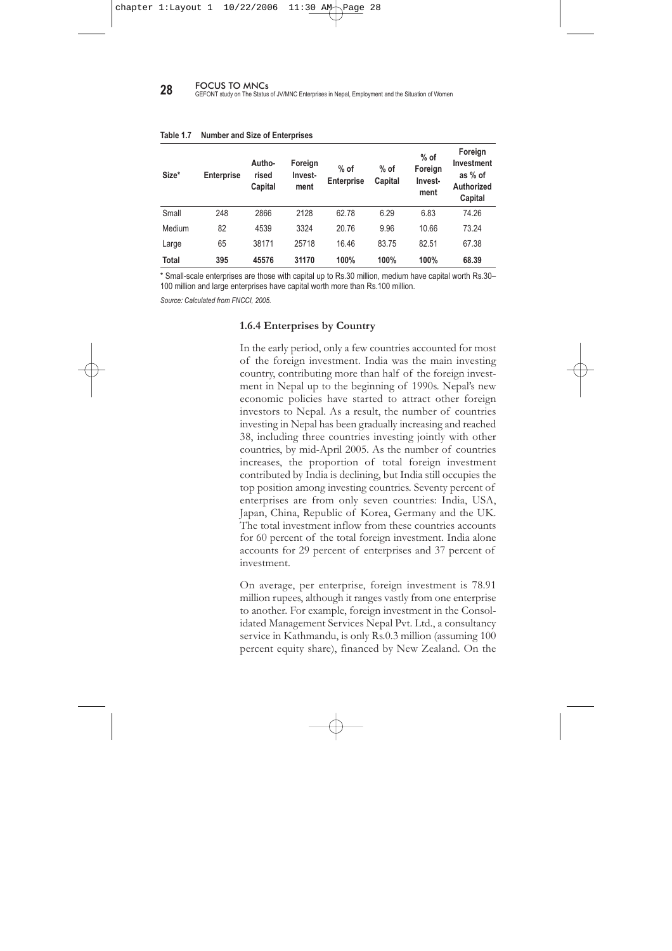| Region       | % of Enter-<br>prises | <b>Foreign Investment</b><br>in Million Rs. | % Foreign<br>Investment | % Population (as<br>at 2001) |
|--------------|-----------------------|---------------------------------------------|-------------------------|------------------------------|
| <b>EDR</b>   | 6.84                  | 2456                                        | 7.88                    | 23.09                        |
| <b>CDR</b>   | 79.24                 | 20454                                       | 65.62                   | 34.69                        |
| <b>WDR</b>   | 11.14                 | 7516                                        | 24.11                   | 19.74                        |
| <b>MWDR</b>  | 1.77                  | 153                                         | 0.49                    | 13.01                        |
| <b>FWDR</b>  | 1.01                  | 591                                         | 1.90                    | 9.47                         |
| <b>Total</b> | 100%                  | 31,170                                      | 100%                    | 23, 151, 423                 |

**Table 1.6 Operating JV/MNCs and Investment by Development Region**

*Source: Calculated from FNCCI, 2005.*

are well developed infrastructure facilities and access to the administrative decision making centre for business and other facilities. Four-fifths (or 80 percent) of enterprises and two thirds of investment are concentrated in the CDR alone, where only 35 percent of the population resides. The mid and far western development regions lag far behind in terms of mainstream development and poverty is also prevalent in these areas. Foreign investment inflow in these regions is extremely low. These regions account for less than three percent of enterprises and investment, but more than 22 percent of the population (Table 1.6). This sufficiently corroborates the statement that foreign investment has helped to create a further disparity among the regions in terms of the development process, rather than to achieve a regional balance.

### **1.6.3 Size of JV/MNCs**

Up to mid-April 2005, 63 percent of foreign enterprises had been operating as small-scale enterprises, 21 percent medium-scale and the remaining 16 percent fall into the category of large enterprises. Hence, it appears that most of the foreign invested industries operating in Nepal are small-scale enterprises. Contrary to this, the share of foreign investment in large-scale industries is more than four-fifths (83 percent) of the total investment in Nepal. Medium and small-scale industries comprise only 17 percent of investment in 84 percent of the industries (Table 1.7).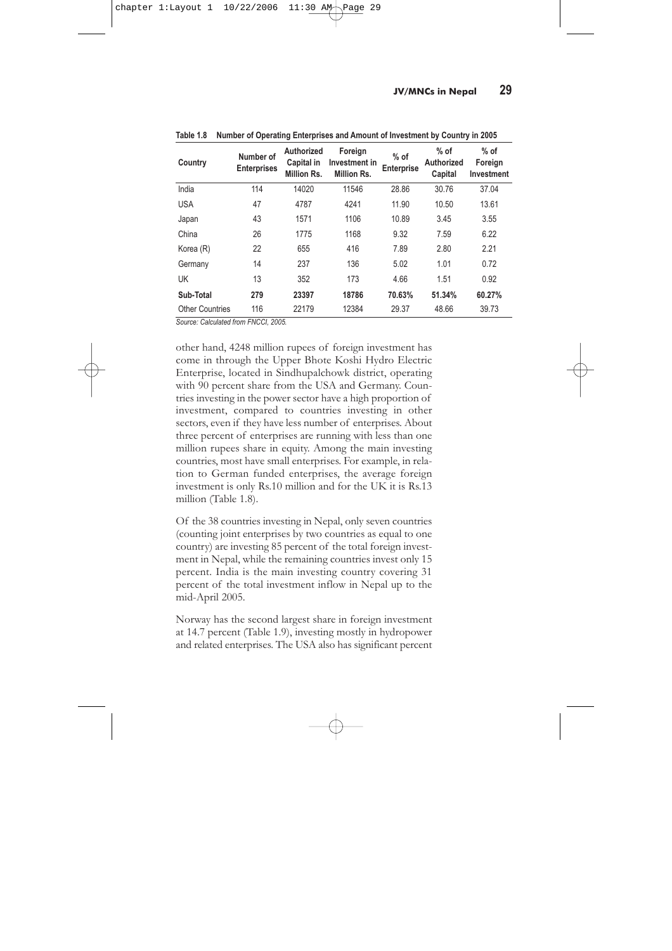**28** FOCUS TO MNCs<br>**28** GEFONT study on The Status of JV/MNC Enterprises in Nepal, Employment and the Situation of Women

| Size*        | <b>Enterprise</b> | Autho-<br>rised<br>Capital | Foreign<br>Invest-<br>ment | $%$ of<br><b>Enterprise</b> | $%$ of<br>Capital | $%$ of<br>Foreign<br>Invest-<br>ment | Foreign<br>Investment<br>as % of<br>Authorized<br>Capital |
|--------------|-------------------|----------------------------|----------------------------|-----------------------------|-------------------|--------------------------------------|-----------------------------------------------------------|
| Small        | 248               | 2866                       | 2128                       | 62.78                       | 6.29              | 6.83                                 | 74.26                                                     |
| Medium       | 82                | 4539                       | 3324                       | 20.76                       | 9.96              | 10.66                                | 73.24                                                     |
| Large        | 65                | 38171                      | 25718                      | 16.46                       | 83.75             | 82.51                                | 67.38                                                     |
| <b>Total</b> | 395               | 45576                      | 31170                      | 100%                        | 100%              | 100%                                 | 68.39                                                     |

#### **Table 1.7 Number and Size of Enterprises**

\* Small-scale enterprises are those with capital up to Rs.30 million, medium have capital worth Rs.30– 100 million and large enterprises have capital worth more than Rs.100 million.

*Source: Calculated from FNCCI, 2005.*

#### **1.6.4 Enterprises by Country**

In the early period, only a few countries accounted for most of the foreign investment. India was the main investing country, contributing more than half of the foreign investment in Nepal up to the beginning of 1990s. Nepal's new economic policies have started to attract other foreign investors to Nepal. As a result, the number of countries investing in Nepal has been gradually increasing and reached 38, including three countries investing jointly with other countries, by mid-April 2005. As the number of countries increases, the proportion of total foreign investment contributed by India is declining, but India still occupies the top position among investing countries. Seventy percent of enterprises are from only seven countries: India, USA, Japan, China, Republic of Korea, Germany and the UK. The total investment inflow from these countries accounts for 60 percent of the total foreign investment. India alone accounts for 29 percent of enterprises and 37 percent of investment.

On average, per enterprise, foreign investment is 78.91 million rupees, although it ranges vastly from one enterprise to another. For example, foreign investment in the Consolidated Management Services Nepal Pvt. Ltd., a consultancy service in Kathmandu, is only Rs.0.3 million (assuming 100 percent equity share), financed by New Zealand. On the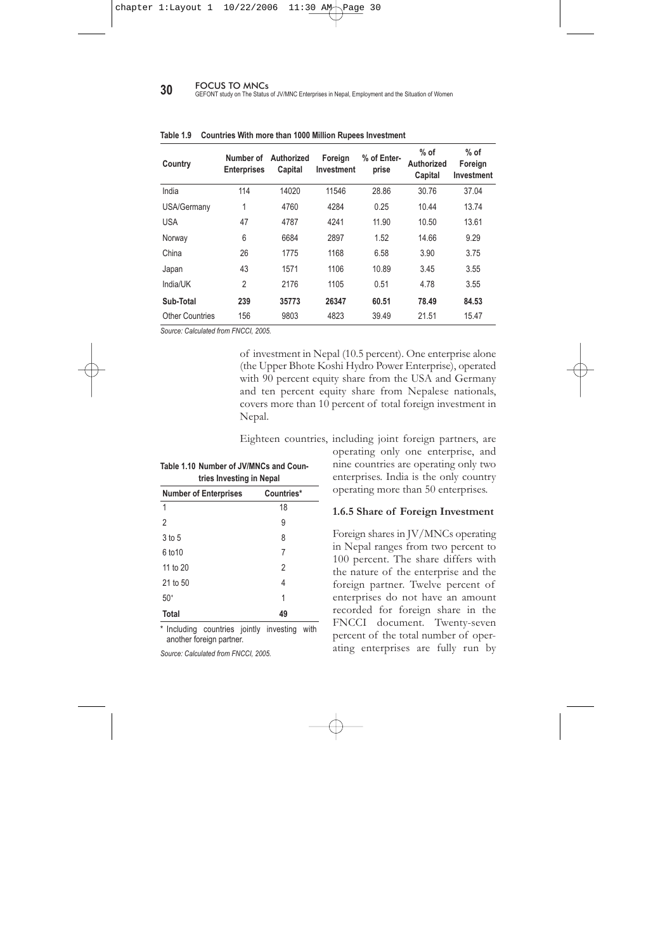| Country                | Number of<br><b>Enterprises</b> | Authorized<br>Capital in<br>Million Rs. | Foreign<br>Investment in<br>Million Rs. | $%$ of<br><b>Enterprise</b> | $%$ of<br><b>Authorized</b><br>Capital | $%$ of<br>Foreign<br>Investment |
|------------------------|---------------------------------|-----------------------------------------|-----------------------------------------|-----------------------------|----------------------------------------|---------------------------------|
| India                  | 114                             | 14020                                   | 11546                                   | 28.86                       | 30.76                                  | 37.04                           |
| <b>USA</b>             | 47                              | 4787                                    | 4241                                    | 11.90                       | 10.50                                  | 13.61                           |
| Japan                  | 43                              | 1571                                    | 1106                                    | 10.89                       | 3.45                                   | 3.55                            |
| China                  | 26                              | 1775                                    | 1168                                    | 9.32                        | 7.59                                   | 6.22                            |
| Korea (R)              | 22                              | 655                                     | 416                                     | 7.89                        | 2.80                                   | 2.21                            |
| Germany                | 14                              | 237                                     | 136                                     | 5.02                        | 1.01                                   | 0.72                            |
| UK                     | 13                              | 352                                     | 173                                     | 4.66                        | 1.51                                   | 0.92                            |
| Sub-Total              | 279                             | 23397                                   | 18786                                   | 70.63%                      | 51.34%                                 | 60.27%                          |
| <b>Other Countries</b> | 116                             | 22179                                   | 12384                                   | 29.37                       | 48.66                                  | 39.73                           |

**Table 1.8 Number of Operating Enterprises and Amount of Investment by Country in 2005**

*Source: Calculated from FNCCI, 2005.*

other hand, 4248 million rupees of foreign investment has come in through the Upper Bhote Koshi Hydro Electric Enterprise, located in Sindhupalchowk district, operating with 90 percent share from the USA and Germany. Countries investing in the power sector have a high proportion of investment, compared to countries investing in other sectors, even if they have less number of enterprises. About three percent of enterprises are running with less than one million rupees share in equity. Among the main investing countries, most have small enterprises. For example, in relation to German funded enterprises, the average foreign investment is only Rs.10 million and for the UK it is Rs.13 million (Table 1.8).

Of the 38 countries investing in Nepal, only seven countries (counting joint enterprises by two countries as equal to one country) are investing 85 percent of the total foreign investment in Nepal, while the remaining countries invest only 15 percent. India is the main investing country covering 31 percent of the total investment inflow in Nepal up to the mid-April 2005.

Norway has the second largest share in foreign investment at 14.7 percent (Table 1.9), investing mostly in hydropower and related enterprises. The USA also has significant percent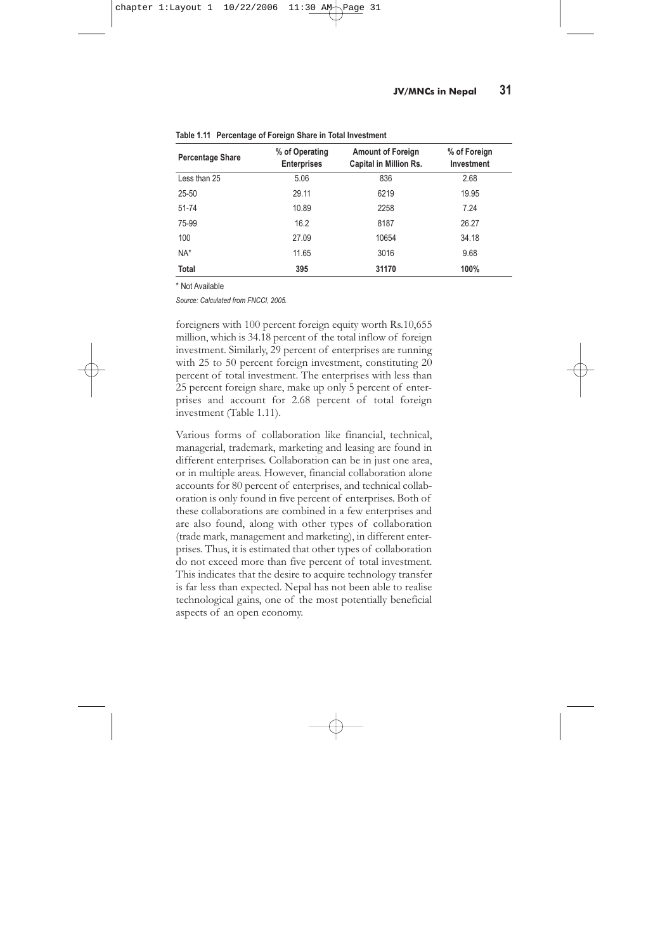**30** FOCUS TO MNCs<br>GEFONT study on The Status of JV/MNC Enterprises in Nepal, Employment and the Situation of Women

| Country         | Number of<br><b>Enterprises</b> | Authorized<br>Capital | Foreign<br>Investment | % of Enter-<br>prise | $%$ of<br>Authorized<br>Capital | $%$ of<br>Foreign<br>Investment |
|-----------------|---------------------------------|-----------------------|-----------------------|----------------------|---------------------------------|---------------------------------|
| India           | 114                             | 14020                 | 11546                 | 28.86                | 30.76                           | 37.04                           |
| USA/Germany     | 1                               | 4760                  | 4284                  | 0.25                 | 10.44                           | 13.74                           |
| <b>USA</b>      | 47                              | 4787                  | 4241                  | 11.90                | 10.50                           | 13.61                           |
| Norway          | 6                               | 6684                  | 2897                  | 1.52                 | 14.66                           | 9.29                            |
| China           | 26                              | 1775                  | 1168                  | 6.58                 | 3.90                            | 3.75                            |
| Japan           | 43                              | 1571                  | 1106                  | 10.89                | 3.45                            | 3.55                            |
| India/UK        | 2                               | 2176                  | 1105                  | 0.51                 | 4.78                            | 3.55                            |
| Sub-Total       | 239                             | 35773                 | 26347                 | 60.51                | 78.49                           | 84.53                           |
| Other Countries | 156                             | 9803                  | 4823                  | 39.49                | 21.51                           | 15.47                           |

|  |  | Table 1.9 Countries With more than 1000 Million Rupees Investment |  |  |  |  |
|--|--|-------------------------------------------------------------------|--|--|--|--|
|--|--|-------------------------------------------------------------------|--|--|--|--|

*Source: Calculated from FNCCI, 2005.*

of investment in Nepal (10.5 percent). One enterprise alone (the Upper Bhote Koshi Hydro Power Enterprise), operated with 90 percent equity share from the USA and Germany and ten percent equity share from Nepalese nationals, covers more than 10 percent of total foreign investment in Nepal.

Eighteen countries, including joint foreign partners, are

| tries Investing in Nepal     |                |  |  |  |
|------------------------------|----------------|--|--|--|
| <b>Number of Enterprises</b> | Countries*     |  |  |  |
| 1                            | 18             |  |  |  |
| $\overline{2}$               | 9              |  |  |  |
| 3 to 5                       | 8              |  |  |  |
| 6 to 10                      | 7              |  |  |  |
| 11 to 20                     | $\overline{2}$ |  |  |  |
| 21 to 50                     | 4              |  |  |  |
| $50+$                        | 1              |  |  |  |
| <b>Total</b>                 | 49             |  |  |  |

**Table 1.10 Number of JV/MNCs and Coun-**

\* Including countries jointly investing with another foreign partner.

*Source: Calculated from FNCCI, 2005.*

operating only one enterprise, and nine countries are operating only two enterprises. India is the only country operating more than 50 enterprises.

#### **1.6.5 Share of Foreign Investment**

Foreign shares in JV/MNCs operating in Nepal ranges from two percent to 100 percent. The share differs with the nature of the enterprise and the foreign partner. Twelve percent of enterprises do not have an amount recorded for foreign share in the FNCCI document. Twenty-seven percent of the total number of operating enterprises are fully run by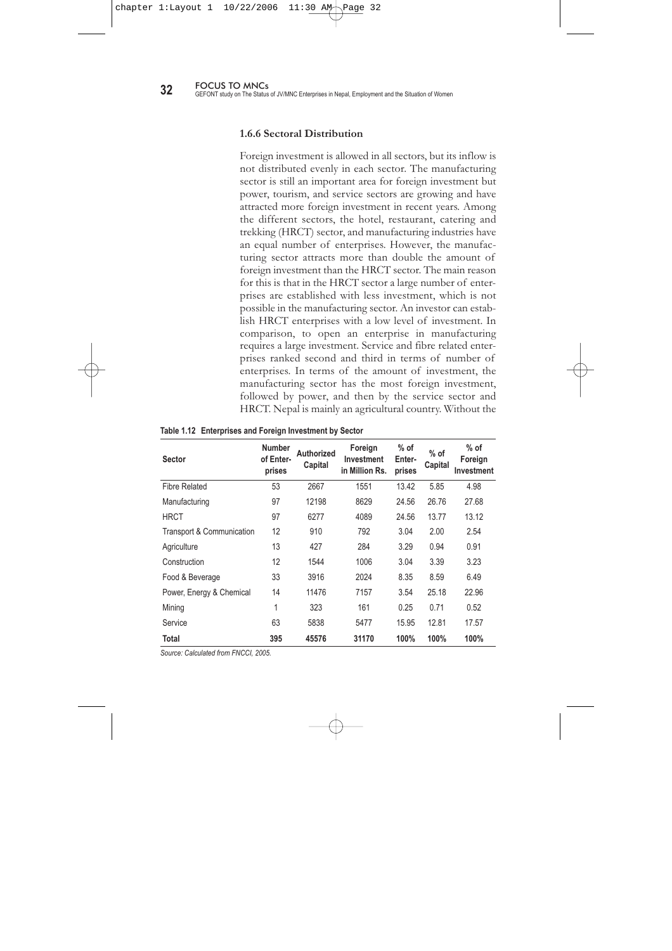| <b>Percentage Share</b> | % of Operating<br><b>Enterprises</b> | <b>Amount of Foreign</b><br><b>Capital in Million Rs.</b> | % of Foreign<br>Investment |
|-------------------------|--------------------------------------|-----------------------------------------------------------|----------------------------|
| Less than 25            | 5.06                                 | 836                                                       | 2.68                       |
| 25-50                   | 29.11                                | 6219                                                      | 19.95                      |
| 51-74                   | 10.89                                | 2258                                                      | 7.24                       |
| 75-99                   | 16.2                                 | 8187                                                      | 26.27                      |
| 100                     | 27.09                                | 10654                                                     | 34.18                      |
| $NA*$                   | 11.65                                | 3016                                                      | 9.68                       |
| <b>Total</b>            | 395                                  | 31170                                                     | 100%                       |

**Table 1.11 Percentage of Foreign Share in Total Investment**

\* Not Available

*Source: Calculated from FNCCI, 2005.*

foreigners with 100 percent foreign equity worth Rs.10,655 million, which is 34.18 percent of the total inflow of foreign investment. Similarly, 29 percent of enterprises are running with 25 to 50 percent foreign investment, constituting 20 percent of total investment. The enterprises with less than 25 percent foreign share, make up only 5 percent of enterprises and account for 2.68 percent of total foreign investment (Table 1.11).

Various forms of collaboration like financial, technical, managerial, trademark, marketing and leasing are found in different enterprises. Collaboration can be in just one area, or in multiple areas. However, financial collaboration alone accounts for 80 percent of enterprises, and technical collaboration is only found in five percent of enterprises. Both of these collaborations are combined in a few enterprises and are also found, along with other types of collaboration (trade mark, management and marketing), in different enterprises. Thus, it is estimated that other types of collaboration do not exceed more than five percent of total investment. This indicates that the desire to acquire technology transfer is far less than expected. Nepal has not been able to realise technological gains, one of the most potentially beneficial aspects of an open economy.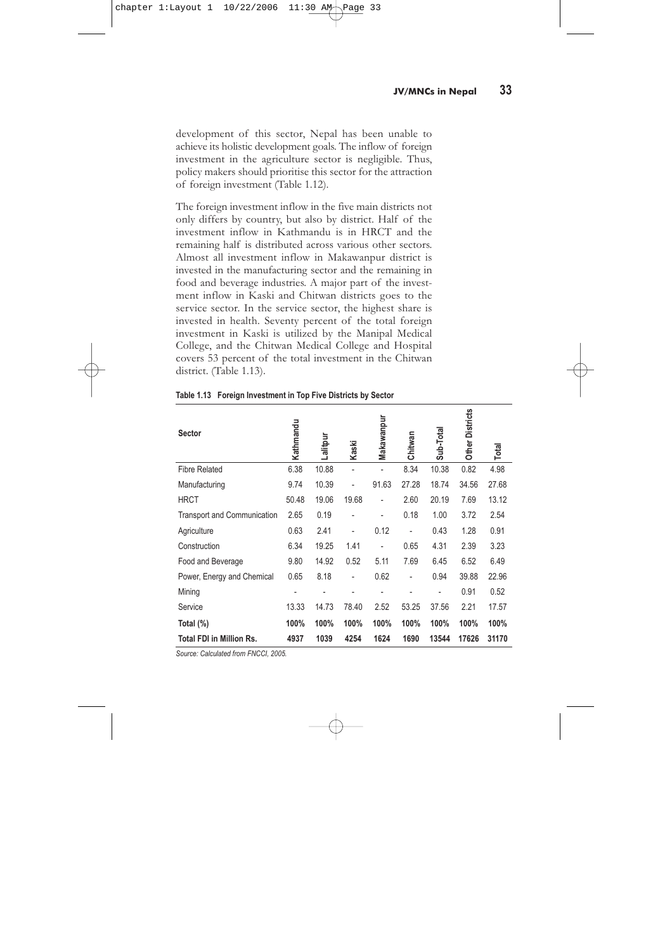**32** FOCUS TO MNCs<br>**32** GEFONT study on The Status of JV/MNC Enterprises in Nepal, Employment and the Situation of Women

#### **1.6.6 Sectoral Distribution**

Foreign investment is allowed in all sectors, but its inflow is not distributed evenly in each sector. The manufacturing sector is still an important area for foreign investment but power, tourism, and service sectors are growing and have attracted more foreign investment in recent years. Among the different sectors, the hotel, restaurant, catering and trekking (HRCT) sector, and manufacturing industries have an equal number of enterprises. However, the manufacturing sector attracts more than double the amount of foreign investment than the HRCT sector. The main reason for this is that in the HRCT sector a large number of enterprises are established with less investment, which is not possible in the manufacturing sector. An investor can establish HRCT enterprises with a low level of investment. In comparison, to open an enterprise in manufacturing requires a large investment. Service and fibre related enterprises ranked second and third in terms of number of enterprises. In terms of the amount of investment, the manufacturing sector has the most foreign investment, followed by power, and then by the service sector and HRCT. Nepal is mainly an agricultural country. Without the

| <b>Sector</b>             | <b>Number</b><br>of Enter-<br>prises | Authorized<br>Capital | Foreign<br>Investment<br>in Million Rs. | $%$ of<br>Enter-<br>prises | $%$ of<br>Capital | $%$ of<br>Foreign<br>Investment |
|---------------------------|--------------------------------------|-----------------------|-----------------------------------------|----------------------------|-------------------|---------------------------------|
| <b>Fibre Related</b>      | 53                                   | 2667                  | 1551                                    | 13.42                      | 5.85              | 4.98                            |
| Manufacturing             | 97                                   | 12198                 | 8629                                    | 24.56                      | 26.76             | 27.68                           |
| <b>HRCT</b>               | 97                                   | 6277                  | 4089                                    | 24.56                      | 13.77             | 13.12                           |
| Transport & Communication | 12                                   | 910                   | 792                                     | 3.04                       | 2.00              | 2.54                            |
| Agriculture               | 13                                   | 427                   | 284                                     | 3.29                       | 0.94              | 0.91                            |
| Construction              | 12                                   | 1544                  | 1006                                    | 3.04                       | 3.39              | 3.23                            |
| Food & Beverage           | 33                                   | 3916                  | 2024                                    | 8.35                       | 8.59              | 6.49                            |
| Power, Energy & Chemical  | 14                                   | 11476                 | 7157                                    | 3.54                       | 25.18             | 22.96                           |
| Mining                    | 1                                    | 323                   | 161                                     | 0.25                       | 0.71              | 0.52                            |
| Service                   | 63                                   | 5838                  | 5477                                    | 15.95                      | 12.81             | 17.57                           |
| Total                     | 395                                  | 45576                 | 31170                                   | 100%                       | 100%              | 100%                            |

**Table 1.12 Enterprises and Foreign Investment by Sector**

*Source: Calculated from FNCCI, 2005.*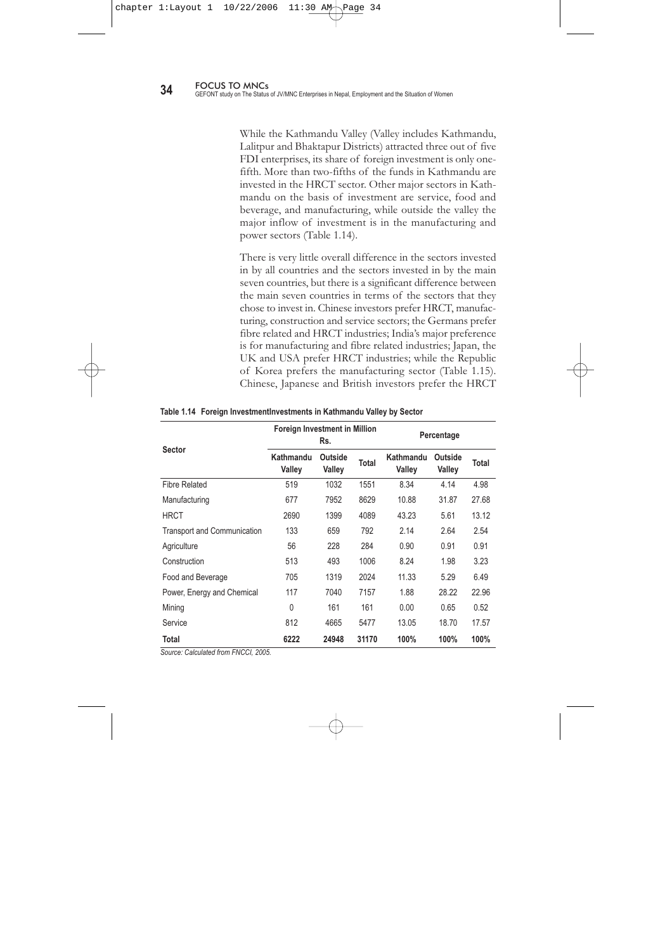development of this sector, Nepal has been unable to achieve its holistic development goals. The inflow of foreign investment in the agriculture sector is negligible. Thus, policy makers should prioritise this sector for the attraction of foreign investment (Table 1.12).

The foreign investment inflow in the five main districts not only differs by country, but also by district. Half of the investment inflow in Kathmandu is in HRCT and the remaining half is distributed across various other sectors. Almost all investment inflow in Makawanpur district is invested in the manufacturing sector and the remaining in food and beverage industries. A major part of the investment inflow in Kaski and Chitwan districts goes to the service sector. In the service sector, the highest share is invested in health. Seventy percent of the total foreign investment in Kaski is utilized by the Manipal Medical College, and the Chitwan Medical College and Hospital covers 53 percent of the total investment in the Chitwan district. (Table 1.13).

| Sector                             | Kathmandu | Lalitpur | Kaski          | Makawanpur | Chitwan | Sub-Total | <b>Other Districts</b> | Total |
|------------------------------------|-----------|----------|----------------|------------|---------|-----------|------------------------|-------|
| <b>Fibre Related</b>               | 6.38      | 10.88    | $\overline{a}$ |            | 8.34    | 10.38     | 0.82                   | 4.98  |
| Manufacturing                      | 9.74      | 10.39    | ٠              | 91.63      | 27.28   | 18.74     | 34.56                  | 27.68 |
| <b>HRCT</b>                        | 50.48     | 19.06    | 19.68          |            | 2.60    | 20.19     | 7.69                   | 13.12 |
| <b>Transport and Communication</b> | 2.65      | 0.19     |                |            | 0.18    | 1.00      | 3.72                   | 2.54  |
| Agriculture                        | 0.63      | 2.41     | ٠              | 0.12       | ٠       | 0.43      | 1.28                   | 0.91  |
| Construction                       | 6.34      | 19.25    | 1.41           |            | 0.65    | 4.31      | 2.39                   | 3.23  |
| Food and Beverage                  | 9.80      | 14.92    | 0.52           | 5.11       | 7.69    | 6.45      | 6.52                   | 6.49  |
| Power, Energy and Chemical         | 0.65      | 8.18     | ٠              | 0.62       | ٠       | 0.94      | 39.88                  | 22.96 |
| Mining                             |           |          |                |            |         |           | 0.91                   | 0.52  |
| Service                            | 13.33     | 14.73    | 78.40          | 2.52       | 53.25   | 37.56     | 2.21                   | 17.57 |
| Total (%)                          | 100%      | 100%     | 100%           | 100%       | 100%    | 100%      | 100%                   | 100%  |
| <b>Total FDI in Million Rs.</b>    | 4937      | 1039     | 4254           | 1624       | 1690    | 13544     | 17626                  | 31170 |

**Table 1.13 Foreign Investment in Top Five Districts by Sector**

*Source: Calculated from FNCCI, 2005.*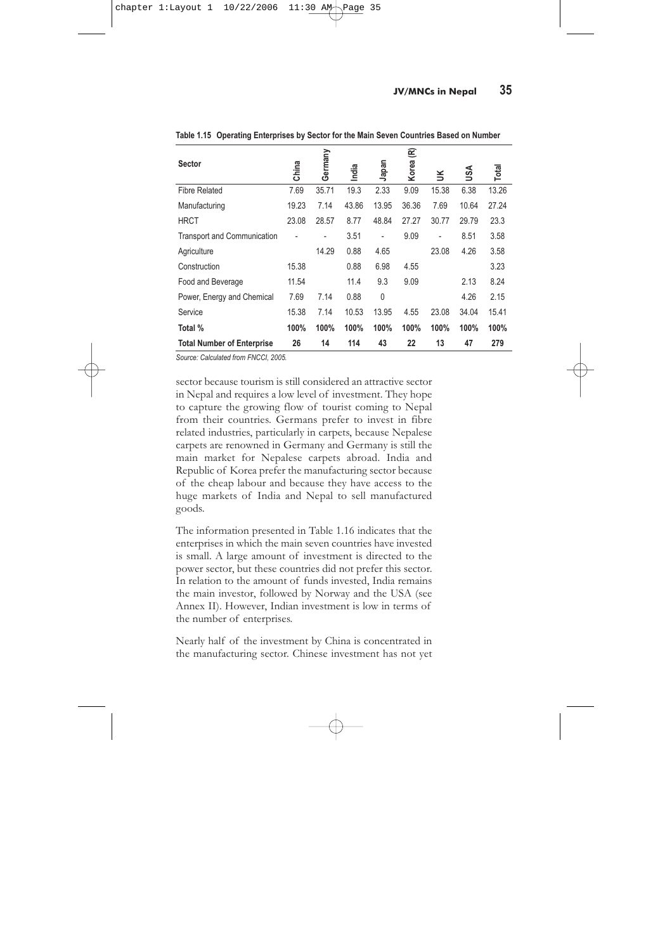While the Kathmandu Valley (Valley includes Kathmandu, Lalitpur and Bhaktapur Districts) attracted three out of five FDI enterprises, its share of foreign investment is only onefifth. More than two-fifths of the funds in Kathmandu are invested in the HRCT sector. Other major sectors in Kathmandu on the basis of investment are service, food and beverage, and manufacturing, while outside the valley the major inflow of investment is in the manufacturing and power sectors (Table 1.14).

There is very little overall difference in the sectors invested in by all countries and the sectors invested in by the main seven countries, but there is a significant difference between the main seven countries in terms of the sectors that they chose to invest in. Chinese investors prefer HRCT, manufacturing, construction and service sectors; the Germans prefer fibre related and HRCT industries; India's major preference is for manufacturing and fibre related industries; Japan, the UK and USA prefer HRCT industries; while the Republic of Korea prefers the manufacturing sector (Table 1.15). Chinese, Japanese and British investors prefer the HRCT

|                                    | Foreign Investment in Million | Rs.               | Percentage |                     |                   |       |
|------------------------------------|-------------------------------|-------------------|------------|---------------------|-------------------|-------|
| Sector                             | Kathmandu<br>Valley           | Outside<br>Valley | Total      | Kathmandu<br>Valley | Outside<br>Valley | Total |
| <b>Fibre Related</b>               | 519                           | 1032              | 1551       | 8.34                | 4.14              | 4.98  |
| Manufacturing                      | 677                           | 7952              | 8629       | 10.88               | 31.87             | 27.68 |
| <b>HRCT</b>                        | 2690                          | 1399              | 4089       | 43.23               | 5.61              | 13.12 |
| <b>Transport and Communication</b> | 133                           | 659               | 792        | 2.14                | 2.64              | 2.54  |
| Agriculture                        | 56                            | 228               | 284        | 0.90                | 0.91              | 0.91  |
| Construction                       | 513                           | 493               | 1006       | 8.24                | 1.98              | 3.23  |
| Food and Beverage                  | 705                           | 1319              | 2024       | 11.33               | 5.29              | 6.49  |
| Power, Energy and Chemical         | 117                           | 7040              | 7157       | 1.88                | 28.22             | 22.96 |
| Mining                             | 0                             | 161               | 161        | 0.00                | 0.65              | 0.52  |
| Service                            | 812                           | 4665              | 5477       | 13.05               | 18.70             | 17.57 |
| Total                              | 6222                          | 24948             | 31170      | 100%                | 100%              | 100%  |

**Table 1.14 Foreign InvestmentInvestments in Kathmandu Valley by Sector**

*Source: Calculated from FNCCI, 2005.*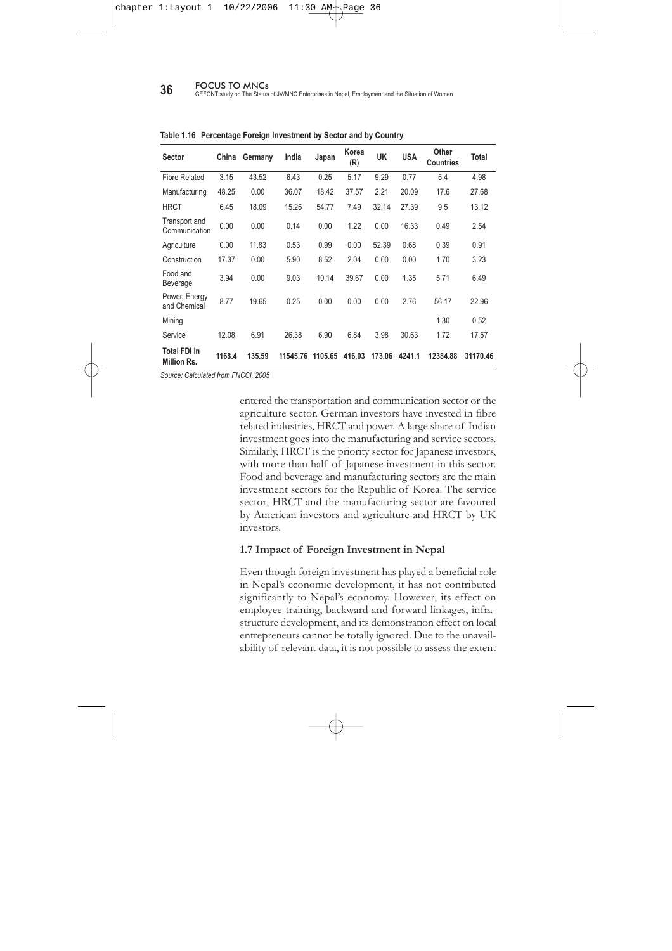| <b>Sector</b>                      | China | Germany | India | Japan | E<br>Korea | š     | JSA   | Total |
|------------------------------------|-------|---------|-------|-------|------------|-------|-------|-------|
| <b>Fibre Related</b>               | 7.69  | 35.71   | 19.3  | 2.33  | 9.09       | 15.38 | 6.38  | 13.26 |
| Manufacturing                      | 19.23 | 7.14    | 43.86 | 13.95 | 36.36      | 7.69  | 10.64 | 27.24 |
| <b>HRCT</b>                        | 23.08 | 28.57   | 8.77  | 48.84 | 27.27      | 30.77 | 29.79 | 23.3  |
| <b>Transport and Communication</b> |       |         | 3.51  | ٠     | 9.09       |       | 8.51  | 3.58  |
| Agriculture                        |       | 14.29   | 0.88  | 4.65  |            | 23.08 | 4.26  | 3.58  |
| Construction                       | 15.38 |         | 0.88  | 6.98  | 4.55       |       |       | 3.23  |
| Food and Beverage                  | 11.54 |         | 11.4  | 9.3   | 9.09       |       | 2.13  | 8.24  |
| Power, Energy and Chemical         | 7.69  | 7.14    | 0.88  | 0     |            |       | 4.26  | 2.15  |
| Service                            | 15.38 | 7.14    | 10.53 | 13.95 | 4.55       | 23.08 | 34.04 | 15.41 |
| Total %                            | 100%  | 100%    | 100%  | 100%  | 100%       | 100%  | 100%  | 100%  |
| <b>Total Number of Enterprise</b>  | 26    | 14      | 114   | 43    | 22         | 13    | 47    | 279   |

**Table 1.15 Operating Enterprises by Sector for the Main Seven Countries Based on Number**

*Source: Calculated from FNCCI, 2005.*

sector because tourism is still considered an attractive sector in Nepal and requires a low level of investment. They hope to capture the growing flow of tourist coming to Nepal from their countries. Germans prefer to invest in fibre related industries, particularly in carpets, because Nepalese carpets are renowned in Germany and Germany is still the main market for Nepalese carpets abroad. India and Republic of Korea prefer the manufacturing sector because of the cheap labour and because they have access to the huge markets of India and Nepal to sell manufactured goods.

The information presented in Table 1.16 indicates that the enterprises in which the main seven countries have invested is small. A large amount of investment is directed to the power sector, but these countries did not prefer this sector. In relation to the amount of funds invested, India remains the main investor, followed by Norway and the USA (see Annex II). However, Indian investment is low in terms of the number of enterprises.

Nearly half of the investment by China is concentrated in the manufacturing sector. Chinese investment has not yet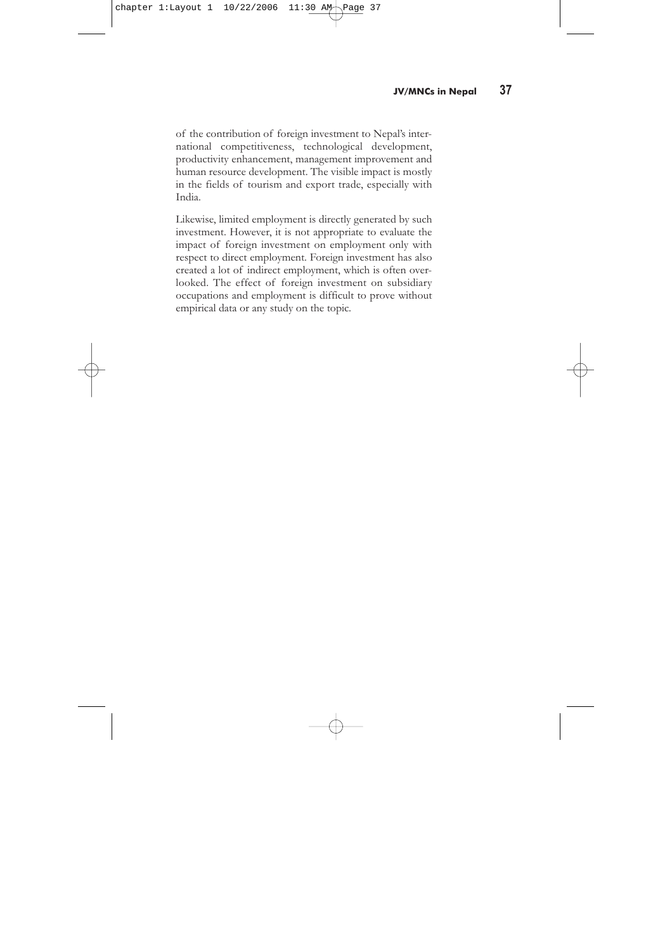**36** FOCUS TO MNCs<br>GEFONT study on The Status of JV/MNC Enterprises in Nepal, Employment and the Situation of Women

| Sector                             | China  | Germany | India    | Japan   | Korea<br>(R) | UK     | <b>USA</b> | Other<br><b>Countries</b> | <b>Total</b> |
|------------------------------------|--------|---------|----------|---------|--------------|--------|------------|---------------------------|--------------|
| <b>Fibre Related</b>               | 3.15   | 43.52   | 6.43     | 0.25    | 5.17         | 9.29   | 0.77       | 5.4                       | 4.98         |
| Manufacturing                      | 48.25  | 0.00    | 36.07    | 18.42   | 37.57        | 2.21   | 20.09      | 17.6                      | 27.68        |
| <b>HRCT</b>                        | 6.45   | 18.09   | 15.26    | 54.77   | 7.49         | 32.14  | 27.39      | 9.5                       | 13.12        |
| Transport and<br>Communication     | 0.00   | 0.00    | 0.14     | 0.00    | 1.22         | 0.00   | 16.33      | 0.49                      | 2.54         |
| Agriculture                        | 0.00   | 11.83   | 0.53     | 0.99    | 0.00         | 52.39  | 0.68       | 0.39                      | 0.91         |
| Construction                       | 17.37  | 0.00    | 5.90     | 8.52    | 2.04         | 0.00   | 0.00       | 1.70                      | 3.23         |
| Food and<br>Beverage               | 3.94   | 0.00    | 9.03     | 10.14   | 39.67        | 0.00   | 1.35       | 5.71                      | 6.49         |
| Power, Energy<br>and Chemical      | 8.77   | 19.65   | 0.25     | 0.00    | 0.00         | 0.00   | 2.76       | 56.17                     | 22.96        |
| Mining                             |        |         |          |         |              |        |            | 1.30                      | 0.52         |
| Service                            | 12.08  | 6.91    | 26.38    | 6.90    | 6.84         | 3.98   | 30.63      | 1.72                      | 17.57        |
| <b>Total FDI in</b><br>Million Rs. | 1168.4 | 135.59  | 11545.76 | 1105.65 | 416.03       | 173.06 | 4241.1     | 12384.88                  | 31170.46     |

**Table 1.16 Percentage Foreign Investment by Sector and by Country**

*Source: Calculated from FNCCI, 2005*

entered the transportation and communication sector or the agriculture sector. German investors have invested in fibre related industries, HRCT and power. A large share of Indian investment goes into the manufacturing and service sectors. Similarly, HRCT is the priority sector for Japanese investors, with more than half of Japanese investment in this sector. Food and beverage and manufacturing sectors are the main investment sectors for the Republic of Korea. The service sector, HRCT and the manufacturing sector are favoured by American investors and agriculture and HRCT by UK investors.

#### **1.7 Impact of Foreign Investment in Nepal**

Even though foreign investment has played a beneficial role in Nepal's economic development, it has not contributed significantly to Nepal's economy. However, its effect on employee training, backward and forward linkages, infrastructure development, and its demonstration effect on local entrepreneurs cannot be totally ignored. Due to the unavailability of relevant data, it is not possible to assess the extent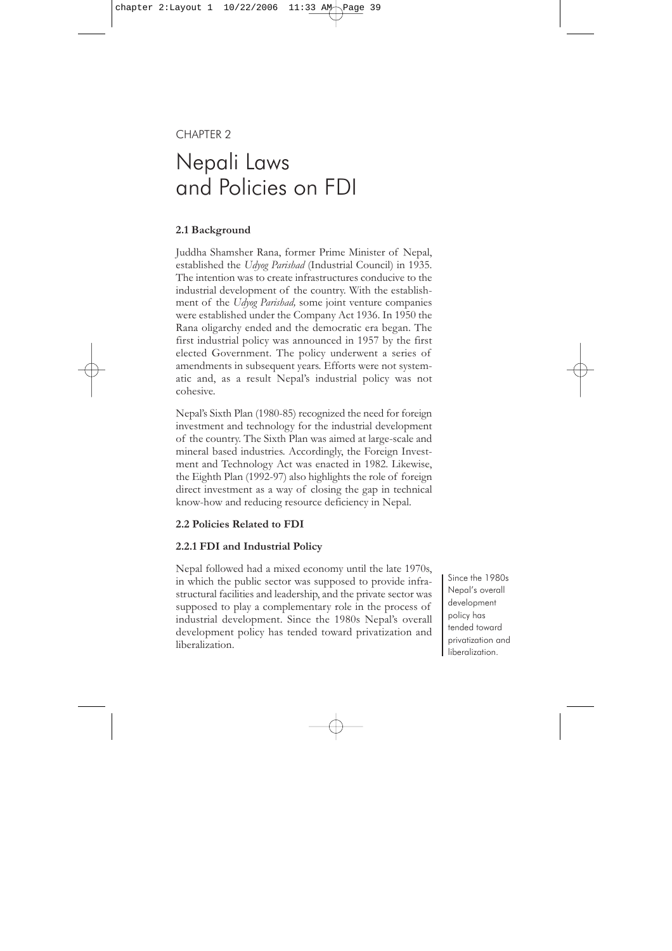of the contribution of foreign investment to Nepal's international competitiveness, technological development, productivity enhancement, management improvement and human resource development. The visible impact is mostly in the fields of tourism and export trade, especially with India.

Likewise, limited employment is directly generated by such investment. However, it is not appropriate to evaluate the impact of foreign investment on employment only with respect to direct employment. Foreign investment has also created a lot of indirect employment, which is often overlooked. The effect of foreign investment on subsidiary occupations and employment is difficult to prove without empirical data or any study on the topic.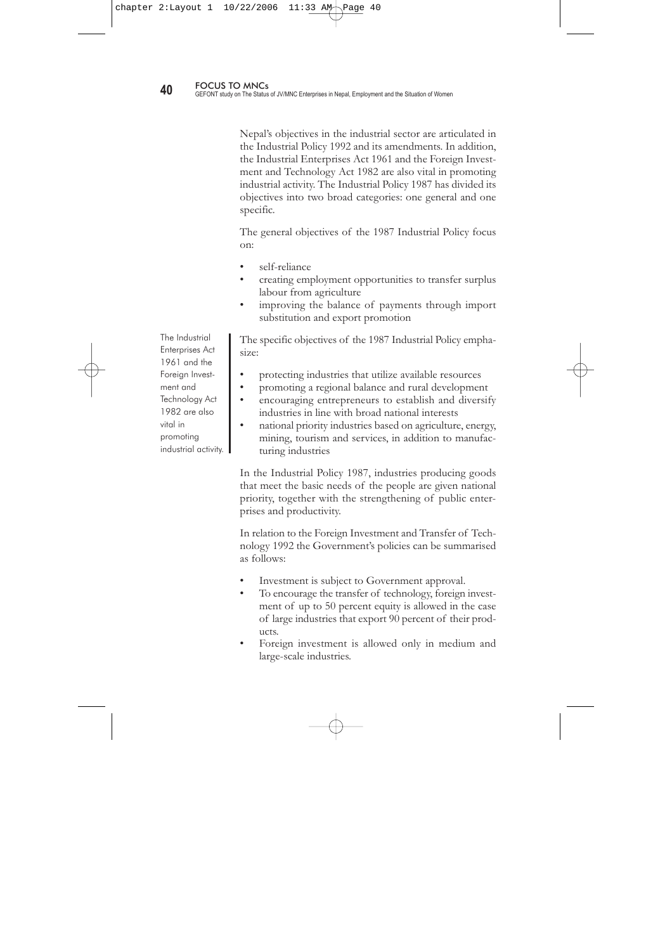# CHAPTER 2

# Nepali Laws and Policies on FDI

### **2.1 Background**

Juddha Shamsher Rana, former Prime Minister of Nepal, established the *Udyog Parishad* (Industrial Council) in 1935. The intention was to create infrastructures conducive to the industrial development of the country. With the establishment of the *Udyog Parishad,* some joint venture companies were established under the Company Act 1936. In 1950 the Rana oligarchy ended and the democratic era began. The first industrial policy was announced in 1957 by the first elected Government. The policy underwent a series of amendments in subsequent years. Efforts were not systematic and, as a result Nepal's industrial policy was not cohesive.

Nepal's Sixth Plan (1980-85) recognized the need for foreign investment and technology for the industrial development of the country. The Sixth Plan was aimed at large-scale and mineral based industries. Accordingly, the Foreign Investment and Technology Act was enacted in 1982. Likewise, the Eighth Plan (1992-97) also highlights the role of foreign direct investment as a way of closing the gap in technical know-how and reducing resource deficiency in Nepal.

#### **2.2 Policies Related to FDI**

#### **2.2.1 FDI and Industrial Policy**

Nepal followed had a mixed economy until the late 1970s, in which the public sector was supposed to provide infrastructural facilities and leadership, and the private sector was supposed to play a complementary role in the process of industrial development. Since the 1980s Nepal's overall development policy has tended toward privatization and liberalization.

Since the 1980s Nepal's overall development policy has tended toward privatization and liberalization.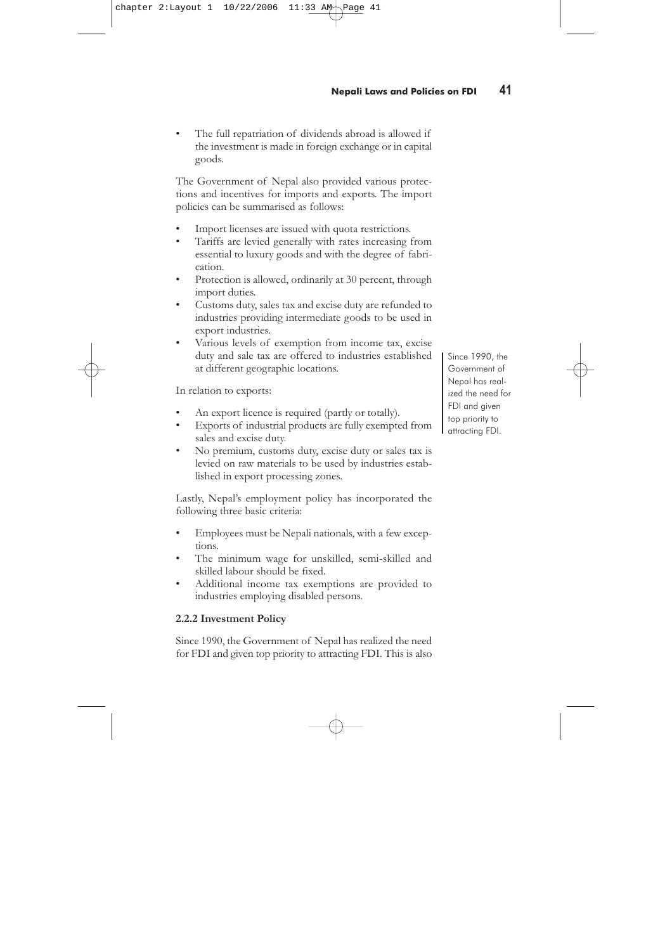Nepal's objectives in the industrial sector are articulated in the Industrial Policy 1992 and its amendments. In addition, the Industrial Enterprises Act 1961 and the Foreign Investment and Technology Act 1982 are also vital in promoting industrial activity. The Industrial Policy 1987 has divided its objectives into two broad categories: one general and one specific.

The general objectives of the 1987 Industrial Policy focus on:

- self-reliance
- creating employment opportunities to transfer surplus labour from agriculture
- improving the balance of payments through import substitution and export promotion

The specific objectives of the 1987 Industrial Policy emphasize:

- protecting industries that utilize available resources
- promoting a regional balance and rural development
- encouraging entrepreneurs to establish and diversify industries in line with broad national interests
- national priority industries based on agriculture, energy, mining, tourism and services, in addition to manufacturing industries

In the Industrial Policy 1987, industries producing goods that meet the basic needs of the people are given national priority, together with the strengthening of public enterprises and productivity.

In relation to the Foreign Investment and Transfer of Technology 1992 the Government's policies can be summarised as follows:

- Investment is subject to Government approval.
- To encourage the transfer of technology, foreign investment of up to 50 percent equity is allowed in the case of large industries that export 90 percent of their products.
- Foreign investment is allowed only in medium and large-scale industries.

The Industrial Enterprises Act 1961 and the Foreign Investment and Technology Act 1982 are also vital in promoting industrial activity.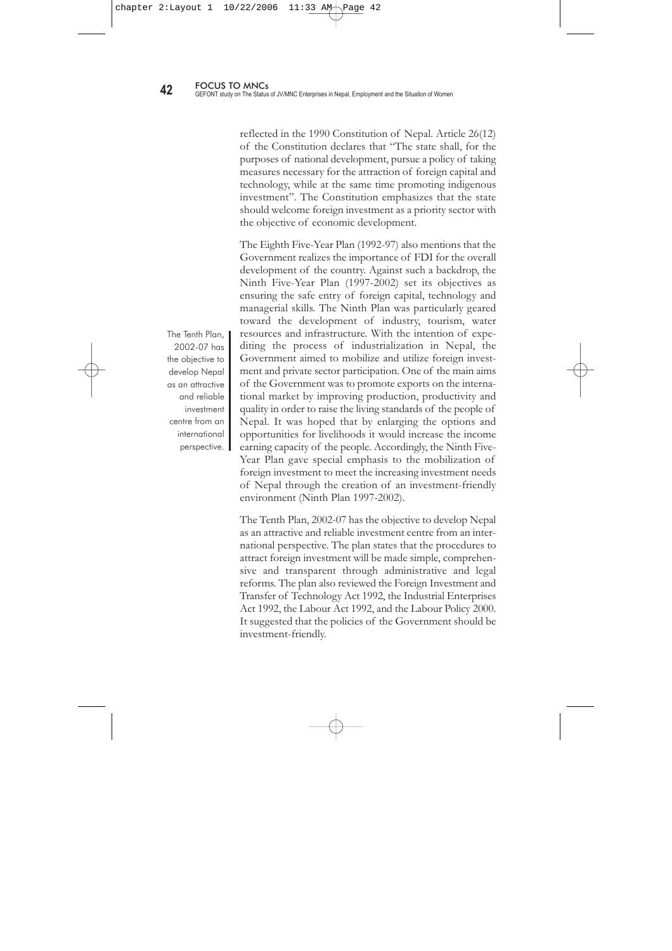The full repatriation of dividends abroad is allowed if the investment is made in foreign exchange or in capital goods.

The Government of Nepal also provided various protections and incentives for imports and exports. The import policies can be summarised as follows:

- Import licenses are issued with quota restrictions.
- Tariffs are levied generally with rates increasing from essential to luxury goods and with the degree of fabrication.
- Protection is allowed, ordinarily at 30 percent, through import duties.
- Customs duty, sales tax and excise duty are refunded to industries providing intermediate goods to be used in export industries.
- Various levels of exemption from income tax, excise duty and sale tax are offered to industries established at different geographic locations.

In relation to exports:

- An export licence is required (partly or totally).
- Exports of industrial products are fully exempted from sales and excise duty.
- No premium, customs duty, excise duty or sales tax is levied on raw materials to be used by industries established in export processing zones.

Lastly, Nepal's employment policy has incorporated the following three basic criteria:

- Employees must be Nepali nationals, with a few exceptions.
- The minimum wage for unskilled, semi-skilled and skilled labour should be fixed.
- Additional income tax exemptions are provided to industries employing disabled persons.

# **2.2.2 Investment Policy**

Since 1990, the Government of Nepal has realized the need for FDI and given top priority to attracting FDI. This is also

Since 1990, the Government of Nepal has realized the need for FDI and given top priority to attracting FDI.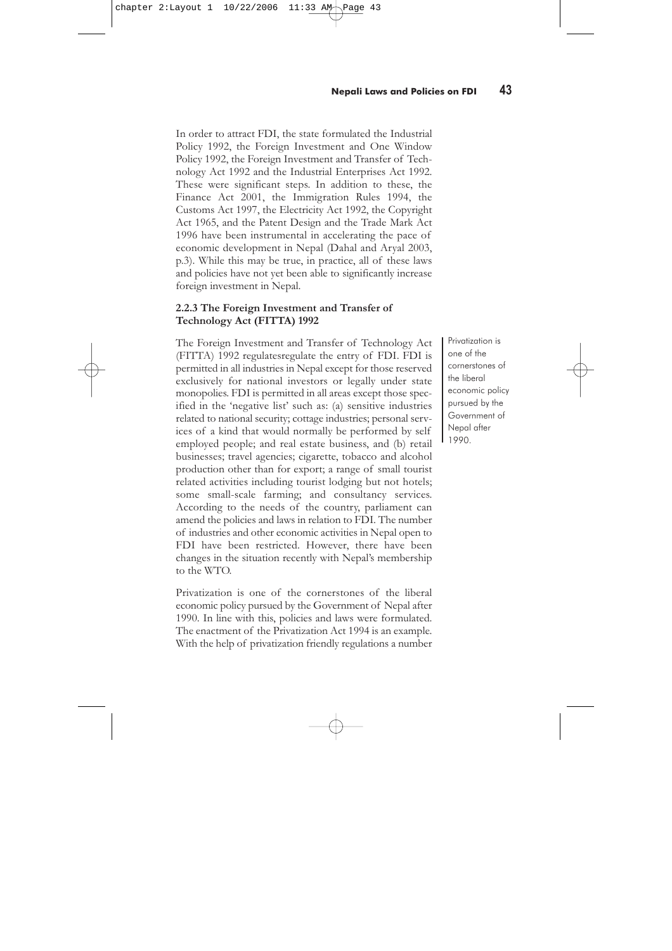reflected in the 1990 Constitution of Nepal. Article 26(12) of the Constitution declares that "The state shall, for the purposes of national development, pursue a policy of taking measures necessary for the attraction of foreign capital and technology, while at the same time promoting indigenous investment". The Constitution emphasizes that the state should welcome foreign investment as a priority sector with the objective of economic development.

The Eighth Five-Year Plan (1992-97) also mentions that the Government realizes the importance of FDI for the overall development of the country. Against such a backdrop, the Ninth Five-Year Plan (1997-2002) set its objectives as ensuring the safe entry of foreign capital, technology and managerial skills. The Ninth Plan was particularly geared toward the development of industry, tourism, water resources and infrastructure. With the intention of expediting the process of industrialization in Nepal, the Government aimed to mobilize and utilize foreign investment and private sector participation. One of the main aims of the Government was to promote exports on the international market by improving production, productivity and quality in order to raise the living standards of the people of Nepal. It was hoped that by enlarging the options and opportunities for livelihoods it would increase the income earning capacity of the people. Accordingly, the Ninth Five-Year Plan gave special emphasis to the mobilization of foreign investment to meet the increasing investment needs of Nepal through the creation of an investment-friendly environment (Ninth Plan 1997-2002).

The Tenth Plan, 2002-07 has the objective to develop Nepal as an attractive and reliable investment centre from an international perspective. The plan states that the procedures to attract foreign investment will be made simple, comprehensive and transparent through administrative and legal reforms. The plan also reviewed the Foreign Investment and Transfer of Technology Act 1992, the Industrial Enterprises Act 1992, the Labour Act 1992, and the Labour Policy 2000. It suggested that the policies of the Government should be investment-friendly.

The Tenth Plan, 2002-07 has the objective to develop Nepal as an attractive and reliable investment centre from an international perspective.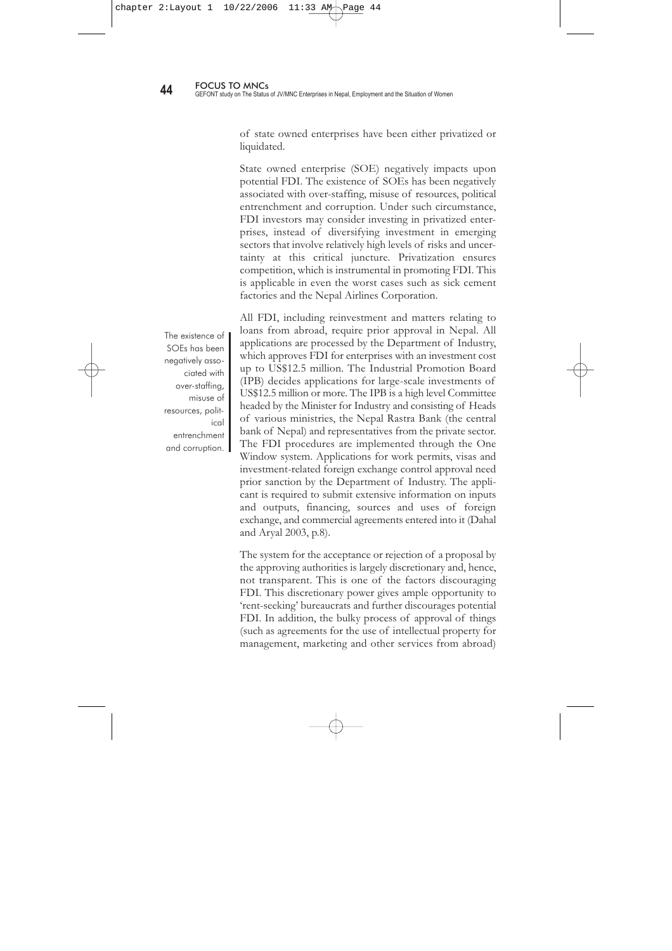In order to attract FDI, the state formulated the Industrial Policy 1992, the Foreign Investment and One Window Policy 1992, the Foreign Investment and Transfer of Technology Act 1992 and the Industrial Enterprises Act 1992. These were significant steps. In addition to these, the Finance Act 2001, the Immigration Rules 1994, the Customs Act 1997, the Electricity Act 1992, the Copyright Act 1965, and the Patent Design and the Trade Mark Act 1996 have been instrumental in accelerating the pace of economic development in Nepal (Dahal and Aryal 2003, p.3). While this may be true, in practice, all of these laws and policies have not yet been able to significantly increase foreign investment in Nepal.

#### **2.2.3 The Foreign Investment and Transfer of Technology Act (FITTA) 1992**

The Foreign Investment and Transfer of Technology Act (FITTA) 1992 regulatesregulate the entry of FDI. FDI is permitted in all industries in Nepal except for those reserved exclusively for national investors or legally under state monopolies. FDI is permitted in all areas except those specified in the 'negative list' such as: (a) sensitive industries related to national security; cottage industries; personal services of a kind that would normally be performed by self employed people; and real estate business, and (b) retail businesses; travel agencies; cigarette, tobacco and alcohol production other than for export; a range of small tourist related activities including tourist lodging but not hotels; some small-scale farming; and consultancy services. According to the needs of the country, parliament can amend the policies and laws in relation to FDI. The number of industries and other economic activities in Nepal open to FDI have been restricted. However, there have been changes in the situation recently with Nepal's membership to the WTO.

Privatization is one of the cornerstones of the liberal economic policy pursued by the Government of Nepal after 1990. In line with this, policies and laws were formulated. The enactment of the Privatization Act 1994 is an example. With the help of privatization friendly regulations a number

Privatization is one of the cornerstones of the liberal economic policy pursued by the Government of Nepal after 1990.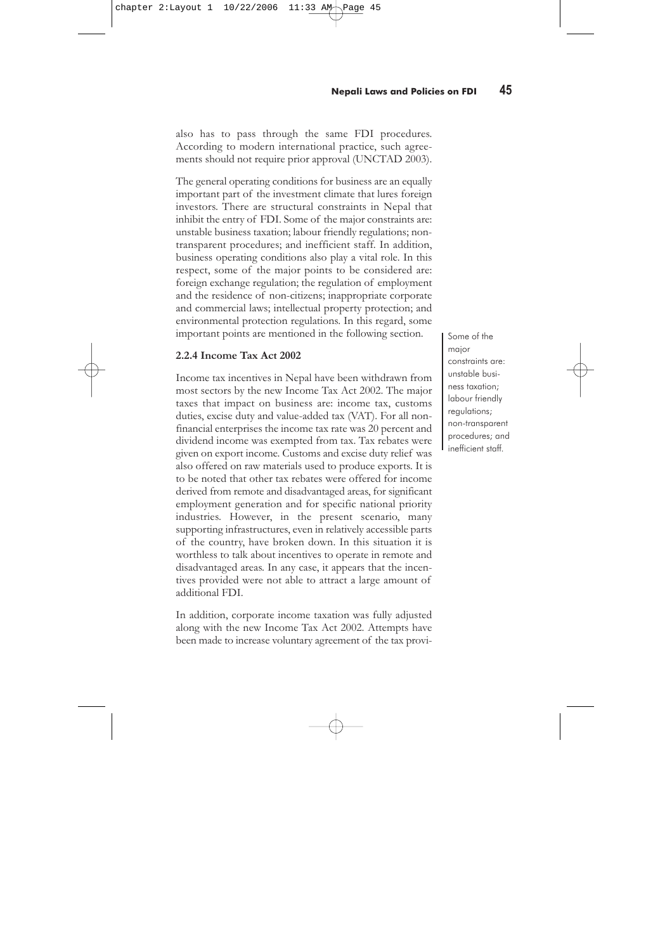of state owned enterprises have been either privatized or liquidated.

State owned enterprise (SOE) negatively impacts upon potential FDI. The existence of SOEs has been negatively associated with over-staffing, misuse of resources, political entrenchment and corruption. Under such circumstance, FDI investors may consider investing in privatized enterprises, instead of diversifying investment in emerging sectors that involve relatively high levels of risks and uncertainty at this critical juncture. Privatization ensures competition, which is instrumental in promoting FDI. This is applicable in even the worst cases such as sick cement factories and the Nepal Airlines Corporation.

The existence of SOEs has been negatively associated with over-staffing, misuse of resources, political entrenchment and corruption.

All FDI, including reinvestment and matters relating to loans from abroad, require prior approval in Nepal. All applications are processed by the Department of Industry, which approves FDI for enterprises with an investment cost up to US\$12.5 million. The Industrial Promotion Board (IPB) decides applications for large-scale investments of US\$12.5 million or more. The IPB is a high level Committee headed by the Minister for Industry and consisting of Heads of various ministries, the Nepal Rastra Bank (the central bank of Nepal) and representatives from the private sector. The FDI procedures are implemented through the One Window system. Applications for work permits, visas and investment-related foreign exchange control approval need prior sanction by the Department of Industry. The applicant is required to submit extensive information on inputs and outputs, financing, sources and uses of foreign exchange, and commercial agreements entered into it (Dahal and Aryal 2003, p.8).

The system for the acceptance or rejection of a proposal by the approving authorities is largely discretionary and, hence, not transparent. This is one of the factors discouraging FDI. This discretionary power gives ample opportunity to 'rent-seeking' bureaucrats and further discourages potential FDI. In addition, the bulky process of approval of things (such as agreements for the use of intellectual property for management, marketing and other services from abroad)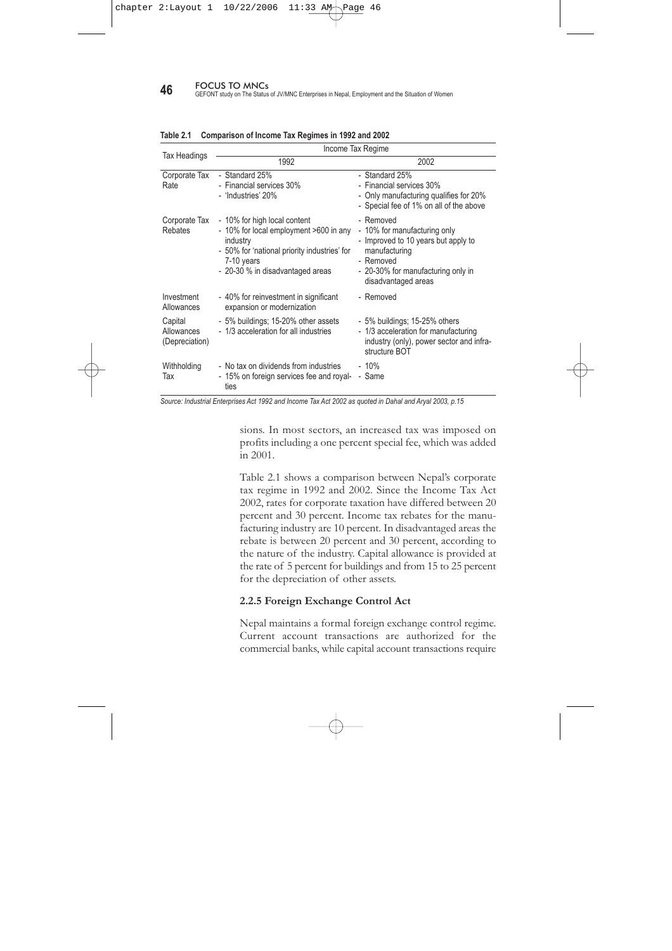also has to pass through the same FDI procedures. According to modern international practice, such agreements should not require prior approval (UNCTAD 2003).

The general operating conditions for business are an equally important part of the investment climate that lures foreign investors. There are structural constraints in Nepal that inhibit the entry of FDI. Some of the major constraints are: unstable business taxation; labour friendly regulations; nontransparent procedures; and inefficient staff. In addition, business operating conditions also play a vital role. In this respect, some of the major points to be considered are: foreign exchange regulation; the regulation of employment and the residence of non-citizens; inappropriate corporate and commercial laws; intellectual property protection; and environmental protection regulations. In this regard, some important points are mentioned in the following section.

### **2.2.4 Income Tax Act 2002**

Income tax incentives in Nepal have been withdrawn from most sectors by the new Income Tax Act 2002. The major taxes that impact on business are: income tax, customs duties, excise duty and value-added tax (VAT). For all nonfinancial enterprises the income tax rate was 20 percent and dividend income was exempted from tax. Tax rebates were given on export income. Customs and excise duty relief was also offered on raw materials used to produce exports. It is to be noted that other tax rebates were offered for income derived from remote and disadvantaged areas, for significant employment generation and for specific national priority industries. However, in the present scenario, many supporting infrastructures, even in relatively accessible parts of the country, have broken down. In this situation it is worthless to talk about incentives to operate in remote and disadvantaged areas. In any case, it appears that the incentives provided were not able to attract a large amount of additional FDI.

In addition, corporate income taxation was fully adjusted along with the new Income Tax Act 2002. Attempts have been made to increase voluntary agreement of the tax provi-

Some of the major constraints are: unstable business taxation; labour friendly regulations; non-transparent procedures; and inefficient staff.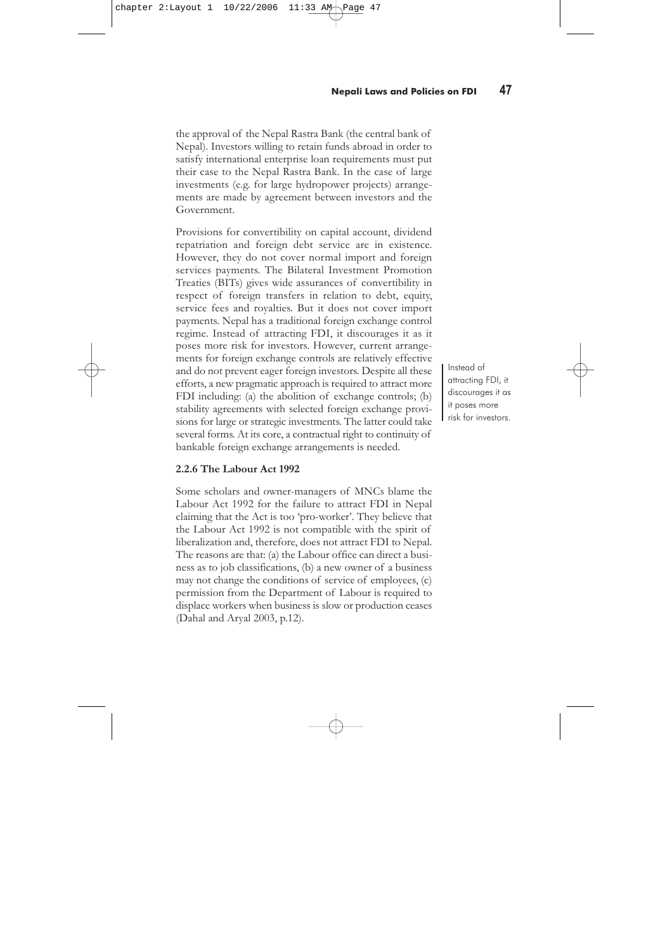**46** FOCUS TO MNCs<br>**46** GEFONT study on The Status of JV/MNC Enterprises in Nepal, Employment and the Situation of Women

|                                         | Income Tax Regime                                                                                                                                                                    |                                                                                                                                                                             |  |  |  |  |  |
|-----------------------------------------|--------------------------------------------------------------------------------------------------------------------------------------------------------------------------------------|-----------------------------------------------------------------------------------------------------------------------------------------------------------------------------|--|--|--|--|--|
| Tax Headings                            | 1992                                                                                                                                                                                 | 2002                                                                                                                                                                        |  |  |  |  |  |
| Corporate Tax<br>Rate                   | - Standard 25%<br>- Financial services 30%<br>- 'Industries' 20%                                                                                                                     | - Standard 25%<br>- Financial services 30%<br>- Only manufacturing qualifies for 20%<br>- Special fee of 1% on all of the above                                             |  |  |  |  |  |
| Corporate Tax<br><b>Rebates</b>         | - 10% for high local content<br>- 10% for local employment >600 in any<br>industry<br>- 50% for 'national priority industries' for<br>7-10 years<br>- 20-30 % in disadvantaged areas | - Removed<br>- 10% for manufacturing only<br>- Improved to 10 years but apply to<br>manufacturing<br>- Removed<br>- 20-30% for manufacturing only in<br>disadvantaged areas |  |  |  |  |  |
| Investment<br>Allowances                | - 40% for reinvestment in significant<br>expansion or modernization                                                                                                                  | - Removed                                                                                                                                                                   |  |  |  |  |  |
| Capital<br>Allowances<br>(Depreciation) | - 5% buildings; 15-20% other assets<br>- 1/3 acceleration for all industries                                                                                                         | - 5% buildings; 15-25% others<br>- 1/3 acceleration for manufacturing<br>industry (only), power sector and infra-<br>structure BOT                                          |  |  |  |  |  |
| Withholding<br>Tax                      | - No tax on dividends from industries<br>- 15% on foreign services fee and royal-<br>ties                                                                                            | - 10%<br>- Same                                                                                                                                                             |  |  |  |  |  |

#### **Table 2.1 Comparison of Income Tax Regimes in 1992 and 2002**

*Source: Industrial Enterprises Act 1992 and Income Tax Act 2002 as quoted in Dahal and Aryal 2003, p.15*

sions. In most sectors, an increased tax was imposed on profits including a one percent special fee, which was added in 2001.

Table 2.1 shows a comparison between Nepal's corporate tax regime in 1992 and 2002. Since the Income Tax Act 2002, rates for corporate taxation have differed between 20 percent and 30 percent. Income tax rebates for the manufacturing industry are 10 percent. In disadvantaged areas the rebate is between 20 percent and 30 percent, according to the nature of the industry. Capital allowance is provided at the rate of 5 percent for buildings and from 15 to 25 percent for the depreciation of other assets.

#### **2.2.5 Foreign Exchange Control Act**

Nepal maintains a formal foreign exchange control regime. Current account transactions are authorized for the commercial banks, while capital account transactions require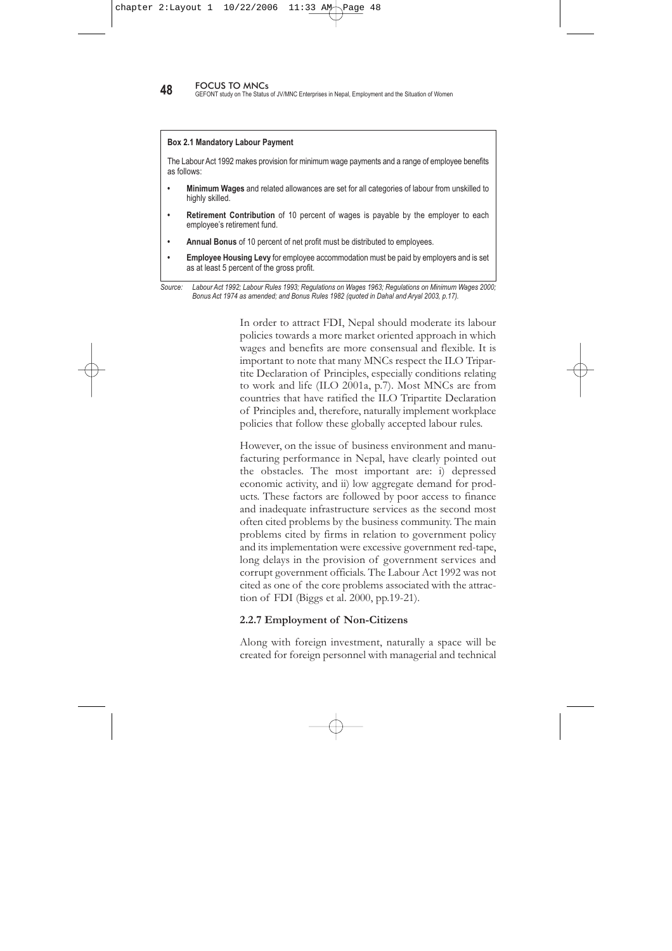the approval of the Nepal Rastra Bank (the central bank of Nepal). Investors willing to retain funds abroad in order to satisfy international enterprise loan requirements must put their case to the Nepal Rastra Bank. In the case of large investments (e.g. for large hydropower projects) arrangements are made by agreement between investors and the Government.

Provisions for convertibility on capital account, dividend repatriation and foreign debt service are in existence. However, they do not cover normal import and foreign services payments. The Bilateral Investment Promotion Treaties (BITs) gives wide assurances of convertibility in respect of foreign transfers in relation to debt, equity, service fees and royalties. But it does not cover import payments. Nepal has a traditional foreign exchange control regime. Instead of attracting FDI, it discourages it as it poses more risk for investors. However, current arrangements for foreign exchange controls are relatively effective and do not prevent eager foreign investors. Despite all these efforts, a new pragmatic approach is required to attract more FDI including: (a) the abolition of exchange controls; (b) stability agreements with selected foreign exchange provisions for large or strategic investments. The latter could take several forms. At its core, a contractual right to continuity of bankable foreign exchange arrangements is needed.

#### **2.2.6 The Labour Act 1992**

Some scholars and owner-managers of MNCs blame the Labour Act 1992 for the failure to attract FDI in Nepal claiming that the Act is too 'pro-worker'. They believe that the Labour Act 1992 is not compatible with the spirit of liberalization and, therefore, does not attract FDI to Nepal. The reasons are that: (a) the Labour office can direct a business as to job classifications, (b) a new owner of a business may not change the conditions of service of employees, (c) permission from the Department of Labour is required to displace workers when business is slow or production ceases (Dahal and Aryal 2003, p.12).

Instead of attracting FDI, it discourages it as it poses more risk for investors.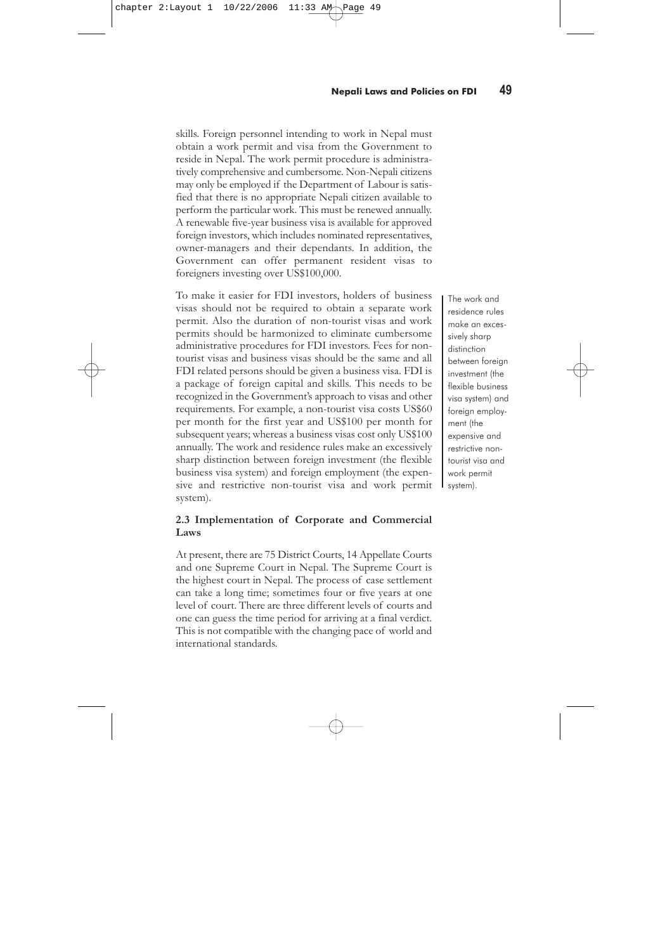**48** FOCUS TO MNCs<br>GEFONT study on The Status of JV/MNC Enterprises in Nepal, Employment and the Situation of Women

#### **Box 2.1 Mandatory Labour Payment**

The Labour Act 1992 makes provision for minimum wage payments and a range of employee benefits as follows:

- **Minimum Wages** and related allowances are set for all categories of labour from unskilled to highly skilled.
- **Retirement Contribution** of 10 percent of wages is payable by the employer to each employee's retirement fund.
- **Annual Bonus** of 10 percent of net profit must be distributed to employees.
- **Employee Housing Levy** for employee accommodation must be paid by employers and is set as at least 5 percent of the gross profit.

In order to attract FDI, Nepal should moderate its labour policies towards a more market oriented approach in which wages and benefits are more consensual and flexible. It is important to note that many MNCs respect the ILO Tripartite Declaration of Principles, especially conditions relating to work and life (ILO 2001a, p.7). Most MNCs are from countries that have ratified the ILO Tripartite Declaration of Principles and, therefore, naturally implement workplace policies that follow these globally accepted labour rules.

However, on the issue of business environment and manufacturing performance in Nepal, have clearly pointed out the obstacles. The most important are: i) depressed economic activity, and ii) low aggregate demand for products. These factors are followed by poor access to finance and inadequate infrastructure services as the second most often cited problems by the business community. The main problems cited by firms in relation to government policy and its implementation were excessive government red-tape, long delays in the provision of government services and corrupt government officials. The Labour Act 1992 was not cited as one of the core problems associated with the attraction of FDI (Biggs et al. 2000, pp.19-21).

#### **2.2.7 Employment of Non-Citizens**

Along with foreign investment, naturally a space will be created for foreign personnel with managerial and technical

*Source: Labour Act 1992; Labour Rules 1993; Regulations on Wages 1963; Regulations on Minimum Wages 2000; Bonus Act 1974 as amended; and Bonus Rules 1982 (quoted in Dahal and Aryal 2003, p.17).*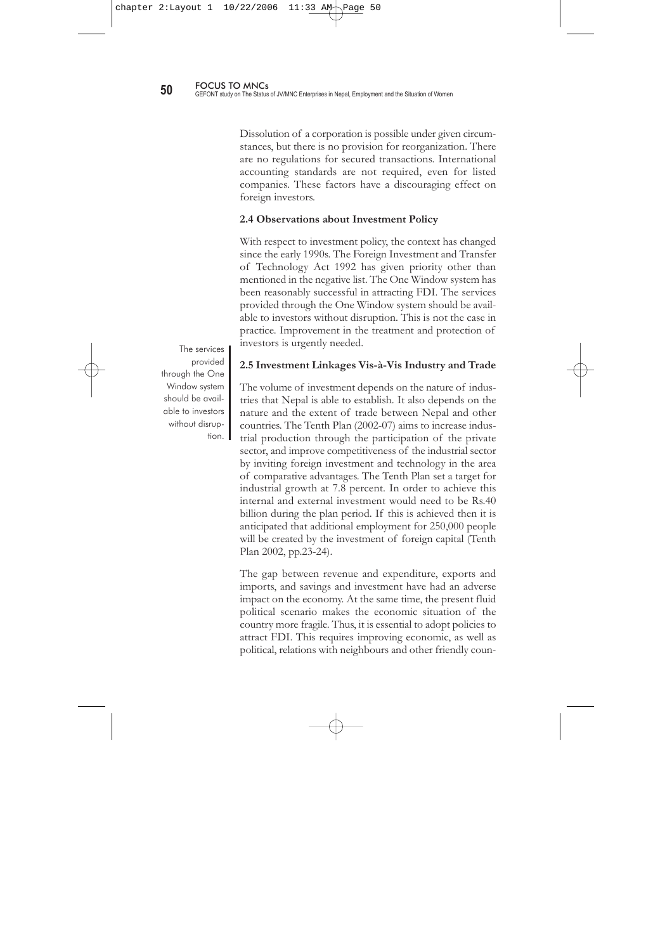skills. Foreign personnel intending to work in Nepal must obtain a work permit and visa from the Government to reside in Nepal. The work permit procedure is administratively comprehensive and cumbersome. Non-Nepali citizens may only be employed if the Department of Labour is satisfied that there is no appropriate Nepali citizen available to perform the particular work. This must be renewed annually. A renewable five-year business visa is available for approved foreign investors, which includes nominated representatives, owner-managers and their dependants. In addition, the Government can offer permanent resident visas to foreigners investing over US\$100,000.

To make it easier for FDI investors, holders of business visas should not be required to obtain a separate work permit. Also the duration of non-tourist visas and work permits should be harmonized to eliminate cumbersome administrative procedures for FDI investors. Fees for nontourist visas and business visas should be the same and all FDI related persons should be given a business visa. FDI is a package of foreign capital and skills. This needs to be recognized in the Government's approach to visas and other requirements. For example, a non-tourist visa costs US\$60 per month for the first year and US\$100 per month for subsequent years; whereas a business visas cost only US\$100 annually. The work and residence rules make an excessively sharp distinction between foreign investment (the flexible business visa system) and foreign employment (the expensive and restrictive non-tourist visa and work permit system).

### **2.3 Implementation of Corporate and Commercial Laws**

At present, there are 75 District Courts, 14 Appellate Courts and one Supreme Court in Nepal. The Supreme Court is the highest court in Nepal. The process of case settlement can take a long time; sometimes four or five years at one level of court. There are three different levels of courts and one can guess the time period for arriving at a final verdict. This is not compatible with the changing pace of world and international standards.

The work and residence rules make an excessively sharp distinction between foreign investment (the flexible business visa system) and foreign employment (the expensive and restrictive nontourist visa and work permit system).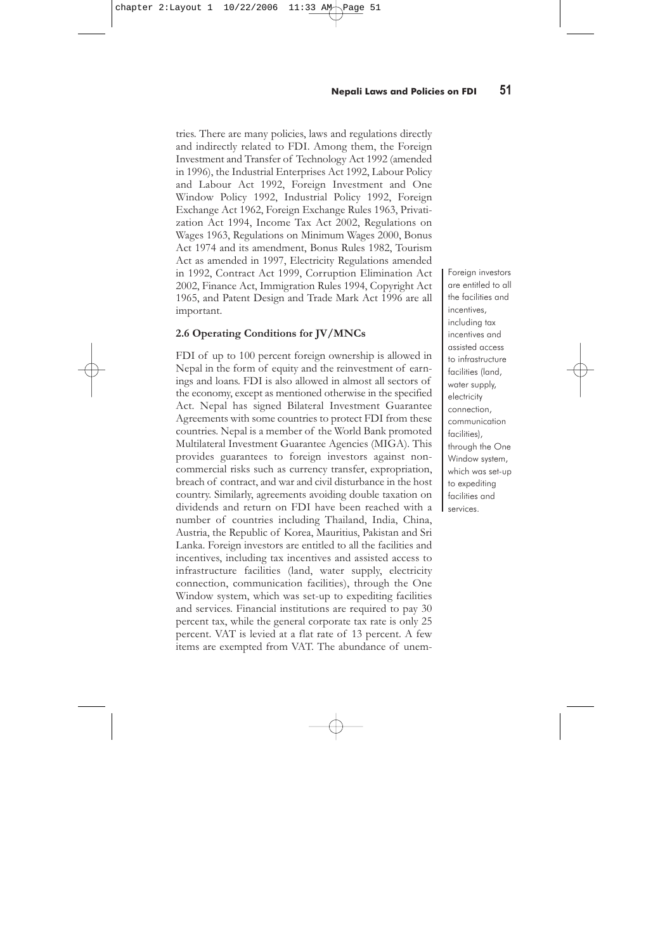Dissolution of a corporation is possible under given circumstances, but there is no provision for reorganization. There are no regulations for secured transactions. International accounting standards are not required, even for listed companies. These factors have a discouraging effect on foreign investors.

#### **2.4 Observations about Investment Policy**

With respect to investment policy, the context has changed since the early 1990s. The Foreign Investment and Transfer of Technology Act 1992 has given priority other than mentioned in the negative list. The One Window system has been reasonably successful in attracting FDI. The services provided through the One Window system should be available to investors without disruption. This is not the case in practice. Improvement in the treatment and protection of investors is urgently needed.

**2.5 Investment Linkages Vis-à-Vis Industry and Trade**

The volume of investment depends on the nature of industries that Nepal is able to establish. It also depends on the nature and the extent of trade between Nepal and other countries. The Tenth Plan (2002-07) aims to increase industrial production through the participation of the private sector, and improve competitiveness of the industrial sector by inviting foreign investment and technology in the area of comparative advantages. The Tenth Plan set a target for industrial growth at 7.8 percent. In order to achieve this internal and external investment would need to be Rs.40 billion during the plan period. If this is achieved then it is anticipated that additional employment for 250,000 people will be created by the investment of foreign capital (Tenth Plan 2002, pp.23-24).

The gap between revenue and expenditure, exports and imports, and savings and investment have had an adverse impact on the economy. At the same time, the present fluid political scenario makes the economic situation of the country more fragile. Thus, it is essential to adopt policies to attract FDI. This requires improving economic, as well as political, relations with neighbours and other friendly coun-

The services provided through the One Window system should be available to investors without disruption.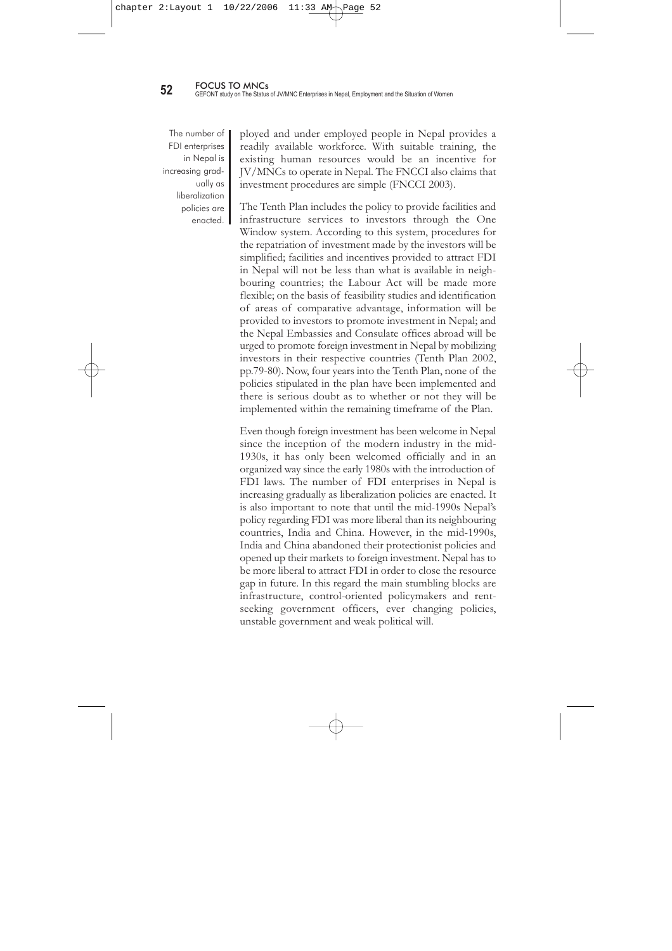tries. There are many policies, laws and regulations directly and indirectly related to FDI. Among them, the Foreign Investment and Transfer of Technology Act 1992 (amended in 1996), the Industrial Enterprises Act 1992, Labour Policy and Labour Act 1992, Foreign Investment and One Window Policy 1992, Industrial Policy 1992, Foreign Exchange Act 1962, Foreign Exchange Rules 1963, Privatization Act 1994, Income Tax Act 2002, Regulations on Wages 1963, Regulations on Minimum Wages 2000, Bonus Act 1974 and its amendment, Bonus Rules 1982, Tourism Act as amended in 1997, Electricity Regulations amended in 1992, Contract Act 1999, Corruption Elimination Act 2002, Finance Act, Immigration Rules 1994, Copyright Act 1965, and Patent Design and Trade Mark Act 1996 are all important.

#### **2.6 Operating Conditions for JV/MNCs**

FDI of up to 100 percent foreign ownership is allowed in Nepal in the form of equity and the reinvestment of earnings and loans. FDI is also allowed in almost all sectors of the economy, except as mentioned otherwise in the specified Act. Nepal has signed Bilateral Investment Guarantee Agreements with some countries to protect FDI from these countries. Nepal is a member of the World Bank promoted Multilateral Investment Guarantee Agencies (MIGA). This provides guarantees to foreign investors against noncommercial risks such as currency transfer, expropriation, breach of contract, and war and civil disturbance in the host country. Similarly, agreements avoiding double taxation on dividends and return on FDI have been reached with a number of countries including Thailand, India, China, Austria, the Republic of Korea, Mauritius, Pakistan and Sri Lanka. Foreign investors are entitled to all the facilities and incentives, including tax incentives and assisted access to infrastructure facilities (land, water supply, electricity connection, communication facilities), through the One Window system, which was set-up to expediting facilities and services. Financial institutions are required to pay 30 percent tax, while the general corporate tax rate is only 25 percent. VAT is levied at a flat rate of 13 percent. A few items are exempted from VAT. The abundance of unem-

Foreign investors are entitled to all the facilities and incentives, including tax incentives and assisted access to infrastructure facilities (land, water supply, electricity connection, communication facilities), through the One Window system, which was set-up to expediting facilities and services.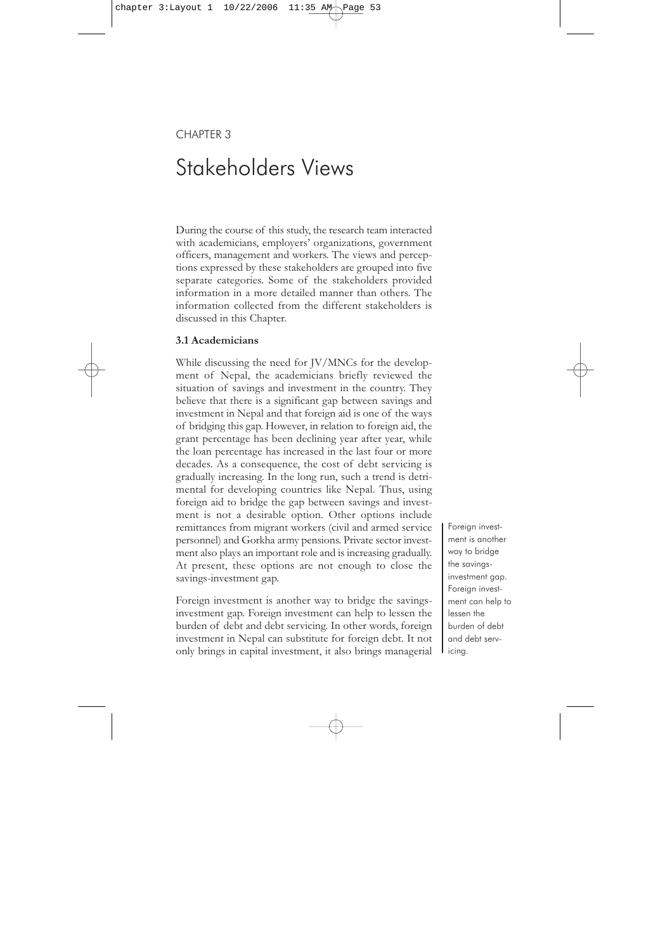The number of FDI enterprises in Nepal is increasing gradually as liberalization policies are enacted. **I** 

ployed and under employed people in Nepal provides a readily available workforce. With suitable training, the existing human resources would be an incentive for JV/MNCs to operate in Nepal. The FNCCI also claims that investment procedures are simple (FNCCI 2003).

The Tenth Plan includes the policy to provide facilities and infrastructure services to investors through the One Window system. According to this system, procedures for the repatriation of investment made by the investors will be simplified; facilities and incentives provided to attract FDI in Nepal will not be less than what is available in neighbouring countries; the Labour Act will be made more flexible; on the basis of feasibility studies and identification of areas of comparative advantage, information will be provided to investors to promote investment in Nepal; and the Nepal Embassies and Consulate offices abroad will be urged to promote foreign investment in Nepal by mobilizing investors in their respective countries (Tenth Plan 2002, pp.79-80). Now, four years into the Tenth Plan, none of the policies stipulated in the plan have been implemented and there is serious doubt as to whether or not they will be implemented within the remaining timeframe of the Plan.

Even though foreign investment has been welcome in Nepal since the inception of the modern industry in the mid-1930s, it has only been welcomed officially and in an organized way since the early 1980s with the introduction of FDI laws. The number of FDI enterprises in Nepal is increasing gradually as liberalization policies are enacted. It is also important to note that until the mid-1990s Nepal's policy regarding FDI was more liberal than its neighbouring countries, India and China. However, in the mid-1990s, India and China abandoned their protectionist policies and opened up their markets to foreign investment. Nepal has to be more liberal to attract FDI in order to close the resource gap in future. In this regard the main stumbling blocks are infrastructure, control-oriented policymakers and rentseeking government officers, ever changing policies, unstable government and weak political will.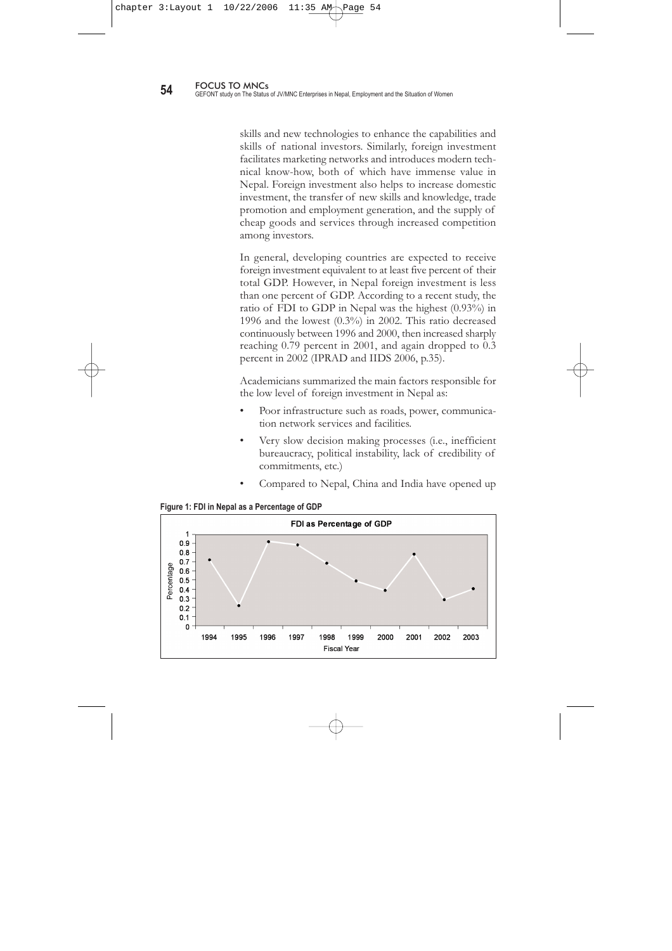# CHAPTER 3 Stakeholders Views

During the course of this study, the research team interacted with academicians, employers' organizations, government officers, management and workers. The views and perceptions expressed by these stakeholders are grouped into five separate categories. Some of the stakeholders provided information in a more detailed manner than others. The information collected from the different stakeholders is discussed in this Chapter.

#### **3.1 Academicians**

While discussing the need for JV/MNCs for the development of Nepal, the academicians briefly reviewed the situation of savings and investment in the country. They believe that there is a significant gap between savings and investment in Nepal and that foreign aid is one of the ways of bridging this gap. However, in relation to foreign aid, the grant percentage has been declining year after year, while the loan percentage has increased in the last four or more decades. As a consequence, the cost of debt servicing is gradually increasing. In the long run, such a trend is detrimental for developing countries like Nepal. Thus, using foreign aid to bridge the gap between savings and investment is not a desirable option. Other options include remittances from migrant workers (civil and armed service personnel) and Gorkha army pensions. Private sector investment also plays an important role and is increasing gradually. At present, these options are not enough to close the savings-investment gap.

Foreign investment is another way to bridge the savingsinvestment gap. Foreign investment can help to lessen the burden of debt and debt servicing. In other words, foreign investment in Nepal can substitute for foreign debt. It not only brings in capital investment, it also brings managerial Foreign investment is another way to bridge the savingsinvestment gap. Foreign investment can help to lessen the burden of debt and debt servicing.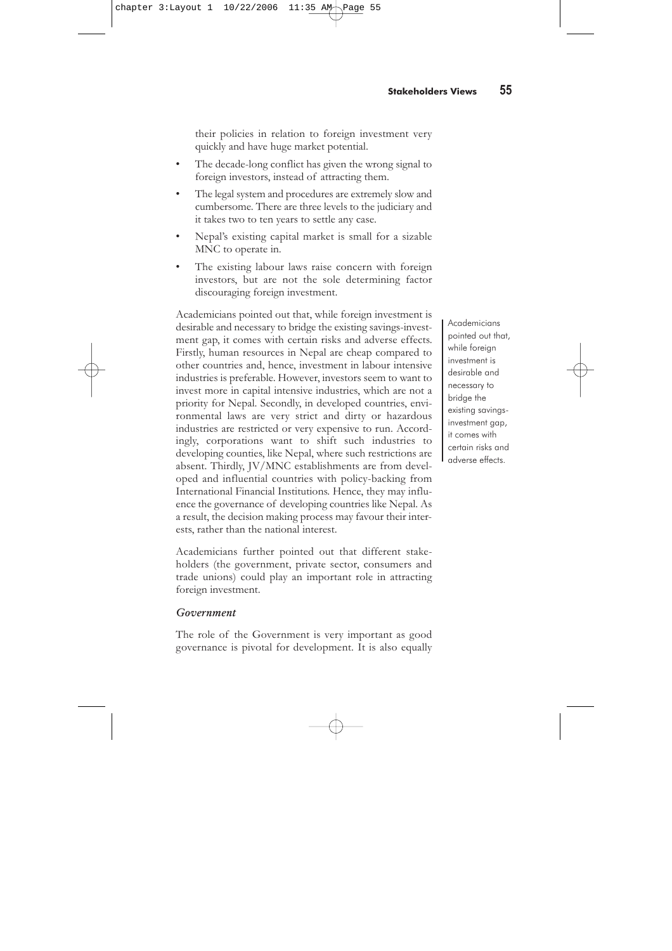skills and new technologies to enhance the capabilities and skills of national investors. Similarly, foreign investment facilitates marketing networks and introduces modern technical know-how, both of which have immense value in Nepal. Foreign investment also helps to increase domestic investment, the transfer of new skills and knowledge, trade promotion and employment generation, and the supply of cheap goods and services through increased competition among investors.

In general, developing countries are expected to receive foreign investment equivalent to at least five percent of their total GDP. However, in Nepal foreign investment is less than one percent of GDP. According to a recent study, the ratio of FDI to GDP in Nepal was the highest (0.93%) in 1996 and the lowest (0.3%) in 2002. This ratio decreased continuously between 1996 and 2000, then increased sharply reaching 0.79 percent in 2001, and again dropped to 0.3 percent in 2002 (IPRAD and IIDS 2006, p.35).

Academicians summarized the main factors responsible for the low level of foreign investment in Nepal as:

- Poor infrastructure such as roads, power, communication network services and facilities.
- Very slow decision making processes (i.e., inefficient bureaucracy, political instability, lack of credibility of commitments, etc.)
- Compared to Nepal, China and India have opened up



**Figure 1: FDI in Nepal as a Percentage of GDP**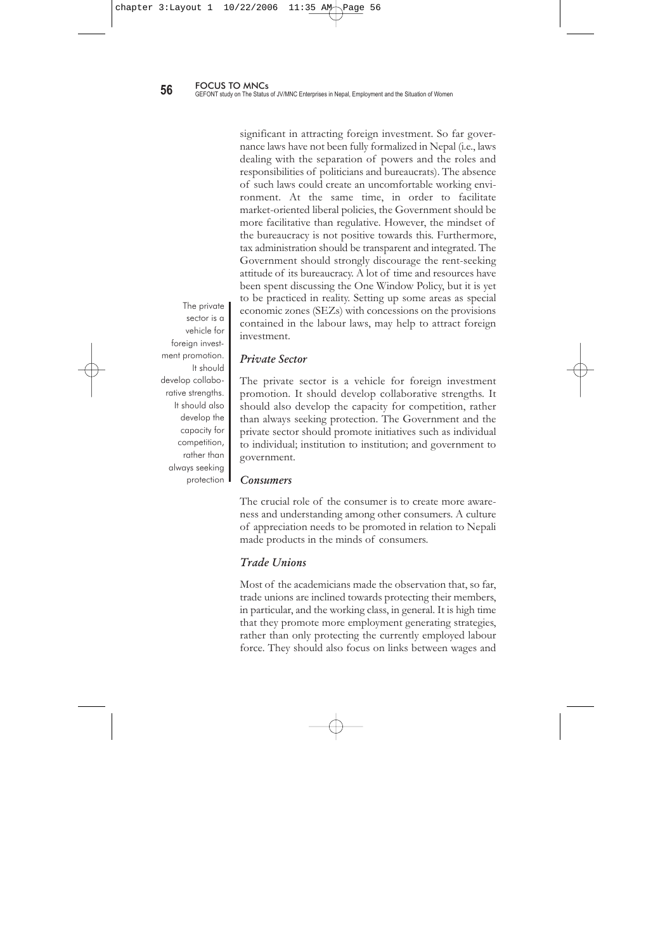their policies in relation to foreign investment very quickly and have huge market potential.

- The decade-long conflict has given the wrong signal to foreign investors, instead of attracting them.
- The legal system and procedures are extremely slow and cumbersome. There are three levels to the judiciary and it takes two to ten years to settle any case.
- Nepal's existing capital market is small for a sizable MNC to operate in.
- The existing labour laws raise concern with foreign investors, but are not the sole determining factor discouraging foreign investment.

Academicians pointed out that, while foreign investment is desirable and necessary to bridge the existing savings-investment gap, it comes with certain risks and adverse effects. Firstly, human resources in Nepal are cheap compared to other countries and, hence, investment in labour intensive industries is preferable. However, investors seem to want to invest more in capital intensive industries, which are not a priority for Nepal. Secondly, in developed countries, environmental laws are very strict and dirty or hazardous industries are restricted or very expensive to run. Accordingly, corporations want to shift such industries to developing counties, like Nepal, where such restrictions are absent. Thirdly, JV/MNC establishments are from developed and influential countries with policy-backing from International Financial Institutions. Hence, they may influence the governance of developing countries like Nepal. As a result, the decision making process may favour their interests, rather than the national interest.

Academicians further pointed out that different stakeholders (the government, private sector, consumers and trade unions) could play an important role in attracting foreign investment.

# **Government**

The role of the Government is very important as good governance is pivotal for development. It is also equally Academicians pointed out that, while foreign investment is desirable and necessary to bridge the existing savingsinvestment gap, it comes with certain risks and adverse effects.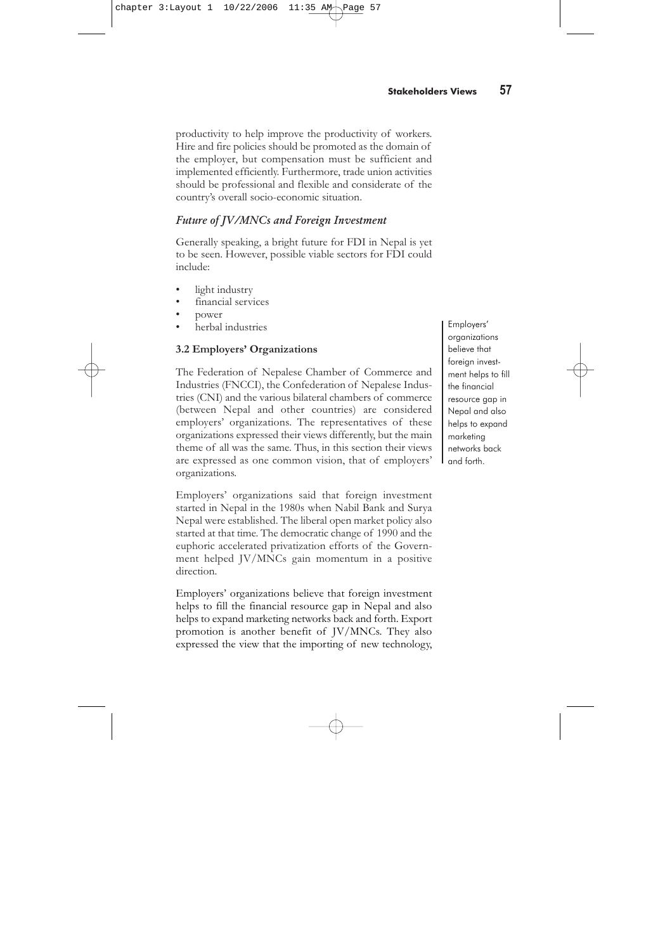significant in attracting foreign investment. So far governance laws have not been fully formalized in Nepal (i.e., laws dealing with the separation of powers and the roles and responsibilities of politicians and bureaucrats). The absence of such laws could create an uncomfortable working environment. At the same time, in order to facilitate market-oriented liberal policies, the Government should be more facilitative than regulative. However, the mindset of the bureaucracy is not positive towards this. Furthermore, tax administration should be transparent and integrated. The Government should strongly discourage the rent-seeking attitude of its bureaucracy. A lot of time and resources have been spent discussing the One Window Policy, but it is yet to be practiced in reality. Setting up some areas as special economic zones (SEZs) with concessions on the provisions contained in the labour laws, may help to attract foreign investment.

The private sector is a vehicle for foreign investment promotion. It should develop collaborative strenaths. It should also develop the capacity for competition, rather than always seeking protection

# Private Sector

The private sector is a vehicle for foreign investment promotion. It should develop collaborative strengths. It should also develop the capacity for competition, rather than always seeking protection. The Government and the private sector should promote initiatives such as individual to individual; institution to institution; and government to government.

#### **Consumers**

The crucial role of the consumer is to create more awareness and understanding among other consumers. A culture of appreciation needs to be promoted in relation to Nepali made products in the minds of consumers.

#### Trade Unions

Most of the academicians made the observation that, so far, trade unions are inclined towards protecting their members, in particular, and the working class, in general. It is high time that they promote more employment generating strategies, rather than only protecting the currently employed labour force. They should also focus on links between wages and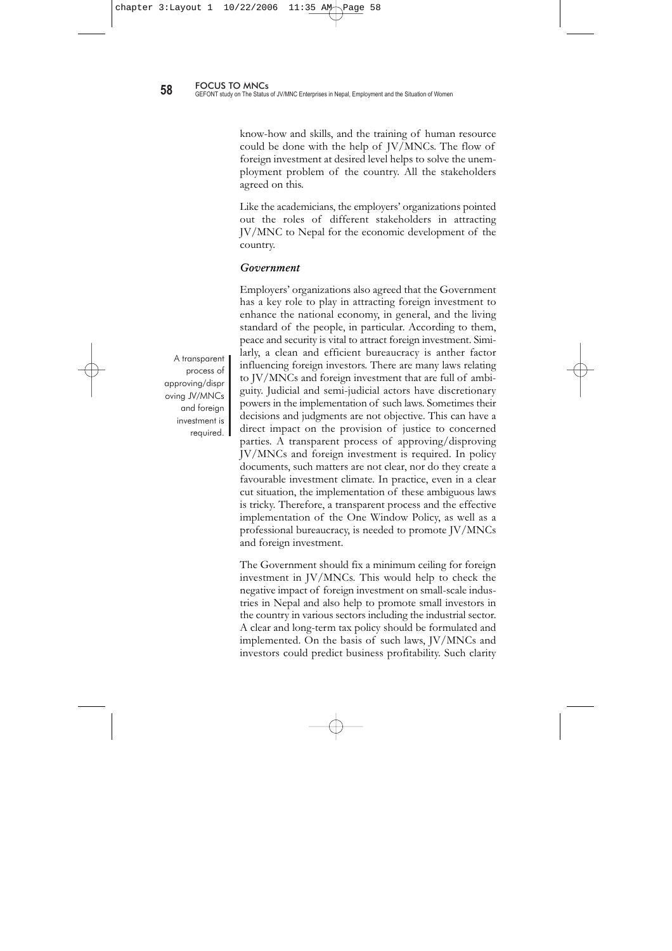productivity to help improve the productivity of workers. Hire and fire policies should be promoted as the domain of the employer, but compensation must be sufficient and implemented efficiently. Furthermore, trade union activities should be professional and flexible and considerate of the country's overall socio-economic situation.

# Future of JV/MNCs and Foreign Investment

Generally speaking, a bright future for FDI in Nepal is yet to be seen. However, possible viable sectors for FDI could include:

- light industry
- financial services
- power
- herbal industries

# **3.2 Employers' Organizations**

The Federation of Nepalese Chamber of Commerce and Industries (FNCCI), the Confederation of Nepalese Industries (CNI) and the various bilateral chambers of commerce (between Nepal and other countries) are considered employers' organizations. The representatives of these organizations expressed their views differently, but the main theme of all was the same. Thus, in this section their views are expressed as one common vision, that of employers' organizations.

Employers' organizations said that foreign investment started in Nepal in the 1980s when Nabil Bank and Surya Nepal were established. The liberal open market policy also started at that time. The democratic change of 1990 and the euphoric accelerated privatization efforts of the Government helped JV/MNCs gain momentum in a positive direction.

Employers' organizations believe that foreign investment helps to fill the financial resource gap in Nepal and also helps to expand marketing networks back and forth. Export promotion is another benefit of JV/MNCs. They also expressed the view that the importing of new technology,

Employers' organizations believe that foreign investment helps to fill the financial resource gap in Nepal and also helps to expand marketing networks back and forth.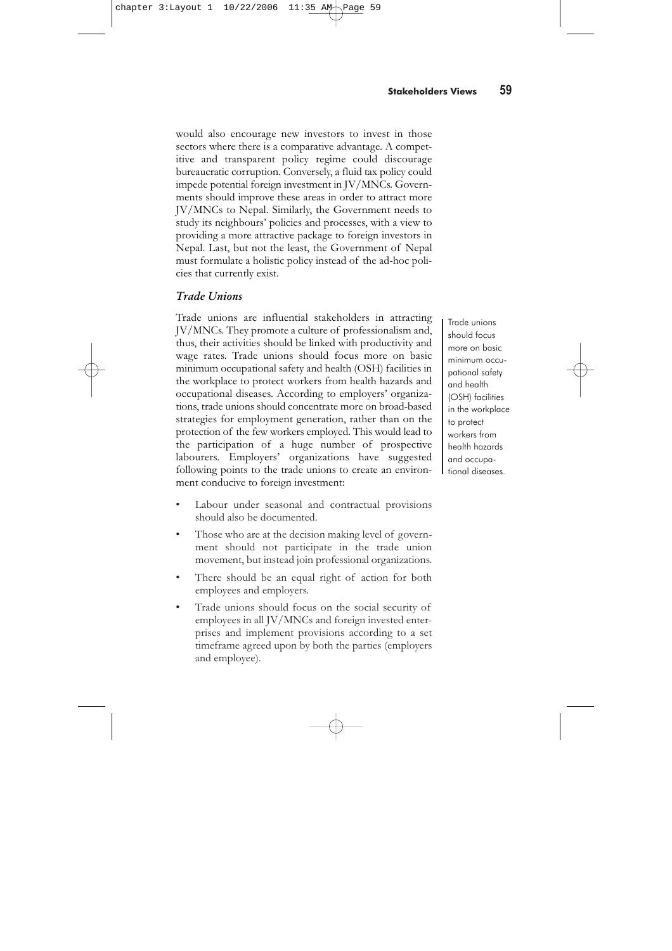know-how and skills, and the training of human resource could be done with the help of JV/MNCs. The flow of foreign investment at desired level helps to solve the unemployment problem of the country. All the stakeholders agreed on this.

Like the academicians, the employers' organizations pointed out the roles of different stakeholders in attracting JV/MNC to Nepal for the economic development of the country.

#### Government

Employers' organizations also agreed that the Government has a key role to play in attracting foreign investment to enhance the national economy, in general, and the living standard of the people, in particular. According to them, peace and security is vital to attract foreign investment. Similarly, a clean and efficient bureaucracy is anther factor influencing foreign investors. There are many laws relating to JV/MNCs and foreign investment that are full of ambiguity. Judicial and semi-judicial actors have discretionary powers in the implementation of such laws. Sometimes their decisions and judgments are not objective. This can have a direct impact on the provision of justice to concerned parties. A transparent process of approving/disproving JV/MNCs and foreign investment is required. In policy documents, such matters are not clear, nor do they create a favourable investment climate. In practice, even in a clear cut situation, the implementation of these ambiguous laws is tricky. Therefore, a transparent process and the effective implementation of the One Window Policy, as well as a professional bureaucracy, is needed to promote JV/MNCs and foreign investment.

The Government should fix a minimum ceiling for foreign investment in JV/MNCs. This would help to check the negative impact of foreign investment on small-scale industries in Nepal and also help to promote small investors in the country in various sectors including the industrial sector. A clear and long-term tax policy should be formulated and implemented. On the basis of such laws, JV/MNCs and investors could predict business profitability. Such clarity

A transparent process of approving/dispr oving JV/MNCs and foreign investment is required.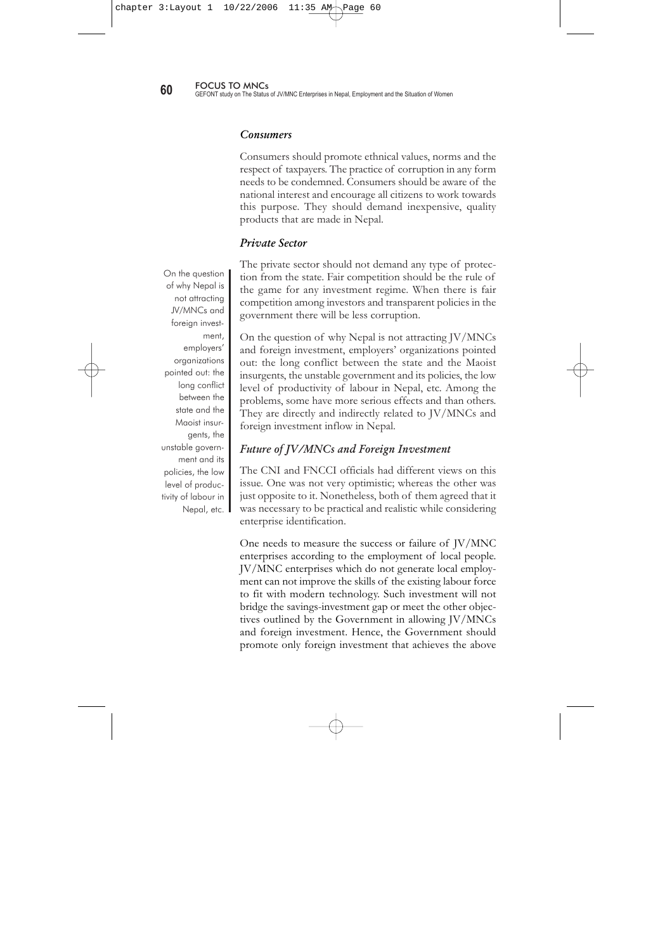would also encourage new investors to invest in those sectors where there is a comparative advantage. A competitive and transparent policy regime could discourage bureaucratic corruption. Conversely, a fluid tax policy could impede potential foreign investment in JV/MNCs. Governments should improve these areas in order to attract more JV/MNCs to Nepal. Similarly, the Government needs to study its neighbours' policies and processes, with a view to providing a more attractive package to foreign investors in Nepal. Last, but not the least, the Government of Nepal must formulate a holistic policy instead of the ad-hoc policies that currently exist.

# Trade Unions

Trade unions are influential stakeholders in attracting JV/MNCs. They promote a culture of professionalism and, thus, their activities should be linked with productivity and wage rates. Trade unions should focus more on basic minimum occupational safety and health (OSH) facilities in the workplace to protect workers from health hazards and occupational diseases. According to employers' organizations, trade unions should concentrate more on broad-based strategies for employment generation, rather than on the protection of the few workers employed. This would lead to the participation of a huge number of prospective labourers. Employers' organizations have suggested following points to the trade unions to create an environment conducive to foreign investment:

Trade unions should focus more on basic minimum occupational safety and health (OSH) facilities in the workplace to protect workers from health hazards and occupational diseases.

- Labour under seasonal and contractual provisions should also be documented.
- Those who are at the decision making level of government should not participate in the trade union movement, but instead join professional organizations.
- There should be an equal right of action for both employees and employers.
- Trade unions should focus on the social security of employees in all JV/MNCs and foreign invested enterprises and implement provisions according to a set timeframe agreed upon by both the parties (employers and employee).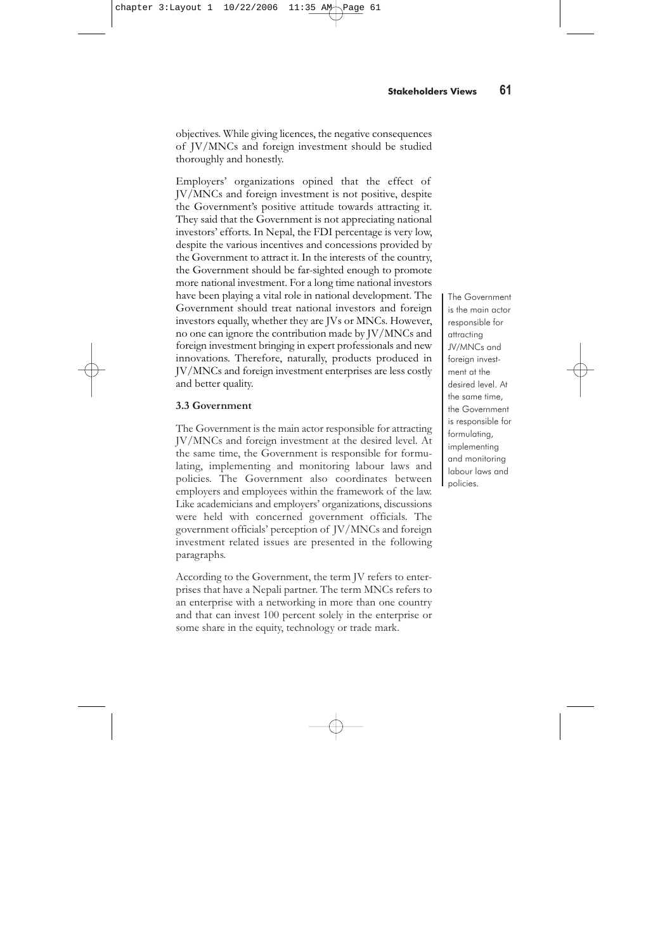**60 60 FOCUS TO MNCs 60 GEFONT** study on The Status of JV/MNC Enterprises in Nepal, Employment and the Situation of Women

#### **Consumers**

Consumers should promote ethnical values, norms and the respect of taxpayers. The practice of corruption in any form needs to be condemned. Consumers should be aware of the national interest and encourage all citizens to work towards this purpose. They should demand inexpensive, quality products that are made in Nepal.

#### Private Sector

The private sector should not demand any type of protection from the state. Fair competition should be the rule of the game for any investment regime. When there is fair competition among investors and transparent policies in the government there will be less corruption.

On the question of why Nepal is not attracting JV/MNCs and foreign investment, employers' organizations pointed out: the long conflict between the state and the Maoist insurgents, the unstable government and its policies, the low level of productivity of labour in Nepal, etc. Among the problems, some have more serious effects and than others. They are directly and indirectly related to JV/MNCs and foreign investment inflow in Nepal.

### Future of JV/MNCs and Foreign Investment

The CNI and FNCCI officials had different views on this issue. One was not very optimistic; whereas the other was just opposite to it. Nonetheless, both of them agreed that it was necessary to be practical and realistic while considering enterprise identification.

One needs to measure the success or failure of JV/MNC enterprises according to the employment of local people. JV/MNC enterprises which do not generate local employment can not improve the skills of the existing labour force to fit with modern technology. Such investment will not bridge the savings-investment gap or meet the other objectives outlined by the Government in allowing JV/MNCs and foreign investment. Hence, the Government should promote only foreign investment that achieves the above

On the question of why Nepal is not attracting JV/MNCs and foreign investment, employers' organizations pointed out: the long conflict between the state and the Maoist insurgents, the unstable government and its policies, the low level of productivity of labour in Nepal, etc.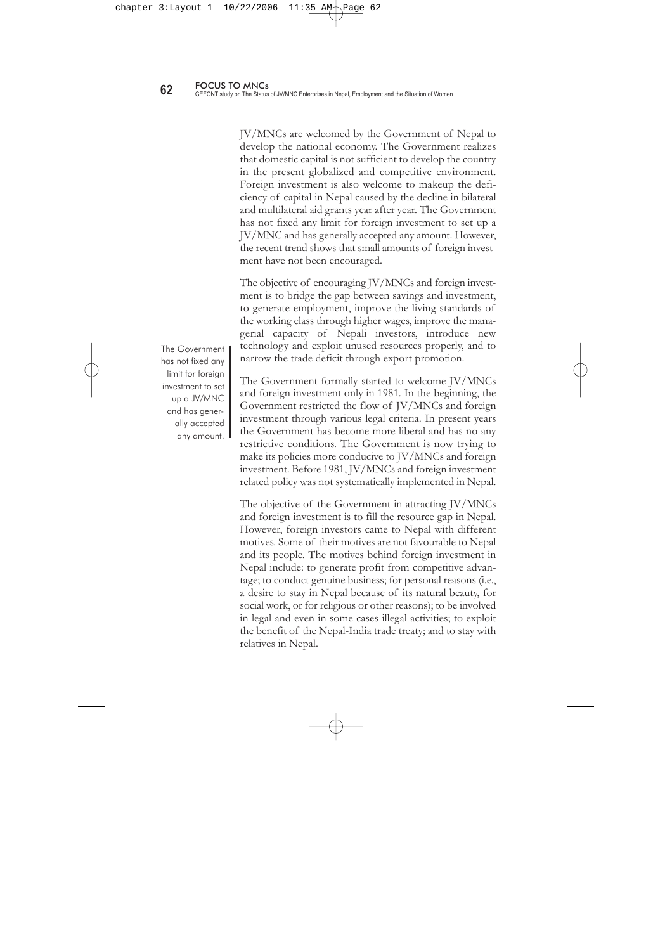objectives. While giving licences, the negative consequences of JV/MNCs and foreign investment should be studied thoroughly and honestly.

Employers' organizations opined that the effect of JV/MNCs and foreign investment is not positive, despite the Government's positive attitude towards attracting it. They said that the Government is not appreciating national investors' efforts. In Nepal, the FDI percentage is very low, despite the various incentives and concessions provided by the Government to attract it. In the interests of the country, the Government should be far-sighted enough to promote more national investment. For a long time national investors have been playing a vital role in national development. The Government should treat national investors and foreign investors equally, whether they are JVs or MNCs. However, no one can ignore the contribution made by JV/MNCs and foreign investment bringing in expert professionals and new innovations. Therefore, naturally, products produced in JV/MNCs and foreign investment enterprises are less costly and better quality.

#### **3.3 Government**

The Government is the main actor responsible for attracting JV/MNCs and foreign investment at the desired level. At the same time, the Government is responsible for formulating, implementing and monitoring labour laws and policies. The Government also coordinates between employers and employees within the framework of the law. Like academicians and employers' organizations, discussions were held with concerned government officials. The government officials' perception of JV/MNCs and foreign investment related issues are presented in the following paragraphs.

According to the Government, the term JV refers to enterprises that have a Nepali partner. The term MNCs refers to an enterprise with a networking in more than one country and that can invest 100 percent solely in the enterprise or some share in the equity, technology or trade mark.

The Government is the main actor responsible for attracting JV/MNCs and foreign investment at the desired level. At the same time, the Government is responsible for formulating, implementing and monitoring labour laws and policies.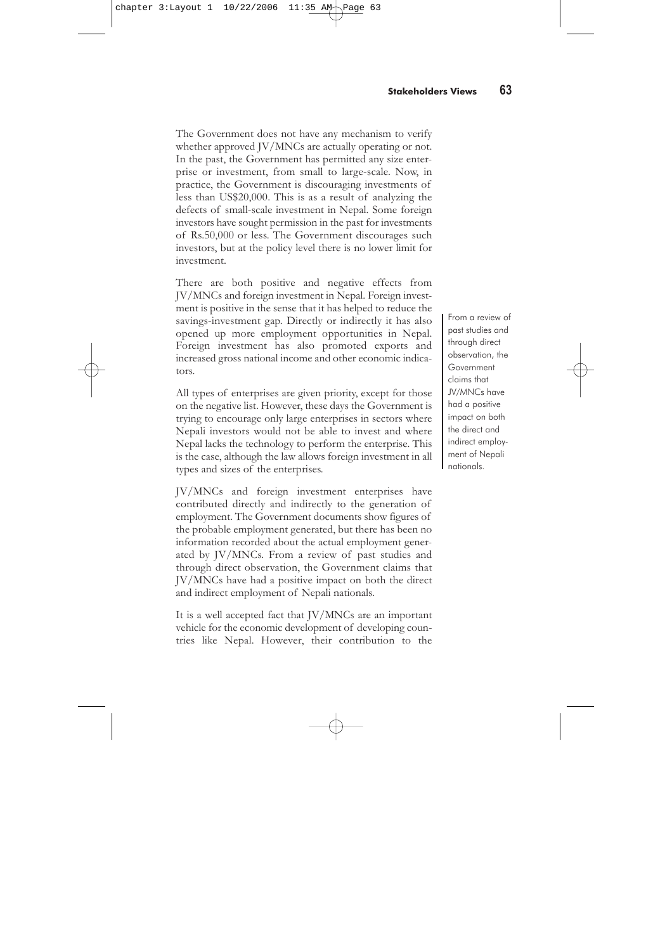JV/MNCs are welcomed by the Government of Nepal to develop the national economy. The Government realizes that domestic capital is not sufficient to develop the country in the present globalized and competitive environment. Foreign investment is also welcome to makeup the deficiency of capital in Nepal caused by the decline in bilateral and multilateral aid grants year after year. The Government has not fixed any limit for foreign investment to set up a JV/MNC and has generally accepted any amount. However, the recent trend shows that small amounts of foreign investment have not been encouraged.

The objective of encouraging JV/MNCs and foreign investment is to bridge the gap between savings and investment, to generate employment, improve the living standards of the working class through higher wages, improve the managerial capacity of Nepali investors, introduce new technology and exploit unused resources properly, and to narrow the trade deficit through export promotion.

The Government formally started to welcome JV/MNCs and foreign investment only in 1981. In the beginning, the Government restricted the flow of JV/MNCs and foreign investment through various legal criteria. In present years the Government has become more liberal and has no any restrictive conditions. The Government is now trying to make its policies more conducive to JV/MNCs and foreign investment. Before 1981, JV/MNCs and foreign investment related policy was not systematically implemented in Nepal.

The objective of the Government in attracting JV/MNCs and foreign investment is to fill the resource gap in Nepal. However, foreign investors came to Nepal with different motives. Some of their motives are not favourable to Nepal and its people. The motives behind foreign investment in Nepal include: to generate profit from competitive advantage; to conduct genuine business; for personal reasons (i.e., a desire to stay in Nepal because of its natural beauty, for social work, or for religious or other reasons); to be involved in legal and even in some cases illegal activities; to exploit the benefit of the Nepal-India trade treaty; and to stay with relatives in Nepal.

The Government has not fixed any limit for foreign investment to set up a JV/MNC and has generally accepted any amount.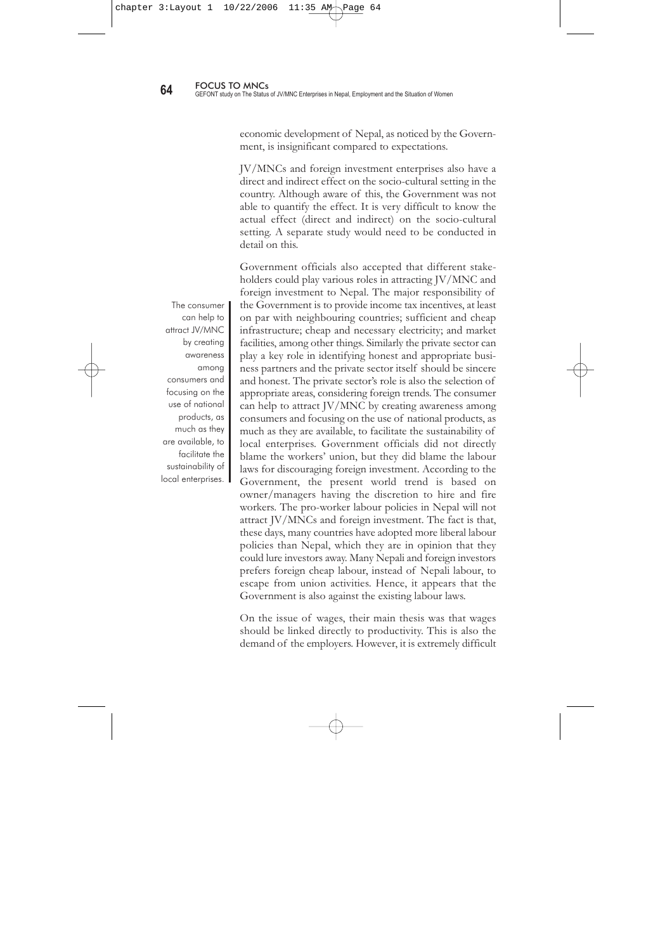The Government does not have any mechanism to verify whether approved JV/MNCs are actually operating or not. In the past, the Government has permitted any size enterprise or investment, from small to large-scale. Now, in practice, the Government is discouraging investments of less than US\$20,000. This is as a result of analyzing the defects of small-scale investment in Nepal. Some foreign investors have sought permission in the past for investments of Rs.50,000 or less. The Government discourages such investors, but at the policy level there is no lower limit for investment.

There are both positive and negative effects from JV/MNCs and foreign investment in Nepal. Foreign investment is positive in the sense that it has helped to reduce the savings-investment gap. Directly or indirectly it has also opened up more employment opportunities in Nepal. Foreign investment has also promoted exports and increased gross national income and other economic indicators.

All types of enterprises are given priority, except for those on the negative list. However, these days the Government is trying to encourage only large enterprises in sectors where Nepali investors would not be able to invest and where Nepal lacks the technology to perform the enterprise. This is the case, although the law allows foreign investment in all types and sizes of the enterprises.

JV/MNCs and foreign investment enterprises have contributed directly and indirectly to the generation of employment. The Government documents show figures of the probable employment generated, but there has been no information recorded about the actual employment generated by JV/MNCs. From a review of past studies and through direct observation, the Government claims that JV/MNCs have had a positive impact on both the direct and indirect employment of Nepali nationals.

It is a well accepted fact that JV/MNCs are an important vehicle for the economic development of developing countries like Nepal. However, their contribution to the

From a review of past studies and through direct observation, the Government claims that JV/MNCs have had a positive impact on both the direct and indirect employment of Nepali nationals.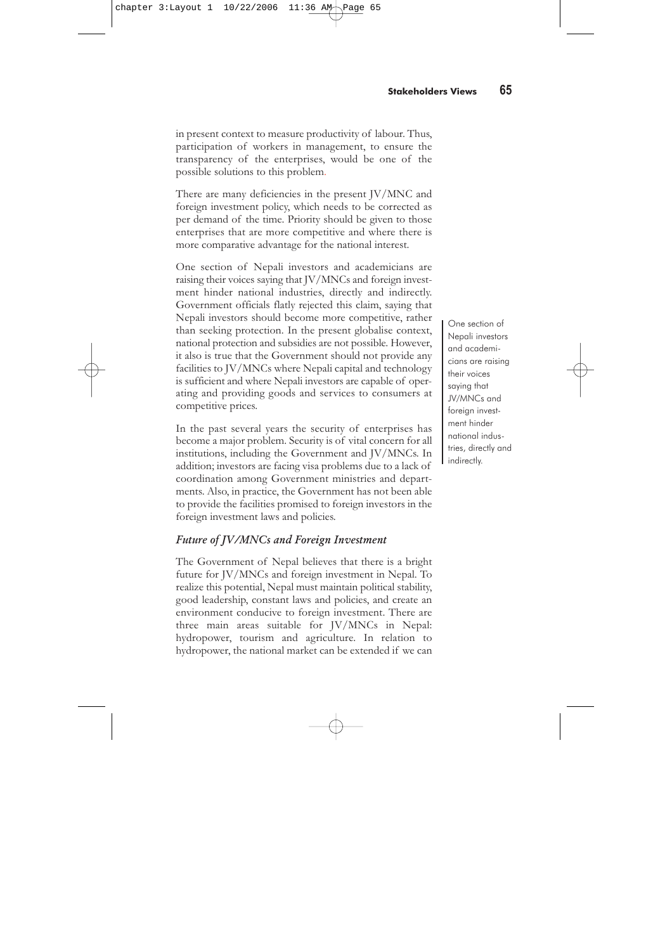economic development of Nepal, as noticed by the Government, is insignificant compared to expectations.

JV/MNCs and foreign investment enterprises also have a direct and indirect effect on the socio-cultural setting in the country. Although aware of this, the Government was not able to quantify the effect. It is very difficult to know the actual effect (direct and indirect) on the socio-cultural setting. A separate study would need to be conducted in detail on this.

Government officials also accepted that different stakeholders could play various roles in attracting JV/MNC and foreign investment to Nepal. The major responsibility of the Government is to provide income tax incentives, at least on par with neighbouring countries; sufficient and cheap infrastructure; cheap and necessary electricity; and market facilities, among other things. Similarly the private sector can play a key role in identifying honest and appropriate business partners and the private sector itself should be sincere and honest. The private sector's role is also the selection of appropriate areas, considering foreign trends. The consumer can help to attract JV/MNC by creating awareness among consumers and focusing on the use of national products, as much as they are available, to facilitate the sustainability of local enterprises. Government officials did not directly blame the workers' union, but they did blame the labour laws for discouraging foreign investment. According to the Government, the present world trend is based on owner/managers having the discretion to hire and fire workers. The pro-worker labour policies in Nepal will not attract JV/MNCs and foreign investment. The fact is that, these days, many countries have adopted more liberal labour policies than Nepal, which they are in opinion that they could lure investors away. Many Nepali and foreign investors prefers foreign cheap labour, instead of Nepali labour, to escape from union activities. Hence, it appears that the Government is also against the existing labour laws.

On the issue of wages, their main thesis was that wages should be linked directly to productivity. This is also the demand of the employers. However, it is extremely difficult

The consumer can help to attract JV/MNC by creating awareness among consumers and focusing on the use of national products, as much as they are available, to facilitate the sustainability of local enterprises.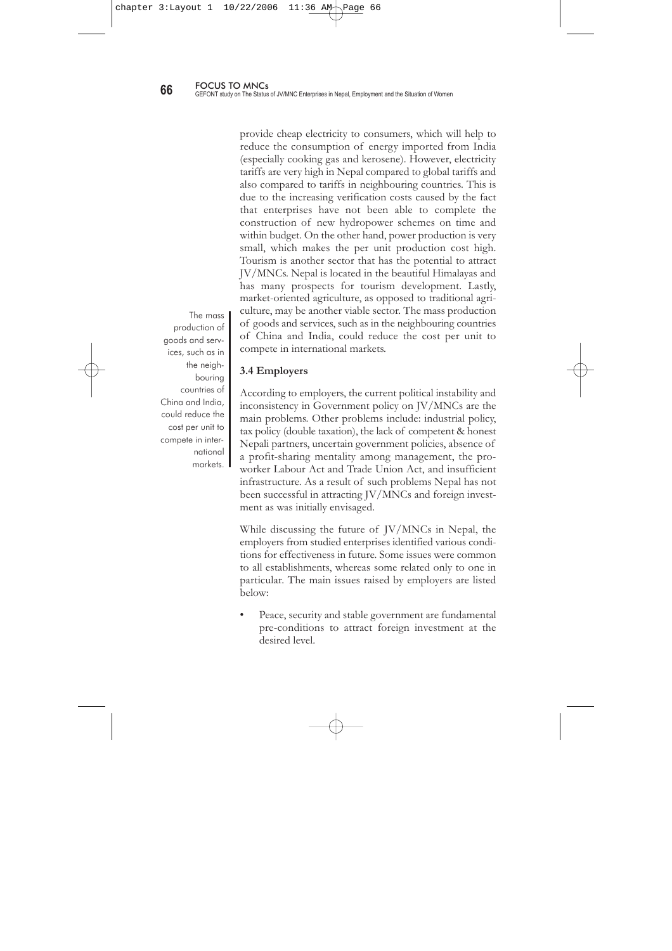in present context to measure productivity of labour. Thus, participation of workers in management, to ensure the transparency of the enterprises, would be one of the possible solutions to this problem.

There are many deficiencies in the present JV/MNC and foreign investment policy, which needs to be corrected as per demand of the time. Priority should be given to those enterprises that are more competitive and where there is more comparative advantage for the national interest.

One section of Nepali investors and academicians are raising their voices saying that JV/MNCs and foreign investment hinder national industries, directly and indirectly. Government officials flatly rejected this claim, saying that Nepali investors should become more competitive, rather than seeking protection. In the present globalise context, national protection and subsidies are not possible. However, it also is true that the Government should not provide any facilities to JV/MNCs where Nepali capital and technology is sufficient and where Nepali investors are capable of operating and providing goods and services to consumers at competitive prices.

In the past several years the security of enterprises has become a major problem. Security is of vital concern for all institutions, including the Government and JV/MNCs. In addition; investors are facing visa problems due to a lack of coordination among Government ministries and departments. Also, in practice, the Government has not been able to provide the facilities promised to foreign investors in the foreign investment laws and policies.

# Future of JV/MNCs and Foreign Investment

The Government of Nepal believes that there is a bright future for JV/MNCs and foreign investment in Nepal. To realize this potential, Nepal must maintain political stability, good leadership, constant laws and policies, and create an environment conducive to foreign investment. There are three main areas suitable for JV/MNCs in Nepal: hydropower, tourism and agriculture. In relation to hydropower, the national market can be extended if we can

One section of Nepali investors and academicians are raising their voices saying that JV/MNCs and foreian investment hinder national industries, directly and indirectly.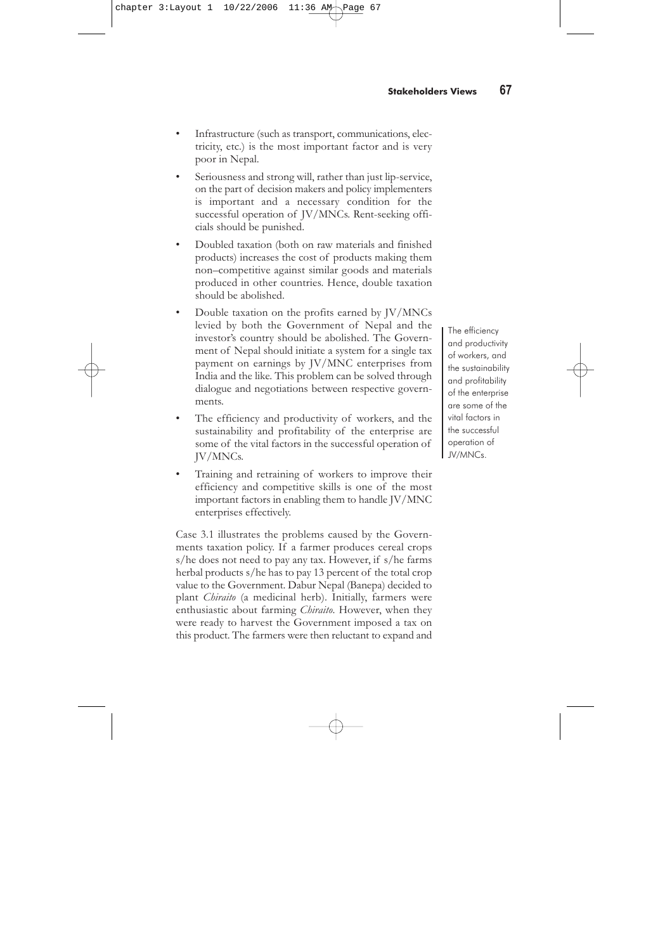provide cheap electricity to consumers, which will help to reduce the consumption of energy imported from India (especially cooking gas and kerosene). However, electricity tariffs are very high in Nepal compared to global tariffs and also compared to tariffs in neighbouring countries. This is due to the increasing verification costs caused by the fact that enterprises have not been able to complete the construction of new hydropower schemes on time and within budget. On the other hand, power production is very small, which makes the per unit production cost high. Tourism is another sector that has the potential to attract JV/MNCs. Nepal is located in the beautiful Himalayas and has many prospects for tourism development. Lastly, market-oriented agriculture, as opposed to traditional agriculture, may be another viable sector. The mass production of goods and services, such as in the neighbouring countries of China and India, could reduce the cost per unit to compete in international markets.

# **3.4 Employers**

According to employers, the current political instability and inconsistency in Government policy on JV/MNCs are the main problems. Other problems include: industrial policy, tax policy (double taxation), the lack of competent & honest Nepali partners, uncertain government policies, absence of a profit-sharing mentality among management, the proworker Labour Act and Trade Union Act, and insufficient infrastructure. As a result of such problems Nepal has not been successful in attracting JV/MNCs and foreign investment as was initially envisaged.

While discussing the future of JV/MNCs in Nepal, the employers from studied enterprises identified various conditions for effectiveness in future. Some issues were common to all establishments, whereas some related only to one in particular. The main issues raised by employers are listed below:

Peace, security and stable government are fundamental pre-conditions to attract foreign investment at the desired level.

The mass production of goods and services, such as in the neighbouring countries of China and India, could reduce the cost per unit to compete in international markets.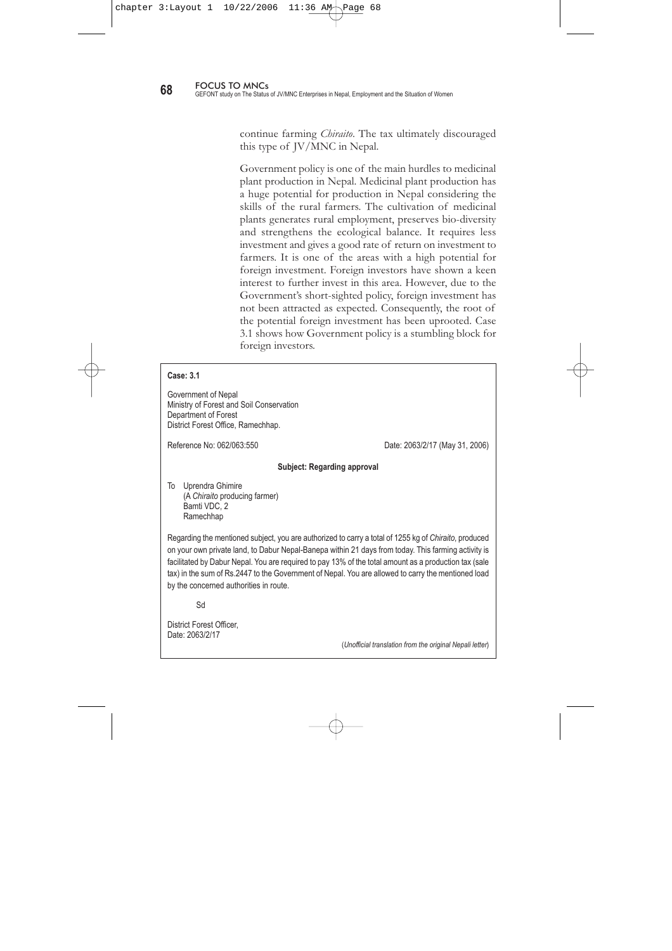- Infrastructure (such as transport, communications, electricity, etc.) is the most important factor and is very poor in Nepal.
- Seriousness and strong will, rather than just lip-service, on the part of decision makers and policy implementers is important and a necessary condition for the successful operation of JV/MNCs. Rent-seeking officials should be punished.
- Doubled taxation (both on raw materials and finished products) increases the cost of products making them non–competitive against similar goods and materials produced in other countries. Hence, double taxation should be abolished.
- Double taxation on the profits earned by JV/MNCs levied by both the Government of Nepal and the investor's country should be abolished. The Government of Nepal should initiate a system for a single tax payment on earnings by JV/MNC enterprises from India and the like. This problem can be solved through dialogue and negotiations between respective governments.
- The efficiency and productivity of workers, and the sustainability and profitability of the enterprise are some of the vital factors in the successful operation of JV/MNCs.
- Training and retraining of workers to improve their efficiency and competitive skills is one of the most important factors in enabling them to handle JV/MNC enterprises effectively.

Case 3.1 illustrates the problems caused by the Governments taxation policy. If a farmer produces cereal crops s/he does not need to pay any tax. However, if s/he farms herbal products s/he has to pay 13 percent of the total crop value to the Government. Dabur Nepal (Banepa) decided to plant *Chiraito* (a medicinal herb). Initially, farmers were enthusiastic about farming *Chiraito*. However, when they were ready to harvest the Government imposed a tax on this product. The farmers were then reluctant to expand and

The efficiency and productivity of workers, and the sustainability and profitability of the enterprise are some of the vital factors in the successful operation of JV/MNCs.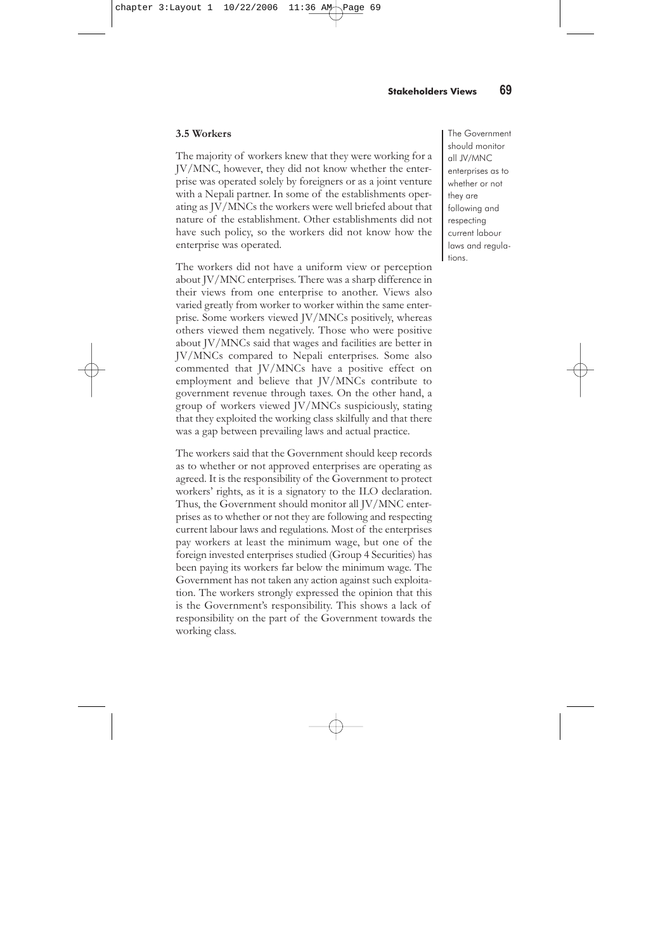continue farming *Chiraito*. The tax ultimately discouraged this type of JV/MNC in Nepal.

Government policy is one of the main hurdles to medicinal plant production in Nepal. Medicinal plant production has a huge potential for production in Nepal considering the skills of the rural farmers. The cultivation of medicinal plants generates rural employment, preserves bio-diversity and strengthens the ecological balance. It requires less investment and gives a good rate of return on investment to farmers. It is one of the areas with a high potential for foreign investment. Foreign investors have shown a keen interest to further invest in this area. However, due to the Government's short-sighted policy, foreign investment has not been attracted as expected. Consequently, the root of the potential foreign investment has been uprooted. Case 3.1 shows how Government policy is a stumbling block for foreign investors.

### **Case: 3.1**

Government of Nepal Ministry of Forest and Soil Conservation Department of Forest District Forest Office, Ramechhap.

Reference No: 062/063:550 Date: 2063/2/17 (May 31, 2006)

### **Subject: Regarding approval**

To Uprendra Ghimire (A *Chiraito* producing farmer) Bamti VDC, 2 Ramechhap

Regarding the mentioned subject, you are authorized to carry a total of 1255 kg of *Chiraito*, produced on your own private land, to Dabur Nepal-Banepa within 21 days from today. This farming activity is facilitated by Dabur Nepal. You are required to pay 13% of the total amount as a production tax (sale tax) in the sum of Rs.2447 to the Government of Nepal. You are allowed to carry the mentioned load by the concerned authorities in route.

Sd

District Forest Officer, Date: 2063/2/17

(*Unofficial translation from the original Nepali letter*)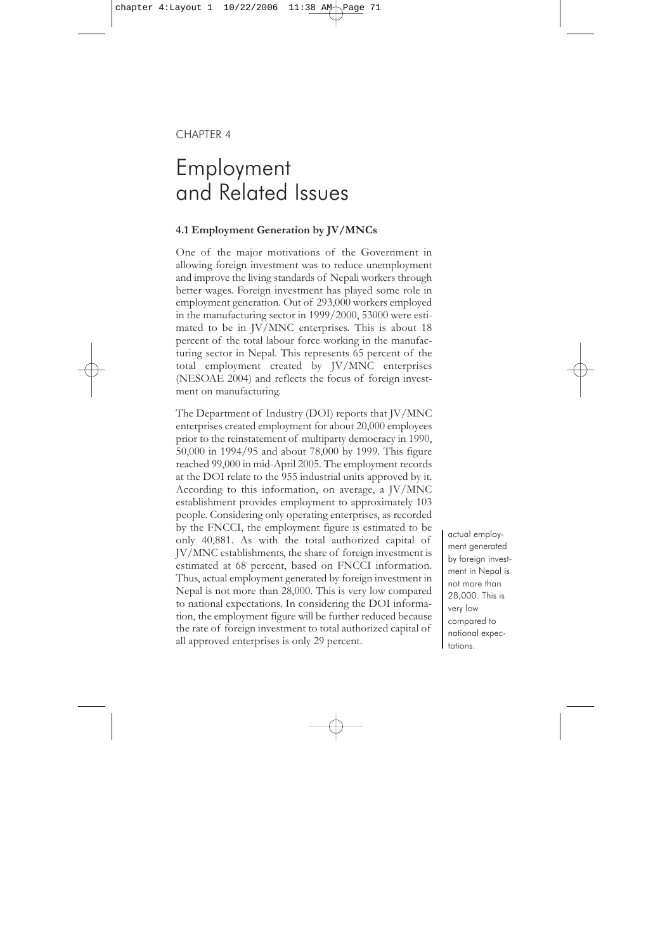### **3.5 Workers**

The majority of workers knew that they were working for a JV/MNC, however, they did not know whether the enterprise was operated solely by foreigners or as a joint venture with a Nepali partner. In some of the establishments operating as JV/MNCs the workers were well briefed about that nature of the establishment. Other establishments did not have such policy, so the workers did not know how the enterprise was operated.

The workers did not have a uniform view or perception about JV/MNC enterprises. There was a sharp difference in their views from one enterprise to another. Views also varied greatly from worker to worker within the same enterprise. Some workers viewed JV/MNCs positively, whereas others viewed them negatively. Those who were positive about JV/MNCs said that wages and facilities are better in JV/MNCs compared to Nepali enterprises. Some also commented that JV/MNCs have a positive effect on employment and believe that JV/MNCs contribute to government revenue through taxes. On the other hand, a group of workers viewed JV/MNCs suspiciously, stating that they exploited the working class skilfully and that there was a gap between prevailing laws and actual practice.

The workers said that the Government should keep records as to whether or not approved enterprises are operating as agreed. It is the responsibility of the Government to protect workers' rights, as it is a signatory to the ILO declaration. Thus, the Government should monitor all JV/MNC enterprises as to whether or not they are following and respecting current labour laws and regulations. Most of the enterprises pay workers at least the minimum wage, but one of the foreign invested enterprises studied (Group 4 Securities) has been paying its workers far below the minimum wage. The Government has not taken any action against such exploitation. The workers strongly expressed the opinion that this is the Government's responsibility. This shows a lack of responsibility on the part of the Government towards the working class.

The Government should monitor all JV/MNC enterprises as to whether or not they are following and respecting current labour laws and regulations.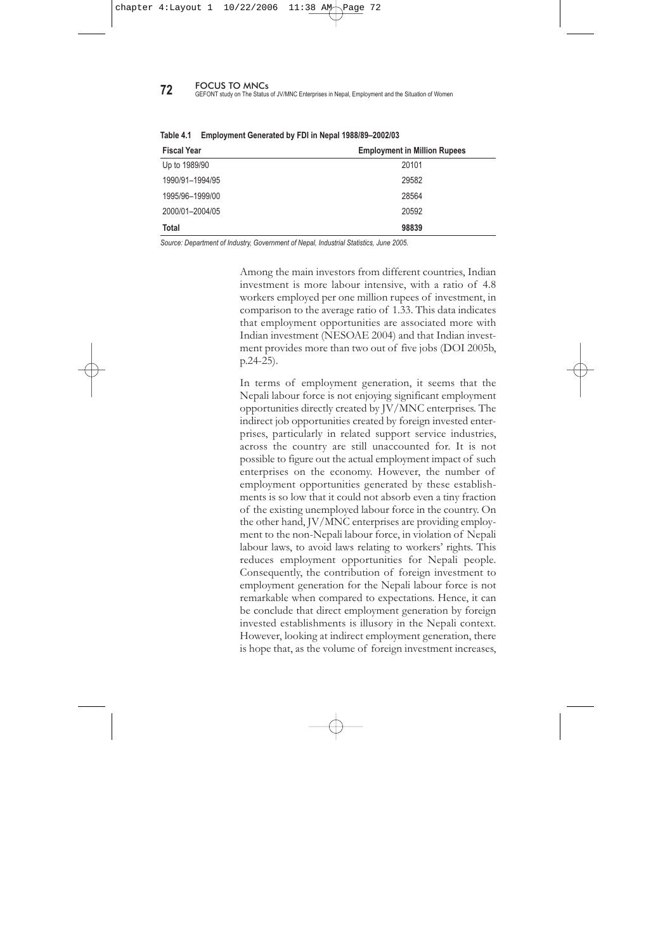# CHAPTER 4

# Employment and Related Issues

# **4.1 Employment Generation by JV/MNCs**

One of the major motivations of the Government in allowing foreign investment was to reduce unemployment and improve the living standards of Nepali workers through better wages. Foreign investment has played some role in employment generation. Out of 293,000 workers employed in the manufacturing sector in 1999/2000, 53000 were estimated to be in JV/MNC enterprises. This is about 18 percent of the total labour force working in the manufacturing sector in Nepal. This represents 65 percent of the total employment created by JV/MNC enterprises (NESOAE 2004) and reflects the focus of foreign investment on manufacturing.

The Department of Industry (DOI) reports that JV/MNC enterprises created employment for about 20,000 employees prior to the reinstatement of multiparty democracy in 1990, 50,000 in 1994/95 and about 78,000 by 1999. This figure reached 99,000 in mid-April 2005. The employment records at the DOI relate to the 955 industrial units approved by it. According to this information, on average, a JV/MNC establishment provides employment to approximately 103 people. Considering only operating enterprises, as recorded by the FNCCI, the employment figure is estimated to be only 40,881. As with the total authorized capital of JV/MNC establishments, the share of foreign investment is estimated at 68 percent, based on FNCCI information. Thus, actual employment generated by foreign investment in Nepal is not more than 28,000. This is very low compared to national expectations. In considering the DOI information, the employment figure will be further reduced because the rate of foreign investment to total authorized capital of all approved enterprises is only 29 percent.

actual employment generated by foreign investment in Nepal is not more than 28,000. This is very low compared to national expectations.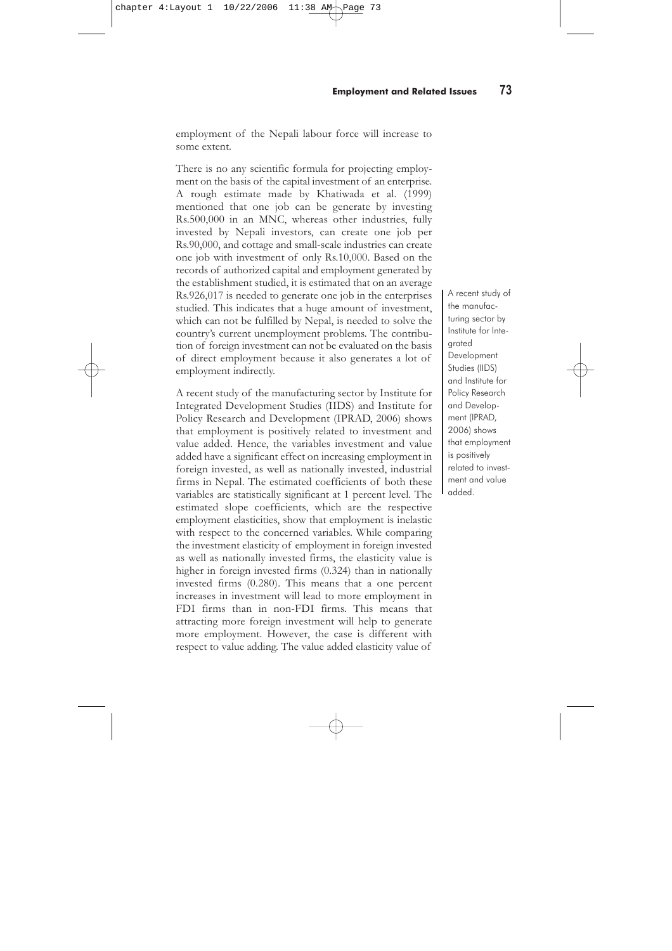**72** FOCUS TO MNCs<br>**72** GEFONT study on The Status of JV/MNC Enterprises in Nepal, Employment and the Situation of Women

| <b>Fiscal Year</b> | <b>Employment in Million Rupees</b> |
|--------------------|-------------------------------------|
| Up to 1989/90      | 20101                               |
| 1990/91-1994/95    | 29582                               |
| 1995/96-1999/00    | 28564                               |
| 2000/01-2004/05    | 20592                               |
| Total              | 98839                               |

**Table 4.1 Employment Generated by FDI in Nepal 1988/89–2002/03**

*Source: Department of Industry, Government of Nepal, Industrial Statistics, June 2005.*

Among the main investors from different countries, Indian investment is more labour intensive, with a ratio of 4.8 workers employed per one million rupees of investment, in comparison to the average ratio of 1.33. This data indicates that employment opportunities are associated more with Indian investment (NESOAE 2004) and that Indian investment provides more than two out of five jobs (DOI 2005b, p.24-25).

In terms of employment generation, it seems that the Nepali labour force is not enjoying significant employment opportunities directly created by JV/MNC enterprises. The indirect job opportunities created by foreign invested enterprises, particularly in related support service industries, across the country are still unaccounted for. It is not possible to figure out the actual employment impact of such enterprises on the economy. However, the number of employment opportunities generated by these establishments is so low that it could not absorb even a tiny fraction of the existing unemployed labour force in the country. On the other hand, JV/MNC enterprises are providing employment to the non-Nepali labour force, in violation of Nepali labour laws, to avoid laws relating to workers' rights. This reduces employment opportunities for Nepali people. Consequently, the contribution of foreign investment to employment generation for the Nepali labour force is not remarkable when compared to expectations. Hence, it can be conclude that direct employment generation by foreign invested establishments is illusory in the Nepali context. However, looking at indirect employment generation, there is hope that, as the volume of foreign investment increases,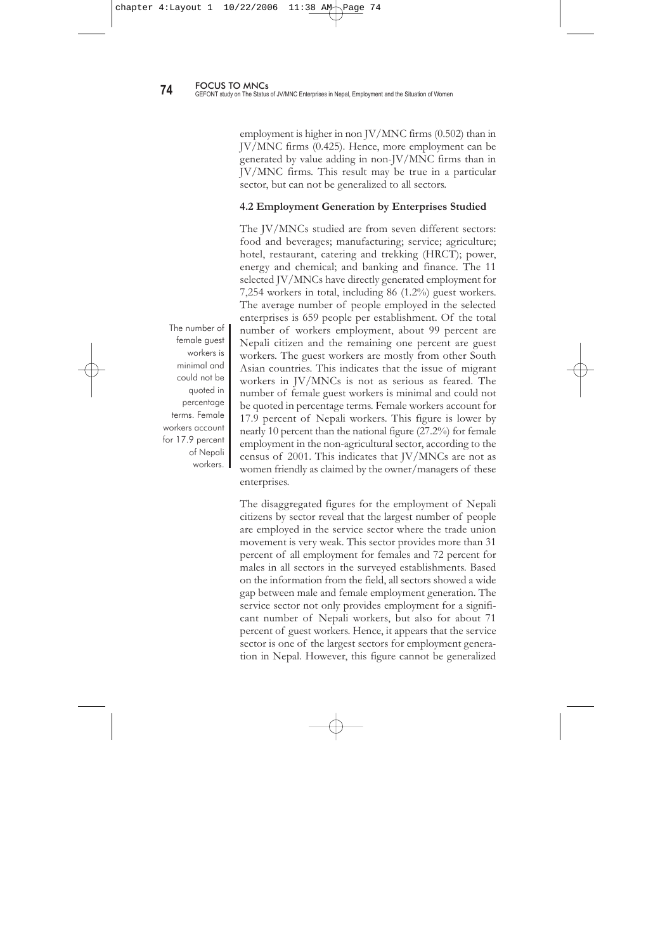employment of the Nepali labour force will increase to some extent.

There is no any scientific formula for projecting employment on the basis of the capital investment of an enterprise. A rough estimate made by Khatiwada et al. (1999) mentioned that one job can be generate by investing Rs.500,000 in an MNC, whereas other industries, fully invested by Nepali investors, can create one job per Rs.90,000, and cottage and small-scale industries can create one job with investment of only Rs.10,000. Based on the records of authorized capital and employment generated by the establishment studied, it is estimated that on an average Rs.926,017 is needed to generate one job in the enterprises studied. This indicates that a huge amount of investment, which can not be fulfilled by Nepal, is needed to solve the country's current unemployment problems. The contribution of foreign investment can not be evaluated on the basis of direct employment because it also generates a lot of employment indirectly.

A recent study of the manufacturing sector by Institute for Integrated Development Studies (IIDS) and Institute for Policy Research and Development (IPRAD, 2006) shows that employment is positively related to investment and value added. Hence, the variables investment and value added have a significant effect on increasing employment in foreign invested, as well as nationally invested, industrial firms in Nepal. The estimated coefficients of both these variables are statistically significant at 1 percent level. The estimated slope coefficients, which are the respective employment elasticities, show that employment is inelastic with respect to the concerned variables. While comparing the investment elasticity of employment in foreign invested as well as nationally invested firms, the elasticity value is higher in foreign invested firms  $(0.324)$  than in nationally invested firms (0.280). This means that a one percent increases in investment will lead to more employment in FDI firms than in non-FDI firms. This means that attracting more foreign investment will help to generate more employment. However, the case is different with respect to value adding. The value added elasticity value of

A recent study of the manufacturing sector by Institute for Integrated **Development** Studies (IIDS) and Institute for Policy Research and Development (IPRAD, 2006) shows that employment is positively related to investment and value added.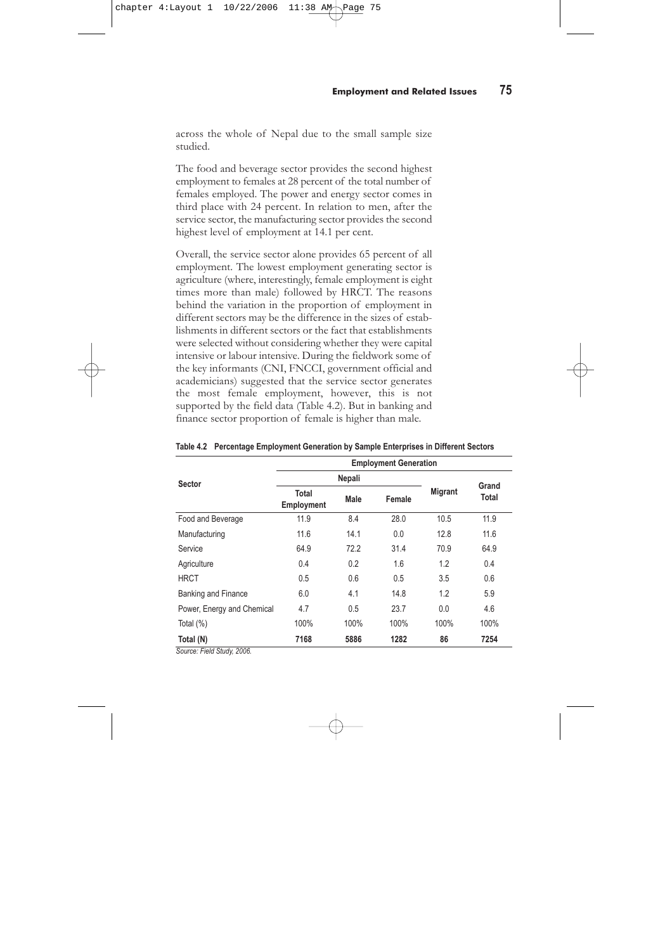employment is higher in non JV/MNC firms (0.502) than in JV/MNC firms (0.425). Hence, more employment can be generated by value adding in non-JV/MNC firms than in JV/MNC firms. This result may be true in a particular sector, but can not be generalized to all sectors.

### **4.2 Employment Generation by Enterprises Studied**

The JV/MNCs studied are from seven different sectors: food and beverages; manufacturing; service; agriculture; hotel, restaurant, catering and trekking (HRCT); power, energy and chemical; and banking and finance. The 11 selected JV/MNCs have directly generated employment for 7,254 workers in total, including 86 (1.2%) guest workers. The average number of people employed in the selected enterprises is 659 people per establishment. Of the total number of workers employment, about 99 percent are Nepali citizen and the remaining one percent are guest workers. The guest workers are mostly from other South Asian countries. This indicates that the issue of migrant workers in JV/MNCs is not as serious as feared. The number of female guest workers is minimal and could not be quoted in percentage terms. Female workers account for 17.9 percent of Nepali workers. This figure is lower by nearly 10 percent than the national figure (27.2%) for female employment in the non-agricultural sector, according to the census of 2001. This indicates that JV/MNCs are not as women friendly as claimed by the owner/managers of these enterprises.

The disaggregated figures for the employment of Nepali citizens by sector reveal that the largest number of people are employed in the service sector where the trade union movement is very weak. This sector provides more than 31 percent of all employment for females and 72 percent for males in all sectors in the surveyed establishments. Based on the information from the field, all sectors showed a wide gap between male and female employment generation. The service sector not only provides employment for a significant number of Nepali workers, but also for about 71 percent of guest workers. Hence, it appears that the service sector is one of the largest sectors for employment generation in Nepal. However, this figure cannot be generalized

The number of female guest workers is minimal and could not be quoted in percentage terms. Female workers account for 17.9 percent of Nepali workers.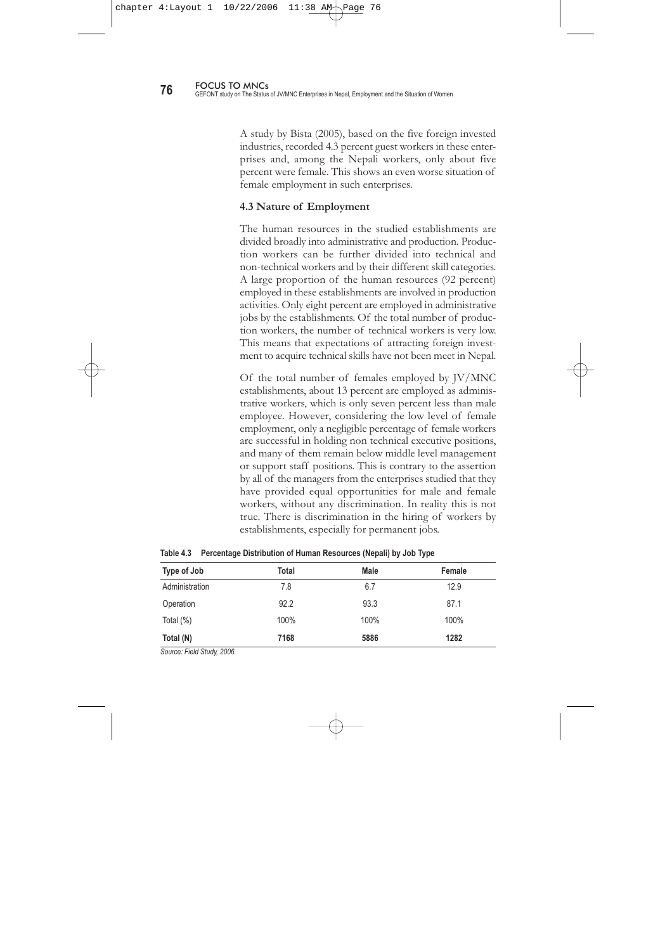across the whole of Nepal due to the small sample size studied.

The food and beverage sector provides the second highest employment to females at 28 percent of the total number of females employed. The power and energy sector comes in third place with 24 percent. In relation to men, after the service sector, the manufacturing sector provides the second highest level of employment at 14.1 per cent.

Overall, the service sector alone provides 65 percent of all employment. The lowest employment generating sector is agriculture (where, interestingly, female employment is eight times more than male) followed by HRCT. The reasons behind the variation in the proportion of employment in different sectors may be the difference in the sizes of establishments in different sectors or the fact that establishments were selected without considering whether they were capital intensive or labour intensive. During the fieldwork some of the key informants (CNI, FNCCI, government official and academicians) suggested that the service sector generates the most female employment, however, this is not supported by the field data (Table 4.2). But in banking and finance sector proportion of female is higher than male.

|                                | <b>Employment Generation</b>      |        |        |                |                |  |
|--------------------------------|-----------------------------------|--------|--------|----------------|----------------|--|
| <b>Sector</b>                  |                                   | Nepali |        |                |                |  |
|                                | <b>Total</b><br><b>Employment</b> | Male   | Female | <b>Migrant</b> | Grand<br>Total |  |
| Food and Beverage              | 11.9                              | 8.4    | 28.0   | 10.5           | 11.9           |  |
| Manufacturing                  | 11.6                              | 14.1   | 0.0    | 12.8           | 11.6           |  |
| Service                        | 64.9                              | 72.2   | 31.4   | 70.9           | 64.9           |  |
| Agriculture                    | 0.4                               | 0.2    | 1.6    | 1.2            | 0.4            |  |
| <b>HRCT</b>                    | 0.5                               | 0.6    | 0.5    | 3.5            | 0.6            |  |
| <b>Banking and Finance</b>     | 6.0                               | 4.1    | 14.8   | 1.2            | 5.9            |  |
| Power, Energy and Chemical     | 4.7                               | 0.5    | 23.7   | 0.0            | 4.6            |  |
| Total $(\%)$                   | 100%                              | 100%   | 100%   | 100%           | 100%           |  |
| Total (N)<br>$-11011$ $-10000$ | 7168                              | 5886   | 1282   | 86             | 7254           |  |

**Table 4.2 Percentage Employment Generation by Sample Enterprises in Different Sectors**

*Source: Field Study, 2006.*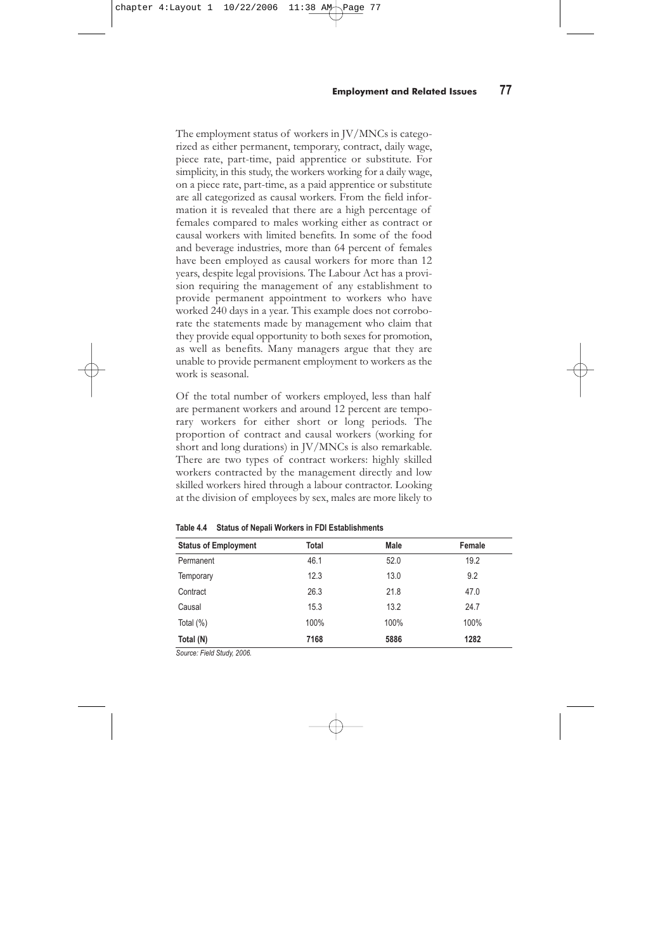A study by Bista (2005), based on the five foreign invested industries, recorded 4.3 percent guest workers in these enterprises and, among the Nepali workers, only about five percent were female. This shows an even worse situation of female employment in such enterprises.

### **4.3 Nature of Employment**

The human resources in the studied establishments are divided broadly into administrative and production. Production workers can be further divided into technical and non-technical workers and by their different skill categories. A large proportion of the human resources (92 percent) employed in these establishments are involved in production activities. Only eight percent are employed in administrative jobs by the establishments. Of the total number of production workers, the number of technical workers is very low. This means that expectations of attracting foreign investment to acquire technical skills have not been meet in Nepal.

Of the total number of females employed by JV/MNC establishments, about 13 percent are employed as administrative workers, which is only seven percent less than male employee. However, considering the low level of female employment, only a negligible percentage of female workers are successful in holding non technical executive positions, and many of them remain below middle level management or support staff positions. This is contrary to the assertion by all of the managers from the enterprises studied that they have provided equal opportunities for male and female workers, without any discrimination. In reality this is not true. There is discrimination in the hiring of workers by establishments, especially for permanent jobs.

| Type of Job    | Total | Male | Female |
|----------------|-------|------|--------|
| Administration | 7.8   | 6.7  | 12.9   |
| Operation      | 92.2  | 93.3 | 87.1   |
| Total (%)      | 100%  | 100% | 100%   |
| Total (N)      | 7168  | 5886 | 1282   |

**Table 4.3 Percentage Distribution of Human Resources (Nepali) by Job Type**

*Source: Field Study, 2006.*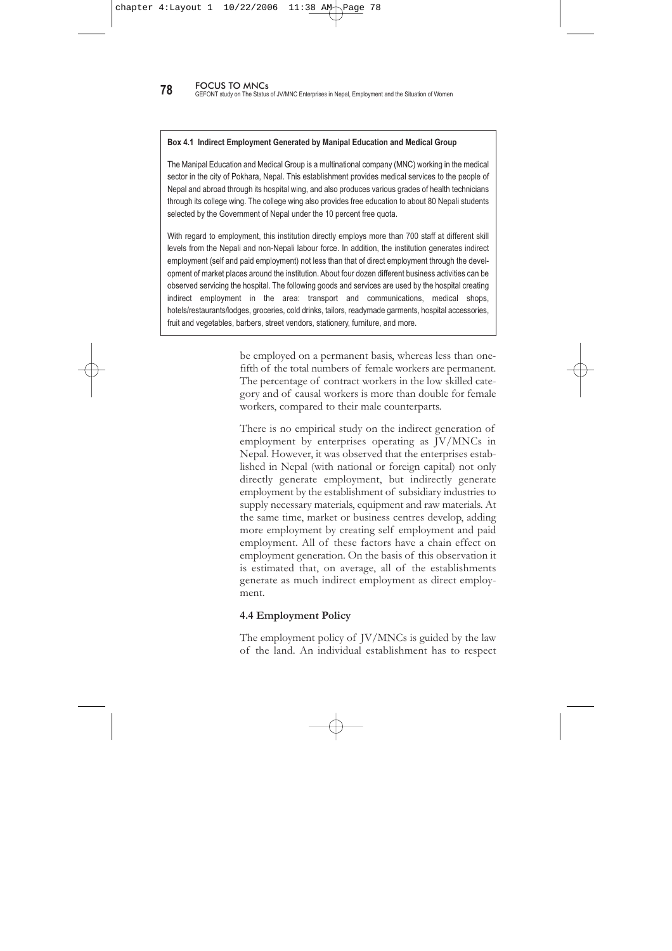The employment status of workers in JV/MNCs is categorized as either permanent, temporary, contract, daily wage, piece rate, part-time, paid apprentice or substitute. For simplicity, in this study, the workers working for a daily wage, on a piece rate, part-time, as a paid apprentice or substitute are all categorized as causal workers. From the field information it is revealed that there are a high percentage of females compared to males working either as contract or causal workers with limited benefits. In some of the food and beverage industries, more than 64 percent of females have been employed as causal workers for more than 12 years, despite legal provisions. The Labour Act has a provision requiring the management of any establishment to provide permanent appointment to workers who have worked 240 days in a year. This example does not corroborate the statements made by management who claim that they provide equal opportunity to both sexes for promotion, as well as benefits. Many managers argue that they are unable to provide permanent employment to workers as the work is seasonal.

Of the total number of workers employed, less than half are permanent workers and around 12 percent are temporary workers for either short or long periods. The proportion of contract and causal workers (working for short and long durations) in JV/MNCs is also remarkable. There are two types of contract workers: highly skilled workers contracted by the management directly and low skilled workers hired through a labour contractor. Looking at the division of employees by sex, males are more likely to

| <b>Status of Employment</b> | <b>Total</b> | Male | Female |
|-----------------------------|--------------|------|--------|
| Permanent                   | 46.1         | 52.0 | 19.2   |
| Temporary                   | 12.3         | 13.0 | 9.2    |
| Contract                    | 26.3         | 21.8 | 47.0   |
| Causal                      | 15.3         | 13.2 | 24.7   |
| Total $(\%)$                | 100%         | 100% | 100%   |
| Total (N)                   | 7168         | 5886 | 1282   |

**Table 4.4 Status of Nepali Workers in FDI Establishments**

*Source: Field Study, 2006.*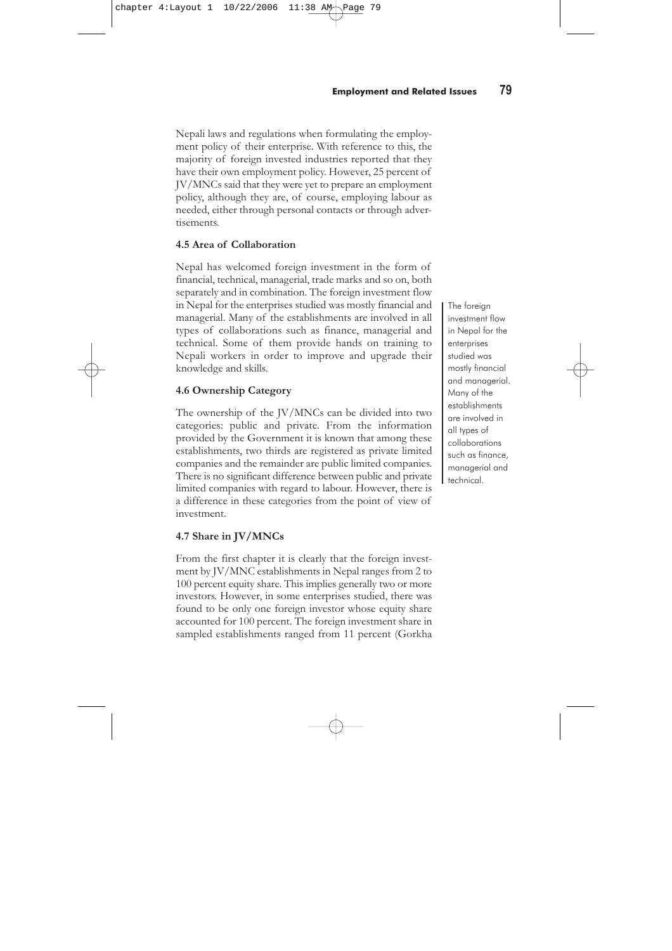**78** FOCUS TO MNCs<br>**78** GEFONT study on The Status of JV/MNC Enterprises in Nepal, Employment and the Situation of Women

### **Box 4.1 Indirect Employment Generated by Manipal Education and Medical Group**

The Manipal Education and Medical Group is a multinational company (MNC) working in the medical sector in the city of Pokhara, Nepal. This establishment provides medical services to the people of Nepal and abroad through its hospital wing, and also produces various grades of health technicians through its college wing. The college wing also provides free education to about 80 Nepali students selected by the Government of Nepal under the 10 percent free quota.

With regard to employment, this institution directly employs more than 700 staff at different skill levels from the Nepali and non-Nepali labour force. In addition, the institution generates indirect employment (self and paid employment) not less than that of direct employment through the development of market places around the institution. About four dozen different business activities can be observed servicing the hospital. The following goods and services are used by the hospital creating indirect employment in the area: transport and communications, medical shops, hotels/restaurants/lodges, groceries, cold drinks, tailors, readymade garments, hospital accessories, fruit and vegetables, barbers, street vendors, stationery, furniture, and more.

> be employed on a permanent basis, whereas less than onefifth of the total numbers of female workers are permanent. The percentage of contract workers in the low skilled category and of causal workers is more than double for female workers, compared to their male counterparts.

> There is no empirical study on the indirect generation of employment by enterprises operating as JV/MNCs in Nepal. However, it was observed that the enterprises established in Nepal (with national or foreign capital) not only directly generate employment, but indirectly generate employment by the establishment of subsidiary industries to supply necessary materials, equipment and raw materials. At the same time, market or business centres develop, adding more employment by creating self employment and paid employment. All of these factors have a chain effect on employment generation. On the basis of this observation it is estimated that, on average, all of the establishments generate as much indirect employment as direct employment.

### **4.4 Employment Policy**

The employment policy of JV/MNCs is guided by the law of the land. An individual establishment has to respect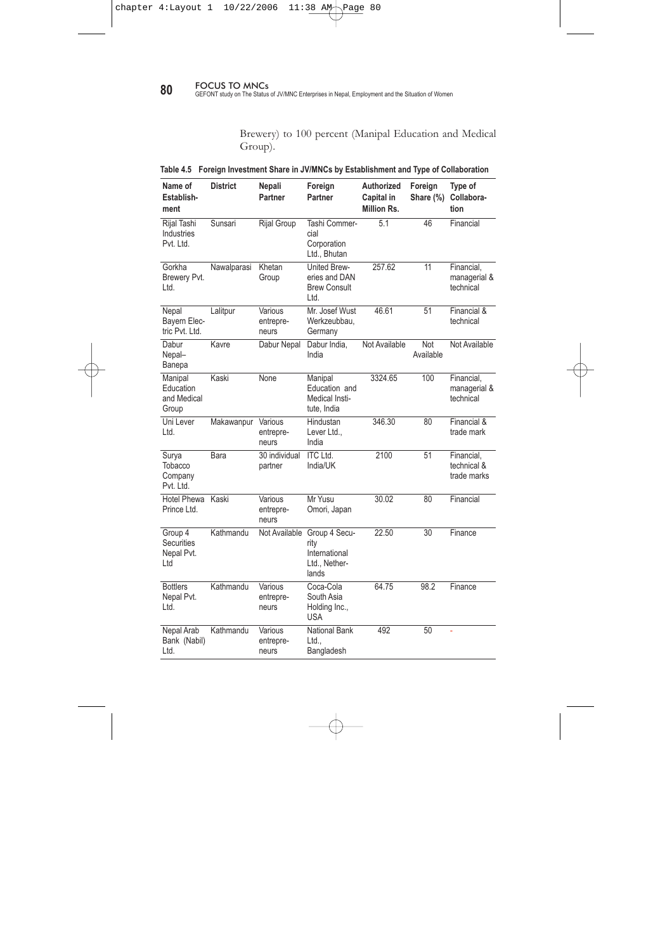Nepali laws and regulations when formulating the employment policy of their enterprise. With reference to this, the majority of foreign invested industries reported that they have their own employment policy. However, 25 percent of JV/MNCs said that they were yet to prepare an employment policy, although they are, of course, employing labour as needed, either through personal contacts or through advertisements.

# **4.5 Area of Collaboration**

Nepal has welcomed foreign investment in the form of financial, technical, managerial, trade marks and so on, both separately and in combination. The foreign investment flow in Nepal for the enterprises studied was mostly financial and managerial. Many of the establishments are involved in all types of collaborations such as finance, managerial and technical. Some of them provide hands on training to Nepali workers in order to improve and upgrade their knowledge and skills.

# **4.6 Ownership Category**

The ownership of the JV/MNCs can be divided into two categories: public and private. From the information provided by the Government it is known that among these establishments, two thirds are registered as private limited companies and the remainder are public limited companies. There is no significant difference between public and private limited companies with regard to labour. However, there is a difference in these categories from the point of view of investment.

# **4.7 Share in JV/MNCs**

From the first chapter it is clearly that the foreign investment by JV/MNC establishments in Nepal ranges from 2 to 100 percent equity share. This implies generally two or more investors. However, in some enterprises studied, there was found to be only one foreign investor whose equity share accounted for 100 percent. The foreign investment share in sampled establishments ranged from 11 percent (Gorkha

The foreign investment flow in Nepal for the enterprises studied was mostly financial and managerial. Many of the establishments are involved in all types of collaborations such as finance, managerial and technical.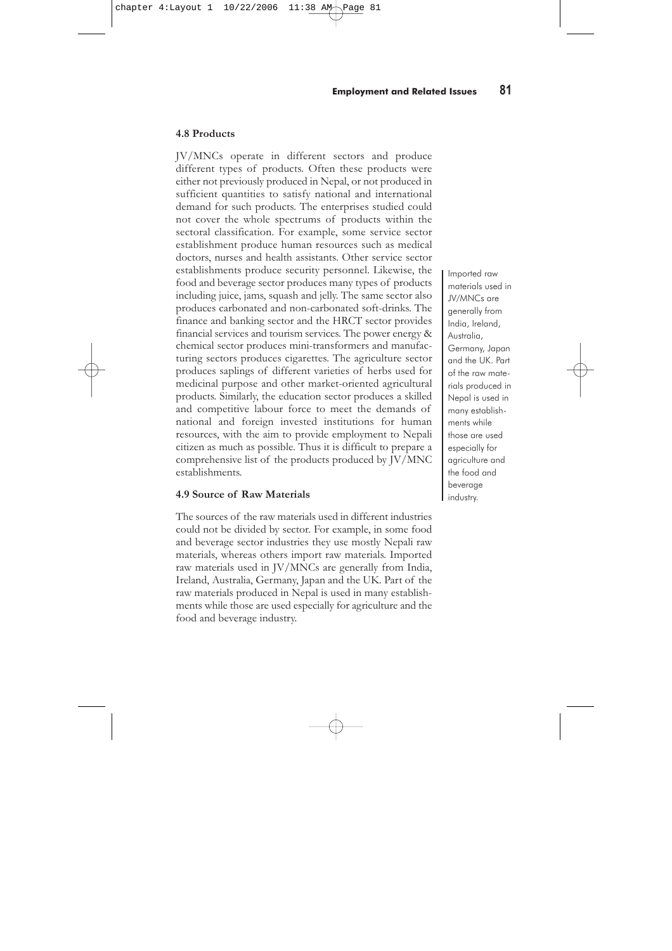**80 BOCUS TO MNCs 80** GEFONT study on The Status of JV/MNC Enterprises in Nepal, Employment and the Situation of Women

Brewery) to 100 percent (Manipal Education and Medical Group).

|  |  |  |  | Table 4.5 Foreign Investment Share in JV/MNCs by Establishment and Type of Collaboration |
|--|--|--|--|------------------------------------------------------------------------------------------|
|  |  |  |  |                                                                                          |

| Name of<br>Establish-<br>ment                     | <b>District</b> | Nepali<br>Partner             | Foreign<br><b>Partner</b>                                           | <b>Authorized</b><br>Capital in<br>Million Rs. | Foreign<br>Share (%) | Type of<br>Collabora-<br>tion            |
|---------------------------------------------------|-----------------|-------------------------------|---------------------------------------------------------------------|------------------------------------------------|----------------------|------------------------------------------|
| Rijal Tashi<br>Industries<br>Pvt. Ltd.            | Sunsari         | Rijal Group                   | Tashi Commer-<br>cial<br>Corporation<br>Ltd., Bhutan                | 5.1                                            | 46                   | Financial                                |
| Gorkha<br>Brewery Pvt.<br>Ltd.                    | Nawalparasi     | Khetan<br>Group               | <b>United Brew-</b><br>eries and DAN<br><b>Brew Consult</b><br>Ltd. | 257.62                                         | 11                   | Financial,<br>managerial &<br>technical  |
| Nepal<br>Bayern Elec-<br>tric Pvt. Ltd.           | Lalitpur        | Various<br>entrepre-<br>neurs | Mr. Josef Wust<br>Werkzeubbau,<br>Germany                           | 46.61                                          | 51                   | Financial &<br>technical                 |
| Dabur<br>Nepal-<br>Banepa                         | Kavre           | Dabur Nepal                   | Dabur India,<br>India                                               | Not Available                                  | Not<br>Available     | Not Available                            |
| Manipal<br>Education<br>and Medical<br>Group      | Kaski           | None                          | Manipal<br>Education and<br>Medical Insti-<br>tute, India           | 3324.65                                        | 100                  | Financial,<br>managerial &<br>technical  |
| Uni Lever<br>Ltd.                                 | Makawanpur      | Various<br>entrepre-<br>neurs | Hindustan<br>Lever Ltd.,<br>India                                   | 346.30                                         | 80                   | Financial &<br>trade mark                |
| Surya<br>Tobacco<br>Company<br>Pvt. Ltd.          | Bara            | 30 individual<br>partner      | <b>ITC Ltd.</b><br>India/UK                                         | 2100                                           | 51                   | Financial,<br>technical &<br>trade marks |
| Hotel Phewa<br>Prince Ltd.                        | Kaski           | Various<br>entrepre-<br>neurs | Mr Yusu<br>Omori, Japan                                             | 30.02                                          | 80                   | Financial                                |
| Group 4<br><b>Securities</b><br>Nepal Pvt.<br>Ltd | Kathmandu       | Not Available                 | Group 4 Secu-<br>rity<br>International<br>Ltd., Nether-<br>lands    | 22.50                                          | 30                   | Finance                                  |
| <b>Bottlers</b><br>Nepal Pvt.<br>Ltd.             | Kathmandu       | Various<br>entrepre-<br>neurs | Coca-Cola<br>South Asia<br>Holding Inc.,<br><b>USA</b>              | 64.75                                          | 98.2                 | Finance                                  |
| Nepal Arab<br>Bank (Nabil)<br>Ltd.                | Kathmandu       | Various<br>entrepre-<br>neurs | <b>National Bank</b><br>Ltd<br>Bangladesh                           | 492                                            | 50                   | ä,                                       |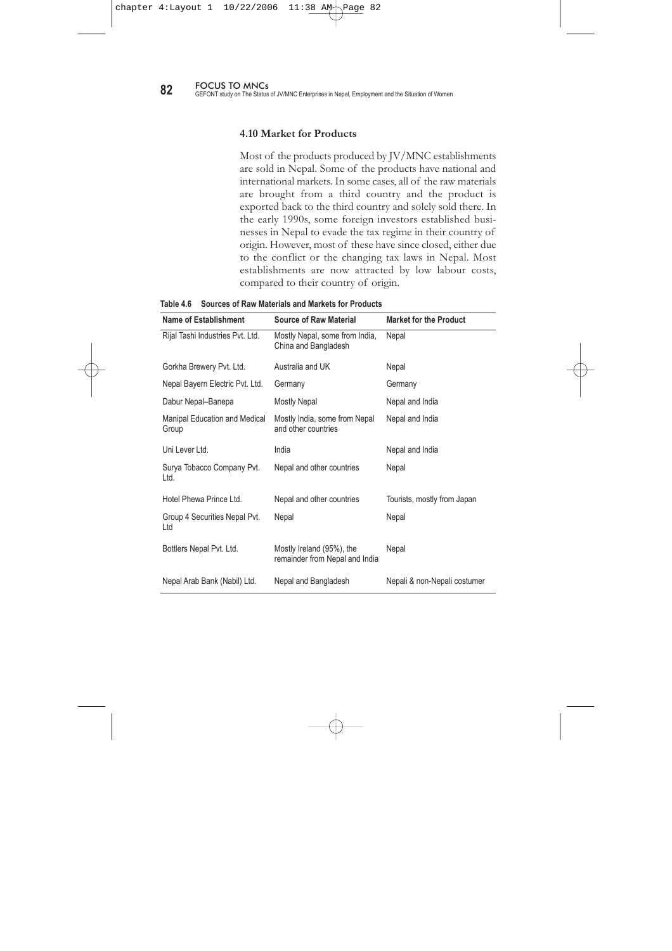### **4.8 Products**

JV/MNCs operate in different sectors and produce different types of products. Often these products were either not previously produced in Nepal, or not produced in sufficient quantities to satisfy national and international demand for such products. The enterprises studied could not cover the whole spectrums of products within the sectoral classification. For example, some service sector establishment produce human resources such as medical doctors, nurses and health assistants. Other service sector establishments produce security personnel. Likewise, the food and beverage sector produces many types of products including juice, jams, squash and jelly. The same sector also produces carbonated and non-carbonated soft-drinks. The finance and banking sector and the HRCT sector provides financial services and tourism services. The power energy & chemical sector produces mini-transformers and manufacturing sectors produces cigarettes. The agriculture sector produces saplings of different varieties of herbs used for medicinal purpose and other market-oriented agricultural products. Similarly, the education sector produces a skilled and competitive labour force to meet the demands of national and foreign invested institutions for human resources, with the aim to provide employment to Nepali citizen as much as possible. Thus it is difficult to prepare a comprehensive list of the products produced by JV/MNC establishments.

### **4.9 Source of Raw Materials**

The sources of the raw materials used in different industries could not be divided by sector. For example, in some food and beverage sector industries they use mostly Nepali raw materials, whereas others import raw materials. Imported raw materials used in JV/MNCs are generally from India, Ireland, Australia, Germany, Japan and the UK. Part of the raw materials produced in Nepal is used in many establishments while those are used especially for agriculture and the food and beverage industry.

Imported raw materials used in JV/MNCs are generally from India, Ireland, Australia, Germany, Japan and the UK. Part of the raw materials produced in Nepal is used in many establishments while those are used especially for agriculture and the food and beverage industry.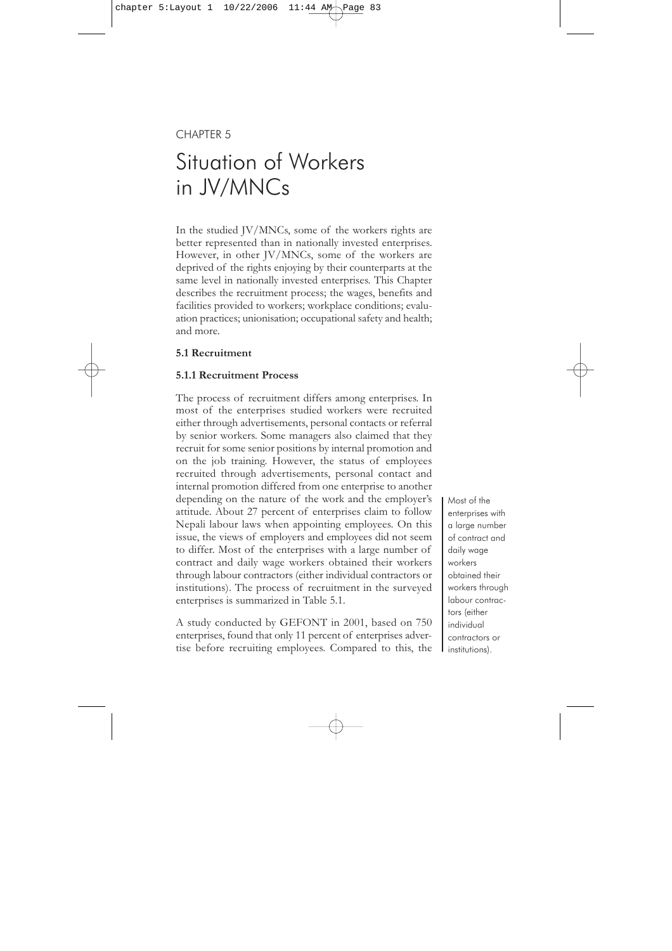**82** FOCUS TO MNCs<br>**82** GEFONT study on The Status of JV/MNC Enterprises in Nepal, Employment and the Situation of Women

### **4.10 Market for Products**

Most of the products produced by JV/MNC establishments are sold in Nepal. Some of the products have national and international markets. In some cases, all of the raw materials are brought from a third country and the product is exported back to the third country and solely sold there. In the early 1990s, some foreign investors established businesses in Nepal to evade the tax regime in their country of origin. However, most of these have since closed, either due to the conflict or the changing tax laws in Nepal. Most establishments are now attracted by low labour costs, compared to their country of origin.

| Name of Establishment                  | <b>Source of Raw Material</b>                               | <b>Market for the Product</b> |
|----------------------------------------|-------------------------------------------------------------|-------------------------------|
| Rijal Tashi Industries Pvt. Ltd.       | Mostly Nepal, some from India,<br>China and Bangladesh      | Nepal                         |
| Gorkha Brewery Pvt. Ltd.               | Australia and UK                                            | Nepal                         |
| Nepal Bayern Electric Pvt. Ltd.        | Germany                                                     | Germany                       |
| Dabur Nepal-Banepa                     | <b>Mostly Nepal</b>                                         | Nepal and India               |
| Manipal Education and Medical<br>Group | Mostly India, some from Nepal<br>and other countries        | Nepal and India               |
| Unilever Itd.                          | India                                                       | Nepal and India               |
| Surya Tobacco Company Pvt.<br>Ltd.     | Nepal and other countries                                   | Nepal                         |
| Hotel Phewa Prince Ltd.                | Nepal and other countries                                   | Tourists, mostly from Japan   |
| Group 4 Securities Nepal Pvt.<br>Ltd   | Nepal                                                       | Nepal                         |
| Bottlers Nepal Pvt. Ltd.               | Mostly Ireland (95%), the<br>remainder from Nepal and India | Nepal                         |
| Nepal Arab Bank (Nabil) Ltd.           | Nepal and Bangladesh                                        | Nepali & non-Nepali costumer  |

**Table 4.6 Sources of Raw Materials and Markets for Products**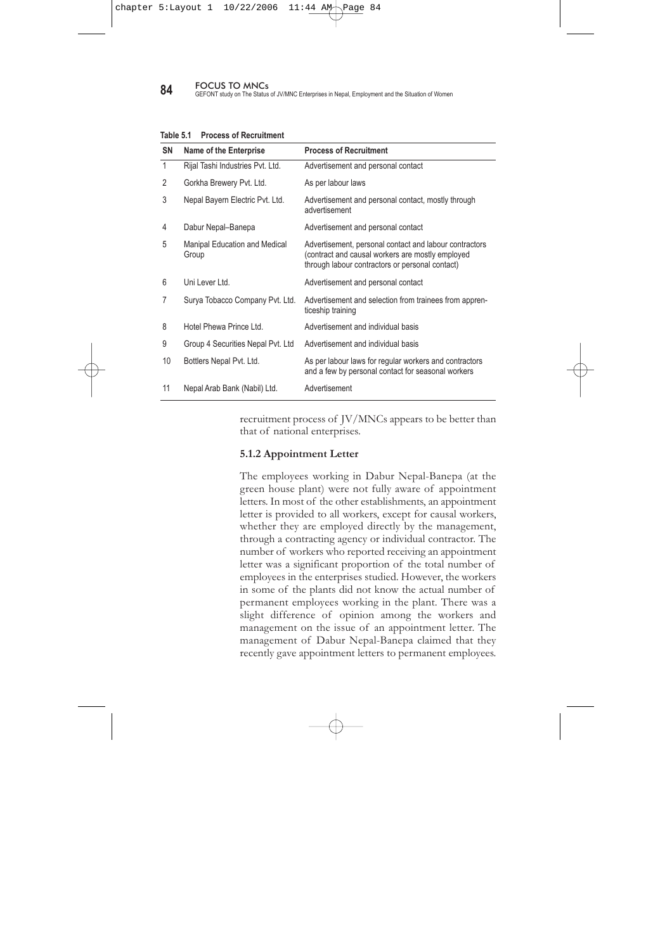# CHAPTER 5

# Situation of Workers in JV/MNCs

In the studied JV/MNCs, some of the workers rights are better represented than in nationally invested enterprises. However, in other JV/MNCs, some of the workers are deprived of the rights enjoying by their counterparts at the same level in nationally invested enterprises. This Chapter describes the recruitment process; the wages, benefits and facilities provided to workers; workplace conditions; evaluation practices; unionisation; occupational safety and health; and more.

### **5.1 Recruitment**

### **5.1.1 Recruitment Process**

The process of recruitment differs among enterprises. In most of the enterprises studied workers were recruited either through advertisements, personal contacts or referral by senior workers. Some managers also claimed that they recruit for some senior positions by internal promotion and on the job training. However, the status of employees recruited through advertisements, personal contact and internal promotion differed from one enterprise to another depending on the nature of the work and the employer's attitude. About 27 percent of enterprises claim to follow Nepali labour laws when appointing employees. On this issue, the views of employers and employees did not seem to differ. Most of the enterprises with a large number of contract and daily wage workers obtained their workers through labour contractors (either individual contractors or institutions). The process of recruitment in the surveyed enterprises is summarized in Table 5.1.

A study conducted by GEFONT in 2001, based on 750 enterprises, found that only 11 percent of enterprises advertise before recruiting employees. Compared to this, the Most of the enterprises with a large number of contract and daily wage workers obtained their workers through labour contractors (either individual contractors or institutions).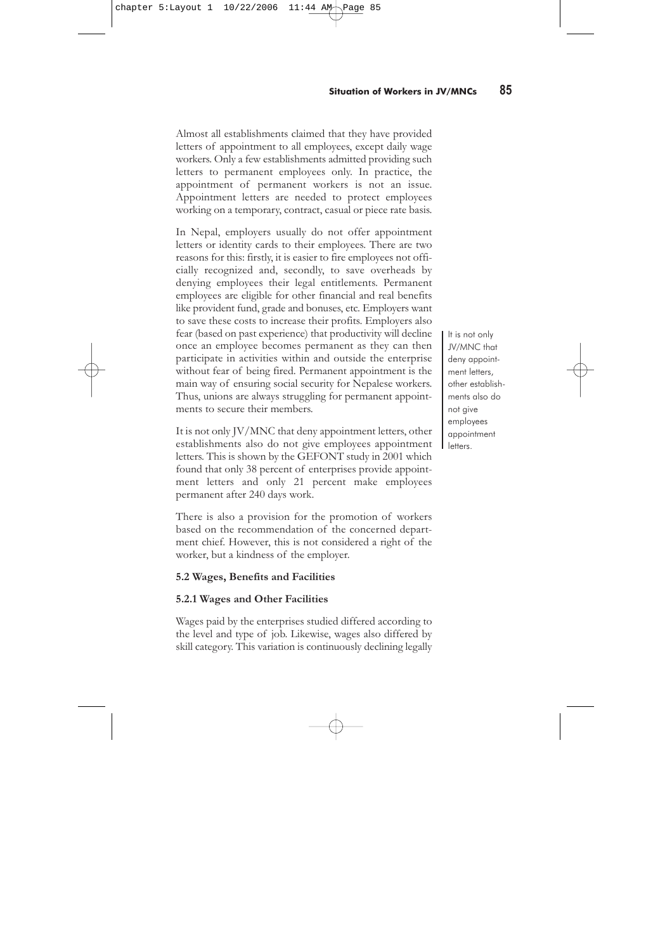**84** FOCUS TO MNCs<br>**84** GEFONT study on The Status of JV/MNC Enterprises in Nepal, Employment and the Situation of Women

| <b>SN</b>    | <b>Name of the Enterprise</b>          | <b>Process of Recruitment</b>                                                                                                                                |
|--------------|----------------------------------------|--------------------------------------------------------------------------------------------------------------------------------------------------------------|
| $\mathbf{1}$ | Rijal Tashi Industries Pvt. Ltd.       | Advertisement and personal contact                                                                                                                           |
| 2            | Gorkha Brewery Pvt. Ltd.               | As per labour laws                                                                                                                                           |
| 3            | Nepal Bayern Electric Pvt. Ltd.        | Advertisement and personal contact, mostly through<br>advertisement                                                                                          |
| 4            | Dabur Nepal-Banepa                     | Advertisement and personal contact                                                                                                                           |
| 5            | Manipal Education and Medical<br>Group | Advertisement, personal contact and labour contractors<br>contract and causal workers are mostly employed<br>through labour contractors or personal contact) |
| 6            | UnileverItd                            | Advertisement and personal contact                                                                                                                           |
| 7            | Surya Tobacco Company Pvt. Ltd.        | Advertisement and selection from trainees from appren-<br>ticeship training                                                                                  |
| 8            | Hotel Phewa Prince Ltd.                | Advertisement and individual basis                                                                                                                           |
| 9            | Group 4 Securities Nepal Pvt. Ltd      | Advertisement and individual basis                                                                                                                           |
| 10           | Bottlers Nepal Pvt. Ltd.               | As per labour laws for regular workers and contractors<br>and a few by personal contact for seasonal workers                                                 |
| 11           | Nepal Arab Bank (Nabil) Ltd.           | Advertisement                                                                                                                                                |

**Table 5.1 Process of Recruitment**

recruitment process of JV/MNCs appears to be better than that of national enterprises.

### **5.1.2 Appointment Letter**

The employees working in Dabur Nepal-Banepa (at the green house plant) were not fully aware of appointment letters. In most of the other establishments, an appointment letter is provided to all workers, except for causal workers, whether they are employed directly by the management, through a contracting agency or individual contractor. The number of workers who reported receiving an appointment letter was a significant proportion of the total number of employees in the enterprises studied. However, the workers in some of the plants did not know the actual number of permanent employees working in the plant. There was a slight difference of opinion among the workers and management on the issue of an appointment letter. The management of Dabur Nepal-Banepa claimed that they recently gave appointment letters to permanent employees.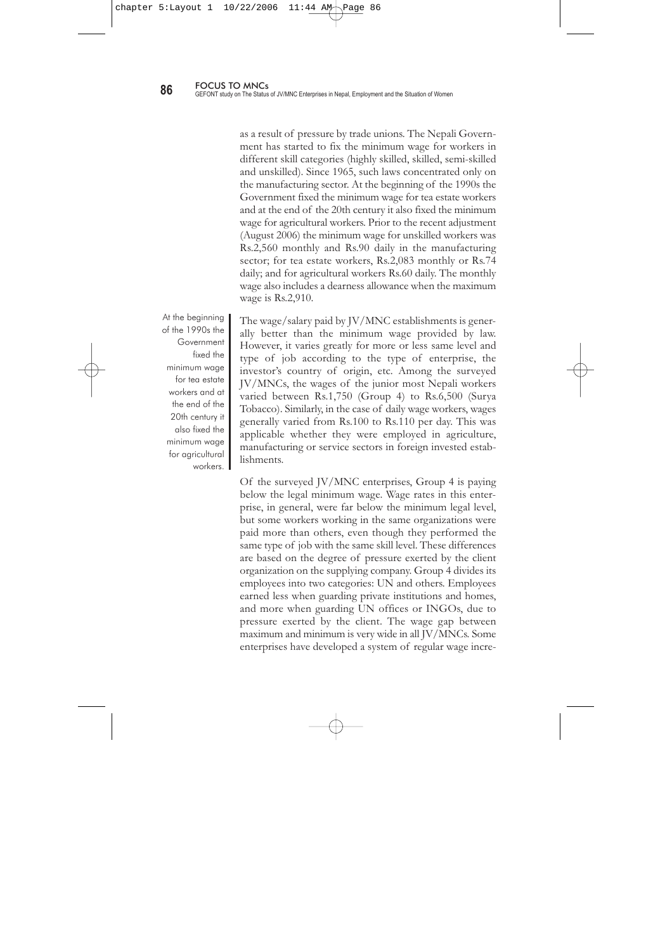Almost all establishments claimed that they have provided letters of appointment to all employees, except daily wage workers. Only a few establishments admitted providing such letters to permanent employees only. In practice, the appointment of permanent workers is not an issue. Appointment letters are needed to protect employees working on a temporary, contract, casual or piece rate basis.

In Nepal, employers usually do not offer appointment letters or identity cards to their employees. There are two reasons for this: firstly, it is easier to fire employees not officially recognized and, secondly, to save overheads by denying employees their legal entitlements. Permanent employees are eligible for other financial and real benefits like provident fund, grade and bonuses, etc. Employers want to save these costs to increase their profits. Employers also fear (based on past experience) that productivity will decline once an employee becomes permanent as they can then participate in activities within and outside the enterprise without fear of being fired. Permanent appointment is the main way of ensuring social security for Nepalese workers. Thus, unions are always struggling for permanent appointments to secure their members.

It is not only JV/MNC that deny appointment letters, other establishments also do not give employees appointment letters. This is shown by the GEFONT study in 2001 which found that only 38 percent of enterprises provide appointment letters and only 21 percent make employees permanent after 240 days work.

There is also a provision for the promotion of workers based on the recommendation of the concerned department chief. However, this is not considered a right of the worker, but a kindness of the employer.

# **5.2 Wages, Benefits and Facilities**

### **5.2.1 Wages and Other Facilities**

Wages paid by the enterprises studied differed according to the level and type of job. Likewise, wages also differed by skill category. This variation is continuously declining legally It is not only JV/MNC that deny appointment letters, other establishments also do not give employees appointment letters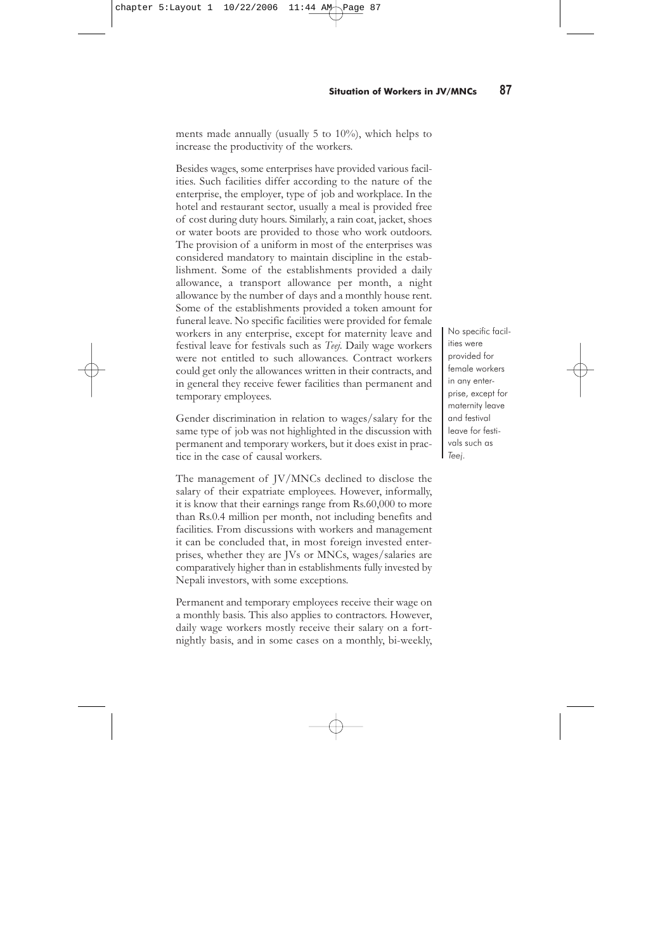as a result of pressure by trade unions. The Nepali Government has started to fix the minimum wage for workers in different skill categories (highly skilled, skilled, semi-skilled and unskilled). Since 1965, such laws concentrated only on the manufacturing sector. At the beginning of the 1990s the Government fixed the minimum wage for tea estate workers and at the end of the 20th century it also fixed the minimum wage for agricultural workers. Prior to the recent adjustment (August 2006) the minimum wage for unskilled workers was Rs.2,560 monthly and Rs.90 daily in the manufacturing sector; for tea estate workers, Rs.2,083 monthly or Rs.74 daily; and for agricultural workers Rs.60 daily. The monthly wage also includes a dearness allowance when the maximum wage is Rs.2,910.

At the beginning of the 1990s the Government fixed the minimum wage for tea estate workers and at the end of the 20th century it also fixed the minimum wage for agricultural workers.

The wage/salary paid by JV/MNC establishments is generally better than the minimum wage provided by law. However, it varies greatly for more or less same level and type of job according to the type of enterprise, the investor's country of origin, etc. Among the surveyed JV/MNCs, the wages of the junior most Nepali workers varied between Rs.1,750 (Group 4) to Rs.6,500 (Surya Tobacco). Similarly, in the case of daily wage workers, wages generally varied from Rs.100 to Rs.110 per day. This was applicable whether they were employed in agriculture, manufacturing or service sectors in foreign invested establishments.

Of the surveyed JV/MNC enterprises, Group 4 is paying below the legal minimum wage. Wage rates in this enterprise, in general, were far below the minimum legal level, but some workers working in the same organizations were paid more than others, even though they performed the same type of job with the same skill level. These differences are based on the degree of pressure exerted by the client organization on the supplying company. Group 4 divides its employees into two categories: UN and others. Employees earned less when guarding private institutions and homes, and more when guarding UN offices or INGOs, due to pressure exerted by the client. The wage gap between maximum and minimum is very wide in all JV/MNCs. Some enterprises have developed a system of regular wage incre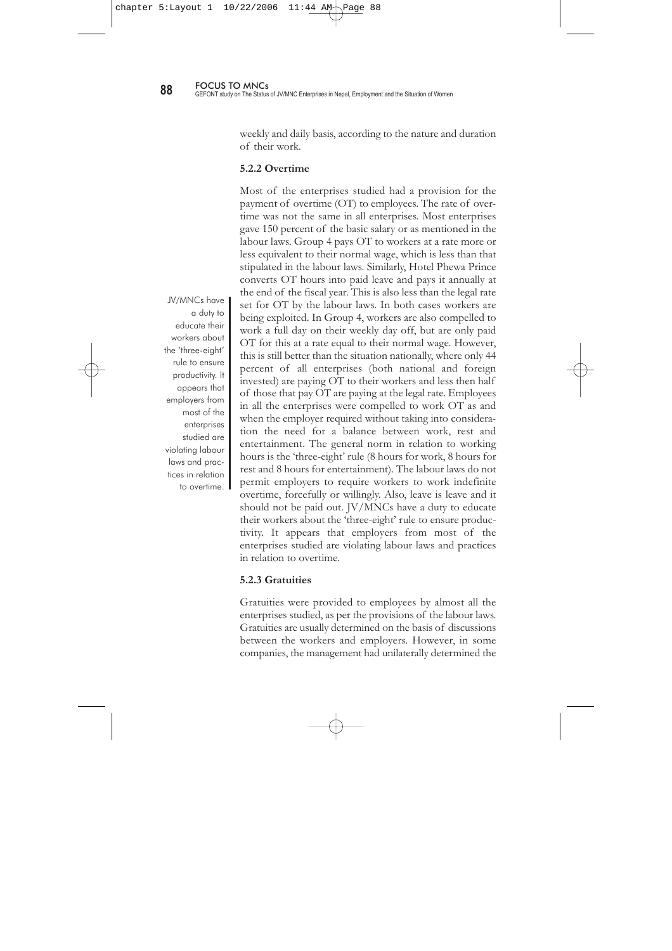ments made annually (usually  $5$  to  $10\%$ ), which helps to increase the productivity of the workers.

Besides wages, some enterprises have provided various facilities. Such facilities differ according to the nature of the enterprise, the employer, type of job and workplace. In the hotel and restaurant sector, usually a meal is provided free of cost during duty hours. Similarly, a rain coat, jacket, shoes or water boots are provided to those who work outdoors. The provision of a uniform in most of the enterprises was considered mandatory to maintain discipline in the establishment. Some of the establishments provided a daily allowance, a transport allowance per month, a night allowance by the number of days and a monthly house rent. Some of the establishments provided a token amount for funeral leave. No specific facilities were provided for female workers in any enterprise, except for maternity leave and festival leave for festivals such as *Teej*. Daily wage workers were not entitled to such allowances. Contract workers could get only the allowances written in their contracts, and in general they receive fewer facilities than permanent and temporary employees.

Gender discrimination in relation to wages/salary for the same type of job was not highlighted in the discussion with permanent and temporary workers, but it does exist in practice in the case of causal workers.

The management of JV/MNCs declined to disclose the salary of their expatriate employees. However, informally, it is know that their earnings range from Rs.60,000 to more than Rs.0.4 million per month, not including benefits and facilities. From discussions with workers and management it can be concluded that, in most foreign invested enterprises, whether they are JVs or MNCs, wages/salaries are comparatively higher than in establishments fully invested by Nepali investors, with some exceptions.

Permanent and temporary employees receive their wage on a monthly basis. This also applies to contractors. However, daily wage workers mostly receive their salary on a fortnightly basis, and in some cases on a monthly, bi-weekly,

No specific facilities were provided for female workers in any enterprise, except for maternity leave and festival leave for festivals such as *Teej*.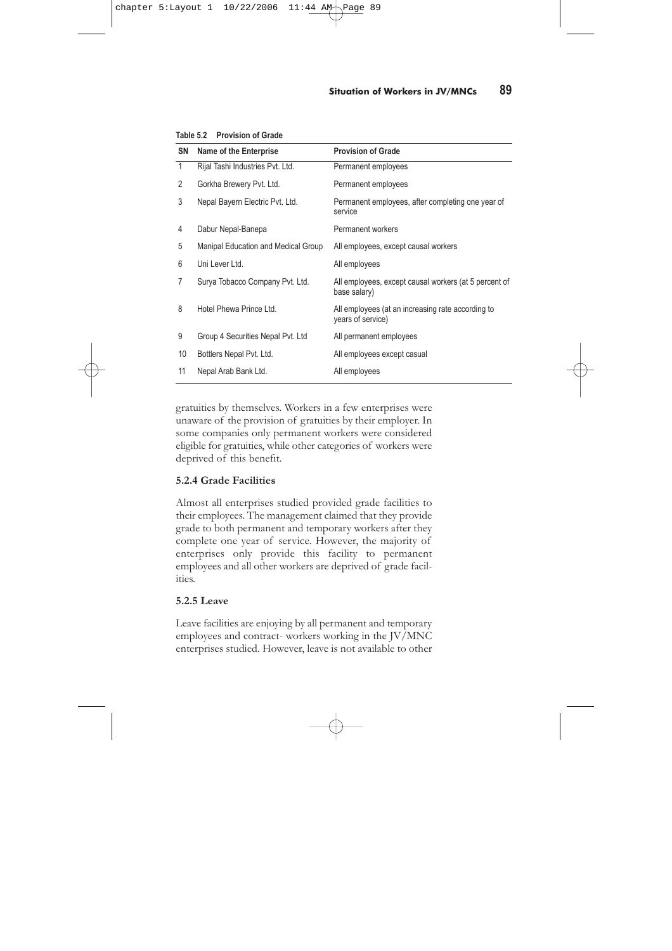weekly and daily basis, according to the nature and duration of their work.

### **5.2.2 Overtime**

Most of the enterprises studied had a provision for the payment of overtime (OT) to employees. The rate of overtime was not the same in all enterprises. Most enterprises gave 150 percent of the basic salary or as mentioned in the labour laws. Group 4 pays OT to workers at a rate more or less equivalent to their normal wage, which is less than that stipulated in the labour laws. Similarly, Hotel Phewa Prince converts OT hours into paid leave and pays it annually at the end of the fiscal year. This is also less than the legal rate set for OT by the labour laws. In both cases workers are being exploited. In Group 4, workers are also compelled to work a full day on their weekly day off, but are only paid OT for this at a rate equal to their normal wage. However, this is still better than the situation nationally, where only 44 percent of all enterprises (both national and foreign invested) are paying OT to their workers and less then half of those that pay OT are paying at the legal rate. Employees in all the enterprises were compelled to work OT as and when the employer required without taking into consideration the need for a balance between work, rest and entertainment. The general norm in relation to working hours is the 'three-eight' rule (8 hours for work, 8 hours for rest and 8 hours for entertainment). The labour laws do not permit employers to require workers to work indefinite overtime, forcefully or willingly. Also, leave is leave and it should not be paid out. JV/MNCs have a duty to educate their workers about the 'three-eight' rule to ensure productivity. It appears that employers from most of the enterprises studied are violating labour laws and practices in relation to overtime.

# **5.2.3 Gratuities**

Gratuities were provided to employees by almost all the enterprises studied, as per the provisions of the labour laws. Gratuities are usually determined on the basis of discussions between the workers and employers. However, in some companies, the management had unilaterally determined the

JV/MNCs have a duty to educate their workers about the 'three-eight' rule to ensure productivity. It appears that employers from most of the enterprises studied are violating labour laws and practices in relation to overtime.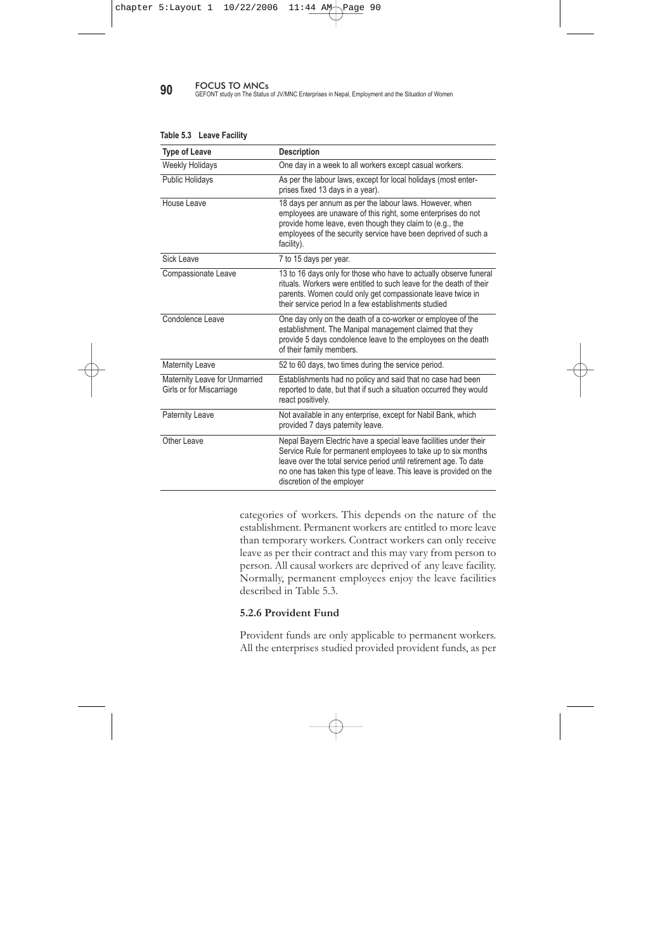| SN           | <b>Name of the Enterprise</b>       | <b>Provision of Grade</b>                                              |
|--------------|-------------------------------------|------------------------------------------------------------------------|
| $\mathbf{1}$ | Rijal Tashi Industries Pvt. Ltd.    | Permanent employees                                                    |
| 2            | Gorkha Brewery Pvt. Ltd.            | Permanent employees                                                    |
| 3            | Nepal Bayern Electric Pvt. Ltd.     | Permanent employees, after completing one year of<br>service           |
| 4            | Dabur Nepal-Banepa                  | Permanent workers                                                      |
| 5            | Manipal Education and Medical Group | All employees, except causal workers                                   |
| 6            | Uni Lever Ltd.                      | All employees                                                          |
| 7            | Surya Tobacco Company Pvt. Ltd.     | All employees, except causal workers (at 5 percent of<br>base salary)  |
| 8            | Hotel Phewa Prince Ltd.             | All employees (at an increasing rate according to<br>years of service) |
| 9            | Group 4 Securities Nepal Pvt. Ltd   | All permanent employees                                                |
| 10           | Bottlers Nepal Pvt. Ltd.            | All employees except casual                                            |
| 11           | Nepal Arab Bank Ltd.                | All employees                                                          |

**Table 5.2 Provision of Grade**

gratuities by themselves. Workers in a few enterprises were unaware of the provision of gratuities by their employer. In some companies only permanent workers were considered eligible for gratuities, while other categories of workers were deprived of this benefit.

# **5.2.4 Grade Facilities**

Almost all enterprises studied provided grade facilities to their employees. The management claimed that they provide grade to both permanent and temporary workers after they complete one year of service. However, the majority of enterprises only provide this facility to permanent employees and all other workers are deprived of grade facilities.

# **5.2.5 Leave**

Leave facilities are enjoying by all permanent and temporary employees and contract- workers working in the JV/MNC enterprises studied. However, leave is not available to other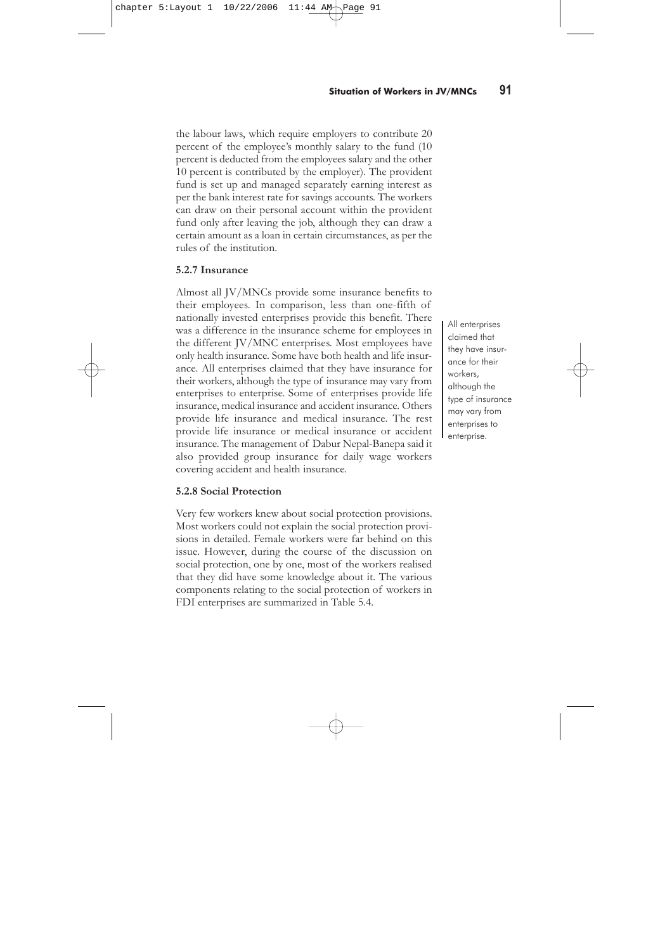**90** FOCUS TO MNCs<br>GEFONT study on The Status of JV/MNC Enterprises in Nepal, Employment and the Situation of Women

| <b>Type of Leave</b>                                      | <b>Description</b>                                                                                                                                                                                                                                                                                          |
|-----------------------------------------------------------|-------------------------------------------------------------------------------------------------------------------------------------------------------------------------------------------------------------------------------------------------------------------------------------------------------------|
| <b>Weekly Holidays</b>                                    | One day in a week to all workers except casual workers.                                                                                                                                                                                                                                                     |
| <b>Public Holidays</b>                                    | As per the labour laws, except for local holidays (most enter-<br>prises fixed 13 days in a year).                                                                                                                                                                                                          |
| House Leave                                               | 18 days per annum as per the labour laws. However, when<br>employees are unaware of this right, some enterprises do not<br>provide home leave, even though they claim to (e.g., the<br>employees of the security service have been deprived of such a<br>facility).                                         |
| Sick Leave                                                | 7 to 15 days per year.                                                                                                                                                                                                                                                                                      |
| Compassionate Leave                                       | 13 to 16 days only for those who have to actually observe funeral<br>rituals. Workers were entitled to such leave for the death of their<br>parents. Women could only get compassionate leave twice in<br>their service period In a few establishments studied                                              |
| Condolence Leave                                          | One day only on the death of a co-worker or employee of the<br>establishment. The Manipal management claimed that they<br>provide 5 days condolence leave to the employees on the death<br>of their family members.                                                                                         |
| <b>Maternity Leave</b>                                    | 52 to 60 days, two times during the service period.                                                                                                                                                                                                                                                         |
| Maternity Leave for Unmarried<br>Girls or for Miscarriage | Establishments had no policy and said that no case had been<br>reported to date, but that if such a situation occurred they would<br>react positively.                                                                                                                                                      |
| <b>Paternity Leave</b>                                    | Not available in any enterprise, except for Nabil Bank, which<br>provided 7 days paternity leave.                                                                                                                                                                                                           |
| Other Leave                                               | Nepal Bayern Electric have a special leave facilities under their<br>Service Rule for permanent employees to take up to six months<br>leave over the total service period until retirement age. To date<br>no one has taken this type of leave. This leave is provided on the<br>discretion of the employer |

**Table 5.3 Leave Facility**

categories of workers. This depends on the nature of the establishment. Permanent workers are entitled to more leave than temporary workers. Contract workers can only receive leave as per their contract and this may vary from person to person. All causal workers are deprived of any leave facility. Normally, permanent employees enjoy the leave facilities described in Table 5.3.

# **5.2.6 Provident Fund**

Provident funds are only applicable to permanent workers. All the enterprises studied provided provident funds, as per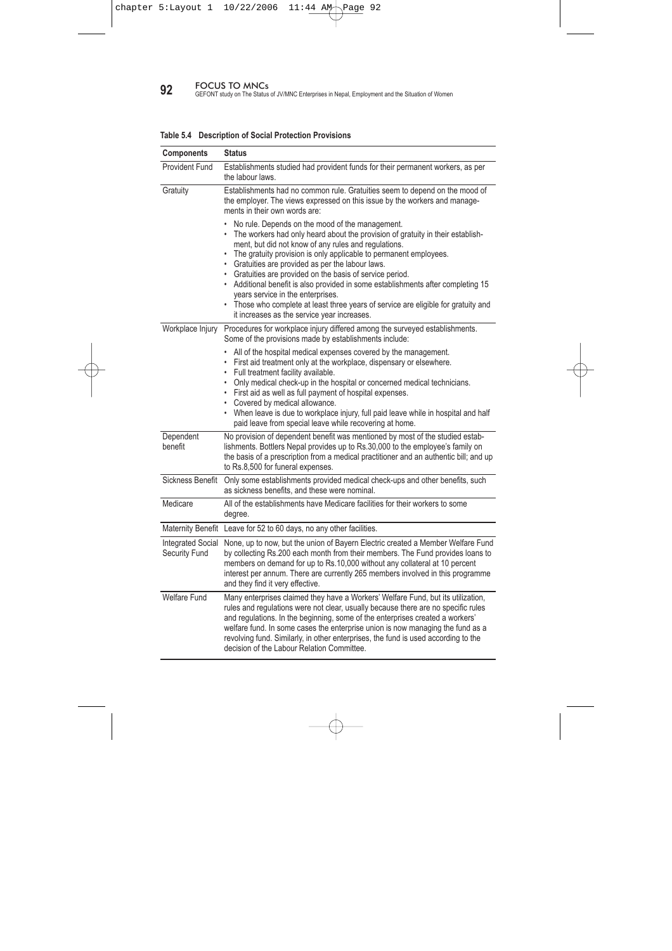the labour laws, which require employers to contribute 20 percent of the employee's monthly salary to the fund (10 percent is deducted from the employees salary and the other 10 percent is contributed by the employer). The provident fund is set up and managed separately earning interest as per the bank interest rate for savings accounts. The workers can draw on their personal account within the provident fund only after leaving the job, although they can draw a certain amount as a loan in certain circumstances, as per the rules of the institution.

### **5.2.7 Insurance**

Almost all JV/MNCs provide some insurance benefits to their employees. In comparison, less than one-fifth of nationally invested enterprises provide this benefit. There was a difference in the insurance scheme for employees in the different JV/MNC enterprises. Most employees have only health insurance. Some have both health and life insurance. All enterprises claimed that they have insurance for their workers, although the type of insurance may vary from enterprises to enterprise. Some of enterprises provide life insurance, medical insurance and accident insurance. Others provide life insurance and medical insurance. The rest provide life insurance or medical insurance or accident insurance. The management of Dabur Nepal-Banepa said it also provided group insurance for daily wage workers covering accident and health insurance.

# **5.2.8 Social Protection**

Very few workers knew about social protection provisions. Most workers could not explain the social protection provisions in detailed. Female workers were far behind on this issue. However, during the course of the discussion on social protection, one by one, most of the workers realised that they did have some knowledge about it. The various components relating to the social protection of workers in FDI enterprises are summarized in Table 5.4.

All enterprises claimed that they have insurance for their workers, although the type of insurance may vary from enterprises to enterprise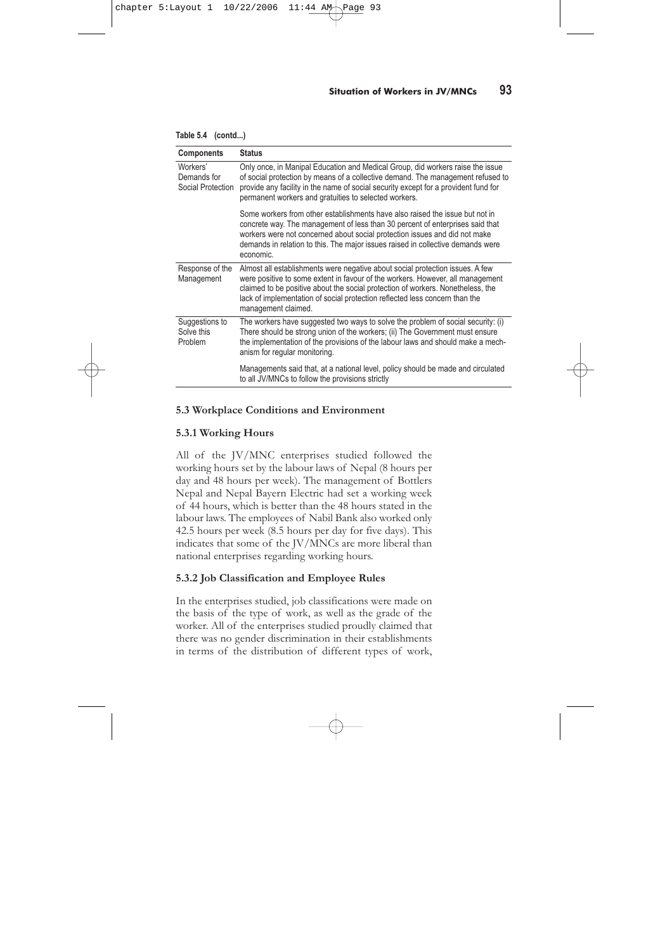**92** FOCUS TO MNCs<br>GEFONT study on The Status of JV/MNC Enterprises in Nepal, Employment and the Situation of Women

| <b>Components</b>                         | <b>Status</b>                                                                                                                                                                                                                                                                                                                                                                                                                                                                                                                                                                                                                                    |
|-------------------------------------------|--------------------------------------------------------------------------------------------------------------------------------------------------------------------------------------------------------------------------------------------------------------------------------------------------------------------------------------------------------------------------------------------------------------------------------------------------------------------------------------------------------------------------------------------------------------------------------------------------------------------------------------------------|
| <b>Provident Fund</b>                     | Establishments studied had provident funds for their permanent workers, as per<br>the labour laws.                                                                                                                                                                                                                                                                                                                                                                                                                                                                                                                                               |
| Gratuity                                  | Establishments had no common rule. Gratuities seem to depend on the mood of<br>the employer. The views expressed on this issue by the workers and manage-<br>ments in their own words are:                                                                                                                                                                                                                                                                                                                                                                                                                                                       |
|                                           | No rule. Depends on the mood of the management.<br>The workers had only heard about the provision of gratuity in their establish-<br>ment, but did not know of any rules and regulations.<br>• The gratuity provision is only applicable to permanent employees.<br>• Gratuities are provided as per the labour laws.<br>• Gratuities are provided on the basis of service period.<br>• Additional benefit is also provided in some establishments after completing 15<br>years service in the enterprises.<br>• Those who complete at least three years of service are eligible for gratuity and<br>it increases as the service year increases. |
| Workplace Injury                          | Procedures for workplace injury differed among the surveyed establishments.<br>Some of the provisions made by establishments include:                                                                                                                                                                                                                                                                                                                                                                                                                                                                                                            |
|                                           | All of the hospital medical expenses covered by the management.<br>$\bullet$<br>• First aid treatment only at the workplace, dispensary or elsewhere.<br>• Full treatment facility available.<br>• Only medical check-up in the hospital or concerned medical technicians.<br>• First aid as well as full payment of hospital expenses.<br>• Covered by medical allowance.<br>• When leave is due to workplace injury, full paid leave while in hospital and half<br>paid leave from special leave while recovering at home.                                                                                                                     |
| Dependent<br>benefit                      | No provision of dependent benefit was mentioned by most of the studied estab-<br>lishments. Bottlers Nepal provides up to Rs.30,000 to the employee's family on<br>the basis of a prescription from a medical practitioner and an authentic bill; and up<br>to Rs.8,500 for funeral expenses.                                                                                                                                                                                                                                                                                                                                                    |
| Sickness Benefit                          | Only some establishments provided medical check-ups and other benefits, such<br>as sickness benefits, and these were nominal.                                                                                                                                                                                                                                                                                                                                                                                                                                                                                                                    |
| Medicare                                  | All of the establishments have Medicare facilities for their workers to some<br>degree.                                                                                                                                                                                                                                                                                                                                                                                                                                                                                                                                                          |
| <b>Maternity Benefit</b>                  | Leave for 52 to 60 days, no any other facilities.                                                                                                                                                                                                                                                                                                                                                                                                                                                                                                                                                                                                |
| <b>Integrated Social</b><br>Security Fund | None, up to now, but the union of Bayern Electric created a Member Welfare Fund<br>by collecting Rs.200 each month from their members. The Fund provides loans to<br>members on demand for up to Rs.10,000 without any collateral at 10 percent<br>interest per annum. There are currently 265 members involved in this programme<br>and they find it very effective.                                                                                                                                                                                                                                                                            |
| <b>Welfare Fund</b>                       | Many enterprises claimed they have a Workers' Welfare Fund, but its utilization,<br>rules and regulations were not clear, usually because there are no specific rules<br>and regulations. In the beginning, some of the enterprises created a workers'<br>welfare fund. In some cases the enterprise union is now managing the fund as a<br>revolving fund. Similarly, in other enterprises, the fund is used according to the<br>decision of the Labour Relation Committee.                                                                                                                                                                     |

### **Table 5.4 Description of Social Protection Provisions**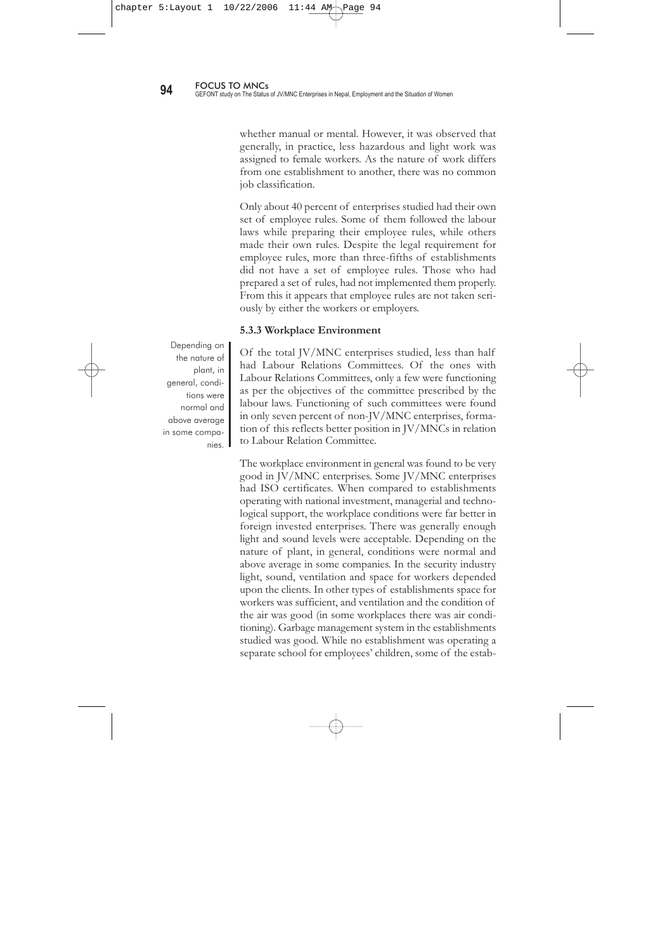| <b>Components</b>                            | <b>Status</b>                                                                                                                                                                                                                                                                                                                                            |
|----------------------------------------------|----------------------------------------------------------------------------------------------------------------------------------------------------------------------------------------------------------------------------------------------------------------------------------------------------------------------------------------------------------|
| Workers'<br>Demands for<br>Social Protection | Only once, in Manipal Education and Medical Group, did workers raise the issue<br>of social protection by means of a collective demand. The management refused to<br>provide any facility in the name of social security except for a provident fund for<br>permanent workers and gratuities to selected workers.                                        |
|                                              | Some workers from other establishments have also raised the issue but not in<br>concrete way. The management of less than 30 percent of enterprises said that<br>workers were not concerned about social protection issues and did not make<br>demands in relation to this. The major issues raised in collective demands were<br>economic.              |
| Response of the<br>Management                | Almost all establishments were negative about social protection issues. A few<br>were positive to some extent in favour of the workers. However, all management<br>claimed to be positive about the social protection of workers. Nonetheless, the<br>lack of implementation of social protection reflected less concern than the<br>management claimed. |
| Suggestions to<br>Solve this<br>Problem      | The workers have suggested two ways to solve the problem of social security: (i)<br>There should be strong union of the workers; (ii) The Government must ensure<br>the implementation of the provisions of the labour laws and should make a mech-<br>anism for regular monitoring.                                                                     |
|                                              | Managements said that, at a national level, policy should be made and circulated<br>to all JV/MNCs to follow the provisions strictly                                                                                                                                                                                                                     |

| Table 5.4 (contd) |  |
|-------------------|--|
|                   |  |

# **5.3 Workplace Conditions and Environment**

# **5.3.1 Working Hours**

All of the JV/MNC enterprises studied followed the working hours set by the labour laws of Nepal (8 hours per day and 48 hours per week). The management of Bottlers Nepal and Nepal Bayern Electric had set a working week of 44 hours, which is better than the 48 hours stated in the labour laws. The employees of Nabil Bank also worked only 42.5 hours per week (8.5 hours per day for five days). This indicates that some of the JV/MNCs are more liberal than national enterprises regarding working hours.

# **5.3.2 Job Classification and Employee Rules**

In the enterprises studied, job classifications were made on the basis of the type of work, as well as the grade of the worker. All of the enterprises studied proudly claimed that there was no gender discrimination in their establishments in terms of the distribution of different types of work,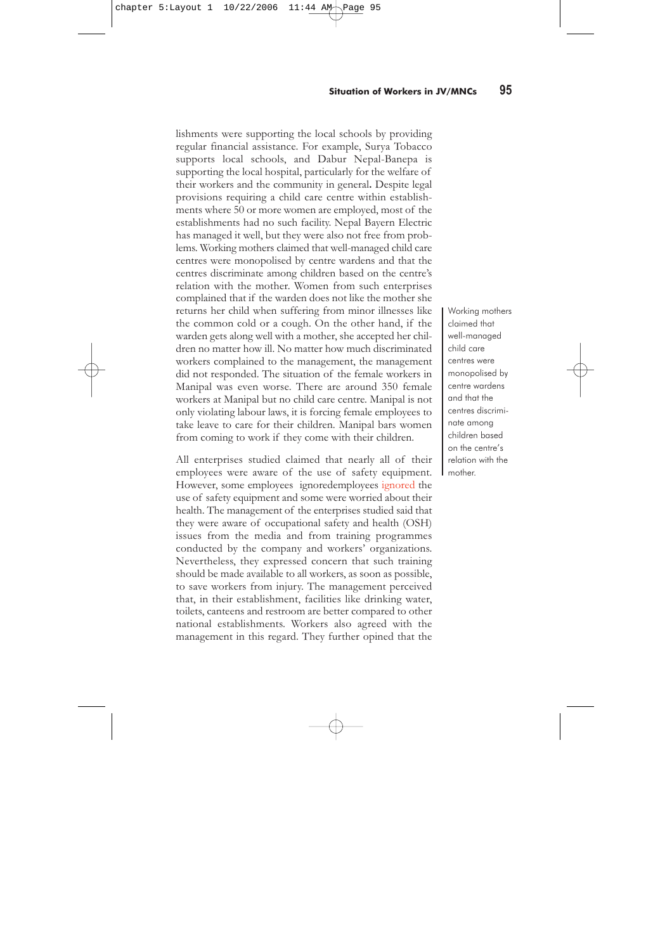whether manual or mental. However, it was observed that generally, in practice, less hazardous and light work was assigned to female workers. As the nature of work differs from one establishment to another, there was no common job classification.

Only about 40 percent of enterprises studied had their own set of employee rules. Some of them followed the labour laws while preparing their employee rules, while others made their own rules. Despite the legal requirement for employee rules, more than three-fifths of establishments did not have a set of employee rules. Those who had prepared a set of rules, had not implemented them properly. From this it appears that employee rules are not taken seriously by either the workers or employers.

### **5.3.3 Workplace Environment**

Of the total JV/MNC enterprises studied, less than half had Labour Relations Committees. Of the ones with Labour Relations Committees, only a few were functioning as per the objectives of the committee prescribed by the labour laws. Functioning of such committees were found in only seven percent of non-JV/MNC enterprises, formation of this reflects better position in JV/MNCs in relation to Labour Relation Committee.

The workplace environment in general was found to be very good in JV/MNC enterprises. Some JV/MNC enterprises had ISO certificates. When compared to establishments operating with national investment, managerial and technological support, the workplace conditions were far better in foreign invested enterprises. There was generally enough light and sound levels were acceptable. Depending on the nature of plant, in general, conditions were normal and above average in some companies. In the security industry light, sound, ventilation and space for workers depended upon the clients. In other types of establishments space for workers was sufficient, and ventilation and the condition of the air was good (in some workplaces there was air conditioning). Garbage management system in the establishments studied was good. While no establishment was operating a separate school for employees' children, some of the estab-

Depending on the nature of plant, in general, conditions were normal and above average in some companies.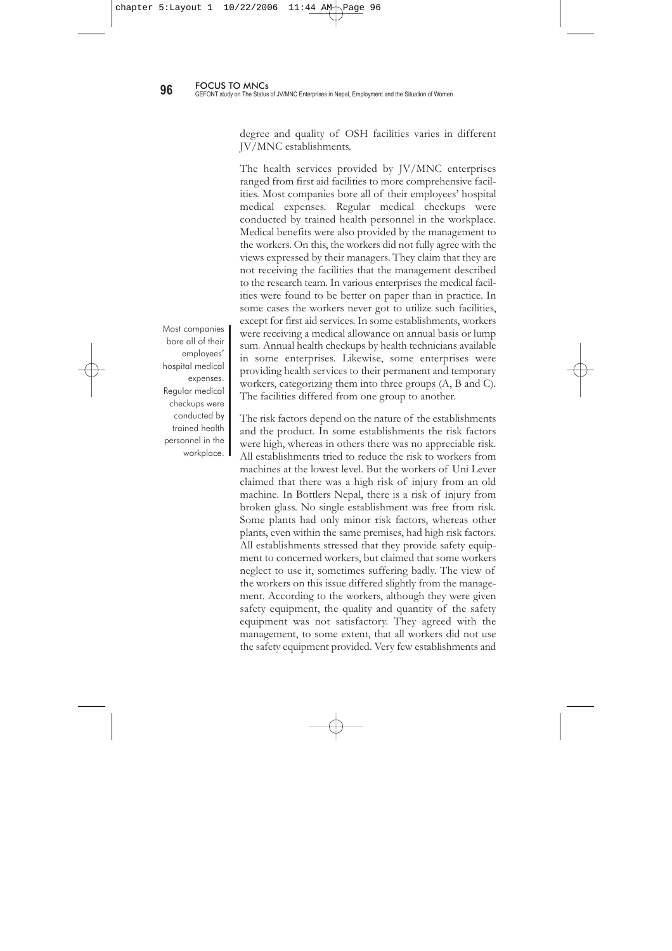lishments were supporting the local schools by providing regular financial assistance. For example, Surya Tobacco supports local schools, and Dabur Nepal-Banepa is supporting the local hospital, particularly for the welfare of their workers and the community in general**.** Despite legal provisions requiring a child care centre within establishments where 50 or more women are employed, most of the establishments had no such facility. Nepal Bayern Electric has managed it well, but they were also not free from problems. Working mothers claimed that well-managed child care centres were monopolised by centre wardens and that the centres discriminate among children based on the centre's relation with the mother. Women from such enterprises complained that if the warden does not like the mother she returns her child when suffering from minor illnesses like the common cold or a cough. On the other hand, if the warden gets along well with a mother, she accepted her children no matter how ill. No matter how much discriminated workers complained to the management, the management did not responded. The situation of the female workers in Manipal was even worse. There are around 350 female workers at Manipal but no child care centre. Manipal is not only violating labour laws, it is forcing female employees to take leave to care for their children. Manipal bars women from coming to work if they come with their children.

All enterprises studied claimed that nearly all of their employees were aware of the use of safety equipment. However, some employees ignoredemployees ignored the use of safety equipment and some were worried about their health. The management of the enterprises studied said that they were aware of occupational safety and health (OSH) issues from the media and from training programmes conducted by the company and workers' organizations. Nevertheless, they expressed concern that such training should be made available to all workers, as soon as possible, to save workers from injury. The management perceived that, in their establishment, facilities like drinking water, toilets, canteens and restroom are better compared to other national establishments. Workers also agreed with the management in this regard. They further opined that the

Working mothers claimed that well-managed child care centres were monopolised by centre wardens and that the centres discriminate among children based on the centre's relation with the mother.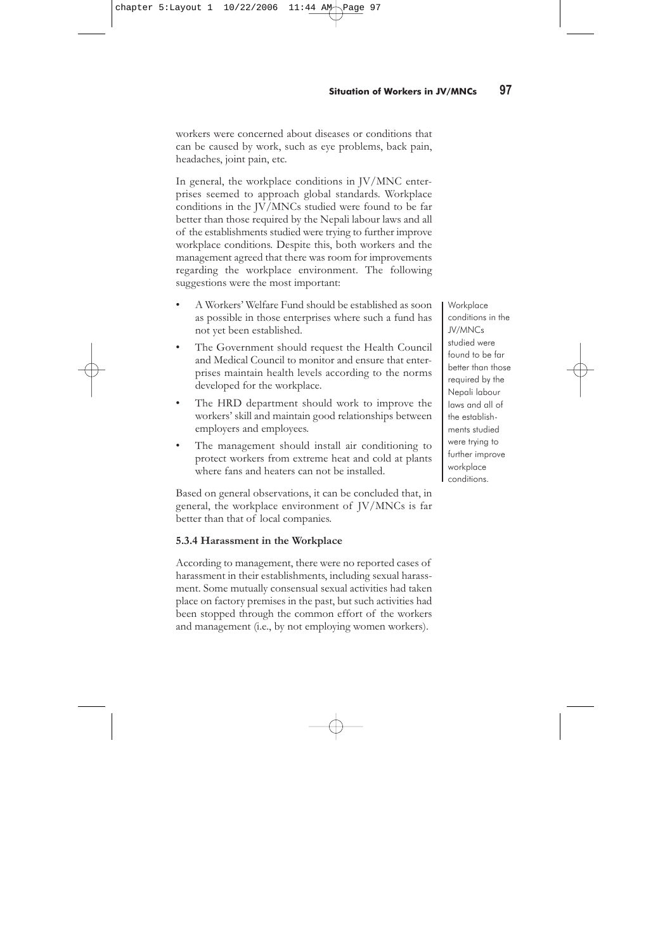degree and quality of OSH facilities varies in different JV/MNC establishments.

The health services provided by JV/MNC enterprises ranged from first aid facilities to more comprehensive facilities. Most companies bore all of their employees' hospital medical expenses. Regular medical checkups were conducted by trained health personnel in the workplace. Medical benefits were also provided by the management to the workers. On this, the workers did not fully agree with the views expressed by their managers. They claim that they are not receiving the facilities that the management described to the research team. In various enterprises the medical facilities were found to be better on paper than in practice. In some cases the workers never got to utilize such facilities, except for first aid services. In some establishments, workers were receiving a medical allowance on annual basis or lump sum. Annual health checkups by health technicians available in some enterprises. Likewise, some enterprises were providing health services to their permanent and temporary workers, categorizing them into three groups (A, B and C). The facilities differed from one group to another.

The risk factors depend on the nature of the establishments and the product. In some establishments the risk factors were high, whereas in others there was no appreciable risk. All establishments tried to reduce the risk to workers from machines at the lowest level. But the workers of Uni Lever claimed that there was a high risk of injury from an old machine. In Bottlers Nepal, there is a risk of injury from broken glass. No single establishment was free from risk. Some plants had only minor risk factors, whereas other plants, even within the same premises, had high risk factors. All establishments stressed that they provide safety equipment to concerned workers, but claimed that some workers neglect to use it, sometimes suffering badly. The view of the workers on this issue differed slightly from the management. According to the workers, although they were given safety equipment, the quality and quantity of the safety equipment was not satisfactory. They agreed with the management, to some extent, that all workers did not use the safety equipment provided. Very few establishments and

Most companies bore all of their employees' hospital medical expenses. Regular medical checkups were conducted by trained health personnel in the workplace.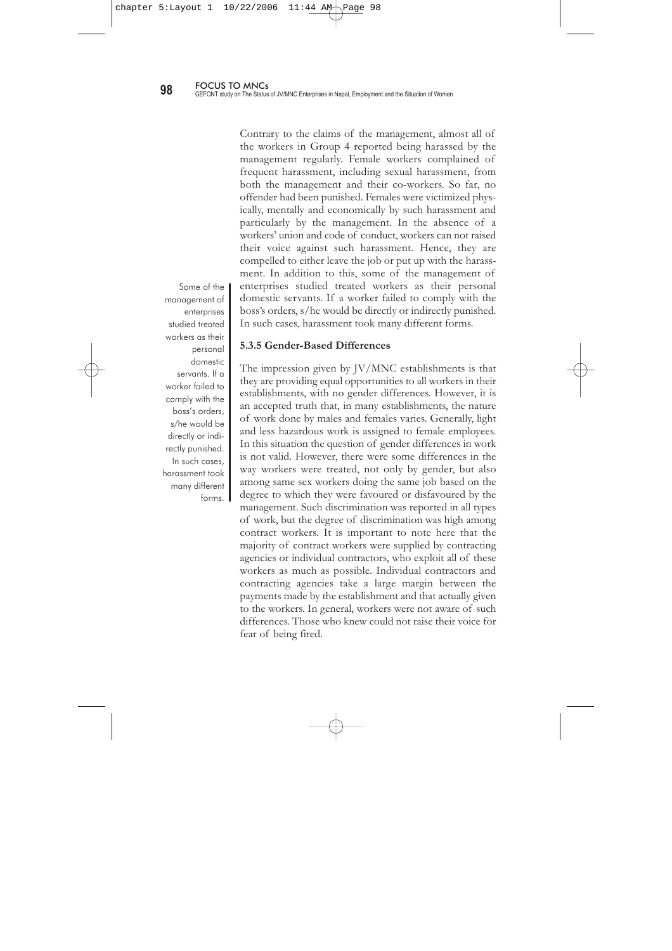workers were concerned about diseases or conditions that can be caused by work, such as eye problems, back pain, headaches, joint pain, etc.

In general, the workplace conditions in JV/MNC enterprises seemed to approach global standards. Workplace conditions in the JV/MNCs studied were found to be far better than those required by the Nepali labour laws and all of the establishments studied were trying to further improve workplace conditions. Despite this, both workers and the management agreed that there was room for improvements regarding the workplace environment. The following suggestions were the most important:

- A Workers' Welfare Fund should be established as soon as possible in those enterprises where such a fund has not yet been established.
- The Government should request the Health Council and Medical Council to monitor and ensure that enterprises maintain health levels according to the norms developed for the workplace.
- The HRD department should work to improve the workers' skill and maintain good relationships between employers and employees.
- The management should install air conditioning to protect workers from extreme heat and cold at plants where fans and heaters can not be installed.

Based on general observations, it can be concluded that, in general, the workplace environment of JV/MNCs is far better than that of local companies.

# **5.3.4 Harassment in the Workplace**

According to management, there were no reported cases of harassment in their establishments, including sexual harassment. Some mutually consensual sexual activities had taken place on factory premises in the past, but such activities had been stopped through the common effort of the workers and management (i.e., by not employing women workers).

**Workplace** conditions in the JV/MNCs studied were found to be far better than those required by the Nepali labour laws and all of the establishments studied were trying to further improve workplace conditions.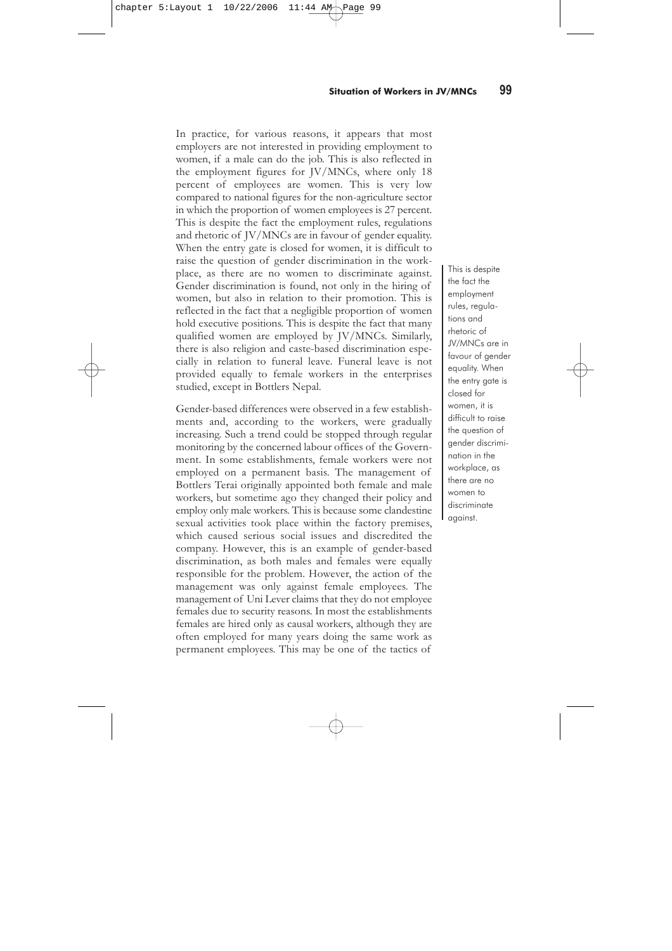Contrary to the claims of the management, almost all of the workers in Group 4 reported being harassed by the management regularly. Female workers complained of frequent harassment, including sexual harassment, from both the management and their co-workers. So far, no offender had been punished. Females were victimized physically, mentally and economically by such harassment and particularly by the management. In the absence of a workers' union and code of conduct, workers can not raised their voice against such harassment. Hence, they are compelled to either leave the job or put up with the harassment. In addition to this, some of the management of enterprises studied treated workers as their personal domestic servants. If a worker failed to comply with the boss's orders, s/he would be directly or indirectly punished. In such cases, harassment took many different forms.

### **5.3.5 Gender-Based Differences**

The impression given by JV/MNC establishments is that they are providing equal opportunities to all workers in their establishments, with no gender differences. However, it is an accepted truth that, in many establishments, the nature of work done by males and females varies. Generally, light and less hazardous work is assigned to female employees. In this situation the question of gender differences in work is not valid. However, there were some differences in the way workers were treated, not only by gender, but also among same sex workers doing the same job based on the degree to which they were favoured or disfavoured by the management. Such discrimination was reported in all types of work, but the degree of discrimination was high among contract workers. It is important to note here that the majority of contract workers were supplied by contracting agencies or individual contractors, who exploit all of these workers as much as possible. Individual contractors and contracting agencies take a large margin between the payments made by the establishment and that actually given to the workers. In general, workers were not aware of such differences. Those who knew could not raise their voice for fear of being fired.

Some of the management of enterprises studied treated workers as their personal domestic servants. If a worker failed to comply with the boss's orders, s/he would be directly or indirectly punished. In such cases, harassment took many different forms.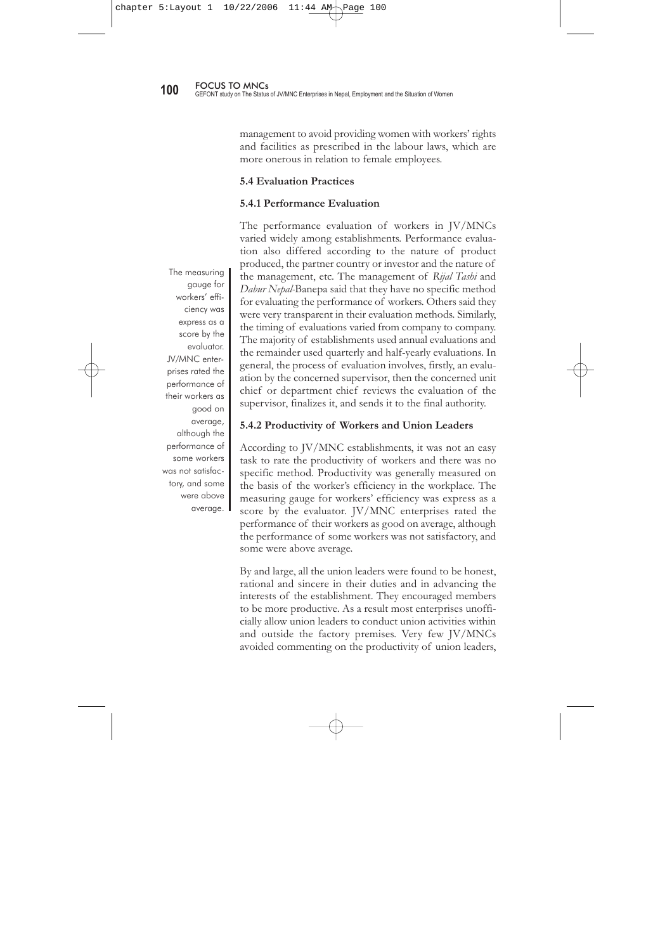In practice, for various reasons, it appears that most employers are not interested in providing employment to women, if a male can do the job. This is also reflected in the employment figures for JV/MNCs, where only 18 percent of employees are women. This is very low compared to national figures for the non-agriculture sector in which the proportion of women employees is 27 percent. This is despite the fact the employment rules, regulations and rhetoric of JV/MNCs are in favour of gender equality. When the entry gate is closed for women, it is difficult to raise the question of gender discrimination in the workplace, as there are no women to discriminate against. Gender discrimination is found, not only in the hiring of women, but also in relation to their promotion. This is reflected in the fact that a negligible proportion of women hold executive positions. This is despite the fact that many qualified women are employed by JV/MNCs. Similarly, there is also religion and caste-based discrimination especially in relation to funeral leave. Funeral leave is not provided equally to female workers in the enterprises studied, except in Bottlers Nepal.

Gender-based differences were observed in a few establishments and, according to the workers, were gradually increasing. Such a trend could be stopped through regular monitoring by the concerned labour offices of the Government. In some establishments, female workers were not employed on a permanent basis. The management of Bottlers Terai originally appointed both female and male workers, but sometime ago they changed their policy and employ only male workers. This is because some clandestine sexual activities took place within the factory premises, which caused serious social issues and discredited the company. However, this is an example of gender-based discrimination, as both males and females were equally responsible for the problem. However, the action of the management was only against female employees. The management of Uni Lever claims that they do not employee females due to security reasons. In most the establishments females are hired only as causal workers, although they are often employed for many years doing the same work as permanent employees. This may be one of the tactics of

This is despite the fact the employment rules, regulations and rhetoric of JV/MNCs are in favour of gender equality. When the entry gate is closed for women, it is difficult to raise the question of gender discrimination in the workplace, as there are no women to discriminate against.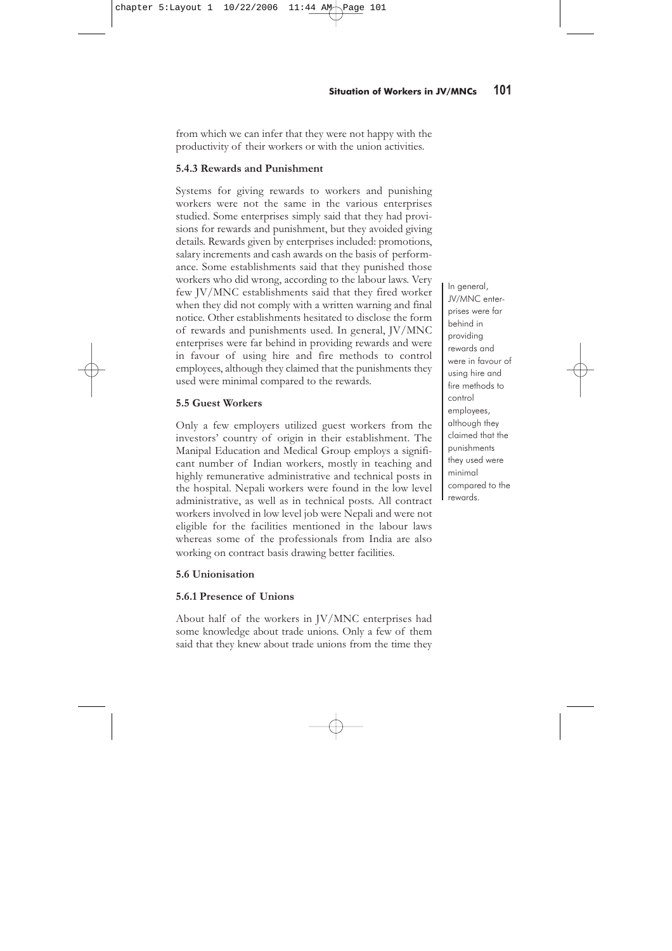management to avoid providing women with workers' rights and facilities as prescribed in the labour laws, which are more onerous in relation to female employees.

# **5.4 Evaluation Practices**

# **5.4.1 Performance Evaluation**

The performance evaluation of workers in JV/MNCs varied widely among establishments. Performance evaluation also differed according to the nature of product produced, the partner country or investor and the nature of the management, etc. The management of *Rijal Tashi* and *Dabur Nepal-*Banepa said that they have no specific method for evaluating the performance of workers. Others said they were very transparent in their evaluation methods. Similarly, the timing of evaluations varied from company to company. The majority of establishments used annual evaluations and the remainder used quarterly and half-yearly evaluations. In general, the process of evaluation involves, firstly, an evaluation by the concerned supervisor, then the concerned unit chief or department chief reviews the evaluation of the supervisor, finalizes it, and sends it to the final authority.

### **5.4.2 Productivity of Workers and Union Leaders**

According to JV/MNC establishments, it was not an easy task to rate the productivity of workers and there was no specific method. Productivity was generally measured on the basis of the worker's efficiency in the workplace. The measuring gauge for workers' efficiency was express as a score by the evaluator. JV/MNC enterprises rated the performance of their workers as good on average, although the performance of some workers was not satisfactory, and some were above average.

By and large, all the union leaders were found to be honest, rational and sincere in their duties and in advancing the interests of the establishment. They encouraged members to be more productive. As a result most enterprises unofficially allow union leaders to conduct union activities within and outside the factory premises. Very few JV/MNCs avoided commenting on the productivity of union leaders,

The measuring gauge for workers' efficiency was express as a score by the evaluator. JV/MNC enterprises rated the performance of their workers as good on average, although the performance of some workers was not satisfactory, and some were above average.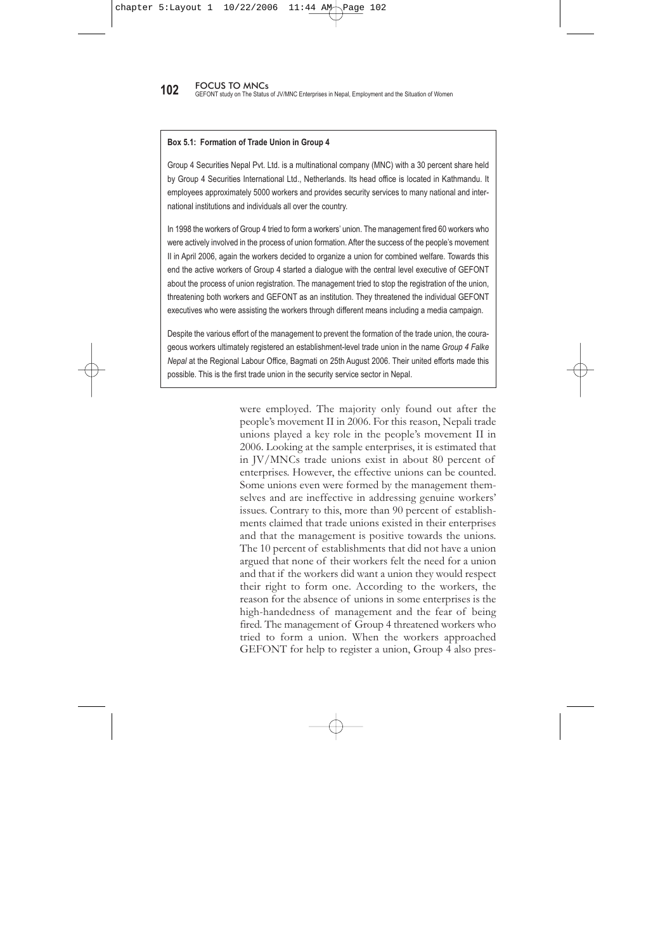from which we can infer that they were not happy with the productivity of their workers or with the union activities.

# **5.4.3 Rewards and Punishment**

Systems for giving rewards to workers and punishing workers were not the same in the various enterprises studied. Some enterprises simply said that they had provisions for rewards and punishment, but they avoided giving details. Rewards given by enterprises included: promotions, salary increments and cash awards on the basis of performance. Some establishments said that they punished those workers who did wrong, according to the labour laws. Very few JV/MNC establishments said that they fired worker when they did not comply with a written warning and final notice. Other establishments hesitated to disclose the form of rewards and punishments used. In general, JV/MNC enterprises were far behind in providing rewards and were in favour of using hire and fire methods to control employees, although they claimed that the punishments they used were minimal compared to the rewards.

# **5.5 Guest Workers**

Only a few employers utilized guest workers from the investors' country of origin in their establishment. The Manipal Education and Medical Group employs a significant number of Indian workers, mostly in teaching and highly remunerative administrative and technical posts in the hospital. Nepali workers were found in the low level administrative, as well as in technical posts. All contract workers involved in low level job were Nepali and were not eligible for the facilities mentioned in the labour laws whereas some of the professionals from India are also working on contract basis drawing better facilities.

# **5.6 Unionisation**

# **5.6.1 Presence of Unions**

About half of the workers in JV/MNC enterprises had some knowledge about trade unions. Only a few of them said that they knew about trade unions from the time they In general, JV/MNC enterprises were far behind in providing rewards and were in favour of using hire and fire methods to control employees, although they claimed that the punishments they used were minimal compared to the rewards.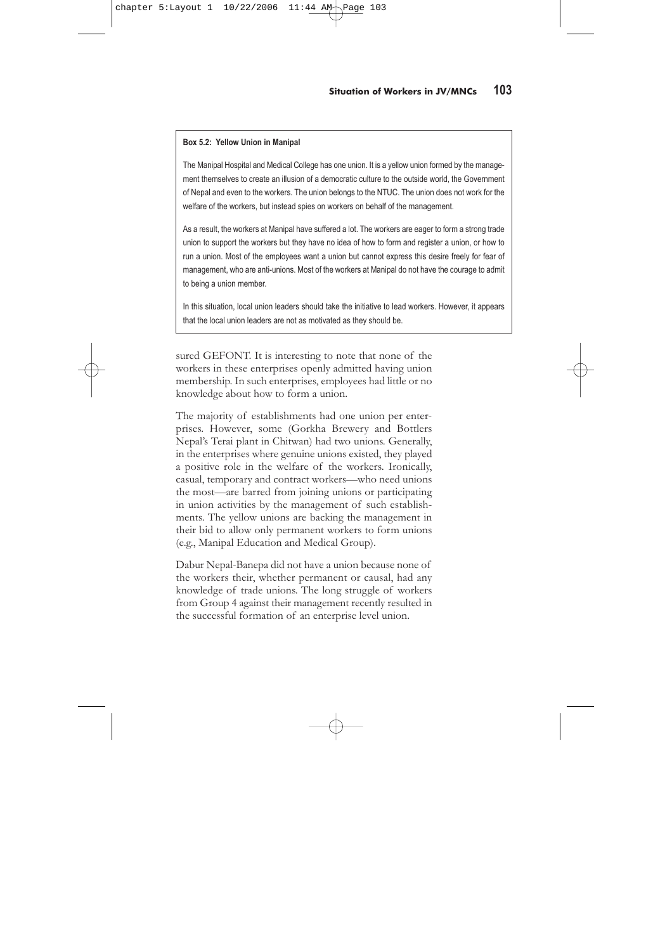**102** FOCUS TO MNCs<br>**102** GEFONT study on The Status of JV/MNC Enterprises in Nepal, Employment and the Situation of Women

### **Box 5.1: Formation of Trade Union in Group 4**

Group 4 Securities Nepal Pvt. Ltd. is a multinational company (MNC) with a 30 percent share held by Group 4 Securities International Ltd., Netherlands. Its head office is located in Kathmandu. It employees approximately 5000 workers and provides security services to many national and international institutions and individuals all over the country.

In 1998 the workers of Group 4 tried to form a workers' union. The management fired 60 workers who were actively involved in the process of union formation. After the success of the people's movement II in April 2006, again the workers decided to organize a union for combined welfare. Towards this end the active workers of Group 4 started a dialogue with the central level executive of GEFONT about the process of union registration. The management tried to stop the registration of the union, threatening both workers and GEFONT as an institution. They threatened the individual GEFONT executives who were assisting the workers through different means including a media campaign.

Despite the various effort of the management to prevent the formation of the trade union, the courageous workers ultimately registered an establishment-level trade union in the name *Group 4 Falke Nepal* at the Regional Labour Office, Bagmati on 25th August 2006. Their united efforts made this possible. This is the first trade union in the security service sector in Nepal.

> were employed. The majority only found out after the people's movement II in 2006. For this reason, Nepali trade unions played a key role in the people's movement II in 2006. Looking at the sample enterprises, it is estimated that in JV/MNCs trade unions exist in about 80 percent of enterprises. However, the effective unions can be counted. Some unions even were formed by the management themselves and are ineffective in addressing genuine workers' issues. Contrary to this, more than 90 percent of establishments claimed that trade unions existed in their enterprises and that the management is positive towards the unions. The 10 percent of establishments that did not have a union argued that none of their workers felt the need for a union and that if the workers did want a union they would respect their right to form one. According to the workers, the reason for the absence of unions in some enterprises is the high-handedness of management and the fear of being fired. The management of Group 4 threatened workers who tried to form a union. When the workers approached GEFONT for help to register a union, Group 4 also pres-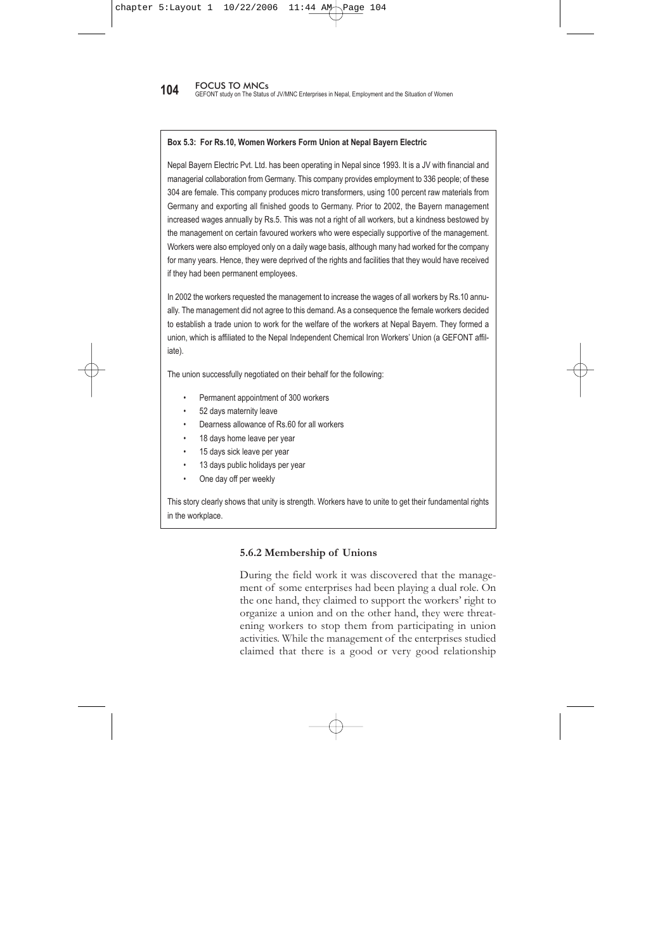### **Box 5.2: Yellow Union in Manipal**

The Manipal Hospital and Medical College has one union. It is a yellow union formed by the management themselves to create an illusion of a democratic culture to the outside world, the Government of Nepal and even to the workers. The union belongs to the NTUC. The union does not work for the welfare of the workers, but instead spies on workers on behalf of the management.

As a result, the workers at Manipal have suffered a lot. The workers are eager to form a strong trade union to support the workers but they have no idea of how to form and register a union, or how to run a union. Most of the employees want a union but cannot express this desire freely for fear of management, who are anti-unions. Most of the workers at Manipal do not have the courage to admit to being a union member.

In this situation, local union leaders should take the initiative to lead workers. However, it appears that the local union leaders are not as motivated as they should be.

sured GEFONT. It is interesting to note that none of the workers in these enterprises openly admitted having union membership. In such enterprises, employees had little or no knowledge about how to form a union.

The majority of establishments had one union per enterprises. However, some (Gorkha Brewery and Bottlers Nepal's Terai plant in Chitwan) had two unions. Generally, in the enterprises where genuine unions existed, they played a positive role in the welfare of the workers. Ironically, casual, temporary and contract workers—who need unions the most—are barred from joining unions or participating in union activities by the management of such establishments. The yellow unions are backing the management in their bid to allow only permanent workers to form unions (e.g., Manipal Education and Medical Group).

Dabur Nepal-Banepa did not have a union because none of the workers their, whether permanent or causal, had any knowledge of trade unions. The long struggle of workers from Group 4 against their management recently resulted in the successful formation of an enterprise level union.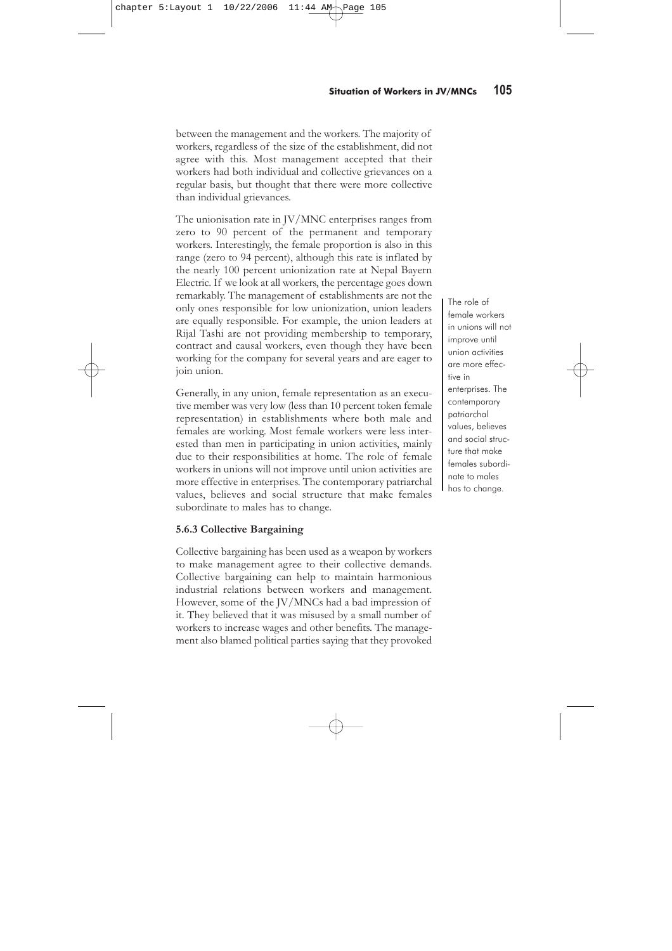**104** FOCUS TO MNCs<br>**104** GEFONT study on The Status of JV/MNC Enterprises in Nepal, Employment and the Situation of Women

### **Box 5.3: For Rs.10, Women Workers Form Union at Nepal Bayern Electric**

Nepal Bayern Electric Pvt. Ltd. has been operating in Nepal since 1993. It is a JV with financial and managerial collaboration from Germany. This company provides employment to 336 people; of these 304 are female. This company produces micro transformers, using 100 percent raw materials from Germany and exporting all finished goods to Germany. Prior to 2002, the Bayern management increased wages annually by Rs.5. This was not a right of all workers, but a kindness bestowed by the management on certain favoured workers who were especially supportive of the management. Workers were also employed only on a daily wage basis, although many had worked for the company for many years. Hence, they were deprived of the rights and facilities that they would have received if they had been permanent employees.

In 2002 the workers requested the management to increase the wages of all workers by Rs.10 annually. The management did not agree to this demand. As a consequence the female workers decided to establish a trade union to work for the welfare of the workers at Nepal Bayern. They formed a union, which is affiliated to the Nepal Independent Chemical Iron Workers' Union (a GEFONT affiliate).

The union successfully negotiated on their behalf for the following:

- Permanent appointment of 300 workers
- 52 days maternity leave
- Dearness allowance of Rs.60 for all workers
- 18 days home leave per year
- 15 days sick leave per year
- 13 days public holidays per year
- One day off per weekly

This story clearly shows that unity is strength. Workers have to unite to get their fundamental rights in the workplace.

# **5.6.2 Membership of Unions**

During the field work it was discovered that the management of some enterprises had been playing a dual role. On the one hand, they claimed to support the workers' right to organize a union and on the other hand, they were threatening workers to stop them from participating in union activities. While the management of the enterprises studied claimed that there is a good or very good relationship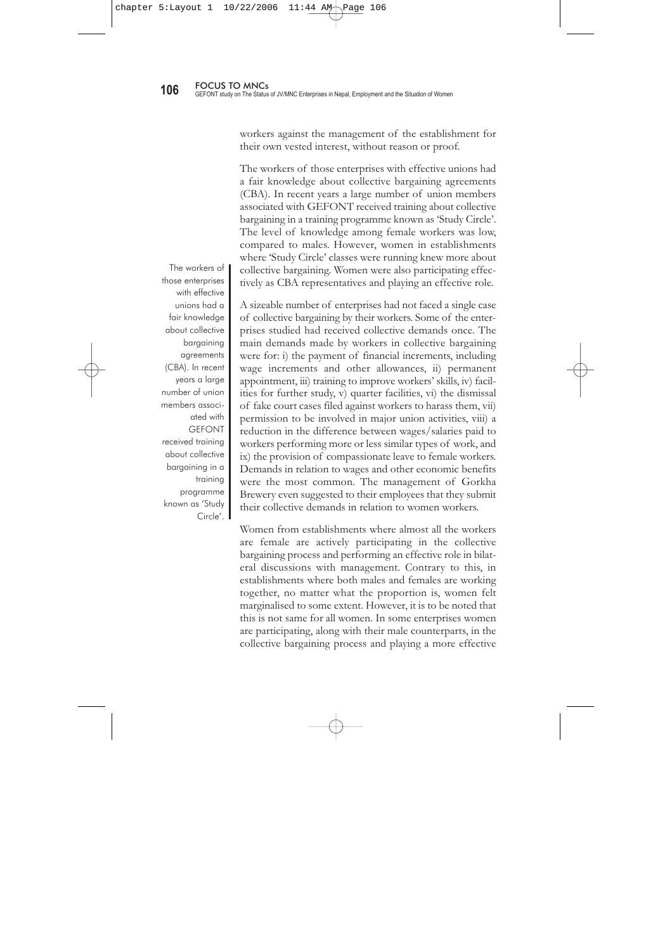between the management and the workers. The majority of workers, regardless of the size of the establishment, did not agree with this. Most management accepted that their workers had both individual and collective grievances on a regular basis, but thought that there were more collective than individual grievances.

The unionisation rate in JV/MNC enterprises ranges from zero to 90 percent of the permanent and temporary workers. Interestingly, the female proportion is also in this range (zero to 94 percent), although this rate is inflated by the nearly 100 percent unionization rate at Nepal Bayern Electric. If we look at all workers, the percentage goes down remarkably. The management of establishments are not the only ones responsible for low unionization, union leaders are equally responsible. For example, the union leaders at Rijal Tashi are not providing membership to temporary, contract and causal workers, even though they have been working for the company for several years and are eager to join union.

Generally, in any union, female representation as an executive member was very low (less than 10 percent token female representation) in establishments where both male and females are working. Most female workers were less interested than men in participating in union activities, mainly due to their responsibilities at home. The role of female workers in unions will not improve until union activities are more effective in enterprises. The contemporary patriarchal values, believes and social structure that make females subordinate to males has to change.

### **5.6.3 Collective Bargaining**

Collective bargaining has been used as a weapon by workers to make management agree to their collective demands. Collective bargaining can help to maintain harmonious industrial relations between workers and management. However, some of the JV/MNCs had a bad impression of it. They believed that it was misused by a small number of workers to increase wages and other benefits. The management also blamed political parties saying that they provoked The role of female workers in unions will not improve until union activities are more effective in enterprises. The contemporary patriarchal values, believes and social structure that make females subordinate to males has to change.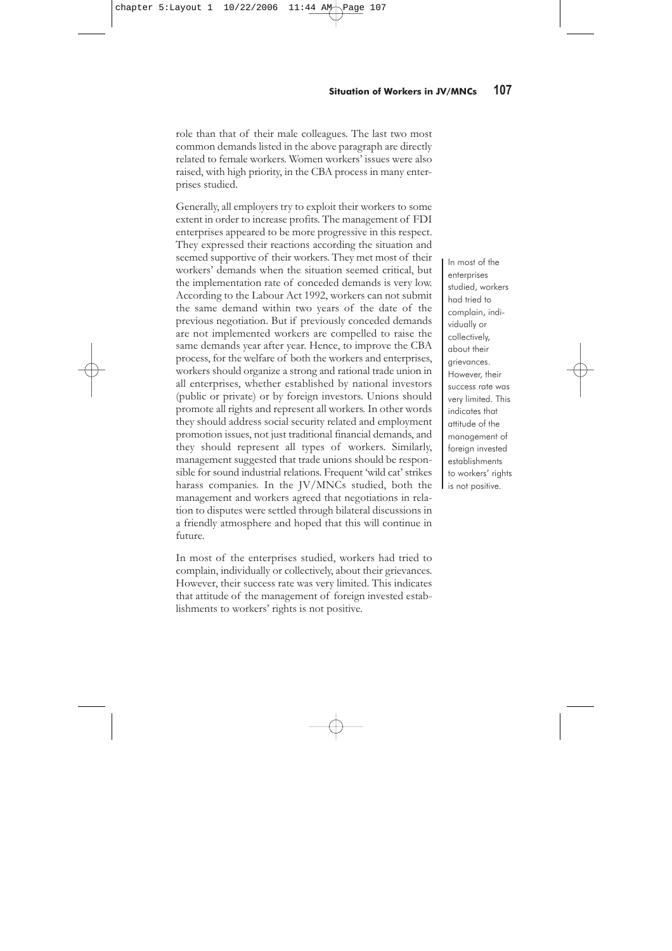workers against the management of the establishment for their own vested interest, without reason or proof.

The workers of those enterprises with effective unions had a fair knowledge about collective bargaining agreements (CBA). In recent years a large number of union members associated with GEFONT received training about collective bargaining in a training programme known as 'Study Circle'. The level of knowledge among female workers was low, compared to males. However, women in establishments where 'Study Circle' classes were running knew more about collective bargaining. Women were also participating effectively as CBA representatives and playing an effective role.

A sizeable number of enterprises had not faced a single case of collective bargaining by their workers. Some of the enterprises studied had received collective demands once. The main demands made by workers in collective bargaining were for: i) the payment of financial increments, including wage increments and other allowances, ii) permanent appointment, iii) training to improve workers' skills, iv) facilities for further study, v) quarter facilities, vi) the dismissal of fake court cases filed against workers to harass them, vii) permission to be involved in major union activities, viii) a reduction in the difference between wages/salaries paid to workers performing more or less similar types of work, and ix) the provision of compassionate leave to female workers. Demands in relation to wages and other economic benefits were the most common. The management of Gorkha Brewery even suggested to their employees that they submit their collective demands in relation to women workers.

Women from establishments where almost all the workers are female are actively participating in the collective bargaining process and performing an effective role in bilateral discussions with management. Contrary to this, in establishments where both males and females are working together, no matter what the proportion is, women felt marginalised to some extent. However, it is to be noted that this is not same for all women. In some enterprises women are participating, along with their male counterparts, in the collective bargaining process and playing a more effective

The workers of those enterprises with effective unions had a fair knowledge about collective bargaining agreements (CBA). In recent years a large number of union members associated with GEFONT received training about collective bargaining in a training programme known as 'Study Circle'.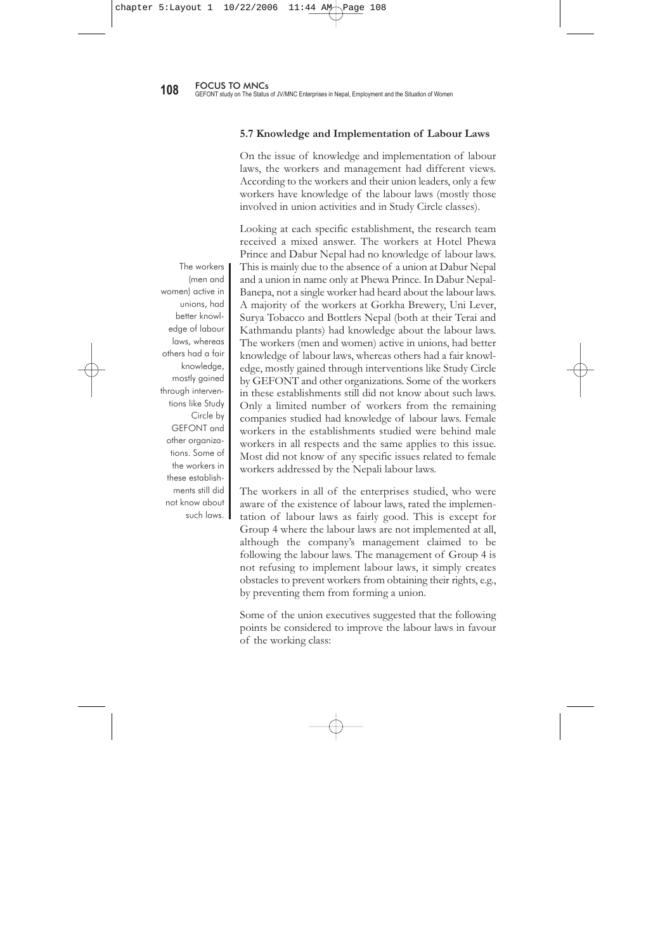role than that of their male colleagues. The last two most common demands listed in the above paragraph are directly related to female workers. Women workers' issues were also raised, with high priority, in the CBA process in many enterprises studied.

Generally, all employers try to exploit their workers to some extent in order to increase profits. The management of FDI enterprises appeared to be more progressive in this respect. They expressed their reactions according the situation and seemed supportive of their workers. They met most of their workers' demands when the situation seemed critical, but the implementation rate of conceded demands is very low. According to the Labour Act 1992, workers can not submit the same demand within two years of the date of the previous negotiation. But if previously conceded demands are not implemented workers are compelled to raise the same demands year after year. Hence, to improve the CBA process, for the welfare of both the workers and enterprises, workers should organize a strong and rational trade union in all enterprises, whether established by national investors (public or private) or by foreign investors. Unions should promote all rights and represent all workers. In other words they should address social security related and employment promotion issues, not just traditional financial demands, and they should represent all types of workers. Similarly, management suggested that trade unions should be responsible for sound industrial relations. Frequent 'wild cat' strikes harass companies. In the JV/MNCs studied, both the management and workers agreed that negotiations in relation to disputes were settled through bilateral discussions in a friendly atmosphere and hoped that this will continue in future.

In most of the enterprises studied, workers had tried to complain, individually or collectively, about their grievances. However, their success rate was very limited. This indicates that attitude of the management of foreign invested establishments to workers' rights is not positive.

In most of the enterprises studied, workers had tried to complain, individually or collectively, about their grievances. However, their success rate was very limited. This indicates that attitude of the management of foreign invested establishments to workers' rights is not positive.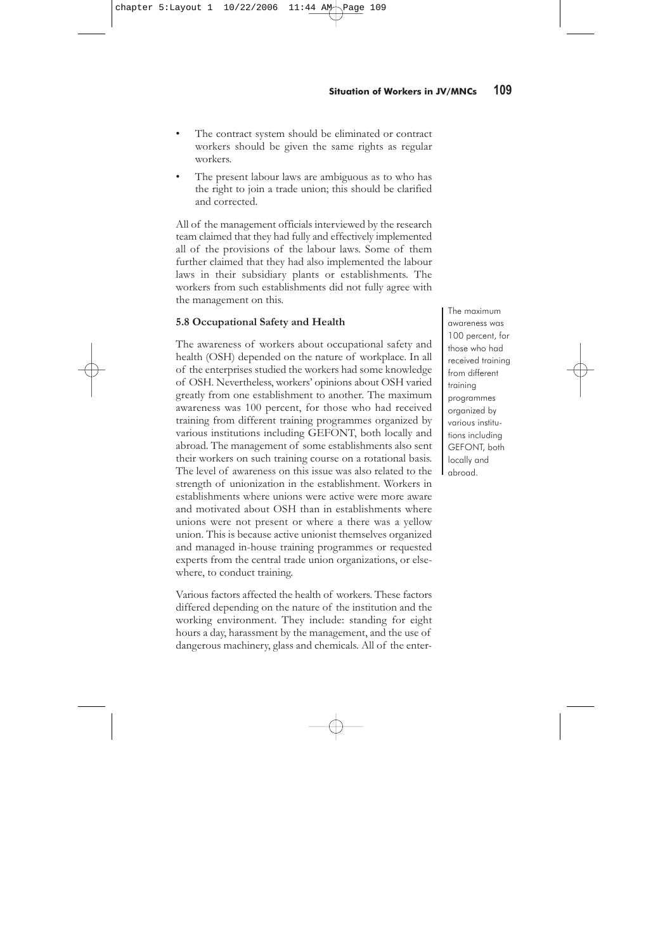#### **5.7 Knowledge and Implementation of Labour Laws**

On the issue of knowledge and implementation of labour laws, the workers and management had different views. According to the workers and their union leaders, only a few workers have knowledge of the labour laws (mostly those involved in union activities and in Study Circle classes).

Looking at each specific establishment, the research team received a mixed answer. The workers at Hotel Phewa Prince and Dabur Nepal had no knowledge of labour laws. This is mainly due to the absence of a union at Dabur Nepal and a union in name only at Phewa Prince. In Dabur Nepal-Banepa, not a single worker had heard about the labour laws. A majority of the workers at Gorkha Brewery, Uni Lever, Surya Tobacco and Bottlers Nepal (both at their Terai and Kathmandu plants) had knowledge about the labour laws. The workers (men and women) active in unions, had better knowledge of labour laws, whereas others had a fair knowledge, mostly gained through interventions like Study Circle by GEFONT and other organizations. Some of the workers in these establishments still did not know about such laws. Only a limited number of workers from the remaining companies studied had knowledge of labour laws. Female workers in the establishments studied were behind male workers in all respects and the same applies to this issue. Most did not know of any specific issues related to female workers addressed by the Nepali labour laws.

The workers in all of the enterprises studied, who were aware of the existence of labour laws, rated the implementation of labour laws as fairly good. This is except for Group 4 where the labour laws are not implemented at all, although the company's management claimed to be following the labour laws. The management of Group 4 is not refusing to implement labour laws, it simply creates obstacles to prevent workers from obtaining their rights, e.g., by preventing them from forming a union.

Some of the union executives suggested that the following points be considered to improve the labour laws in favour of the working class:

The workers (men and women) active in unions, had better knowledge of labour laws, whereas others had a fair knowledge, mostly gained through interventions like Study Circle by GEFONT and other organizations. Some of the workers in these establishments still did not know about such laws.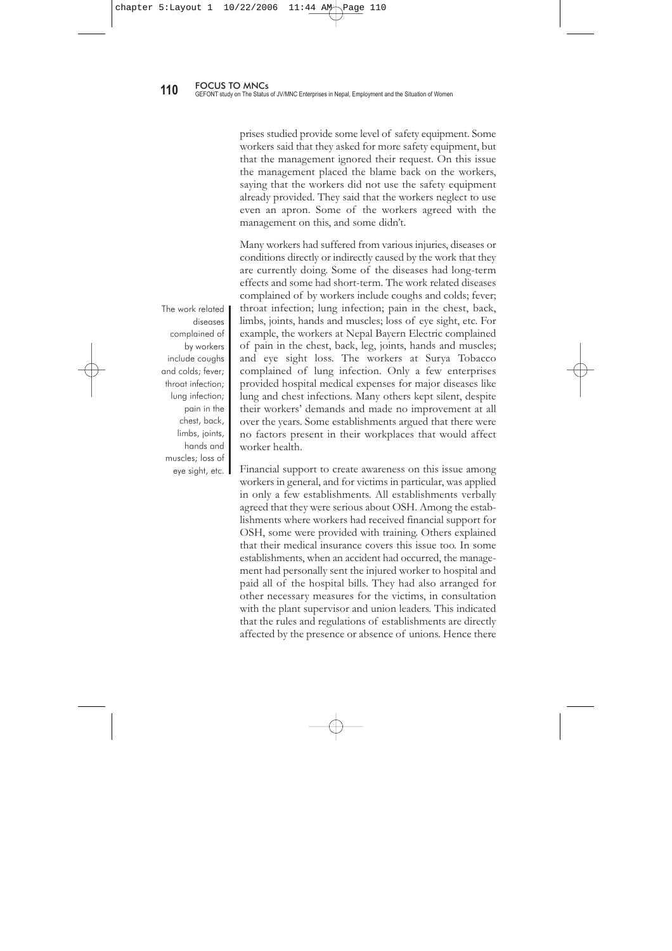- The contract system should be eliminated or contract workers should be given the same rights as regular workers.
- The present labour laws are ambiguous as to who has the right to join a trade union; this should be clarified and corrected.

All of the management officials interviewed by the research team claimed that they had fully and effectively implemented all of the provisions of the labour laws. Some of them further claimed that they had also implemented the labour laws in their subsidiary plants or establishments. The workers from such establishments did not fully agree with the management on this.

### **5.8 Occupational Safety and Health**

The awareness of workers about occupational safety and health (OSH) depended on the nature of workplace. In all of the enterprises studied the workers had some knowledge of OSH. Nevertheless, workers' opinions about OSH varied greatly from one establishment to another. The maximum awareness was 100 percent, for those who had received training from different training programmes organized by various institutions including GEFONT, both locally and abroad. The management of some establishments also sent their workers on such training course on a rotational basis. The level of awareness on this issue was also related to the strength of unionization in the establishment. Workers in establishments where unions were active were more aware and motivated about OSH than in establishments where unions were not present or where a there was a yellow union. This is because active unionist themselves organized and managed in-house training programmes or requested experts from the central trade union organizations, or elsewhere, to conduct training.

Various factors affected the health of workers. These factors differed depending on the nature of the institution and the working environment. They include: standing for eight hours a day, harassment by the management, and the use of dangerous machinery, glass and chemicals. All of the enterThe maximum awareness was 100 percent, for those who had received training from different training programmes organized by various institutions including GEFONT, both locally and abroad.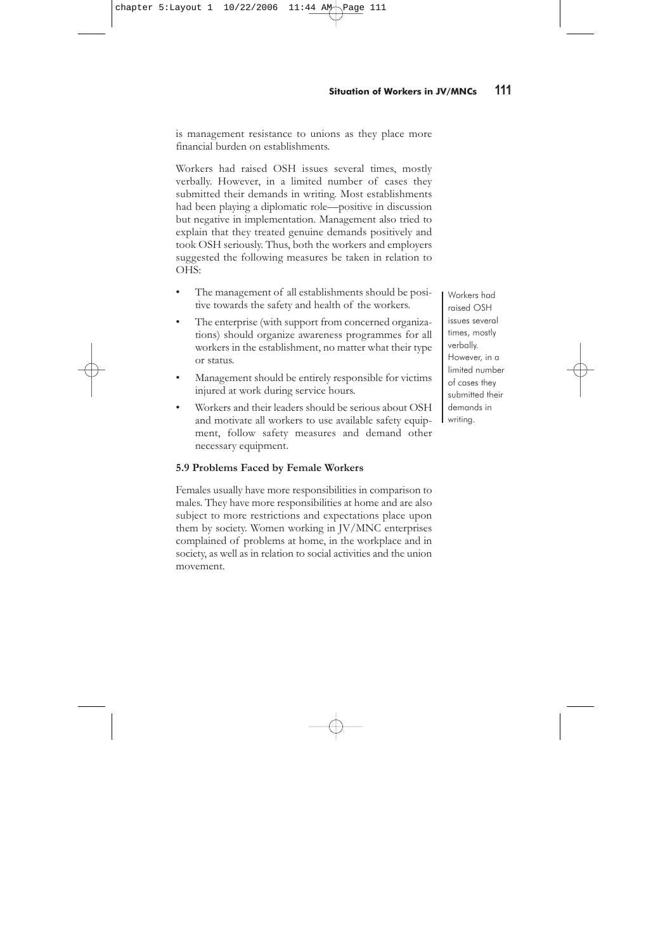prises studied provide some level of safety equipment. Some workers said that they asked for more safety equipment, but that the management ignored their request. On this issue the management placed the blame back on the workers, saying that the workers did not use the safety equipment already provided. They said that the workers neglect to use even an apron. Some of the workers agreed with the management on this, and some didn't.

Many workers had suffered from various injuries, diseases or conditions directly or indirectly caused by the work that they are currently doing. Some of the diseases had long-term effects and some had short-term. The work related diseases complained of by workers include coughs and colds; fever; throat infection; lung infection; pain in the chest, back, limbs, joints, hands and muscles; loss of eye sight, etc. For example, the workers at Nepal Bayern Electric complained of pain in the chest, back, leg, joints, hands and muscles; and eye sight loss. The workers at Surya Tobacco complained of lung infection. Only a few enterprises provided hospital medical expenses for major diseases like lung and chest infections. Many others kept silent, despite their workers' demands and made no improvement at all over the years. Some establishments argued that there were no factors present in their workplaces that would affect worker health.

Financial support to create awareness on this issue among workers in general, and for victims in particular, was applied in only a few establishments. All establishments verbally agreed that they were serious about OSH. Among the establishments where workers had received financial support for OSH, some were provided with training. Others explained that their medical insurance covers this issue too. In some establishments, when an accident had occurred, the management had personally sent the injured worker to hospital and paid all of the hospital bills. They had also arranged for other necessary measures for the victims, in consultation with the plant supervisor and union leaders. This indicated that the rules and regulations of establishments are directly affected by the presence or absence of unions. Hence there

The work related diseases complained of by workers include coughs and colds; fever; throat infection; lung infection; pain in the chest, back, limbs, joints, hands and muscles; loss of eye sight, etc.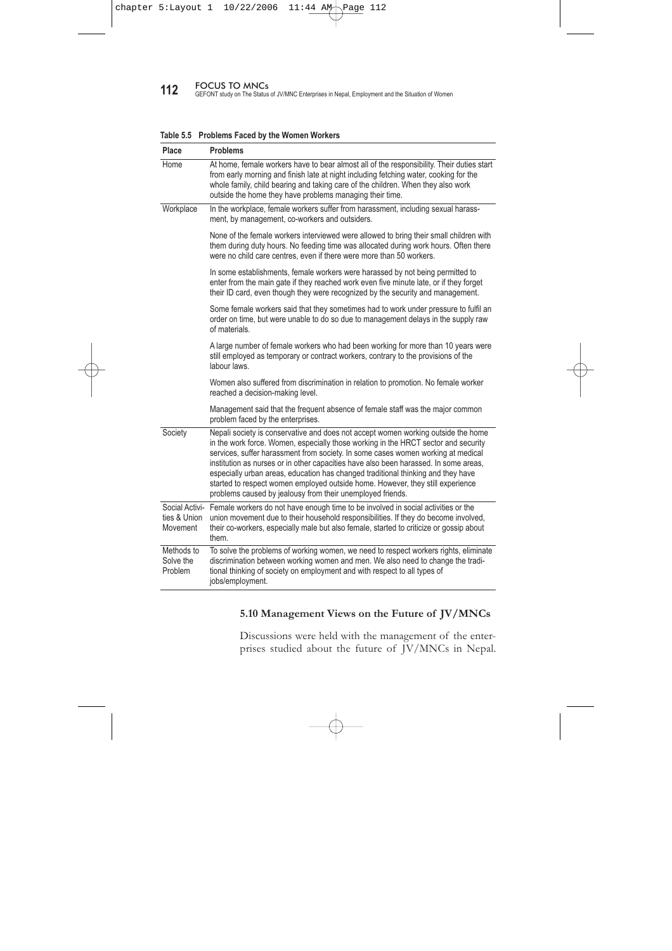is management resistance to unions as they place more financial burden on establishments.

Workers had raised OSH issues several times, mostly verbally. However, in a limited number of cases they submitted their demands in writing. Most establishments had been playing a diplomatic role—positive in discussion but negative in implementation. Management also tried to explain that they treated genuine demands positively and took OSH seriously. Thus, both the workers and employers suggested the following measures be taken in relation to OHS:

- The management of all establishments should be positive towards the safety and health of the workers.
- The enterprise (with support from concerned organizations) should organize awareness programmes for all workers in the establishment, no matter what their type or status.
- Management should be entirely responsible for victims injured at work during service hours.
- Workers and their leaders should be serious about OSH and motivate all workers to use available safety equipment, follow safety measures and demand other necessary equipment.

#### **5.9 Problems Faced by Female Workers**

Females usually have more responsibilities in comparison to males. They have more responsibilities at home and are also subject to more restrictions and expectations place upon them by society. Women working in JV/MNC enterprises complained of problems at home, in the workplace and in society, as well as in relation to social activities and the union movement.

Workers had raised OSH issues several times, mostly verbally. However, in a limited number of cases they submitted their demands in writing.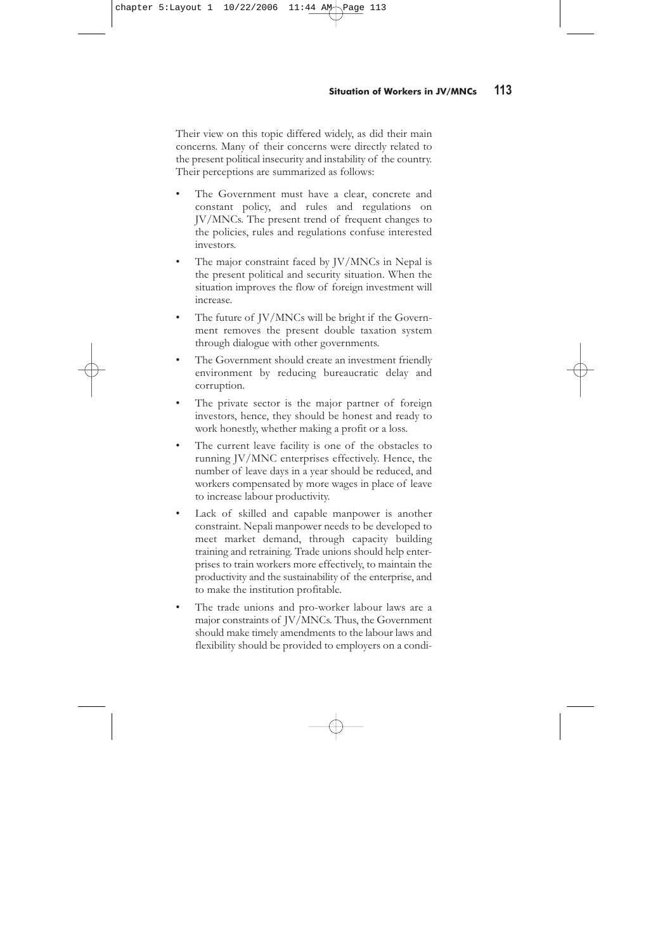**112** FOCUS TO MNCs<br>GEFONT study on The Status of JV/MNC Enterprises in Nepal, Employment and the Situation of Women

| Place                              | <b>Problems</b>                                                                                                                                                                                                                                                                                                                                                                                                                                                                                                                                                                         |
|------------------------------------|-----------------------------------------------------------------------------------------------------------------------------------------------------------------------------------------------------------------------------------------------------------------------------------------------------------------------------------------------------------------------------------------------------------------------------------------------------------------------------------------------------------------------------------------------------------------------------------------|
| Home                               | At home, female workers have to bear almost all of the responsibility. Their duties start<br>from early morning and finish late at night including fetching water, cooking for the<br>whole family, child bearing and taking care of the children. When they also work<br>outside the home they have problems managing their time.                                                                                                                                                                                                                                                      |
| Workplace                          | In the workplace, female workers suffer from harassment, including sexual harass-<br>ment, by management, co-workers and outsiders.                                                                                                                                                                                                                                                                                                                                                                                                                                                     |
|                                    | None of the female workers interviewed were allowed to bring their small children with<br>them during duty hours. No feeding time was allocated during work hours. Often there<br>were no child care centres, even if there were more than 50 workers.                                                                                                                                                                                                                                                                                                                                  |
|                                    | In some establishments, female workers were harassed by not being permitted to<br>enter from the main gate if they reached work even five minute late, or if they forget<br>their ID card, even though they were recognized by the security and management.                                                                                                                                                                                                                                                                                                                             |
|                                    | Some female workers said that they sometimes had to work under pressure to fulfil an<br>order on time, but were unable to do so due to management delays in the supply raw<br>of materials.                                                                                                                                                                                                                                                                                                                                                                                             |
|                                    | A large number of female workers who had been working for more than 10 years were<br>still employed as temporary or contract workers, contrary to the provisions of the<br>labour laws.                                                                                                                                                                                                                                                                                                                                                                                                 |
|                                    | Women also suffered from discrimination in relation to promotion. No female worker<br>reached a decision-making level.                                                                                                                                                                                                                                                                                                                                                                                                                                                                  |
|                                    | Management said that the frequent absence of female staff was the major common<br>problem faced by the enterprises.                                                                                                                                                                                                                                                                                                                                                                                                                                                                     |
| Society                            | Nepali society is conservative and does not accept women working outside the home<br>in the work force. Women, especially those working in the HRCT sector and security<br>services, suffer harassment from society. In some cases women working at medical<br>institution as nurses or in other capacities have also been harassed. In some areas,<br>especially urban areas, education has changed traditional thinking and they have<br>started to respect women employed outside home. However, they still experience<br>problems caused by jealousy from their unemployed friends. |
| ties & Union<br>Movement           | Social Activi- Female workers do not have enough time to be involved in social activities or the<br>union movement due to their household responsibilities. If they do become involved,<br>their co-workers, especially male but also female, started to criticize or gossip about<br>them.                                                                                                                                                                                                                                                                                             |
| Methods to<br>Solve the<br>Problem | To solve the problems of working women, we need to respect workers rights, eliminate<br>discrimination between working women and men. We also need to change the tradi-<br>tional thinking of society on employment and with respect to all types of<br>jobs/employment.                                                                                                                                                                                                                                                                                                                |

#### **Table 5.5 Problems Faced by the Women Workers**

## **5.10 Management Views on the Future of JV/MNCs**

Discussions were held with the management of the enterprises studied about the future of JV/MNCs in Nepal.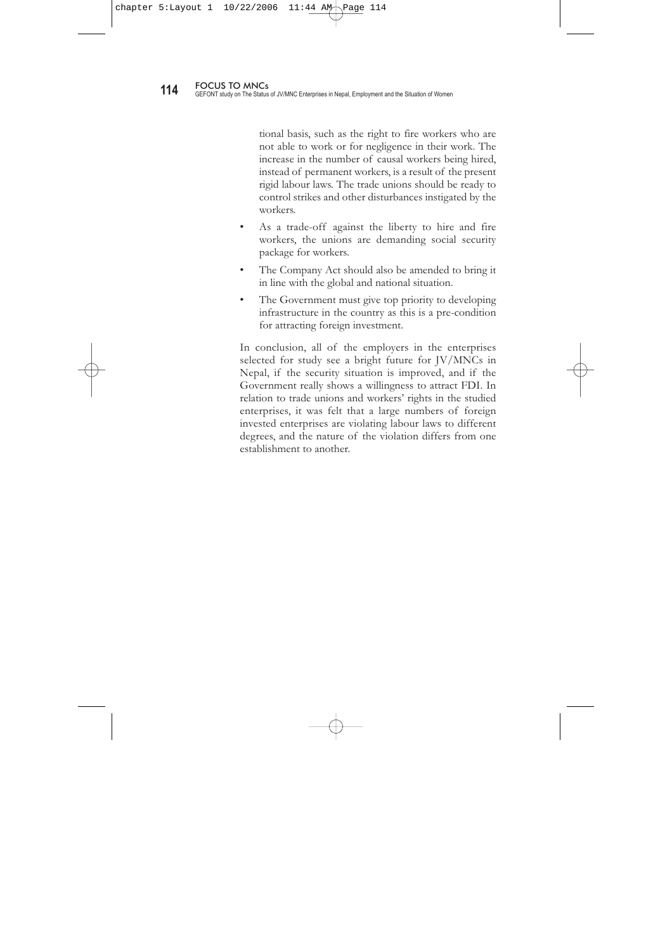Their view on this topic differed widely, as did their main concerns. Many of their concerns were directly related to the present political insecurity and instability of the country. Their perceptions are summarized as follows:

- The Government must have a clear, concrete and constant policy, and rules and regulations on JV/MNCs. The present trend of frequent changes to the policies, rules and regulations confuse interested investors.
- The major constraint faced by JV/MNCs in Nepal is the present political and security situation. When the situation improves the flow of foreign investment will increase.
- The future of JV/MNCs will be bright if the Government removes the present double taxation system through dialogue with other governments.
- The Government should create an investment friendly environment by reducing bureaucratic delay and corruption.
- The private sector is the major partner of foreign investors, hence, they should be honest and ready to work honestly, whether making a profit or a loss.
- The current leave facility is one of the obstacles to running JV/MNC enterprises effectively. Hence, the number of leave days in a year should be reduced, and workers compensated by more wages in place of leave to increase labour productivity.
- Lack of skilled and capable manpower is another constraint. Nepali manpower needs to be developed to meet market demand, through capacity building training and retraining. Trade unions should help enterprises to train workers more effectively, to maintain the productivity and the sustainability of the enterprise, and to make the institution profitable.
- The trade unions and pro-worker labour laws are a major constraints of JV/MNCs. Thus, the Government should make timely amendments to the labour laws and flexibility should be provided to employers on a condi-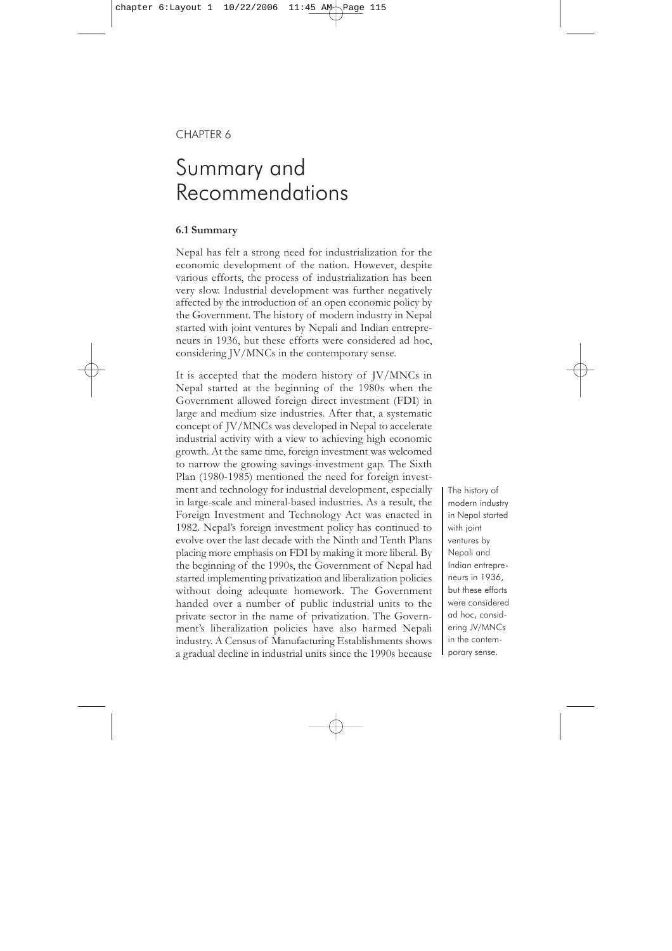tional basis, such as the right to fire workers who are not able to work or for negligence in their work. The increase in the number of causal workers being hired, instead of permanent workers, is a result of the present rigid labour laws. The trade unions should be ready to control strikes and other disturbances instigated by the workers.

- As a trade-off against the liberty to hire and fire workers, the unions are demanding social security package for workers.
- The Company Act should also be amended to bring it in line with the global and national situation.
- The Government must give top priority to developing infrastructure in the country as this is a pre-condition for attracting foreign investment.

In conclusion, all of the employers in the enterprises selected for study see a bright future for JV/MNCs in Nepal, if the security situation is improved, and if the Government really shows a willingness to attract FDI. In relation to trade unions and workers' rights in the studied enterprises, it was felt that a large numbers of foreign invested enterprises are violating labour laws to different degrees, and the nature of the violation differs from one establishment to another.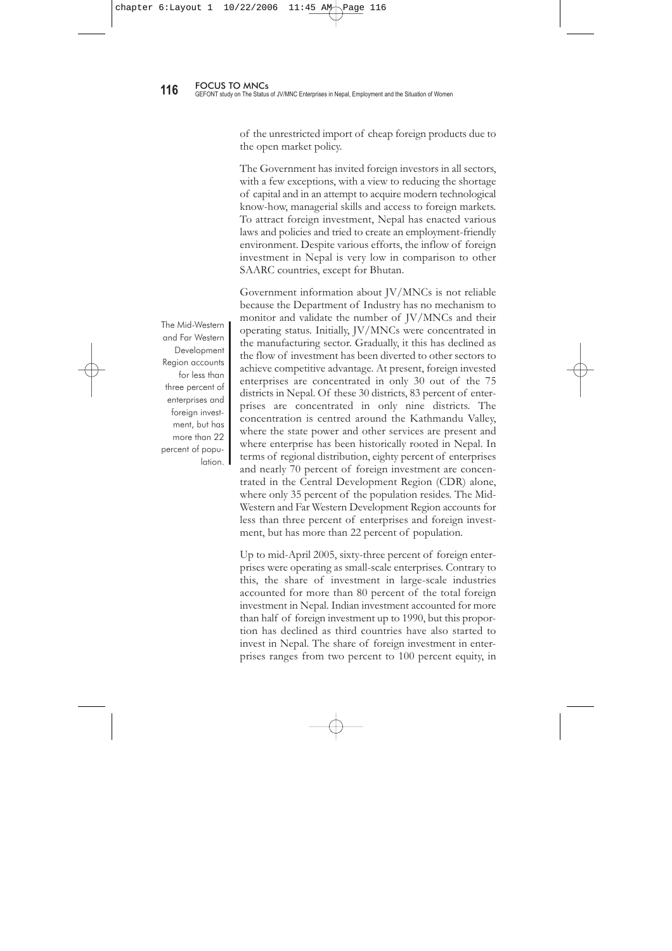### CHAPTER 6

# Summary and Recommendations

#### **6.1 Summary**

Nepal has felt a strong need for industrialization for the economic development of the nation. However, despite various efforts, the process of industrialization has been very slow. Industrial development was further negatively affected by the introduction of an open economic policy by the Government. The history of modern industry in Nepal started with joint ventures by Nepali and Indian entrepreneurs in 1936, but these efforts were considered ad hoc, considering JV/MNCs in the contemporary sense.

It is accepted that the modern history of JV/MNCs in Nepal started at the beginning of the 1980s when the Government allowed foreign direct investment (FDI) in large and medium size industries. After that, a systematic concept of JV/MNCs was developed in Nepal to accelerate industrial activity with a view to achieving high economic growth. At the same time, foreign investment was welcomed to narrow the growing savings-investment gap. The Sixth Plan (1980-1985) mentioned the need for foreign investment and technology for industrial development, especially in large-scale and mineral-based industries. As a result, the Foreign Investment and Technology Act was enacted in 1982. Nepal's foreign investment policy has continued to evolve over the last decade with the Ninth and Tenth Plans placing more emphasis on FDI by making it more liberal. By the beginning of the 1990s, the Government of Nepal had started implementing privatization and liberalization policies without doing adequate homework. The Government handed over a number of public industrial units to the private sector in the name of privatization. The Government's liberalization policies have also harmed Nepali industry. A Census of Manufacturing Establishments shows a gradual decline in industrial units since the 1990s because

The history of modern industry in Nepal started with joint ventures by Nepali and Indian entrepreneurs in 1936, but these efforts were considered ad hoc, considering JV/MNCs in the contemporary sense.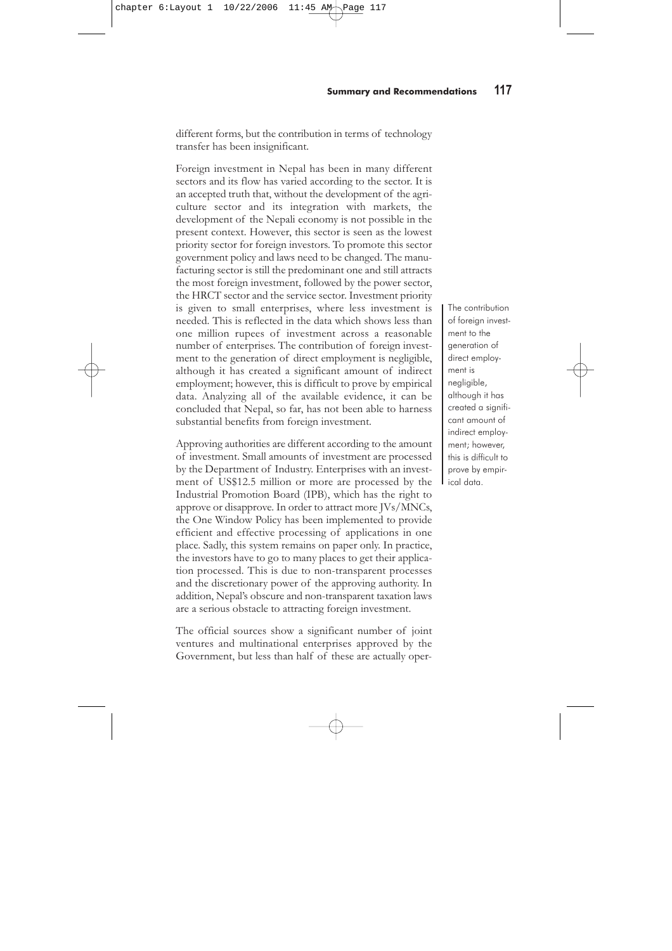of the unrestricted import of cheap foreign products due to the open market policy.

The Government has invited foreign investors in all sectors, with a few exceptions, with a view to reducing the shortage of capital and in an attempt to acquire modern technological know-how, managerial skills and access to foreign markets. To attract foreign investment, Nepal has enacted various laws and policies and tried to create an employment-friendly environment. Despite various efforts, the inflow of foreign investment in Nepal is very low in comparison to other SAARC countries, except for Bhutan.

The Mid-Western and Far Western Development Region accounts for less than three percent of enterprises and foreign investment, but has more than 22 percent of population. Government information about JV/MNCs is not reliable because the Department of Industry has no mechanism to monitor and validate the number of JV/MNCs and their operating status. Initially, JV/MNCs were concentrated in the manufacturing sector. Gradually, it this has declined as the flow of investment has been diverted to other sectors to achieve competitive advantage. At present, foreign invested enterprises are concentrated in only 30 out of the 75 districts in Nepal. Of these 30 districts, 83 percent of enterprises are concentrated in only nine districts. The concentration is centred around the Kathmandu Valley, where the state power and other services are present and where enterprise has been historically rooted in Nepal. In terms of regional distribution, eighty percent of enterprises and nearly 70 percent of foreign investment are concentrated in the Central Development Region (CDR) alone, where only 35 percent of the population resides. The Mid-Western and Far Western Development Region accounts for less than three percent of enterprises and foreign investment, but has more than 22 percent of population.

Up to mid-April 2005, sixty-three percent of foreign enterprises were operating as small-scale enterprises. Contrary to this, the share of investment in large-scale industries accounted for more than 80 percent of the total foreign investment in Nepal. Indian investment accounted for more than half of foreign investment up to 1990, but this proportion has declined as third countries have also started to invest in Nepal. The share of foreign investment in enterprises ranges from two percent to 100 percent equity, in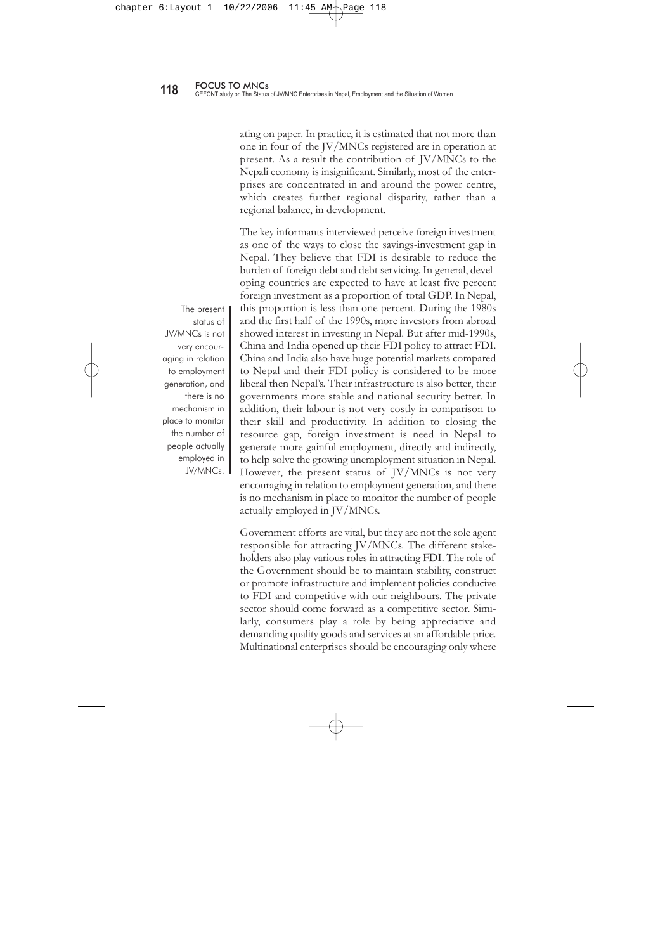different forms, but the contribution in terms of technology transfer has been insignificant.

Foreign investment in Nepal has been in many different sectors and its flow has varied according to the sector. It is an accepted truth that, without the development of the agriculture sector and its integration with markets, the development of the Nepali economy is not possible in the present context. However, this sector is seen as the lowest priority sector for foreign investors. To promote this sector government policy and laws need to be changed. The manufacturing sector is still the predominant one and still attracts the most foreign investment, followed by the power sector, the HRCT sector and the service sector. Investment priority is given to small enterprises, where less investment is needed. This is reflected in the data which shows less than one million rupees of investment across a reasonable number of enterprises. The contribution of foreign investment to the generation of direct employment is negligible, although it has created a significant amount of indirect employment; however, this is difficult to prove by empirical data. Analyzing all of the available evidence, it can be concluded that Nepal, so far, has not been able to harness substantial benefits from foreign investment.

Approving authorities are different according to the amount of investment. Small amounts of investment are processed by the Department of Industry. Enterprises with an investment of US\$12.5 million or more are processed by the Industrial Promotion Board (IPB), which has the right to approve or disapprove. In order to attract more JVs/MNCs, the One Window Policy has been implemented to provide efficient and effective processing of applications in one place. Sadly, this system remains on paper only. In practice, the investors have to go to many places to get their application processed. This is due to non-transparent processes and the discretionary power of the approving authority. In addition, Nepal's obscure and non-transparent taxation laws are a serious obstacle to attracting foreign investment.

The official sources show a significant number of joint ventures and multinational enterprises approved by the Government, but less than half of these are actually oper-

The contribution of foreign investment to the generation of direct employment is negligible, although it has created a significant amount of indirect employment; however, this is difficult to prove by empirical data.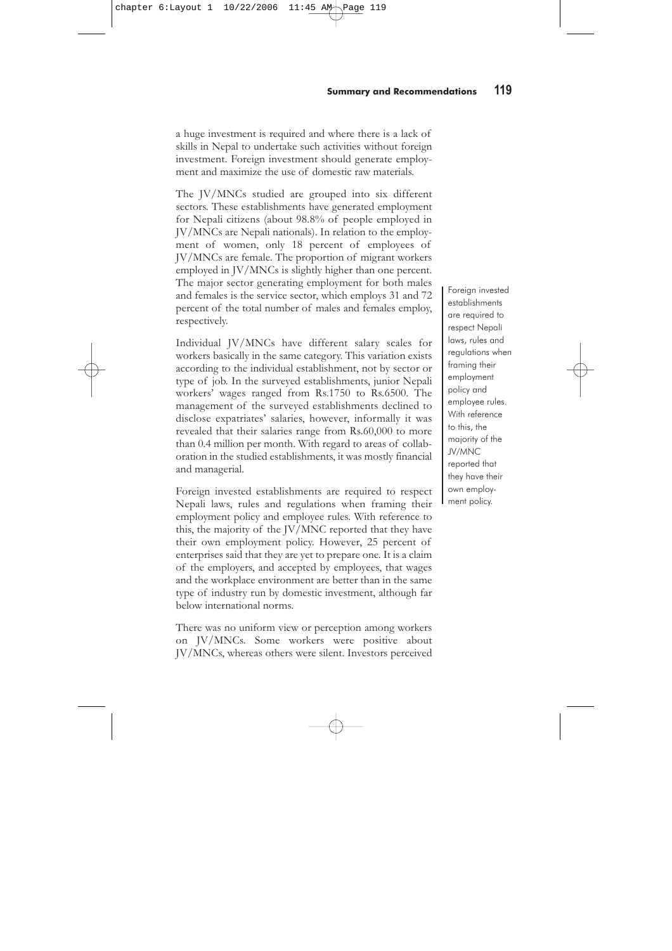ating on paper. In practice, it is estimated that not more than one in four of the JV/MNCs registered are in operation at present. As a result the contribution of JV/MNCs to the Nepali economy is insignificant. Similarly, most of the enterprises are concentrated in and around the power centre, which creates further regional disparity, rather than a regional balance, in development.

The key informants interviewed perceive foreign investment as one of the ways to close the savings-investment gap in Nepal. They believe that FDI is desirable to reduce the burden of foreign debt and debt servicing. In general, developing countries are expected to have at least five percent foreign investment as a proportion of total GDP. In Nepal, this proportion is less than one percent. During the 1980s and the first half of the 1990s, more investors from abroad showed interest in investing in Nepal. But after mid-1990s, China and India opened up their FDI policy to attract FDI. China and India also have huge potential markets compared to Nepal and their FDI policy is considered to be more liberal then Nepal's. Their infrastructure is also better, their governments more stable and national security better. In addition, their labour is not very costly in comparison to their skill and productivity. In addition to closing the resource gap, foreign investment is need in Nepal to generate more gainful employment, directly and indirectly, to help solve the growing unemployment situation in Nepal. However, the present status of JV/MNCs is not very encouraging in relation to employment generation, and there is no mechanism in place to monitor the number of people actually employed in JV/MNCs.

Government efforts are vital, but they are not the sole agent responsible for attracting JV/MNCs. The different stakeholders also play various roles in attracting FDI. The role of the Government should be to maintain stability, construct or promote infrastructure and implement policies conducive to FDI and competitive with our neighbours. The private sector should come forward as a competitive sector. Similarly, consumers play a role by being appreciative and demanding quality goods and services at an affordable price. Multinational enterprises should be encouraging only where

The present status of JV/MNCs is not very encouraging in relation to employment generation, and there is no mechanism in place to monitor the number of people actually employed in JV/MNCs.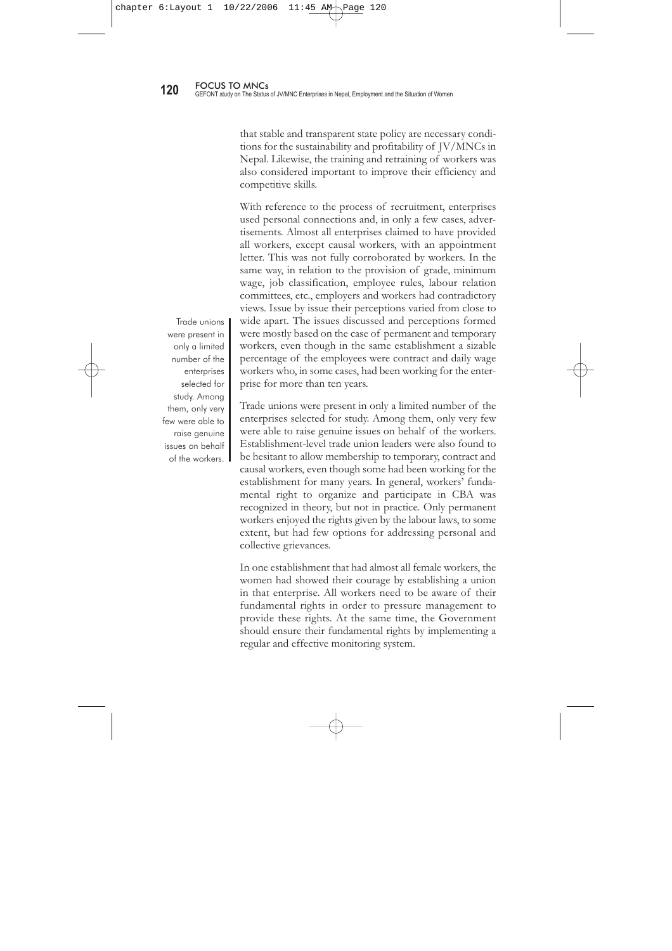a huge investment is required and where there is a lack of skills in Nepal to undertake such activities without foreign investment. Foreign investment should generate employment and maximize the use of domestic raw materials.

The JV/MNCs studied are grouped into six different sectors. These establishments have generated employment for Nepali citizens (about 98.8% of people employed in JV/MNCs are Nepali nationals). In relation to the employment of women, only 18 percent of employees of JV/MNCs are female. The proportion of migrant workers employed in JV/MNCs is slightly higher than one percent. The major sector generating employment for both males and females is the service sector, which employs 31 and 72 percent of the total number of males and females employ, respectively.

Individual JV/MNCs have different salary scales for workers basically in the same category. This variation exists according to the individual establishment, not by sector or type of job. In the surveyed establishments, junior Nepali workers' wages ranged from Rs.1750 to Rs.6500. The management of the surveyed establishments declined to disclose expatriates' salaries, however, informally it was revealed that their salaries range from Rs.60,000 to more than 0.4 million per month. With regard to areas of collaboration in the studied establishments, it was mostly financial and managerial.

Foreign invested establishments are required to respect Nepali laws, rules and regulations when framing their employment policy and employee rules. With reference to this, the majority of the JV/MNC reported that they have their own employment policy. However, 25 percent of enterprises said that they are yet to prepare one. It is a claim of the employers, and accepted by employees, that wages and the workplace environment are better than in the same type of industry run by domestic investment, although far below international norms.

There was no uniform view or perception among workers on JV/MNCs. Some workers were positive about JV/MNCs, whereas others were silent. Investors perceived

Foreign invested establishments are required to respect Nepali laws, rules and regulations when framing their employment policy and employee rules. With reference to this, the majority of the JV/MNC reported that they have their own employment policy.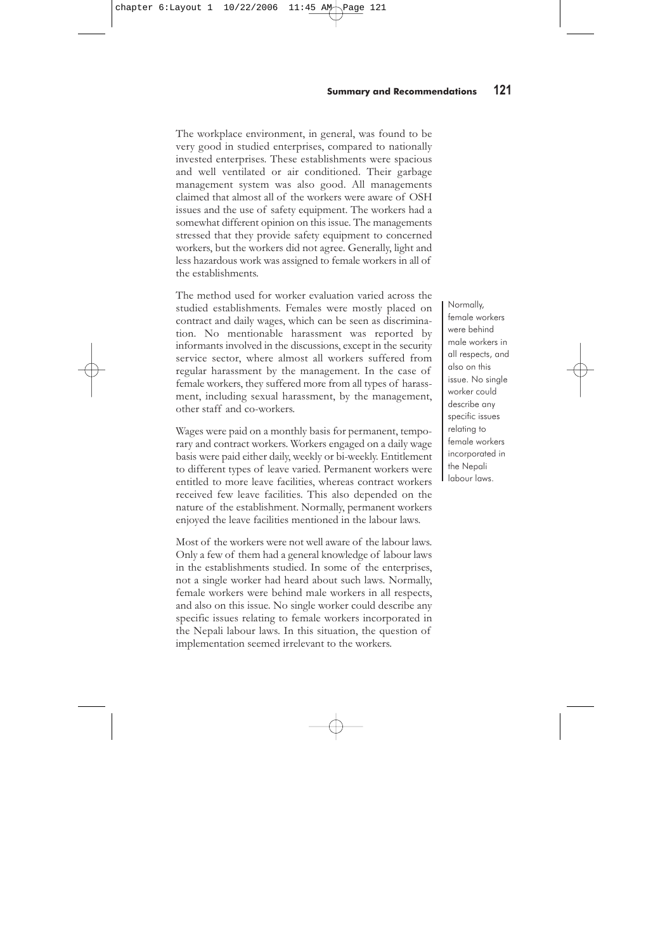that stable and transparent state policy are necessary conditions for the sustainability and profitability of JV/MNCs in Nepal. Likewise, the training and retraining of workers was also considered important to improve their efficiency and competitive skills.

With reference to the process of recruitment, enterprises used personal connections and, in only a few cases, advertisements. Almost all enterprises claimed to have provided all workers, except causal workers, with an appointment letter. This was not fully corroborated by workers. In the same way, in relation to the provision of grade, minimum wage, job classification, employee rules, labour relation committees, etc., employers and workers had contradictory views. Issue by issue their perceptions varied from close to wide apart. The issues discussed and perceptions formed were mostly based on the case of permanent and temporary workers, even though in the same establishment a sizable percentage of the employees were contract and daily wage workers who, in some cases, had been working for the enterprise for more than ten years.

Trade unions were present in only a limited number of the enterprises selected for study. Among them, only very few were able to raise genuine issues on behalf of the workers. Establishment-level trade union leaders were also found to be hesitant to allow membership to temporary, contract and causal workers, even though some had been working for the establishment for many years. In general, workers' fundamental right to organize and participate in CBA was recognized in theory, but not in practice. Only permanent workers enjoyed the rights given by the labour laws, to some extent, but had few options for addressing personal and collective grievances.

In one establishment that had almost all female workers, the women had showed their courage by establishing a union in that enterprise. All workers need to be aware of their fundamental rights in order to pressure management to provide these rights. At the same time, the Government should ensure their fundamental rights by implementing a regular and effective monitoring system.

Trade unions were present in only a limited number of the enterprises selected for study. Among them, only very few were able to raise genuine issues on behalf of the workers.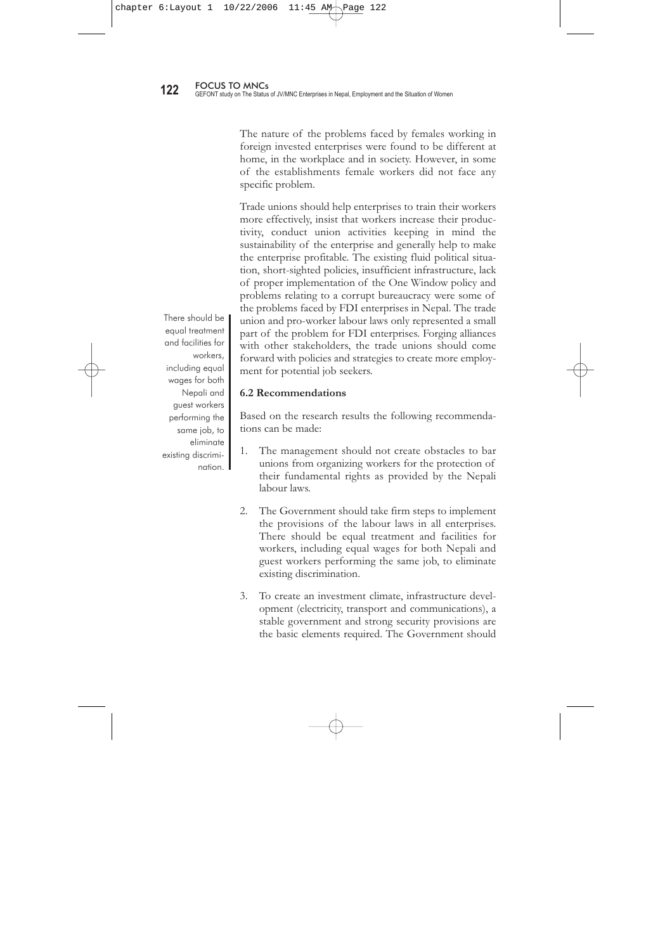The workplace environment, in general, was found to be very good in studied enterprises, compared to nationally invested enterprises. These establishments were spacious and well ventilated or air conditioned. Their garbage management system was also good. All managements claimed that almost all of the workers were aware of OSH issues and the use of safety equipment. The workers had a somewhat different opinion on this issue. The managements stressed that they provide safety equipment to concerned workers, but the workers did not agree. Generally, light and less hazardous work was assigned to female workers in all of the establishments.

The method used for worker evaluation varied across the studied establishments. Females were mostly placed on contract and daily wages, which can be seen as discrimination. No mentionable harassment was reported by informants involved in the discussions, except in the security service sector, where almost all workers suffered from regular harassment by the management. In the case of female workers, they suffered more from all types of harassment, including sexual harassment, by the management, other staff and co-workers.

Wages were paid on a monthly basis for permanent, temporary and contract workers. Workers engaged on a daily wage basis were paid either daily, weekly or bi-weekly. Entitlement to different types of leave varied. Permanent workers were entitled to more leave facilities, whereas contract workers received few leave facilities. This also depended on the nature of the establishment. Normally, permanent workers enjoyed the leave facilities mentioned in the labour laws.

Most of the workers were not well aware of the labour laws. Only a few of them had a general knowledge of labour laws in the establishments studied. In some of the enterprises, not a single worker had heard about such laws. Normally, female workers were behind male workers in all respects, and also on this issue. No single worker could describe any specific issues relating to female workers incorporated in the Nepali labour laws. In this situation, the question of implementation seemed irrelevant to the workers.

Normally, female workers were behind male workers in all respects, and also on this issue. No single worker could describe any specific issues relating to female workers incorporated in the Nepali labour laws.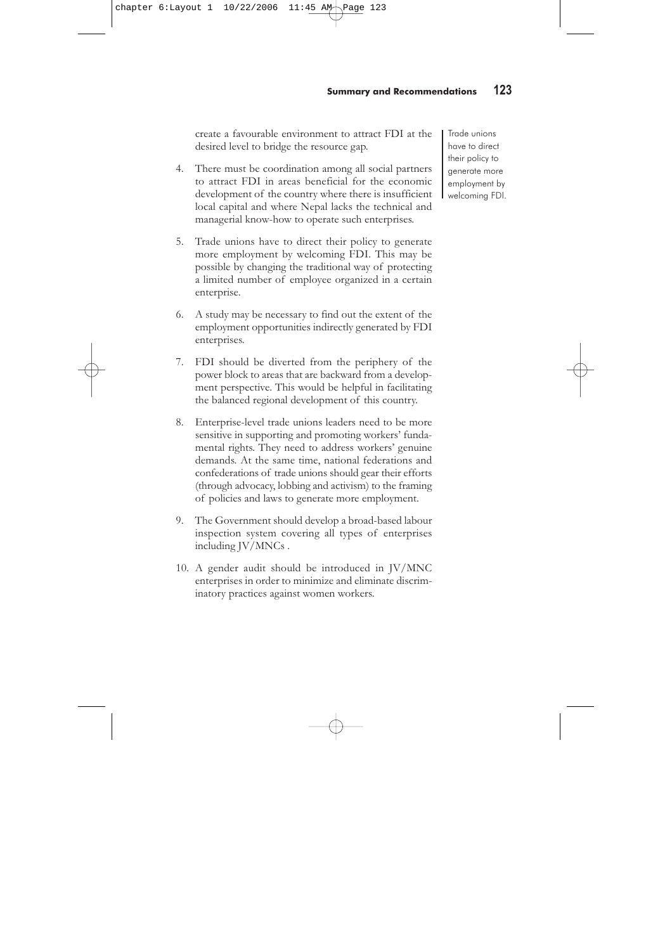The nature of the problems faced by females working in foreign invested enterprises were found to be different at home, in the workplace and in society. However, in some of the establishments female workers did not face any specific problem.

Trade unions should help enterprises to train their workers more effectively, insist that workers increase their productivity, conduct union activities keeping in mind the sustainability of the enterprise and generally help to make the enterprise profitable. The existing fluid political situation, short-sighted policies, insufficient infrastructure, lack of proper implementation of the One Window policy and problems relating to a corrupt bureaucracy were some of the problems faced by FDI enterprises in Nepal. The trade union and pro-worker labour laws only represented a small part of the problem for FDI enterprises. Forging alliances with other stakeholders, the trade unions should come forward with policies and strategies to create more employment for potential job seekers.

#### **6.2 Recommendations**

Based on the research results the following recommendations can be made:

- 1. The management should not create obstacles to bar unions from organizing workers for the protection of their fundamental rights as provided by the Nepali labour laws.
- 2. The Government should take firm steps to implement the provisions of the labour laws in all enterprises. There should be equal treatment and facilities for workers, including equal wages for both Nepali and guest workers performing the same job, to eliminate existing discrimination.
- 3. To create an investment climate, infrastructure development (electricity, transport and communications), a stable government and strong security provisions are the basic elements required. The Government should

There should be equal treatment and facilities for workers, including equal wages for both Nepali and guest workers performing the same job, to eliminate existing discrimination.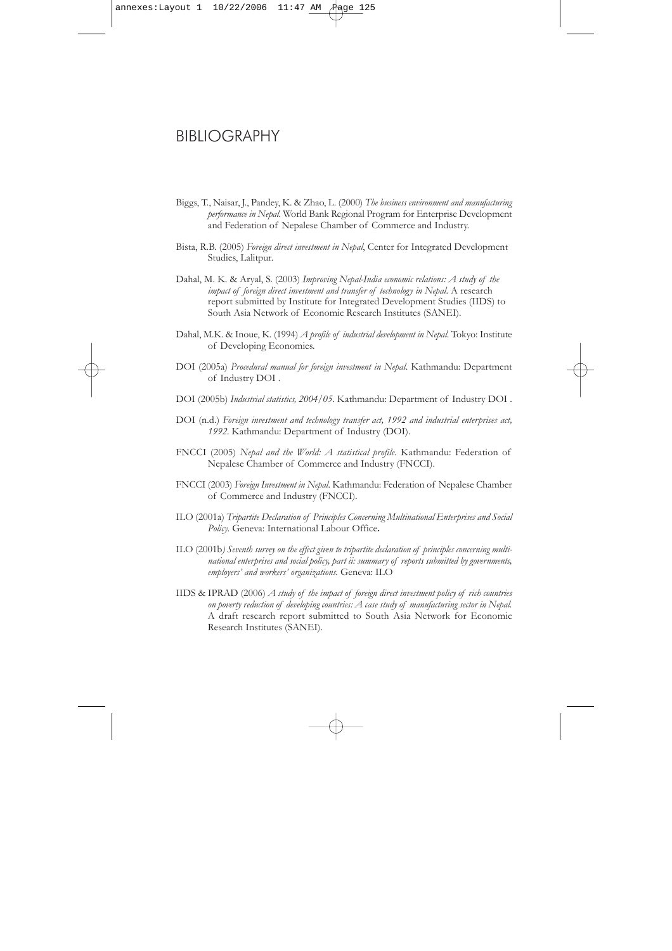create a favourable environment to attract FDI at the desired level to bridge the resource gap.

- 4. There must be coordination among all social partners to attract FDI in areas beneficial for the economic development of the country where there is insufficient local capital and where Nepal lacks the technical and managerial know-how to operate such enterprises.
- 5. Trade unions have to direct their policy to generate more employment by welcoming FDI. This may be possible by changing the traditional way of protecting a limited number of employee organized in a certain enterprise.
- 6. A study may be necessary to find out the extent of the employment opportunities indirectly generated by FDI enterprises.
- 7. FDI should be diverted from the periphery of the power block to areas that are backward from a development perspective. This would be helpful in facilitating the balanced regional development of this country.
- 8. Enterprise-level trade unions leaders need to be more sensitive in supporting and promoting workers' fundamental rights. They need to address workers' genuine demands. At the same time, national federations and confederations of trade unions should gear their efforts (through advocacy, lobbing and activism) to the framing of policies and laws to generate more employment.
- 9. The Government should develop a broad-based labour inspection system covering all types of enterprises including JV/MNCs .
- 10. A gender audit should be introduced in JV/MNC enterprises in order to minimize and eliminate discriminatory practices against women workers.

Trade unions have to direct their policy to generate more employment by welcoming FDI.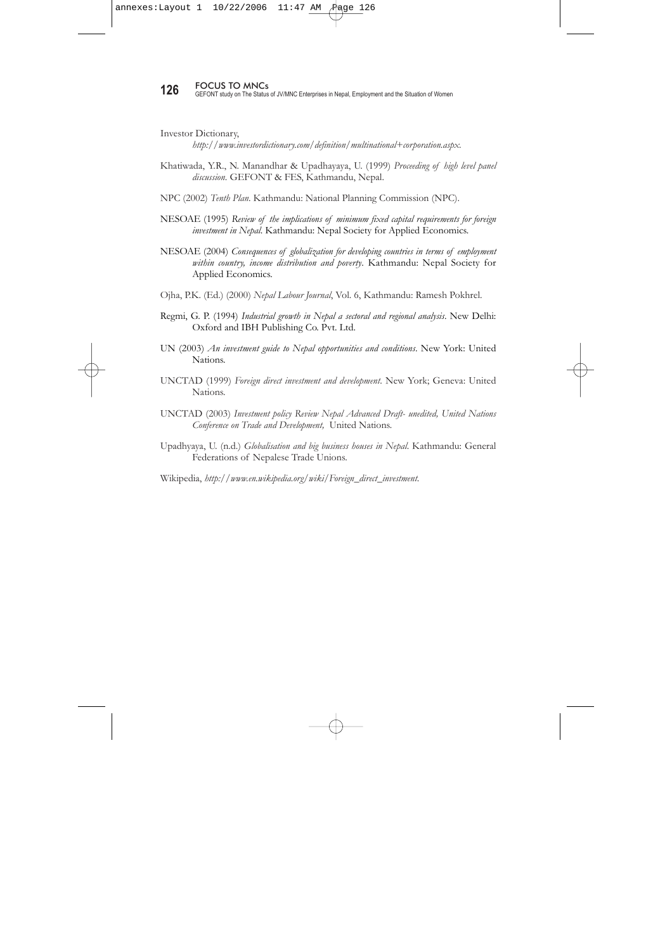# BIBLIOGRAPHY

- Biggs, T., Naisar, J., Pandey, K. & Zhao, L. (2000) *The business environment and manufacturing performance in Nepal*. World Bank Regional Program for Enterprise Development and Federation of Nepalese Chamber of Commerce and Industry.
- Bista, R.B. (2005) *Foreign direct investment in Nepal*, Center for Integrated Development Studies, Lalitpur.
- Dahal, M. K. & Aryal, S. (2003) *Improving Nepal-India economic relations: A study of the impact of foreign direct investment and transfer of technology in Nepal*. A research report submitted by Institute for Integrated Development Studies (IIDS) to South Asia Network of Economic Research Institutes (SANEI).
- Dahal, M.K. & Inoue, K. (1994) *A profile of industrial development in Nepal*. Tokyo: Institute of Developing Economies.
- DOI (2005a) *Procedural manual for foreign investment in Nepal*. Kathmandu: Department of Industry DOI .
- DOI (2005b) *Industrial statistics, 2004/05*. Kathmandu: Department of Industry DOI .
- DOI (n.d.) *Foreign investment and technology transfer act, 1992 and industrial enterprises act, 1992*. Kathmandu: Department of Industry (DOI).
- FNCCI (2005) *Nepal and the World: A statistical profile*. Kathmandu: Federation of Nepalese Chamber of Commerce and Industry (FNCCI).
- FNCCI (2003) *Foreign Investment in Nepal*. Kathmandu: Federation of Nepalese Chamber of Commerce and Industry (FNCCI).
- ILO (2001a) *Tripartite Declaration of Principles Concerning Multinational Enterprises and Social Policy.* Geneva: International Labour Office**.**
- ILO (2001b*) Seventh survey on the effect given to tripartite declaration of principles concerning multinational enterprises and social policy, part ii: summary of reports submitted by governments, employers' and workers' organizations.* Geneva: ILO
- IIDS & IPRAD (2006) *A study of the impact of foreign direct investment policy of rich countries on poverty reduction of developing countries: A case study of manufacturing sector in Nepal.* A draft research report submitted to South Asia Network for Economic Research Institutes (SANEI).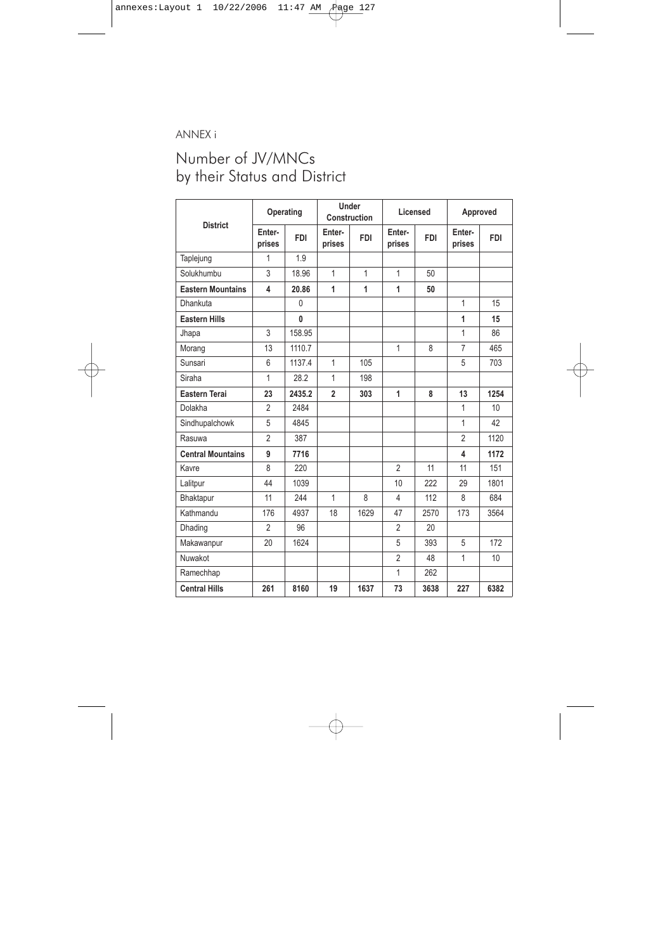**126** FOCUS TO MNCs<br>**126** GEFONT study on The Status of JV/MNC Enterprises in Nepal, Employment and the Situation of Women

Investor Dictionary,

*http://www.investordictionary.com/definition/multinational+corporation.aspx.*

- Khatiwada, Y.R., N. Manandhar & Upadhayaya, U. (1999) *Proceeding of high level panel discussion*. GEFONT & FES, Kathmandu, Nepal.
- NPC (2002) *Tenth Plan*. Kathmandu: National Planning Commission (NPC).
- NESOAE (1995) *Review of the implications of minimum fixed capital requirements for foreign investment in Nepal*. Kathmandu: Nepal Society for Applied Economics.
- NESOAE (2004) *Consequences of globalization for developing countries in terms of employment within country, income distribution and poverty*. Kathmandu: Nepal Society for Applied Economics.
- Ojha, P.K. (Ed.) (2000) *Nepal Labour Journal*, Vol. 6, Kathmandu: Ramesh Pokhrel.
- Regmi, G. P. (1994) *Industrial growth in Nepal a sectoral and regional analysis*. New Delhi: Oxford and IBH Publishing Co. Pvt. Ltd.
- UN (2003) *An investment guide to Nepal opportunities and conditions*. New York: United Nations.
- UNCTAD (1999) *Foreign direct investment and development*. New York; Geneva: United Nations.
- UNCTAD (2003) *Investment policy Review Nepal Advanced Draft- unedited, United Nations Conference on Trade and Development,* United Nations.
- Upadhyaya, U. (n.d.) *Globalisation and big business houses in Nepal*. Kathmandu: General Federations of Nepalese Trade Unions.
- Wikipedia, *http://www.en.wikipedia.org/wiki/Foreign\_direct\_investment*.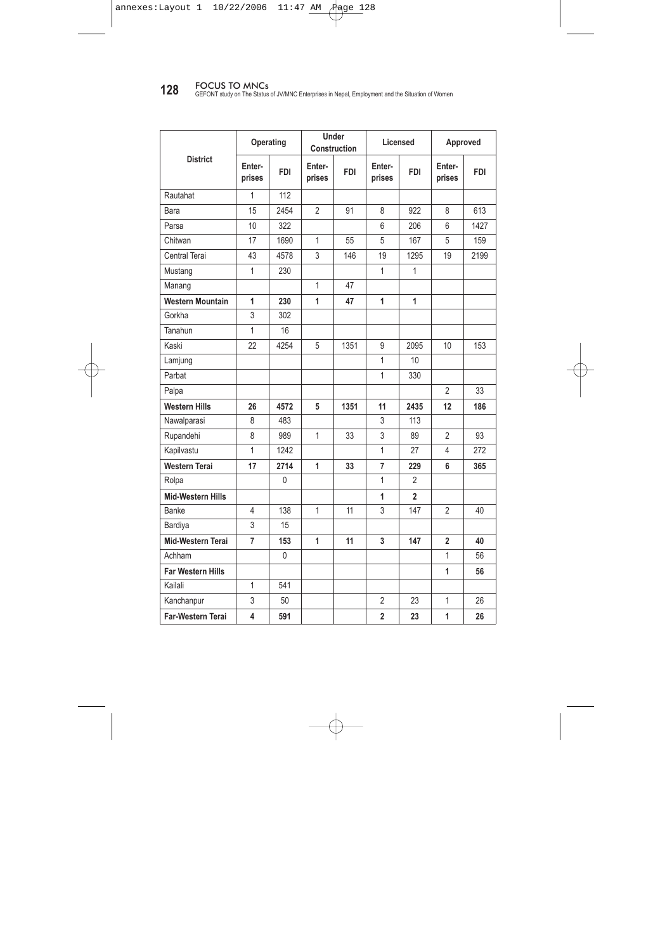## ANNEX i

# Number of JV/MNCs by their Status and District

| <b>District</b>          | Operating        |            | <b>Under</b><br>Construction |            | Licensed         |            | Approved         |                 |
|--------------------------|------------------|------------|------------------------------|------------|------------------|------------|------------------|-----------------|
|                          | Enter-<br>prises | <b>FDI</b> | Enter-<br>prises             | <b>FDI</b> | Enter-<br>prises | <b>FDI</b> | Enter-<br>prises | <b>FDI</b>      |
| Taplejung                | 1                | 1.9        |                              |            |                  |            |                  |                 |
| Solukhumbu               | 3                | 18.96      | $\mathbf{1}$                 | 1          | 1                | 50         |                  |                 |
| <b>Eastern Mountains</b> | 4                | 20.86      | $\mathbf{1}$                 | 1          | 1                | 50         |                  |                 |
| Dhankuta                 |                  | $\Omega$   |                              |            |                  |            | $\mathbf{1}$     | 15              |
| <b>Eastern Hills</b>     |                  | 0          |                              |            |                  |            | 1                | 15              |
| Jhapa                    | 3                | 158.95     |                              |            |                  |            | $\mathbf{1}$     | 86              |
| Morang                   | 13               | 1110.7     |                              |            | $\overline{1}$   | 8          | $\overline{7}$   | 465             |
| Sunsari                  | 6                | 1137.4     | $\mathbf{1}$                 | 105        |                  |            | 5                | 703             |
| Siraha                   | $\mathbf{1}$     | 28.2       | $\mathbf{1}$                 | 198        |                  |            |                  |                 |
| <b>Eastern Terai</b>     | 23               | 2435.2     | $\overline{2}$               | 303        | 1                | 8          | 13               | 1254            |
| Dolakha                  | $\overline{2}$   | 2484       |                              |            |                  |            | $\mathbf{1}$     | 10 <sup>1</sup> |
| Sindhupalchowk           | 5                | 4845       |                              |            |                  |            | 1                | 42              |
| Rasuwa                   | $\overline{2}$   | 387        |                              |            |                  |            | $\overline{2}$   | 1120            |
| <b>Central Mountains</b> | 9                | 7716       |                              |            |                  |            | 4                | 1172            |
| Kavre                    | 8                | 220        |                              |            | $\overline{2}$   | 11         | 11               | 151             |
| Lalitpur                 | 44               | 1039       |                              |            | 10               | 222        | 29               | 1801            |
| Bhaktapur                | 11               | 244        | $\mathbf{1}$                 | 8          | $\overline{4}$   | 112        | 8                | 684             |
| Kathmandu                | 176              | 4937       | 18                           | 1629       | 47               | 2570       | 173              | 3564            |
| Dhading                  | $\overline{2}$   | 96         |                              |            | $\overline{2}$   | 20         |                  |                 |
| Makawanpur               | 20               | 1624       |                              |            | 5                | 393        | 5                | 172             |
| Nuwakot                  |                  |            |                              |            | $\overline{2}$   | 48         | $\mathbf{1}$     | 10              |
| Ramechhap                |                  |            |                              |            | 1                | 262        |                  |                 |
| <b>Central Hills</b>     | 261              | 8160       | 19                           | 1637       | 73               | 3638       | 227              | 6382            |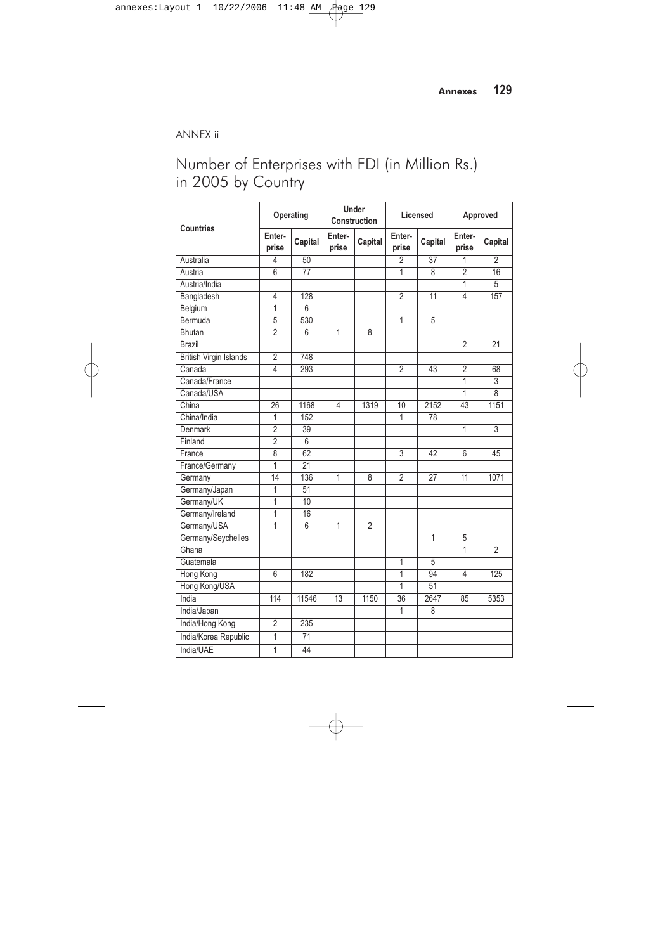**128** FOCUS TO MNCs<br>GEFONT study on The Status of JV/MNC Enterprises in Nepal, Employment and the Situation of Women

|                          | Operating        |            | Under<br>Construction |            | Licensed         |                | Approved         |            |
|--------------------------|------------------|------------|-----------------------|------------|------------------|----------------|------------------|------------|
| <b>District</b>          | Enter-<br>prises | <b>FDI</b> | Enter-<br>prises      | <b>FDI</b> | Enter-<br>prises | <b>FDI</b>     | Enter-<br>prises | <b>FDI</b> |
| Rautahat                 | 1                | 112        |                       |            |                  |                |                  |            |
| Bara                     | 15               | 2454       | $\overline{2}$        | 91         | 8                | 922            | 8                | 613        |
| Parsa                    | 10               | 322        |                       |            | 6                | 206            | 6                | 1427       |
| Chitwan                  | 17               | 1690       | 1                     | 55         | 5                | 167            | 5                | 159        |
| Central Terai            | 43               | 4578       | 3                     | 146        | 19               | 1295           | 19               | 2199       |
| Mustang                  | $\mathbf{1}$     | 230        |                       |            | $\mathbf{1}$     | $\mathbf{1}$   |                  |            |
| Manang                   |                  |            | 1                     | 47         |                  |                |                  |            |
| <b>Western Mountain</b>  | 1                | 230        | 1                     | 47         | 1                | 1              |                  |            |
| Gorkha                   | 3                | 302        |                       |            |                  |                |                  |            |
| Tanahun                  | 1                | 16         |                       |            |                  |                |                  |            |
| Kaski                    | 22               | 4254       | 5                     | 1351       | 9                | 2095           | 10               | 153        |
| Lamjung                  |                  |            |                       |            | 1                | 10             |                  |            |
| Parbat                   |                  |            |                       |            | 1                | 330            |                  |            |
| Palpa                    |                  |            |                       |            |                  |                | $\overline{2}$   | 33         |
| <b>Western Hills</b>     | 26               | 4572       | 5                     | 1351       | 11               | 2435           | 12               | 186        |
| Nawalparasi              | 8                | 483        |                       |            | 3                | 113            |                  |            |
| Rupandehi                | 8                | 989        | 1                     | 33         | 3                | 89             | $\overline{2}$   | 93         |
| Kapilvastu               | $\mathbf{1}$     | 1242       |                       |            | 1                | 27             | 4                | 272        |
| <b>Western Terai</b>     | 17               | 2714       | 1                     | 33         | 7                | 229            | 6                | 365        |
| Rolpa                    |                  | 0          |                       |            | 1                | 2              |                  |            |
| <b>Mid-Western Hills</b> |                  |            |                       |            | 1                | $\overline{2}$ |                  |            |
| Banke                    | 4                | 138        | 1                     | 11         | 3                | 147            | 2                | 40         |
| Bardiya                  | 3                | 15         |                       |            |                  |                |                  |            |
| Mid-Western Terai        | $\overline{7}$   | 153        | 1                     | 11         | 3                | 147            | $\overline{2}$   | 40         |
| Achham                   |                  | 0          |                       |            |                  |                | 1                | 56         |
| <b>Far Western Hills</b> |                  |            |                       |            |                  |                | 1                | 56         |
| Kailali                  | $\mathbf{1}$     | 541        |                       |            |                  |                |                  |            |
| Kanchanpur               | 3                | 50         |                       |            | 2                | 23             | 1                | 26         |
| Far-Western Terai        | 4                | 591        |                       |            | $\overline{2}$   | 23             | 1                | 26         |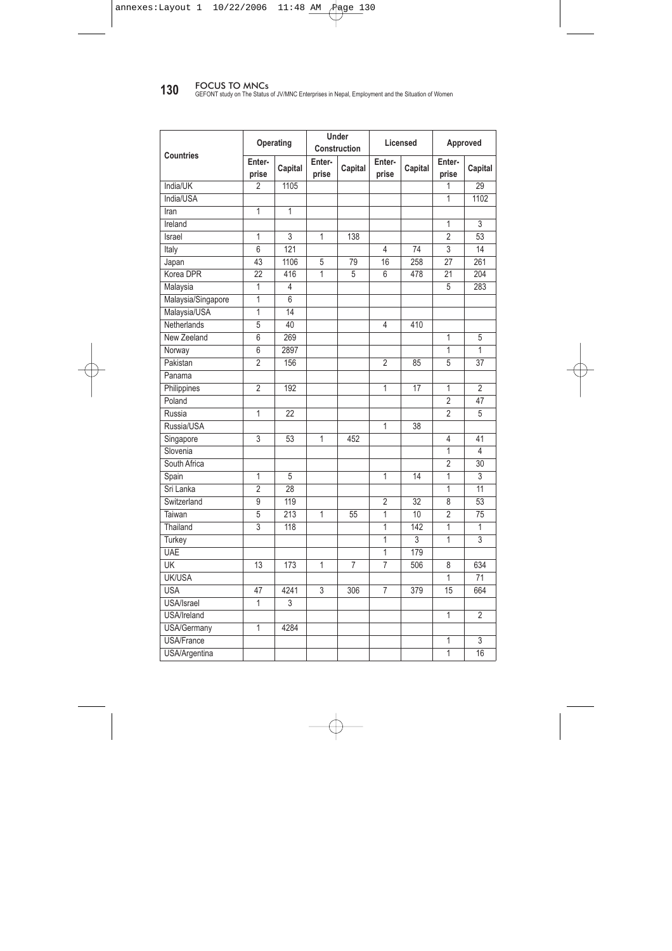## ANNEX ii

# Number of Enterprises with FDI (in Million Rs.) in 2005 by Country

| <b>Countries</b>              | Operating       |                 | <b>Under</b><br>Construction |                | Licensed        |                | Approved        |                |
|-------------------------------|-----------------|-----------------|------------------------------|----------------|-----------------|----------------|-----------------|----------------|
|                               | Enter-<br>prise | Capital         | Enter-<br>prise              | Capital        | Enter-<br>prise | Capital        | Enter-<br>prise | Capital        |
| Australia                     | 4               | 50              |                              |                | $\overline{2}$  | 37             | $\mathbf{1}$    | $\overline{2}$ |
| Austria                       | 6               | $\overline{77}$ |                              |                | 1               | 8              | $\overline{2}$  | 16             |
| Austria/India                 |                 |                 |                              |                |                 |                | $\mathbf{1}$    | 5              |
| Bangladesh                    | 4               | 128             |                              |                | $\overline{2}$  | 11             | 4               | 157            |
| Belgium                       | 1               | 6               |                              |                |                 |                |                 |                |
| Bermuda                       | 5               | 530             |                              |                | $\overline{1}$  | 5              |                 |                |
| Bhutan                        | $\overline{2}$  | 6               | $\overline{1}$               | 8              |                 |                |                 |                |
| Brazil                        |                 |                 |                              |                |                 |                | $\overline{2}$  | 21             |
| <b>British Virgin Islands</b> | $\overline{2}$  | 748             |                              |                |                 |                |                 |                |
| Canada                        | 4               | 293             |                              |                | $\overline{2}$  | 43             | $\overline{2}$  | 68             |
| Canada/France                 |                 |                 |                              |                |                 |                | 1               | 3              |
| Canada/USA                    |                 |                 |                              |                |                 |                | $\mathbf{1}$    | $\overline{8}$ |
| China                         | 26              | 1168            | 4                            | 1319           | 10              | 2152           | 43              | 1151           |
| China/India                   | 1               | 152             |                              |                | 1               | 78             |                 |                |
| Denmark                       | $\overline{2}$  | 39              |                              |                |                 |                | 1               | $\overline{3}$ |
| Finland                       | $\overline{2}$  | 6               |                              |                |                 |                |                 |                |
| France                        | $\overline{8}$  | 62              |                              |                | 3               | 42             | 6               | 45             |
| France/Germany                | 1               | 21              |                              |                |                 |                |                 |                |
| Germany                       | 14              | 136             | $\overline{1}$               | 8              | $\overline{2}$  | 27             | 11              | 1071           |
| Germany/Japan                 | 1               | 51              |                              |                |                 |                |                 |                |
| Germany/UK                    | 1               | 10              |                              |                |                 |                |                 |                |
| Germany/Ireland               | 1               | 16              |                              |                |                 |                |                 |                |
| Germany/USA                   | 1               | $\overline{6}$  | $\overline{1}$               | $\overline{2}$ |                 |                |                 |                |
| Germany/Seychelles            |                 |                 |                              |                |                 | $\overline{1}$ | 5               |                |
| Ghana                         |                 |                 |                              |                |                 |                | 1               | $\overline{2}$ |
| Guatemala                     |                 |                 |                              |                | 1               | 5              |                 |                |
| Hong Kong                     | 6               | 182             |                              |                | $\mathbf{1}$    | 94             | 4               | 125            |
| Hong Kong/USA                 |                 |                 |                              |                | 1               | 51             |                 |                |
| India                         | 114             | 11546           | 13                           | 1150           | 36              | 2647           | 85              | 5353           |
| India/Japan                   |                 |                 |                              |                | 1               | 8              |                 |                |
| India/Hong Kong               | $\overline{2}$  | 235             |                              |                |                 |                |                 |                |
| India/Korea Republic          | 1               | 71              |                              |                |                 |                |                 |                |
| India/UAE                     | 1               | 44              |                              |                |                 |                |                 |                |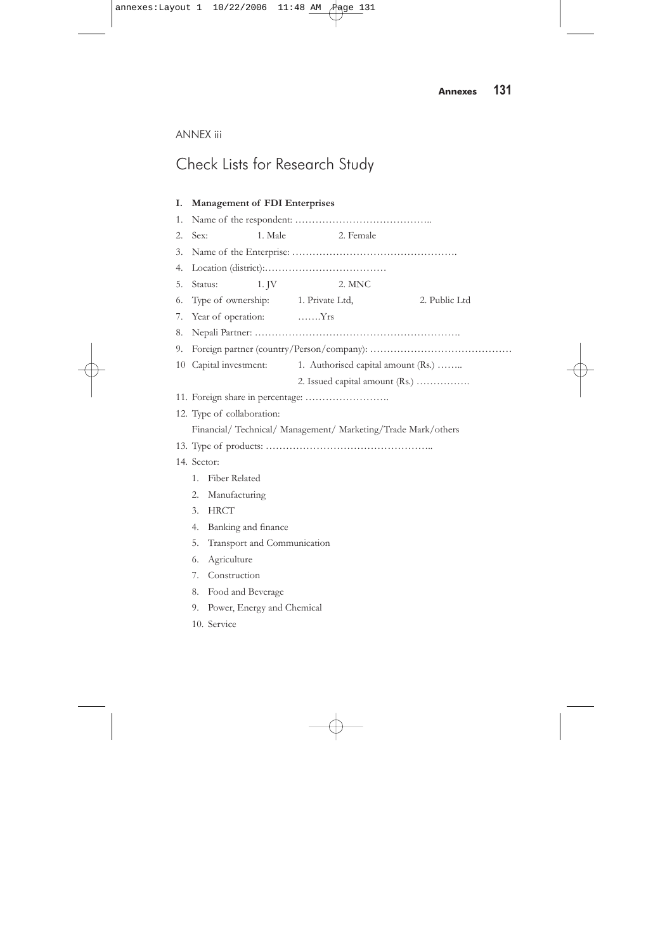**130** FOCUS TO MNCs<br>GEFONT study on The Status of JV/MNC Enterprises in Nepal, Employment and the Situation of Women

|                    | Operating       |                | Under<br>Construction |                | Licensed        |         | Approved        |                 |
|--------------------|-----------------|----------------|-----------------------|----------------|-----------------|---------|-----------------|-----------------|
| <b>Countries</b>   | Enter-<br>prise | Capital        | Enter-<br>prise       | Capital        | Enter-<br>prise | Capital | Enter-<br>prise | Capital         |
| India/UK           | $\overline{2}$  | 1105           |                       |                |                 |         | 1               | 29              |
| India/USA          |                 |                |                       |                |                 |         | $\overline{1}$  | 1102            |
| Iran               | $\overline{1}$  | $\overline{1}$ |                       |                |                 |         |                 |                 |
| Ireland            |                 |                |                       |                |                 |         | 1               | 3               |
| Israel             | $\mathbf{1}$    | 3              | $\mathbf{1}$          | 138            |                 |         | $\overline{2}$  | 53              |
| Italy              | $\overline{6}$  | 121            |                       |                | $\overline{4}$  | 74      | 3               | 14              |
| Japan              | 43              | 1106           | 5                     | 79             | 16              | 258     | $\overline{27}$ | 261             |
| Korea DPR          | 22              | 416            | 1                     | 5              | 6               | 478     | 21              | 204             |
| Malaysia           | 1               | 4              |                       |                |                 |         | 5               | 283             |
| Malaysia/Singapore | $\mathbf{1}$    | 6              |                       |                |                 |         |                 |                 |
| Malaysia/USA       | 1               | 14             |                       |                |                 |         |                 |                 |
| Netherlands        | 5               | 40             |                       |                | 4               | 410     |                 |                 |
| New Zeeland        | 6               | 269            |                       |                |                 |         | $\overline{1}$  | 5               |
| Norway             | 6               | 2897           |                       |                |                 |         | 1               | 1               |
| Pakistan           | $\overline{2}$  | 156            |                       |                | $\overline{2}$  | 85      | 5               | 37              |
| Panama             |                 |                |                       |                |                 |         |                 |                 |
| Philippines        | $\overline{2}$  | 192            |                       |                | 1               | 17      | 1               | $\overline{2}$  |
| Poland             |                 |                |                       |                |                 |         | $\overline{2}$  | 47              |
| Russia             | $\mathbf{1}$    | 22             |                       |                |                 |         | $\overline{2}$  | 5               |
| Russia/USA         |                 |                |                       |                | 1               | 38      |                 |                 |
| Singapore          | 3               | 53             | 1                     | 452            |                 |         | 4               | 41              |
| Slovenia           |                 |                |                       |                |                 |         | 1               | $\overline{4}$  |
| South Africa       |                 |                |                       |                |                 |         | $\overline{2}$  | 30              |
| Spain              | 1               | 5              |                       |                | 1               | 14      | 1               | 3               |
| Sri Lanka          | $\overline{2}$  | 28             |                       |                |                 |         | 1               | $\overline{11}$ |
| Switzerland        | 9               | 119            |                       |                | $\overline{2}$  | 32      | 8               | 53              |
| Taiwan             | 5               | 213            | 1                     | 55             | 1               | 10      | $\overline{2}$  | 75              |
| Thailand           | 3               | 118            |                       |                | 1               | 142     | 1               | 1               |
| Turkey             |                 |                |                       |                | $\overline{1}$  | 3       | $\overline{1}$  | $\overline{3}$  |
| <b>UAE</b>         |                 |                |                       |                | 1               | 179     |                 |                 |
| <b>UK</b>          | 13              | 173            | 1                     | $\overline{7}$ | 7               | 506     | 8               | 634             |
| UK/USA             |                 |                |                       |                |                 |         | 1               | 71              |
| <b>USA</b>         | 47              | 4241           | 3                     | 306            | $\overline{7}$  | 379     | 15              | 664             |
| USA/Israel         | 1               | 3              |                       |                |                 |         |                 |                 |
| USA/Ireland        |                 |                |                       |                |                 |         | 1               | $\overline{2}$  |
| USA/Germany        | $\overline{1}$  | 4284           |                       |                |                 |         |                 |                 |
| <b>USA/France</b>  |                 |                |                       |                |                 |         | 1               | 3               |
| USA/Argentina      |                 |                |                       |                |                 |         | 1               | 16              |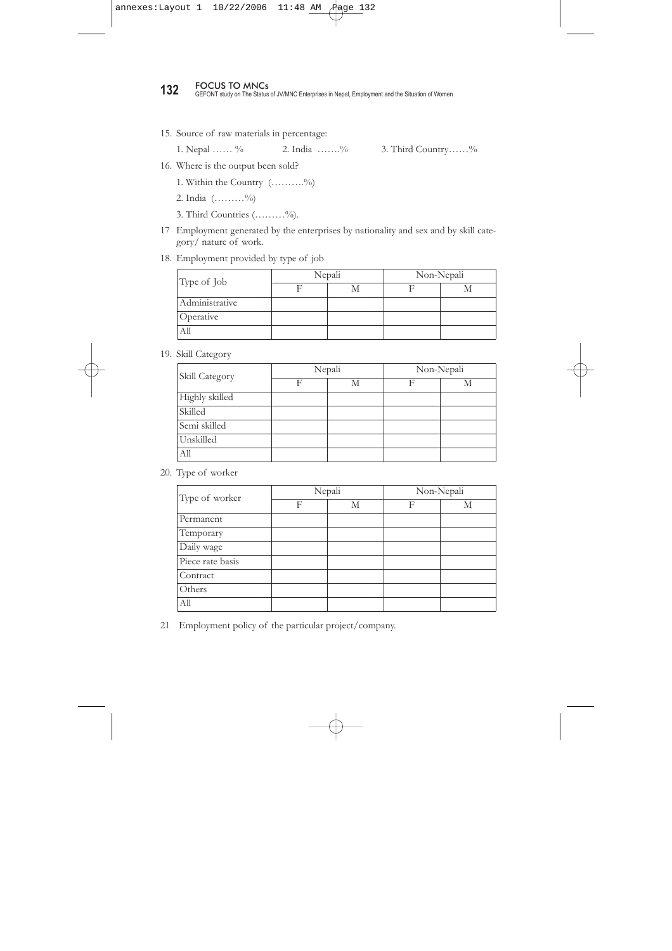# ANNEX iii

# Check Lists for Research Study

| I. |             | Management of FDI Enterprises      |         |                                                               |               |
|----|-------------|------------------------------------|---------|---------------------------------------------------------------|---------------|
| 1. |             |                                    |         |                                                               |               |
| 2. | Sex:        |                                    | 1. Male | 2. Female                                                     |               |
| 3. |             |                                    |         |                                                               |               |
| 4. |             |                                    |         |                                                               |               |
| 5. | Status:     |                                    | 1. JV   | 2. MNC                                                        |               |
| 6. |             | Type of ownership: 1. Private Ltd, |         |                                                               | 2. Public Ltd |
| 7. |             | Year of operation: Yrs             |         |                                                               |               |
| 8. |             |                                    |         |                                                               |               |
| 9. |             |                                    |         |                                                               |               |
|    |             | 10 Capital investment:             |         | 1. Authorised capital amount (Rs.)                            |               |
|    |             |                                    |         | 2. Issued capital amount (Rs.)                                |               |
|    |             |                                    |         | 11. Foreign share in percentage:                              |               |
|    |             | 12. Type of collaboration:         |         |                                                               |               |
|    |             |                                    |         | Financial/ Technical/ Management/ Marketing/Trade Mark/others |               |
|    |             |                                    |         |                                                               |               |
|    | 14. Sector: |                                    |         |                                                               |               |
|    | 1.          | Fiber Related                      |         |                                                               |               |
|    | 2.          | Manufacturing                      |         |                                                               |               |
|    | 3.          | <b>HRCT</b>                        |         |                                                               |               |
|    | 4.          | Banking and finance                |         |                                                               |               |
|    | 5.          | Transport and Communication        |         |                                                               |               |
|    | 6.          | Agriculture                        |         |                                                               |               |
|    | 7.          | Construction                       |         |                                                               |               |
|    | 8.          | Food and Beverage                  |         |                                                               |               |
|    | 9.          | Power, Energy and Chemical         |         |                                                               |               |
|    |             | 10. Service                        |         |                                                               |               |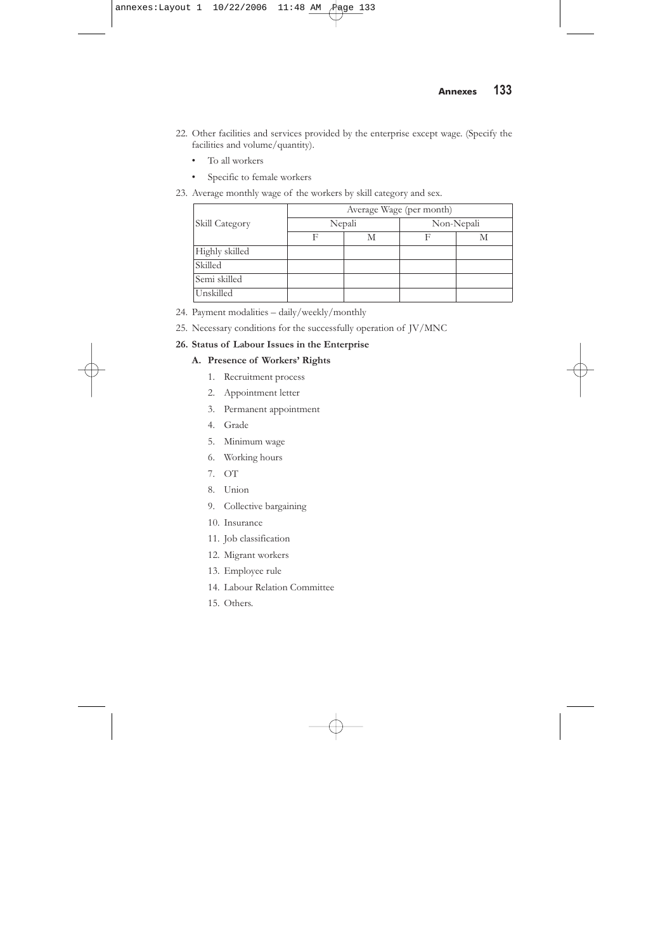**132** FOCUS TO MNCs<br>**132** GEFONT study on The Status of JV/MNC Enterprises in Nepal, Employment and the Situation of Women

15. Source of raw materials in percentage:

1. Nepal …… % 2. India …….% 3. Third Country……%

- 16. Where is the output been sold?
	- 1. Within the Country (……….%)
	- 2. India (………%)
	- 3. Third Countries (………%).
- 17 Employment generated by the enterprises by nationality and sex and by skill category/ nature of work.

#### 18. Employment provided by type of job

| Type of Job    | Nepali | Non-Nepali |  |  |
|----------------|--------|------------|--|--|
|                |        |            |  |  |
| Administrative |        |            |  |  |
| Operative      |        |            |  |  |
|                |        |            |  |  |

19. Skill Category

| Skill Category |   | Nepali | Non-Nepali |   |  |
|----------------|---|--------|------------|---|--|
|                | E | М      |            | М |  |
| Highly skilled |   |        |            |   |  |
| Skilled        |   |        |            |   |  |
| Semi skilled   |   |        |            |   |  |
| Unskilled      |   |        |            |   |  |
| All            |   |        |            |   |  |

20. Type of worker

| Type of worker   |   | Nepali | Non-Nepali |   |  |
|------------------|---|--------|------------|---|--|
|                  | F | М      | F          | М |  |
| Permanent        |   |        |            |   |  |
| Temporary        |   |        |            |   |  |
| Daily wage       |   |        |            |   |  |
| Piece rate basis |   |        |            |   |  |
| Contract         |   |        |            |   |  |
| Others           |   |        |            |   |  |
| All              |   |        |            |   |  |

21 Employment policy of the particular project/company.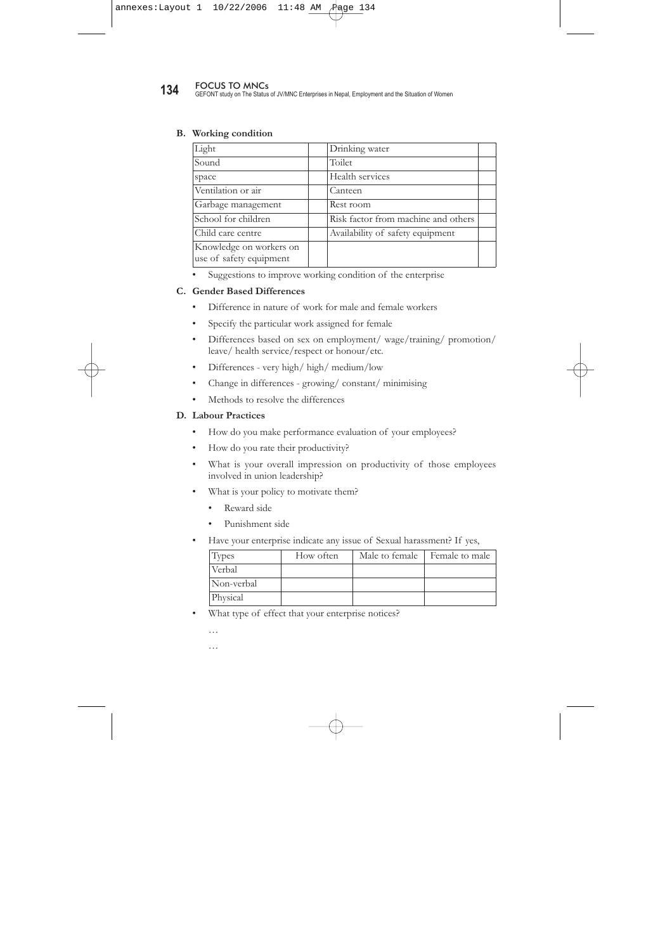- 22. Other facilities and services provided by the enterprise except wage. (Specify the facilities and volume/quantity).
	- To all workers
	- Specific to female workers
- 23. Average monthly wage of the workers by skill category and sex.

|                | Average Wage (per month) |        |            |   |  |  |  |  |
|----------------|--------------------------|--------|------------|---|--|--|--|--|
| Skill Category |                          | Nepali | Non-Nepali |   |  |  |  |  |
|                | F                        | M      |            | М |  |  |  |  |
| Highly skilled |                          |        |            |   |  |  |  |  |
| Skilled        |                          |        |            |   |  |  |  |  |
| Semi skilled   |                          |        |            |   |  |  |  |  |
| Unskilled      |                          |        |            |   |  |  |  |  |

- 24. Payment modalities daily/weekly/monthly
- 25. Necessary conditions for the successfully operation of JV/MNC

#### **26. Status of Labour Issues in the Enterprise**

#### **A. Presence of Workers' Rights**

- 1. Recruitment process
- 2. Appointment letter
- 3. Permanent appointment
- 4. Grade
- 5. Minimum wage
- 6. Working hours
- 7. OT
- 8. Union
- 9. Collective bargaining
- 10. Insurance
- 11. Job classification
- 12. Migrant workers
- 13. Employee rule
- 14. Labour Relation Committee
- 15. Others.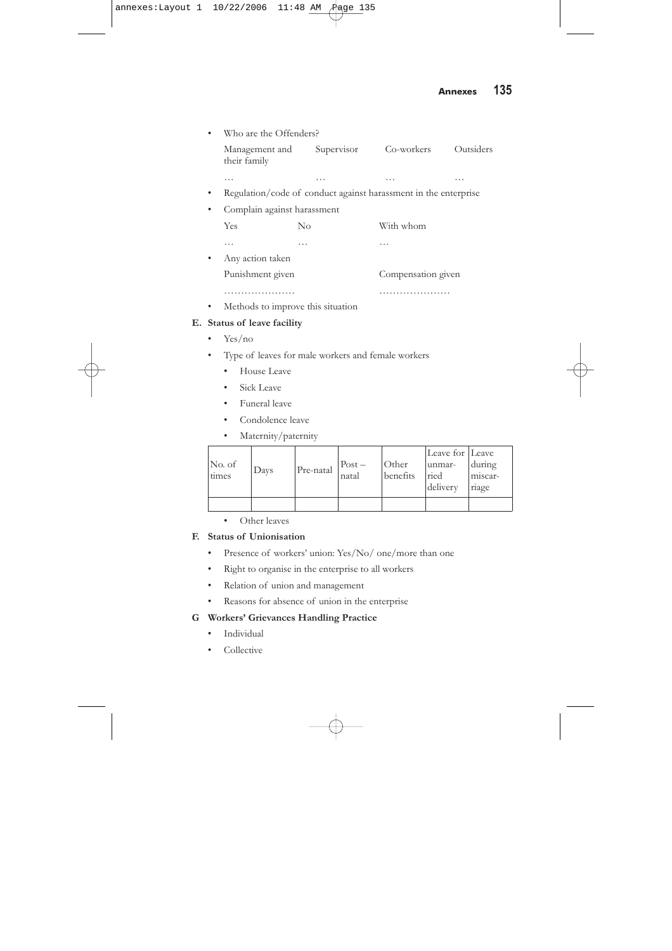**134** FOCUS TO MNCs<br>**134** GEFONT study on The Status of JV/MNC Enterprises in Nepal, Employment and the Situation of Women

### **B. Working condition**

| Light                                              | Drinking water                      |  |
|----------------------------------------------------|-------------------------------------|--|
| Sound                                              | Toilet                              |  |
| space                                              | Health services                     |  |
| Ventilation or air                                 | Canteen                             |  |
| Garbage management                                 | Rest room                           |  |
| School for children                                | Risk factor from machine and others |  |
| Child care centre                                  | Availability of safety equipment    |  |
| Knowledge on workers on<br>use of safety equipment |                                     |  |

Suggestions to improve working condition of the enterprise

#### **C. Gender Based Differences**

- Difference in nature of work for male and female workers
- Specify the particular work assigned for female
- Differences based on sex on employment/ wage/training/ promotion/ leave/ health service/respect or honour/etc.
- Differences very high/ high/ medium/low
- Change in differences growing/ constant/ minimising
- Methods to resolve the differences

#### **D. Labour Practices**

- How do you make performance evaluation of your employees?
- How do you rate their productivity?
- What is your overall impression on productivity of those employees involved in union leadership?
- What is your policy to motivate them?
	- Reward side
	- Punishment side
- Have your enterprise indicate any issue of Sexual harassment? If yes,

| Types      | How often | Male to female | Female to male |
|------------|-----------|----------------|----------------|
| Verbal     |           |                |                |
| Non-verbal |           |                |                |
| Physical   |           |                |                |

• What type of effect that your enterprise notices?

…

…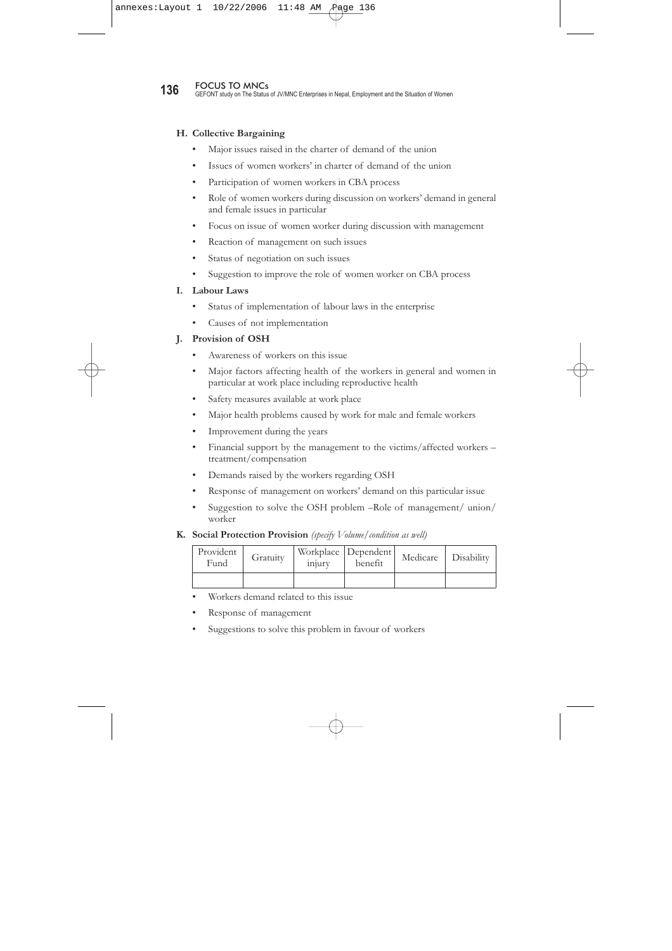• Who are the Offenders? Management and Supervisor Co-workers Outsiders their family … ……… • Regulation/code of conduct against harassment in the enterprise • Complain against harassment Yes No With whom …… … Any action taken Punishment given Compensation given ………………… ………………… • Methods to improve this situation

### **E. Status of leave facility**

- Yes/no
- Type of leaves for male workers and female workers
	- House Leave
	- Sick Leave
	- Funeral leave
	- Condolence leave
	- Maternity/paternity

| No. of<br>times | Days | Pre-natal | $Post -$<br>natal | Other<br>benefits | Leave for Leave<br>unmar-<br>ried<br>delivery | during<br>miscar-<br>riage |
|-----------------|------|-----------|-------------------|-------------------|-----------------------------------------------|----------------------------|
|                 |      |           |                   |                   |                                               |                            |

• Other leaves

#### **F. Status of Unionisation**

- Presence of workers' union: Yes/No/ one/more than one
- Right to organise in the enterprise to all workers
- Relation of union and management
- Reasons for absence of union in the enterprise

### **G Workers' Grievances Handling Practice**

- Individual
- Collective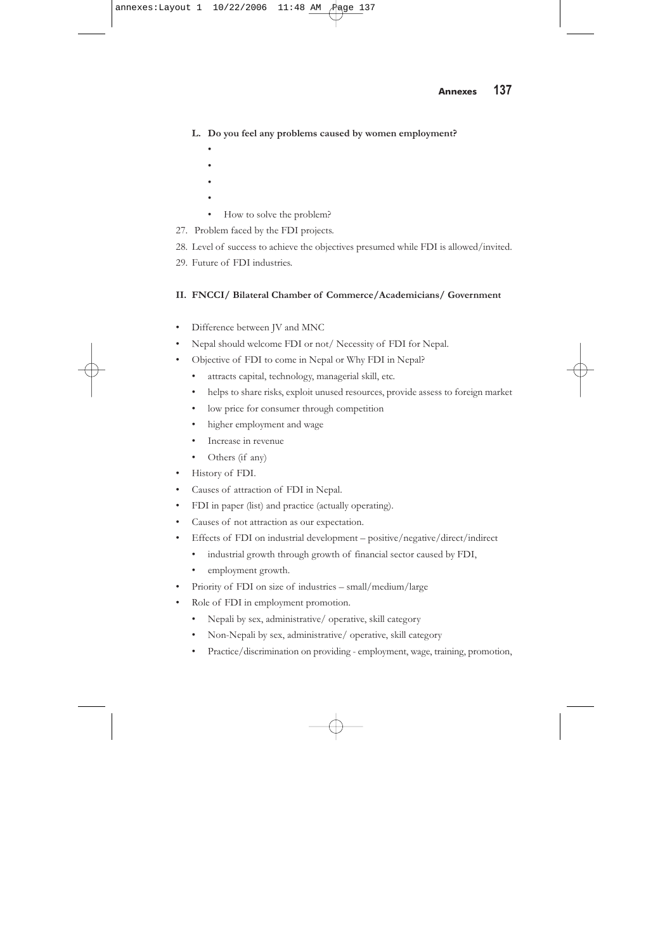**136** FOCUS TO MNCs<br>**136** GEFONT study on The Status of JV/MNC Enterprises in Nepal, Employment and the Situation of Women

#### **H. Collective Bargaining**

- Major issues raised in the charter of demand of the union
- Issues of women workers' in charter of demand of the union
- Participation of women workers in CBA process
- Role of women workers during discussion on workers' demand in general and female issues in particular
- Focus on issue of women worker during discussion with management
- Reaction of management on such issues
- Status of negotiation on such issues
- Suggestion to improve the role of women worker on CBA process

#### **I. Labour Laws**

- Status of implementation of labour laws in the enterprise
- Causes of not implementation

#### **J. Provision of OSH**

- Awareness of workers on this issue
- Major factors affecting health of the workers in general and women in particular at work place including reproductive health
- Safety measures available at work place
- Major health problems caused by work for male and female workers
- Improvement during the years
- Financial support by the management to the victims/affected workers treatment/compensation
- Demands raised by the workers regarding OSH
- Response of management on workers' demand on this particular issue
- Suggestion to solve the OSH problem –Role of management/ union/ worker

#### **K. Social Protection Provision** *(specify Volume/condition as well)*

| Provident<br>Fund | Gratuity | Workplace   Dependent  <br>benefit<br>injury |  | Medicare | Disability |
|-------------------|----------|----------------------------------------------|--|----------|------------|
|                   |          |                                              |  |          |            |

- Workers demand related to this issue
- Response of management
- Suggestions to solve this problem in favour of workers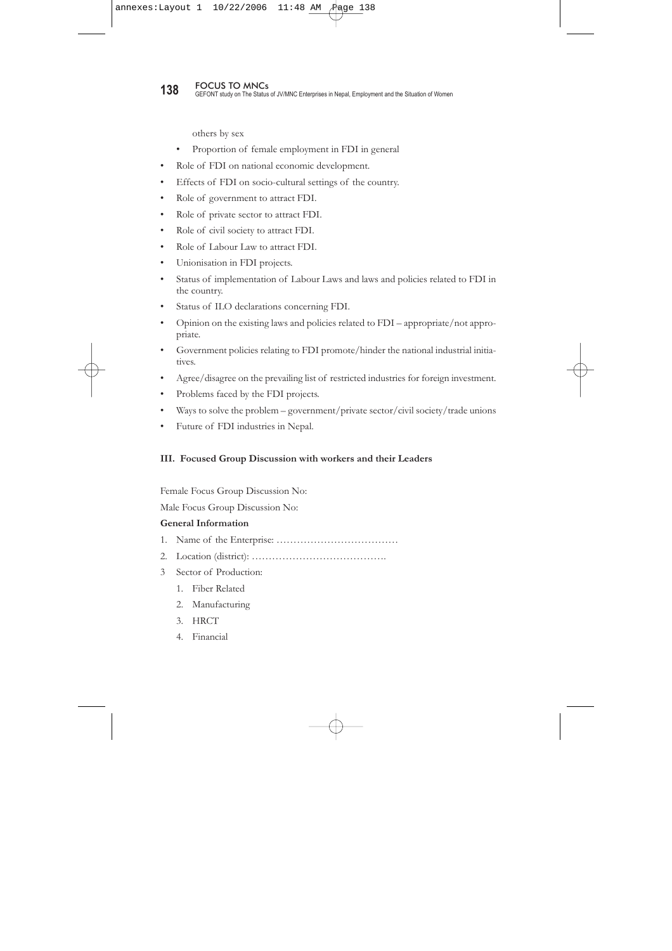## **Annexes 137**

### **L. Do you feel any problems caused by women employment?**

- •
- •
- •
- •
- How to solve the problem?
- 27. Problem faced by the FDI projects.
- 28. Level of success to achieve the objectives presumed while FDI is allowed/invited.
- 29. Future of FDI industries.

### **II. FNCCI/ Bilateral Chamber of Commerce/Academicians/ Government**

- Difference between JV and MNC
- Nepal should welcome FDI or not/ Necessity of FDI for Nepal.
- Objective of FDI to come in Nepal or Why FDI in Nepal?
	- attracts capital, technology, managerial skill, etc.
	- helps to share risks, exploit unused resources, provide assess to foreign market
	- low price for consumer through competition
	- higher employment and wage
	- Increase in revenue
	- Others (if any)
- History of FDI.
- Causes of attraction of FDI in Nepal.
- FDI in paper (list) and practice (actually operating).
- Causes of not attraction as our expectation.
- Effects of FDI on industrial development positive/negative/direct/indirect
	- industrial growth through growth of financial sector caused by FDI,
	- employment growth.
- Priority of FDI on size of industries small/medium/large
- Role of FDI in employment promotion.
	- Nepali by sex, administrative/ operative, skill category
	- Non-Nepali by sex, administrative/ operative, skill category
	- Practice/discrimination on providing employment, wage, training, promotion,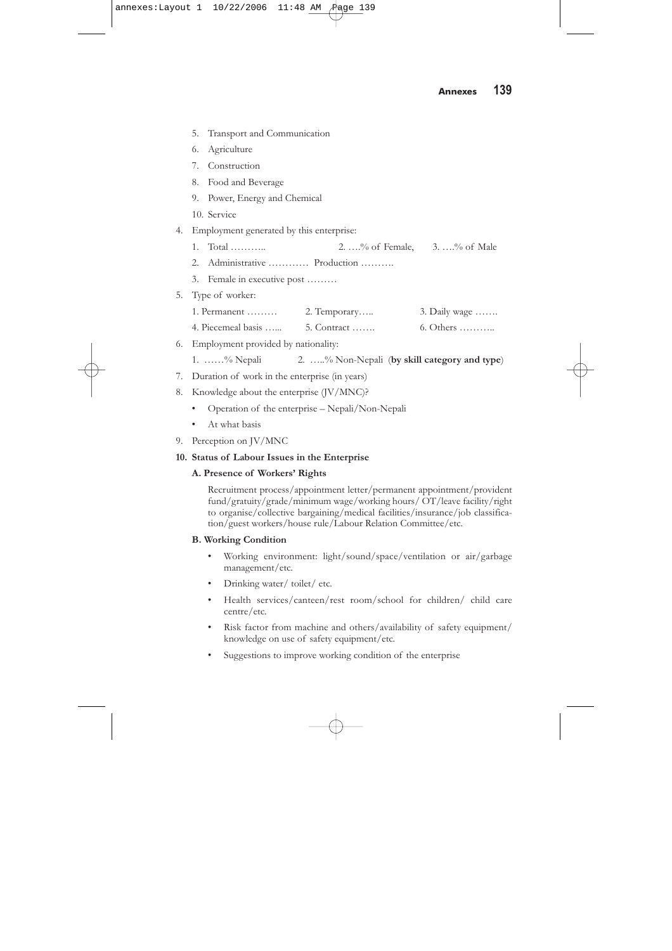**138** FOCUS TO MNCs<br>**138** GEFONT study on The Status of JV/MNC Enterprises in Nepal, Employment and the Situation of Women

others by sex

- Proportion of female employment in FDI in general
- Role of FDI on national economic development.
- Effects of FDI on socio-cultural settings of the country.
- Role of government to attract FDI.
- Role of private sector to attract FDI.
- Role of civil society to attract FDI.
- Role of Labour Law to attract FDI.
- Unionisation in FDI projects.
- Status of implementation of Labour Laws and laws and policies related to FDI in the country.
- Status of ILO declarations concerning FDI.
- Opinion on the existing laws and policies related to FDI appropriate/not appropriate.
- Government policies relating to FDI promote/hinder the national industrial initiatives.
- Agree/disagree on the prevailing list of restricted industries for foreign investment.
- Problems faced by the FDI projects.
- Ways to solve the problem government/private sector/civil society/trade unions
- Future of FDI industries in Nepal.

#### **III. Focused Group Discussion with workers and their Leaders**

Female Focus Group Discussion No:

Male Focus Group Discussion No:

#### **General Information**

- 1. Name of the Enterprise: ………………………………
- 2. Location (district): ………………………………….
- 3 Sector of Production:
	- 1. Fiber Related
	- 2. Manufacturing
	- 3. HRCT
	- 4. Financial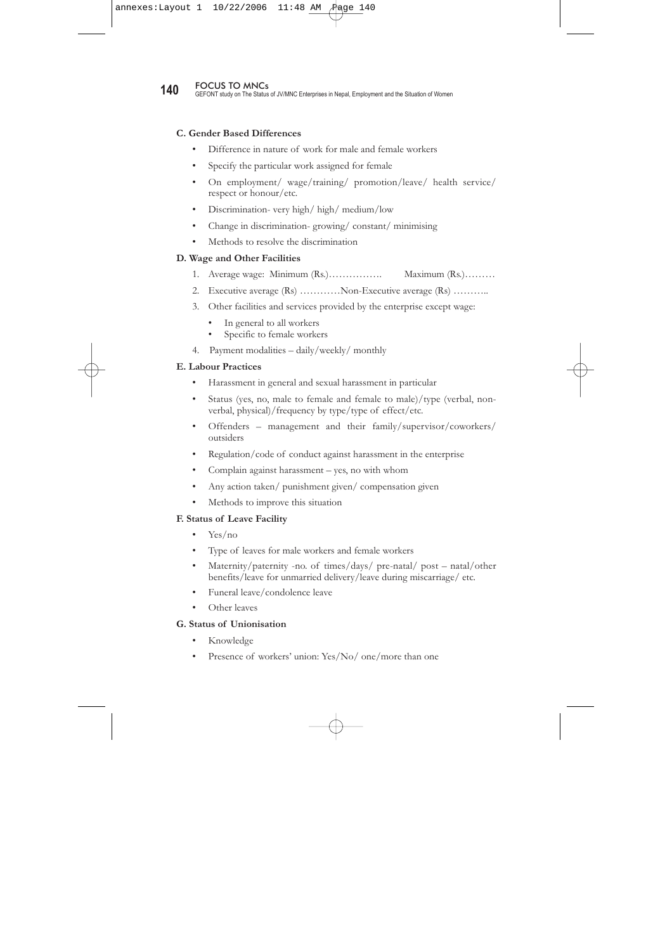|    |                                          | 5. Transport and Communication         |  |  |                                                |  |  |  |
|----|------------------------------------------|----------------------------------------|--|--|------------------------------------------------|--|--|--|
|    | 6.                                       | Agriculture                            |  |  |                                                |  |  |  |
|    |                                          | 7. Construction                        |  |  |                                                |  |  |  |
|    |                                          | 8. Food and Beverage                   |  |  |                                                |  |  |  |
|    |                                          | 9. Power, Energy and Chemical          |  |  |                                                |  |  |  |
|    |                                          | 10. Service                            |  |  |                                                |  |  |  |
| 4. | Employment generated by this enterprise: |                                        |  |  |                                                |  |  |  |
|    |                                          | 1. Total                               |  |  | 2. $\ldots$ % of Female, 3. $\ldots$ % of Male |  |  |  |
|    |                                          | 2. Administrative  Production          |  |  |                                                |  |  |  |
|    |                                          | 3. Female in executive post            |  |  |                                                |  |  |  |
|    | 5. Type of worker:                       |                                        |  |  |                                                |  |  |  |
|    |                                          |                                        |  |  | 3. Daily wage $\dots$                          |  |  |  |
|    |                                          | 4. Piecemeal basis  5. Contract        |  |  | $6. Others$                                    |  |  |  |
|    |                                          | 6. Employment provided by nationality: |  |  |                                                |  |  |  |
|    |                                          | 4 0/3/1 11 0/3/1 3/1 11/1 11/1 1.      |  |  |                                                |  |  |  |

- 1. ……% Nepali 2. …..% Non-Nepali (**by skill category and type**)
- 7. Duration of work in the enterprise (in years)
- 8. Knowledge about the enterprise (JV/MNC)?
	- Operation of the enterprise Nepali/Non-Nepali
	- At what basis
- 9. Perception on JV/MNC

#### **10. Status of Labour Issues in the Enterprise**

#### **A. Presence of Workers' Rights**

Recruitment process/appointment letter/permanent appointment/provident fund/gratuity/grade/minimum wage/working hours/ OT/leave facility/right to organise/collective bargaining/medical facilities/insurance/job classification/guest workers/house rule/Labour Relation Committee/etc.

#### **B. Working Condition**

- Working environment: light/sound/space/ventilation or air/garbage management/etc.
- Drinking water/ toilet/ etc.
- Health services/canteen/rest room/school for children/ child care centre/etc.
- Risk factor from machine and others/availability of safety equipment/ knowledge on use of safety equipment/etc.
- Suggestions to improve working condition of the enterprise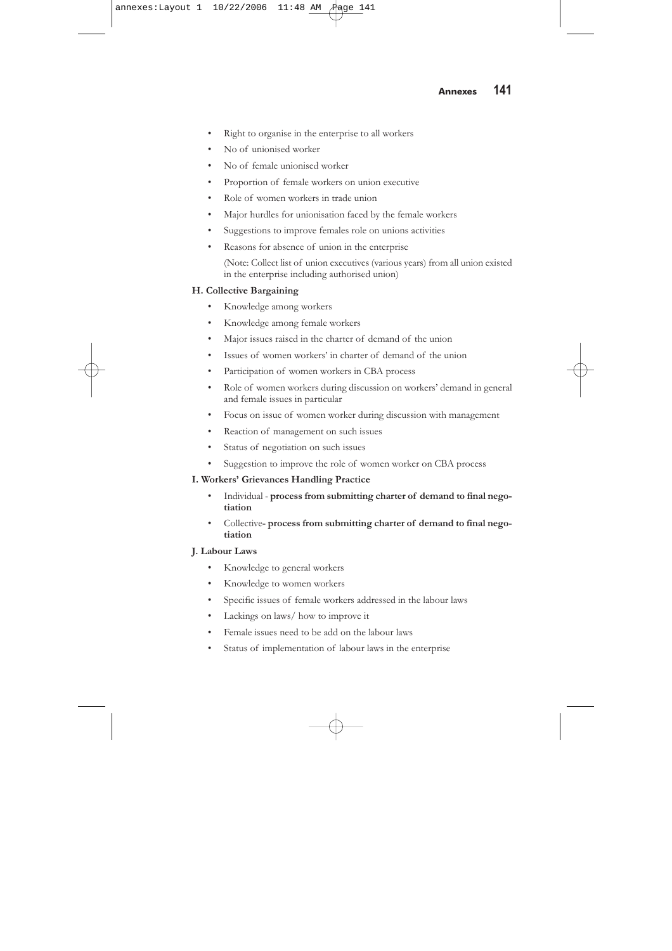**140** FOCUS TO MNCs<br>**140** GEFONT study on The Status of JV/MNC Enterprises in Nepal, Employment and the Situation of Women

#### **C. Gender Based Differences**

- Difference in nature of work for male and female workers
- Specify the particular work assigned for female
- On employment/ wage/training/ promotion/leave/ health service/ respect or honour/etc.
- Discrimination- very high/ high/ medium/low
- Change in discrimination- growing/ constant/ minimising
- Methods to resolve the discrimination

#### **D. Wage and Other Facilities**

- 1. Average wage: Minimum (Rs.)……………. Maximum (Rs.)………
- 2. Executive average (Rs) …………Non-Executive average (Rs) ………..
- 3. Other facilities and services provided by the enterprise except wage:
	- In general to all workers<br>• Specific to female worke
	- Specific to female workers
- 4. Payment modalities daily/weekly/ monthly

#### **E. Labour Practices**

- Harassment in general and sexual harassment in particular
- Status (yes, no, male to female and female to male)/type (verbal, nonverbal, physical)/frequency by type/type of effect/etc.
- Offenders management and their family/supervisor/coworkers/ outsiders
- Regulation/code of conduct against harassment in the enterprise
- Complain against harassment yes, no with whom
- Any action taken/ punishment given/ compensation given
- Methods to improve this situation

#### **F. Status of Leave Facility**

- Yes/no
- Type of leaves for male workers and female workers
- Maternity/paternity -no. of times/days/ pre-natal/ post natal/other benefits/leave for unmarried delivery/leave during miscarriage/ etc.
- Funeral leave/condolence leave
- Other leaves

#### **G. Status of Unionisation**

- Knowledge
- Presence of workers' union: Yes/No/ one/more than one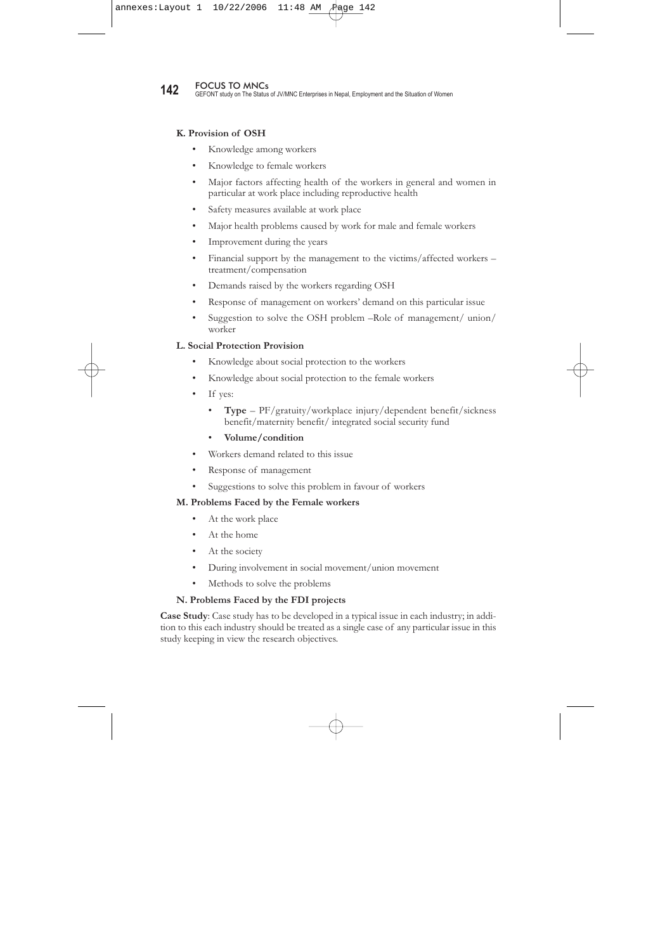- Right to organise in the enterprise to all workers
- No of unionised worker
- No of female unionised worker
- Proportion of female workers on union executive
- Role of women workers in trade union
- Major hurdles for unionisation faced by the female workers
- Suggestions to improve females role on unions activities
- Reasons for absence of union in the enterprise

(Note: Collect list of union executives (various years) from all union existed in the enterprise including authorised union)

#### **H. Collective Bargaining**

- Knowledge among workers
- Knowledge among female workers
- Major issues raised in the charter of demand of the union
- Issues of women workers' in charter of demand of the union
- Participation of women workers in CBA process
- Role of women workers during discussion on workers' demand in general and female issues in particular
- Focus on issue of women worker during discussion with management
- Reaction of management on such issues
- Status of negotiation on such issues
- Suggestion to improve the role of women worker on CBA process

#### **I. Workers' Grievances Handling Practice**

- Individual **process from submitting charter of demand to final negotiation**
- Collective **process from submitting charter of demand to final negotiation**

#### **J. Labour Laws**

- Knowledge to general workers
- Knowledge to women workers
- Specific issues of female workers addressed in the labour laws
- Lackings on laws/ how to improve it
- Female issues need to be add on the labour laws
- Status of implementation of labour laws in the enterprise